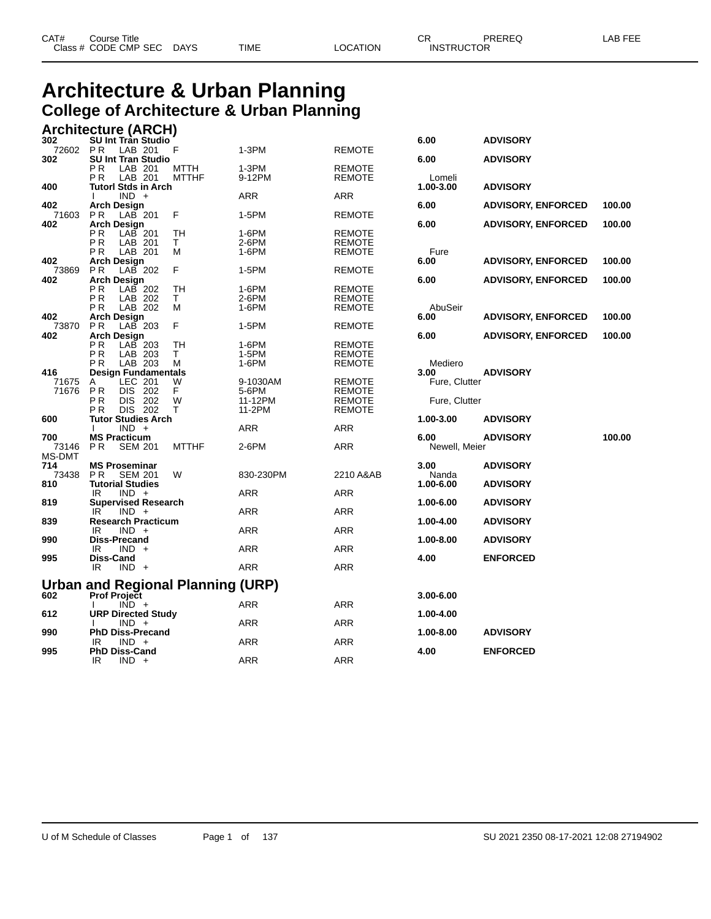### **Architecture & Urban Planning College of Architecture & Urban Planning**

| 3UZ           | <b>SU Int Tran Studio</b>                       |              |                   |                                | o.uu                  | <b>ADVISURT</b>           |        |
|---------------|-------------------------------------------------|--------------|-------------------|--------------------------------|-----------------------|---------------------------|--------|
| 72602<br>302  | LAB 201<br>P R<br><b>SU Int Tran Studio</b>     | F            | 1-3PM             | <b>REMOTE</b>                  | 6.00                  | <b>ADVISORY</b>           |        |
|               | LAB 201<br>P <sub>R</sub>                       | MTTH         | 1-3PM             | <b>REMOTE</b>                  |                       |                           |        |
|               | LAB 201<br>P <sub>R</sub>                       | <b>MTTHF</b> | 9-12PM            | <b>REMOTE</b>                  | Lomeli                |                           |        |
| 400           | <b>Tutorl Stds in Arch</b>                      |              |                   |                                | 1.00-3.00             | <b>ADVISORY</b>           |        |
|               | $IND +$                                         |              | <b>ARR</b>        | <b>ARR</b>                     |                       |                           |        |
| 402           | <b>Arch Design</b>                              |              |                   |                                | 6.00                  | <b>ADVISORY, ENFORCED</b> | 100.00 |
| 71603         | <b>PR</b><br>$LAB$ 201                          | F            | 1-5PM             | <b>REMOTE</b>                  |                       |                           |        |
| 402           | <b>Arch Design</b>                              |              |                   |                                | 6.00                  | <b>ADVISORY, ENFORCED</b> | 100.00 |
|               | ΡR<br>$LAB$ 201                                 | TН           | 1-6PM             | <b>REMOTE</b>                  |                       |                           |        |
|               | P <sub>R</sub><br>LAB 201                       | T.           | 2-6PM             | <b>REMOTE</b>                  |                       |                           |        |
| 402           | LAB 201<br>P <sub>R</sub><br><b>Arch Design</b> | м            | 1-6PM             | <b>REMOTE</b>                  | Fure<br>6.00          | <b>ADVISORY, ENFORCED</b> | 100.00 |
| 73869         | <b>PR</b><br>$LAB$ 202                          | F            | 1-5PM             | <b>REMOTE</b>                  |                       |                           |        |
| 402           | <b>Arch Design</b>                              |              |                   |                                | 6.00                  | <b>ADVISORY, ENFORCED</b> | 100.00 |
|               | LAB 202<br>РR                                   | <b>TH</b>    | 1-6PM             | <b>REMOTE</b>                  |                       |                           |        |
|               | ΡR<br>LAB 202                                   | T.           | 2-6PM             | <b>REMOTE</b>                  |                       |                           |        |
|               | LAB 202<br>P <sub>R</sub>                       | М            | 1-6PM             | <b>REMOTE</b>                  | AbuSeir               |                           |        |
| 402           | <b>Arch Design</b>                              |              |                   |                                | 6.00                  | <b>ADVISORY, ENFORCED</b> | 100.00 |
| 73870         | $LAB$ 203<br><b>PR</b>                          | F            | 1-5PM             | <b>REMOTE</b>                  |                       |                           |        |
| 402           | <b>Arch Design</b>                              |              |                   |                                | 6.00                  | <b>ADVISORY, ENFORCED</b> | 100.00 |
|               | ΡR<br>$LAB$ 203                                 | TН           | 1-6PM             | <b>REMOTE</b>                  |                       |                           |        |
|               | P <sub>R</sub><br>LAB 203                       | T.           | 1-5PM             | <b>REMOTE</b>                  |                       |                           |        |
|               | LAB 203<br>P <sub>R</sub>                       | M            | 1-6PM             | <b>REMOTE</b>                  | Mediero               |                           |        |
| 416<br>71675  | <b>Design Fundamentals</b><br>LEC 201           |              |                   |                                | 3.00<br>Fure, Clutter | <b>ADVISORY</b>           |        |
| 71676         | A<br>PR<br><b>DIS</b><br>202                    | W<br>F       | 9-1030AM<br>5-6PM | <b>REMOTE</b><br><b>REMOTE</b> |                       |                           |        |
|               | DIS 202<br>P <sub>R</sub>                       | W            | 11-12PM           | <b>REMOTE</b>                  | Fure, Clutter         |                           |        |
|               | DIS 202<br>P <sub>R</sub>                       | т            | 11-2PM            | <b>REMOTE</b>                  |                       |                           |        |
| 600           | <b>Tutor Studies Arch</b>                       |              |                   |                                | 1.00-3.00             | <b>ADVISORY</b>           |        |
|               | $IND +$                                         |              | <b>ARR</b>        | <b>ARR</b>                     |                       |                           |        |
| 700           | <b>MS Practicum</b>                             |              |                   |                                | 6.00                  | <b>ADVISORY</b>           | 100.00 |
| 73146         | <b>PR</b><br><b>SEM 201</b>                     | <b>MTTHF</b> | 2-6PM             | <b>ARR</b>                     | Newell, Meier         |                           |        |
| <b>MS-DMT</b> |                                                 |              |                   |                                |                       |                           |        |
| 714           | <b>MS Proseminar</b>                            |              |                   |                                | 3.00                  | <b>ADVISORY</b>           |        |
| 73438         | P <sub>R</sub><br><b>SEM 201</b>                | W            | 830-230PM         | 2210 A&AB                      | Nanda                 |                           |        |
| 810           | <b>Tutorial Studies</b><br>$IND +$<br>IR.       |              | <b>ARR</b>        | <b>ARR</b>                     | 1.00-6.00             | <b>ADVISORY</b>           |        |
| 819           | <b>Supervised Research</b>                      |              |                   |                                | 1.00-6.00             | <b>ADVISORY</b>           |        |
|               | $IND +$<br>IR.                                  |              | <b>ARR</b>        | <b>ARR</b>                     |                       |                           |        |
| 839           | <b>Research Practicum</b>                       |              |                   |                                | 1.00-4.00             | <b>ADVISORY</b>           |        |
|               | $IND +$<br>IR                                   |              | ARR               | <b>ARR</b>                     |                       |                           |        |
| 990           | <b>Diss-Precand</b>                             |              |                   |                                | 1.00-8.00             | <b>ADVISORY</b>           |        |
|               | $IND +$<br>IR.                                  |              | ARR               | <b>ARR</b>                     |                       |                           |        |
| 995           | Diss-Cand                                       |              |                   |                                | 4.00                  | <b>ENFORCED</b>           |        |
|               | IR<br>$IND +$                                   |              | <b>ARR</b>        | <b>ARR</b>                     |                       |                           |        |
|               |                                                 |              |                   |                                |                       |                           |        |
|               | <b>Urban and Regional Planning (URP)</b>        |              |                   |                                |                       |                           |        |
| 602           | <b>Prof Project</b><br>$IND +$<br>$\mathbf{L}$  |              | <b>ARR</b>        | <b>ARR</b>                     | $3.00 - 6.00$         |                           |        |
| 612           | <b>URP Directed Study</b>                       |              |                   |                                | 1.00-4.00             |                           |        |
|               | $IND +$                                         |              | ARR               | <b>ARR</b>                     |                       |                           |        |
| 990           | <b>PhD Diss-Precand</b>                         |              |                   |                                | 1.00-8.00             | <b>ADVISORY</b>           |        |
|               | $IND +$<br>IR.                                  |              | ARR               | <b>ARR</b>                     |                       |                           |        |
| 995           | <b>PhD Diss-Cand</b>                            |              |                   |                                | 4.00                  | <b>ENFORCED</b>           |        |
|               | IR<br>$IND +$                                   |              | <b>ARR</b>        | <b>ARR</b>                     |                       |                           |        |

| Architecture (ARCH) |                                  |                    |                            |                                   |                   |                                |                     |                           |        |
|---------------------|----------------------------------|--------------------|----------------------------|-----------------------------------|-------------------|--------------------------------|---------------------|---------------------------|--------|
| 302                 |                                  |                    | <b>SU Int Tran Studio</b>  |                                   |                   |                                | 6.00                | <b>ADVISORY</b>           |        |
| 72602 PR<br>302     |                                  | LAB 201            | <b>SU Int Tran Studio</b>  | F                                 | $1-3PM$           | <b>REMOTE</b>                  | 6.00                | <b>ADVISORY</b>           |        |
|                     | ΡR                               | LAB 201            |                            | MTTH                              | $1-3PM$           | <b>REMOTE</b>                  |                     |                           |        |
| 400                 | РR                               | LAB 201            | Tutorl Stds in Arch        | <b>MTTHF</b>                      | 9-12PM            | <b>REMOTE</b>                  | Lomeli<br>1.00-3.00 | <b>ADVISORY</b>           |        |
|                     |                                  | $IND +$            |                            |                                   | ARR               | ARR                            |                     |                           |        |
| 402<br>71603        | <b>Arch Design</b><br><b>PR</b>  | $LAB$ 201          |                            | F                                 | 1-5PM             | <b>REMOTE</b>                  | 6.00                | <b>ADVISORY, ENFORCED</b> | 100.00 |
| 402                 | <b>Arch Design</b>               |                    |                            |                                   |                   |                                | 6.00                | <b>ADVISORY, ENFORCED</b> | 100.00 |
|                     | ΡR                               | LAB 201            |                            | TН                                | 1-6PM<br>$2-6$ PM | <b>REMOTE</b>                  |                     |                           |        |
|                     | P R<br>P R                       | LAB 201<br>LAB 201 |                            | T.<br>м                           | 1-6PM             | REMOTE<br><b>REMOTE</b>        | Fure                |                           |        |
| 402                 | Arch Design                      |                    |                            |                                   |                   |                                | 6.00                | <b>ADVISORY, ENFORCED</b> | 100.00 |
| 73869<br>402        | P R<br><b>Arch Design</b>        | LAB 202            |                            | F                                 | 1-5PM             | <b>REMOTE</b>                  | 6.00                | <b>ADVISORY, ENFORCED</b> | 100.00 |
|                     | PR.                              | LAB 202            |                            | TН                                | $1-6$ PM          | <b>REMOTE</b>                  |                     |                           |        |
|                     | ΡR<br>P R                        | LAB 202<br>LAB 202 |                            | T.<br>M                           | $2-6$ PM<br>1-6PM | <b>REMOTE</b><br><b>REMOTE</b> | AbuSeir             |                           |        |
| 402                 | Arch Design                      |                    |                            |                                   |                   |                                | 6.00                | <b>ADVISORY, ENFORCED</b> | 100.00 |
| 73870               | P R                              | LAB 203            |                            | F                                 | 1-5PM             | <b>REMOTE</b>                  |                     |                           |        |
| 402                 | Arch Design<br>ΡR                | LAB 203            |                            | TН                                | 1-6PM             | <b>REMOTE</b>                  | 6.00                | <b>ADVISORY, ENFORCED</b> | 100.00 |
|                     | ΡR                               | LAB 203            |                            | T.                                | 1-5PM             | REMOTE                         |                     |                           |        |
| 416                 | ΡR<br><b>Design Fundamentals</b> | LAB 203            |                            | м                                 | 1-6PM             | <b>REMOTE</b>                  | Mediero<br>3.00     | <b>ADVISORY</b>           |        |
| 71675               | A                                | LEC 201            |                            | W                                 | 9-1030AM          | <b>REMOTE</b>                  | Fure, Clutter       |                           |        |
| 71676               | PR                               | DIS 202            |                            | F.                                | 5-6PM             | <b>REMOTE</b>                  |                     |                           |        |
|                     | P R<br>P R                       | DIS 202<br>DIS 202 |                            | W<br>т                            | 11-12PM<br>11-2PM | <b>REMOTE</b><br><b>REMOTE</b> | Fure, Clutter       |                           |        |
| 600                 |                                  |                    | <b>Tutor Studies Arch</b>  |                                   |                   |                                | 1.00-3.00           | <b>ADVISORY</b>           |        |
| 700                 | I.<br><b>MS Practicum</b>        | $IND +$            |                            |                                   | ARR               | <b>ARR</b>                     | 6.00                | <b>ADVISORY</b>           | 100.00 |
| 73146               | <b>PR</b>                        | <b>SEM 201</b>     |                            | <b>MTTHF</b>                      | $2-6$ PM          | ARR                            | Newell, Meier       |                           |        |
| MS-DMT<br>714       | <b>MS Proseminar</b>             |                    |                            |                                   |                   |                                | 3.00                | <b>ADVISORY</b>           |        |
| 73438               | P <sub>R</sub>                   | <b>SEM 201</b>     |                            | W                                 | 830-230PM         | 2210 A&AB                      | Nanda               |                           |        |
| 810                 | <b>Tutorial Studies</b><br>IR    | $IND +$            |                            |                                   | ARR               | ARR                            | 1.00-6.00           | <b>ADVISORY</b>           |        |
| 819                 |                                  |                    | <b>Supervised Research</b> |                                   |                   |                                | 1.00-6.00           | <b>ADVISORY</b>           |        |
| 839                 | IR.                              | $IND +$            | <b>Research Practicum</b>  |                                   | ARR               | ARR                            | 1.00-4.00           | <b>ADVISORY</b>           |        |
|                     | IR                               | $IND +$            |                            |                                   | ARR               | <b>ARR</b>                     |                     |                           |        |
| 990                 | <b>Diss-Precand</b>              |                    |                            |                                   | ARR               | <b>ARR</b>                     | 1.00-8.00           | <b>ADVISORY</b>           |        |
| 995                 | IR.<br>Diss-Cand                 | $IND +$            |                            |                                   |                   |                                | 4.00                | <b>ENFORCED</b>           |        |
|                     | IR.                              | $IND +$            |                            |                                   | <b>ARR</b>        | <b>ARR</b>                     |                     |                           |        |
|                     |                                  |                    |                            | Urban and Regional Planning (URP) |                   |                                |                     |                           |        |
| 602                 | <b>Prof Project</b>              |                    |                            |                                   |                   |                                | $3.00 - 6.00$       |                           |        |
| 612                 |                                  | $IND +$            | <b>URP Directed Study</b>  |                                   | <b>ARR</b>        | <b>ARR</b>                     | 1.00-4.00           |                           |        |
|                     |                                  | $IND +$            |                            |                                   | ARR               | <b>ARR</b>                     |                     |                           |        |
| 990                 | IR                               | $IND +$            | <b>PhD Diss-Precand</b>    |                                   | <b>ARR</b>        | <b>ARR</b>                     | 1.00-8.00           | <b>ADVISORY</b>           |        |
| 995                 | <b>PhD Diss-Cand</b>             |                    |                            |                                   |                   |                                | 4.00                | <b>ENFORCED</b>           |        |
|                     | IR                               | $IND +$            |                            |                                   | <b>ARR</b>        | <b>ARR</b>                     |                     |                           |        |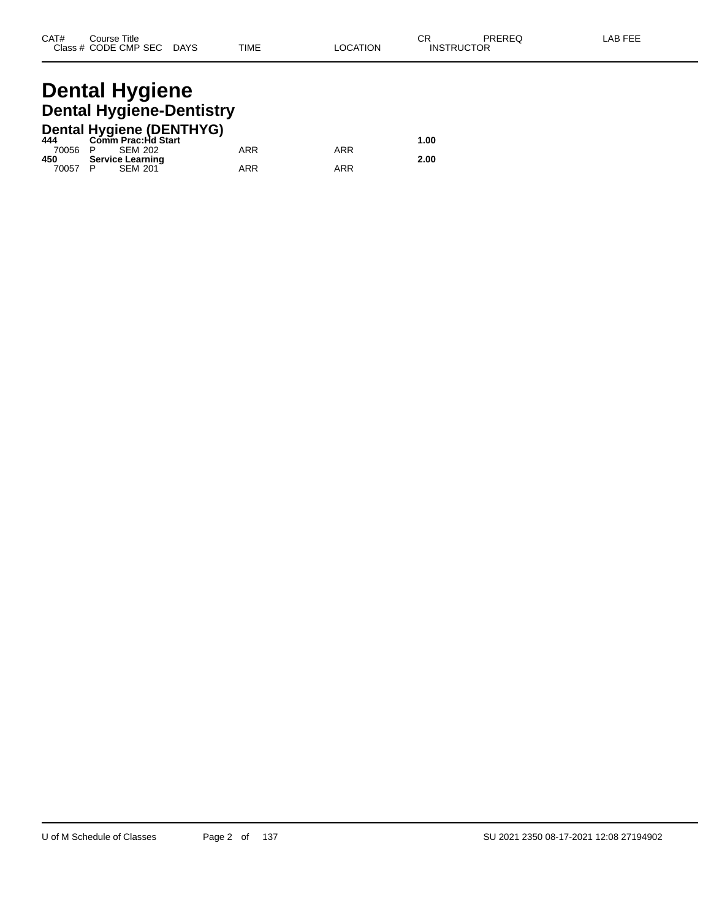### **Dental Hygiene Dental Hygiene-Dentistry**

|         | <b>Dental Hygiene (DENTHYG)</b> |     |     |      |
|---------|---------------------------------|-----|-----|------|
| 444     | Comm Prac:Hd Start              |     |     | 1.00 |
| 70056 P | SEM 202                         | ARR | ARR |      |
| 450     | <b>Service Learning</b>         |     |     | 2.00 |
| 70057 P | <b>SEM 201</b>                  | ARR | ARR |      |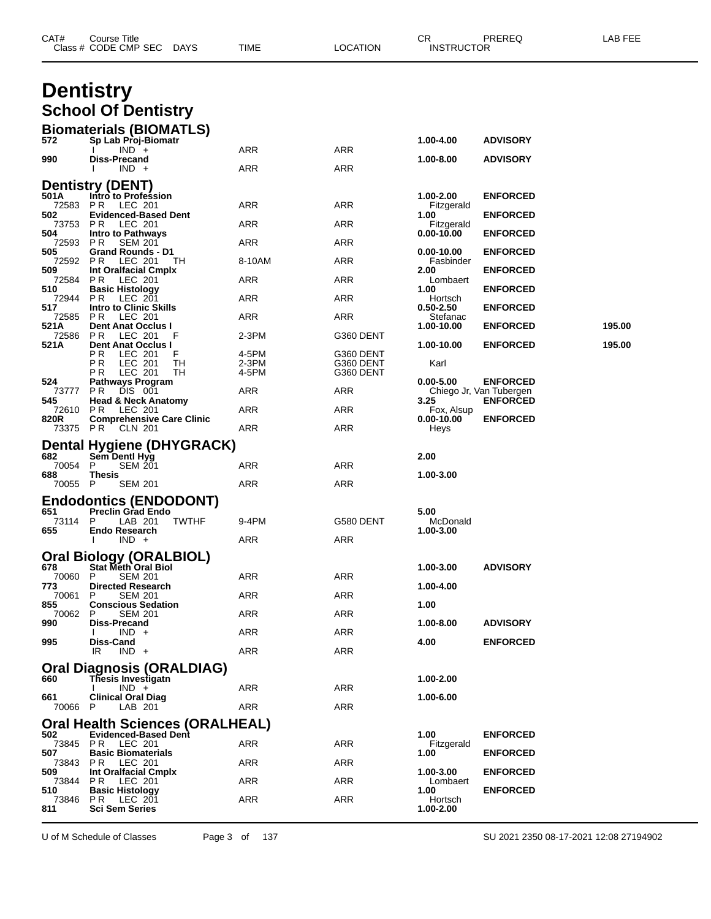|                  | Class # CODE CMP SEC<br><b>DAYS</b>                       | TIME           | LOCATION               | <b>INSTRUCTOR</b>       |                                            |        |
|------------------|-----------------------------------------------------------|----------------|------------------------|-------------------------|--------------------------------------------|--------|
|                  | <b>Dentistry</b>                                          |                |                        |                         |                                            |        |
|                  | <b>School Of Dentistry</b>                                |                |                        |                         |                                            |        |
|                  | <b>Biomaterials (BIOMATLS)</b>                            |                |                        |                         |                                            |        |
| 572              | Sp Lab Proj-Biomatr                                       |                |                        | 1.00-4.00               | <b>ADVISORY</b>                            |        |
| 990              | $IND +$<br>Diss-Precand                                   | ARR            | <b>ARR</b>             | 1.00-8.00               | <b>ADVISORY</b>                            |        |
|                  | $IND +$                                                   | ARR            | ARR                    |                         |                                            |        |
| 501A             | <b>Dentistry (DENT)</b><br>Intro to Profession            |                |                        | 1.00-2.00               | <b>ENFORCED</b>                            |        |
| 72583<br>502     | PR.<br>LEC 201                                            | ARR            | ARR                    | Fitzgerald              |                                            |        |
| 73753            | <b>Evidenced-Based Dent</b><br>P R<br>LEC 201             | ARR            | ARR                    | 1.00<br>Fitzgerald      | <b>ENFORCED</b>                            |        |
| 504<br>72593     | <b>Intro to Pathways</b><br>P R<br><b>SEM 201</b>         | ARR            | ARR                    | 0.00-10.00              | <b>ENFORCED</b>                            |        |
| 505<br>72592     | <b>Grand Rounds - D1</b><br>P R<br>LEC 201<br>TH.         | 8-10AM         | ARR                    | 0.00-10.00<br>Fasbinder | <b>ENFORCED</b>                            |        |
| 509<br>72584     | Int Oralfacial Cmplx<br>PR.<br>LEC 201                    | ARR            | ARR                    | 2.00<br>Lombaert        | <b>ENFORCED</b>                            |        |
| 510              | <b>Basic Histology</b>                                    |                |                        | 1.00                    | <b>ENFORCED</b>                            |        |
| 72944<br>517     | P R<br>LEC 201<br><b>Intro to Clinic Skills</b>           | ARR            | ARR                    | Hortsch<br>0.50-2.50    | <b>ENFORCED</b>                            |        |
| 72585<br>521A    | P R<br>LEC 201<br><b>Dent Anat Occlus I</b>               | ARR            | ARR                    | Stefanac<br>1.00-10.00  | <b>ENFORCED</b>                            | 195.00 |
| 72586<br>521 A   | PR.<br>LEC 201<br>F<br><b>Dent Anat Occlus I</b>          | 2-3PM          | G360 DENT              | 1.00-10.00              | <b>ENFORCED</b>                            | 195.00 |
|                  | P R<br>LEC 201<br>F                                       | 4-5PM          | G360 DENT              |                         |                                            |        |
|                  | ΡR<br>LEC 201<br>TН<br>P R<br>LEC 201<br>TН               | 2-3PM<br>4-5PM | G360 DENT<br>G360 DENT | Karl                    |                                            |        |
| 524<br>73777     | Pathways Program<br>DIS 001<br>PR.                        | ARR            | ARR                    | $0.00 - 5.00$           | <b>ENFORCED</b><br>Chiego Jr, Van Tubergen |        |
| 545<br>72610 PR  | <b>Head &amp; Neck Anatomy</b><br>LEC 201                 | ARR            | ARR                    | 3.25<br>Fox, Alsup      | <b>ENFORCED</b>                            |        |
| 820R<br>73375 PR | <b>Comprehensive Care Clinic</b><br>CLN 201               | ARR            | ARR                    | 0.00-10.00<br>Heys      | <b>ENFORCED</b>                            |        |
|                  |                                                           |                |                        |                         |                                            |        |
| 682              | Dental Hygiene (DHYGRACK)<br>Sem Dentl Hyg                |                |                        | 2.00                    |                                            |        |
| 70054<br>688     | P<br><b>SEM 201</b><br><b>Thesis</b>                      | ARR            | ARR                    | 1.00-3.00               |                                            |        |
| 70055            | - P<br><b>SEM 201</b>                                     | ARR            | ARR                    |                         |                                            |        |
| 651              | <b>Endodontics (ENDODONT)</b><br><b>Preclin Grad Endo</b> |                |                        | 5.00                    |                                            |        |
| 73114            | P<br>LAB 201<br><b>TWTHF</b>                              | 9-4PM          | G580 DENT              | McDonald                |                                            |        |
| 655              | <b>Endo Research</b><br>$IND +$                           | ARR            | ARR                    | 1.00-3.00               |                                            |        |
|                  | <b>Oral Biology (ORALBIOL)</b>                            |                |                        |                         |                                            |        |
| 678<br>70060     | <b>Stat Meth Oral Biol</b><br>P.<br><b>SEM 201</b>        | <b>ARR</b>     | <b>ARR</b>             | 1.00-3.00               | <b>ADVISORY</b>                            |        |
| 773<br>70061     | <b>Directed Research</b><br><b>SEM 201</b><br>P           | ARR            | <b>ARR</b>             | 1.00-4.00               |                                            |        |
| 855              | <b>Conscious Sedation</b>                                 |                |                        | 1.00                    |                                            |        |
| 70062<br>990     | <b>SEM 201</b><br>P<br>Diss-Precand                       | ARR            | ARR                    | 1.00-8.00               | <b>ADVISORY</b>                            |        |
| 995              | $IND +$<br>Diss-Cand                                      | ARR            | ARR                    | 4.00                    | <b>ENFORCED</b>                            |        |
|                  | $IND +$<br>IR.                                            | <b>ARR</b>     | <b>ARR</b>             |                         |                                            |        |
| 660              | Oral Diagnosis (ORALDIAG)<br>Thesis Investigatn           |                |                        | 1.00-2.00               |                                            |        |
|                  | $IND +$                                                   | ARR            | ARR                    |                         |                                            |        |
| 661<br>70066 P   | <b>Clinical Oral Diag</b><br>LAB 201                      | <b>ARR</b>     | <b>ARR</b>             | 1.00-6.00               |                                            |        |
|                  | Oral Health Sciences (ORALHEAL)                           |                |                        |                         |                                            |        |
| 502<br>73845 PR  | <b>Evidenced-Based Dent</b><br>LEC 201                    | ARR            | ARR                    | 1.00<br>Fitzgerald      | <b>ENFORCED</b>                            |        |
| 507              | <b>Basic Biomaterials</b>                                 |                | <b>ARR</b>             | 1.00                    | <b>ENFORCED</b>                            |        |
| 73843<br>509     | <b>PR LEC 201</b><br>Int Oralfacial Cmplx                 | ARR            |                        | 1.00-3.00               | <b>ENFORCED</b>                            |        |
| 73844<br>510     | <b>PR LEC 201</b><br><b>Basic Histology</b>               | ARR            | ARR                    | Lombaert<br>1.00        | <b>ENFORCED</b>                            |        |
| 73846<br>811     | PR.<br>LEC 201<br><b>Sci Sem Series</b>                   | ARR            | ARR                    | Hortsch<br>1.00-2.00    |                                            |        |
|                  |                                                           |                |                        |                         |                                            |        |

U of M Schedule of Classes Page 3 of 137 SU 2021 2350 08-17-2021 12:08 27194902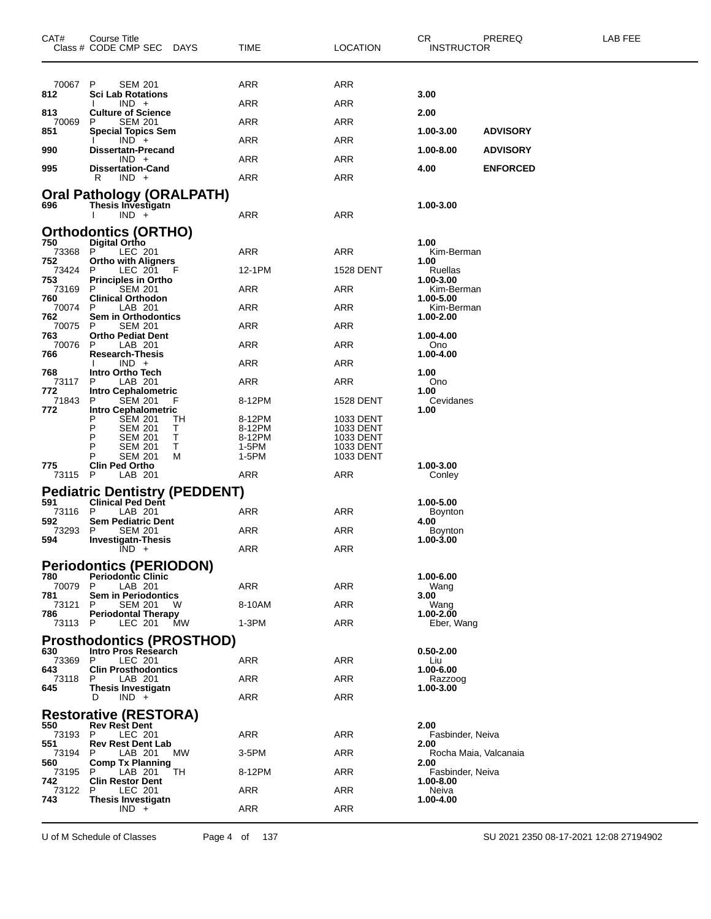| CAT#           | Course Title<br>Class # CODE CMP SEC<br>DAYS         | TIME             | <b>LOCATION</b>        | CR<br><b>INSTRUCTOR</b>       | PREREQ          | LAB FEE |
|----------------|------------------------------------------------------|------------------|------------------------|-------------------------------|-----------------|---------|
|                |                                                      |                  |                        |                               |                 |         |
| 70067<br>812   | P<br><b>SEM 201</b><br><b>Sci Lab Rotations</b>      | ARR              | ARR                    | 3.00                          |                 |         |
| 813            | $IND +$<br><b>Culture of Science</b>                 | ARR              | ARR                    | 2.00                          |                 |         |
| 70069<br>851   | <b>SEM 201</b><br>P                                  | ARR              | ARR                    | 1.00-3.00                     | <b>ADVISORY</b> |         |
|                | <b>Special Topics Sem</b><br>$IND +$                 | ARR              | ARR                    |                               |                 |         |
| 990            | <b>Dissertatn-Precand</b><br>$IND +$                 | ARR              | ARR                    | 1.00-8.00                     | <b>ADVISORY</b> |         |
| 995            | <b>Dissertation-Cand</b><br>R<br>$IND +$             | <b>ARR</b>       | ARR                    | 4.00                          | <b>ENFORCED</b> |         |
|                | Oral Pathology (ORALPATH)                            |                  |                        |                               |                 |         |
| 696            | Thesis Investigatn<br>$IND +$                        | ARR              | ARR                    | 1.00-3.00                     |                 |         |
|                | Orthodontics (ORTHO)                                 |                  |                        |                               |                 |         |
| 750<br>73368 P | <b>Digital Ortho</b><br>LEC 201                      | ARR              | ARR                    | 1.00<br>Kim-Berman            |                 |         |
| 752<br>73424   | <b>Ortho with Aligners</b><br>P<br>LEC 201<br>- F    | 12-1PM           | <b>1528 DENT</b>       | 1.00<br>Ruellas               |                 |         |
| 753            | <b>Principles in Ortho</b>                           | <b>ARR</b>       |                        | 1.00-3.00                     |                 |         |
| 73169<br>760   | <b>SEM 201</b><br>P<br><b>Clinical Orthodon</b>      |                  | ARR                    | Kim-Berman<br>1.00-5.00       |                 |         |
| 70074<br>762   | LAB 201<br>P<br>Sem in Orthodontics                  | ARR              | ARR                    | Kim-Berman<br>1.00-2.00       |                 |         |
| 70075<br>763   | P<br><b>SEM 201</b><br><b>Ortho Pediat Dent</b>      | ARR              | ARR                    | 1.00-4.00                     |                 |         |
| 70076<br>766   | P<br>LAB 201<br><b>Research-Thesis</b>               | ARR              | ARR                    | Ono<br>1.00-4.00              |                 |         |
| 768            | $IND +$<br>Intro Ortho Tech                          | ARR              | ARR                    | 1.00                          |                 |         |
| 73117<br>772   | P<br>LAB 201<br><b>Intro Cephalometric</b>           | ARR              | ARR                    | Ono<br>1.00                   |                 |         |
| 71843<br>772   | P<br><b>SEM 201</b><br>F<br>Intro Cephalometric      | 8-12PM           | <b>1528 DENT</b>       | Cevidanes<br>1.00             |                 |         |
|                | SEM 201<br>Р<br>ТH<br>P                              | 8-12PM           | 1033 DENT              |                               |                 |         |
|                | SEM 201<br>T<br>P<br><b>SEM 201</b><br>Т             | 8-12PM<br>8-12PM | 1033 DENT<br>1033 DENT |                               |                 |         |
|                | Τ<br><b>SEM 201</b><br>Р<br><b>SEM 201</b><br>M      | 1-5PM<br>1-5PM   | 1033 DENT<br>1033 DENT |                               |                 |         |
| 775<br>73115   | <b>Clin Ped Ortho</b><br>P<br>LAB 201                | ARR              | ARR                    | 1.00-3.00<br>Conley           |                 |         |
|                | <b>Pediatric Dentistry (PEDDENT)</b>                 |                  |                        |                               |                 |         |
| 591<br>73116   | <b>Clinical Ped Dent</b><br>P<br>LAB 201             | ARR              | ARR                    | 1.00-5.00<br><b>Boynton</b>   |                 |         |
| 592<br>73293   | <b>Sem Pediatric Dent</b><br>P<br><b>SEM 201</b>     | ARR              | ARR                    | 4.00<br>Boynton               |                 |         |
| 594            | <b>Investigatn-Thesis</b><br>$IND +$                 | ARR              | ARR                    | 1.00-3.00                     |                 |         |
|                | <b>Periodontics (PERIODON)</b>                       |                  |                        |                               |                 |         |
| 780<br>70079   | <b>Periodontic Clinic</b><br>P<br>LAB 201            | ARR              | <b>ARR</b>             | 1.00-6.00<br>Wang             |                 |         |
| 781<br>73121   | Sem in Periodontics<br>P<br>SEM 201<br>W             | 8-10AM           | ARR                    | 3.00<br>Wang                  |                 |         |
| 786            | <b>Periodontal Therapy</b>                           | $1-3PM$          | <b>ARR</b>             | 1.00-2.00                     |                 |         |
| 73113 P        | LEC 201 MW<br><b>Prosthodontics (PROSTHOD)</b>       |                  |                        | Eber, Wang                    |                 |         |
| 630.           | Intro Pros Research                                  |                  |                        | $0.50 - 2.00$                 |                 |         |
| 73369<br>643   | LEC 201<br>P<br><b>Clin Prosthodontics</b>           | ARR              | ARR                    | Liu<br>1.00-6.00              |                 |         |
| 73118<br>645   | P<br>LAB 201<br><b>Thesis Investigatn</b>            | ARR              | ARR                    | Razzoog<br>1.00-3.00          |                 |         |
|                | $IND +$<br>D                                         | ARR              | <b>ARR</b>             |                               |                 |         |
| 550            | <b>Restorative (RESTORA)</b><br><b>Rev Rest Dent</b> |                  |                        | 2.00                          |                 |         |
| 73193<br>551   | P.<br>LEC 201<br><b>Rev Rest Dent Lab</b>            | ARR              | <b>ARR</b>             | Fasbinder, Neiva<br>2.00      |                 |         |
| 73194<br>560   | LAB 201<br>МW<br>P<br><b>Comp Tx Planning</b>        | 3-5PM            | ARR                    | Rocha Maia, Valcanaia<br>2.00 |                 |         |
| 73195<br>742   | TH<br>P<br>LAB 201                                   | 8-12PM           | ARR                    | Fasbinder, Neiva              |                 |         |
| 73122          | <b>Clin Restor Dent</b><br>LEC 201<br>P              | ARR              | ARR                    | 1.00-8.00<br>Neiva            |                 |         |
| 743            | Thesis Investigatn<br>$IND +$                        | ARR              | <b>ARR</b>             | 1.00-4.00                     |                 |         |
|                |                                                      |                  |                        |                               |                 |         |

U of M Schedule of Classes Page 4 of 137 SU 2021 2350 08-17-2021 12:08 27194902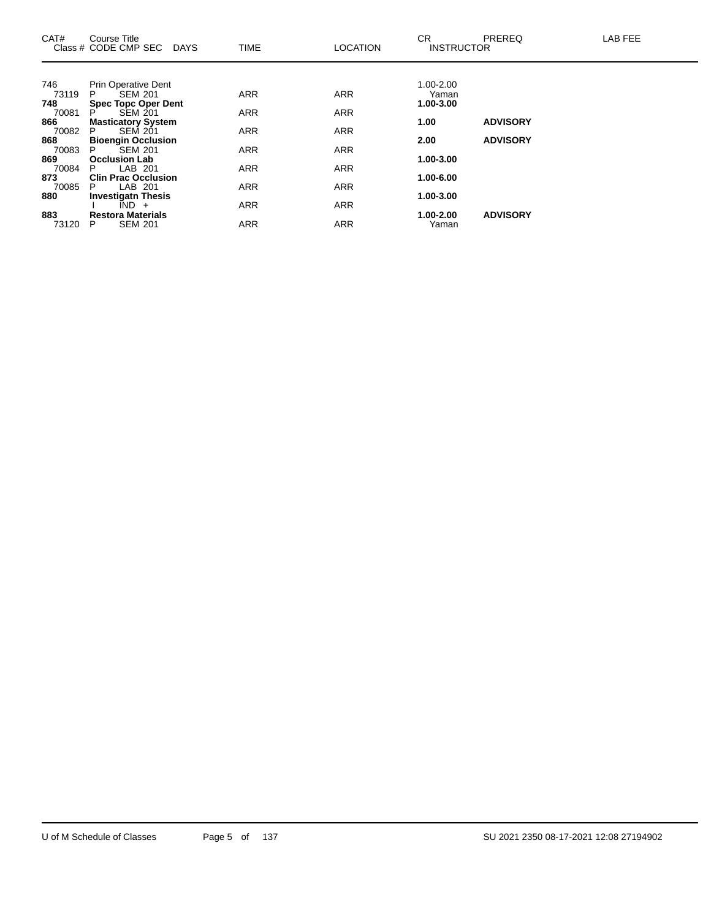| CAT#  | Course Title<br>Class # CODE CMP SEC<br><b>DAYS</b> | <b>TIME</b> | <b>LOCATION</b> | CR.<br><b>INSTRUCTOR</b> | <b>PREREQ</b>   | <b>LAB FEE</b> |
|-------|-----------------------------------------------------|-------------|-----------------|--------------------------|-----------------|----------------|
|       |                                                     |             |                 |                          |                 |                |
| 746   | <b>Prin Operative Dent</b>                          |             |                 | $1.00 - 2.00$            |                 |                |
| 73119 | <b>SEM 201</b><br>P.                                | <b>ARR</b>  | <b>ARR</b>      | Yaman                    |                 |                |
| 748   | <b>Spec Topc Oper Dent</b>                          |             |                 | 1.00-3.00                |                 |                |
| 70081 | <b>SEM 201</b><br>P                                 | <b>ARR</b>  | <b>ARR</b>      |                          |                 |                |
| 866   | <b>Masticatory System</b>                           |             |                 | 1.00                     | <b>ADVISORY</b> |                |
| 70082 | SEM 201<br>P                                        | <b>ARR</b>  | <b>ARR</b>      |                          |                 |                |
| 868   | <b>Bioengin Occlusion</b>                           |             |                 | 2.00                     | <b>ADVISORY</b> |                |
| 70083 | <b>SEM 201</b><br>P.                                | <b>ARR</b>  | <b>ARR</b>      |                          |                 |                |
| 869   | <b>Occlusion Lab</b>                                |             |                 | 1.00-3.00                |                 |                |
| 70084 | LAB 201<br>P                                        | <b>ARR</b>  | <b>ARR</b>      |                          |                 |                |
| 873   | <b>Clin Prac Occlusion</b>                          |             |                 | 1.00-6.00                |                 |                |
| 70085 | LAB 201<br>P                                        | <b>ARR</b>  | <b>ARR</b>      |                          |                 |                |
| 880   | <b>Investigatn Thesis</b>                           |             |                 | 1.00-3.00                |                 |                |
|       | $\overline{IND}$ +                                  | <b>ARR</b>  | <b>ARR</b>      |                          |                 |                |
| 883   | <b>Restora Materials</b>                            |             |                 | 1.00-2.00                | <b>ADVISORY</b> |                |
| 73120 | <b>SEM 201</b><br>P                                 | <b>ARR</b>  | <b>ARR</b>      | Yaman                    |                 |                |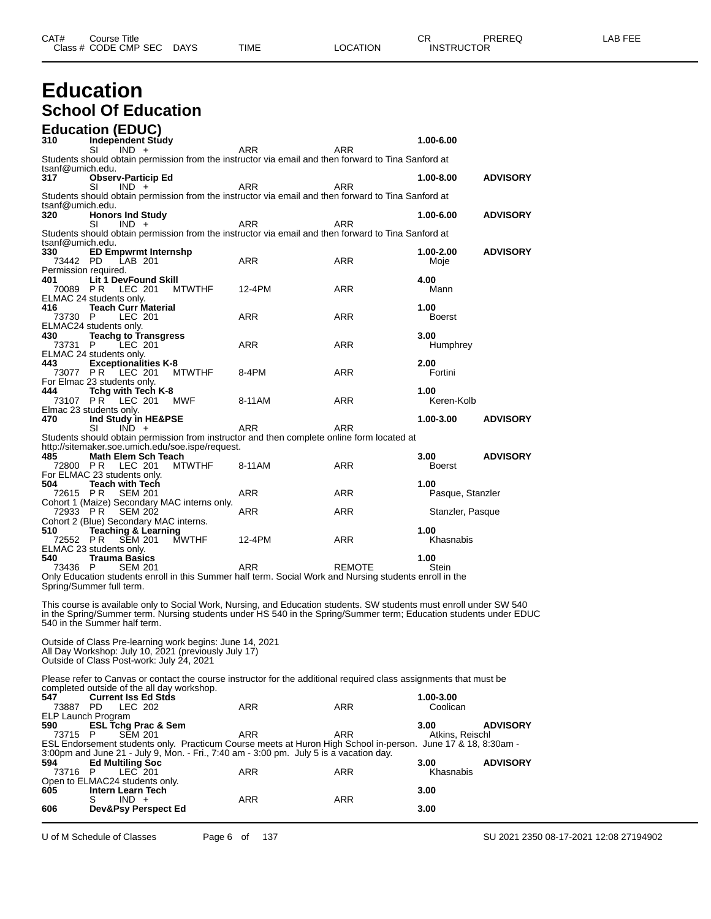### **Education School Of Education**

|                             | <b>Education (EDUC)</b>                                                                                          |               |                                                                                                                                                                                                                                          |               |                          |                 |
|-----------------------------|------------------------------------------------------------------------------------------------------------------|---------------|------------------------------------------------------------------------------------------------------------------------------------------------------------------------------------------------------------------------------------------|---------------|--------------------------|-----------------|
| 310                         | <b>Independent Study</b>                                                                                         |               |                                                                                                                                                                                                                                          |               | 1.00-6.00                |                 |
|                             | SI<br>$IND +$                                                                                                    |               | ARR<br>Students should obtain permission from the instructor via email and then forward to Tina Sanford at                                                                                                                               | ARR           |                          |                 |
| tsanf@umich.edu.            |                                                                                                                  |               |                                                                                                                                                                                                                                          |               |                          |                 |
| 317                         | <b>Observ-Particip Ed</b><br>SI<br>$IND +$                                                                       |               | ARR                                                                                                                                                                                                                                      | ARR           | 1.00-8.00                | <b>ADVISORY</b> |
|                             |                                                                                                                  |               | Students should obtain permission from the instructor via email and then forward to Tina Sanford at                                                                                                                                      |               |                          |                 |
| tsanf@umich.edu.<br>320     | <b>Honors Ind Study</b>                                                                                          |               |                                                                                                                                                                                                                                          |               | 1.00-6.00                | <b>ADVISORY</b> |
|                             | SI<br>$IND +$                                                                                                    |               | ARR                                                                                                                                                                                                                                      | ARR           |                          |                 |
| tsanf@umich.edu.            |                                                                                                                  |               | Students should obtain permission from the instructor via email and then forward to Tina Sanford at                                                                                                                                      |               |                          |                 |
| 330                         | <b>ED Empwrmt Internshp</b>                                                                                      |               |                                                                                                                                                                                                                                          |               | 1.00-2.00                | <b>ADVISORY</b> |
| 73442 PD                    | LAB 201                                                                                                          |               | ARR                                                                                                                                                                                                                                      | ARR           | Moje                     |                 |
| Permission required.<br>401 | <b>Lit 1 DevFound Skill</b>                                                                                      |               |                                                                                                                                                                                                                                          |               | 4.00                     |                 |
| 70089 PR                    | LEC 201                                                                                                          | <b>MTWTHF</b> | 12-4PM                                                                                                                                                                                                                                   | ARR           | Mann                     |                 |
| 416                         | ELMAC 24 students only.<br><b>Teach Curr Material</b>                                                            |               |                                                                                                                                                                                                                                          |               | 1.00                     |                 |
| 73730 P                     | LEC 201                                                                                                          |               | <b>ARR</b>                                                                                                                                                                                                                               | ARR           | Boerst                   |                 |
|                             | ELMAC24 students only.                                                                                           |               |                                                                                                                                                                                                                                          |               |                          |                 |
| 430<br>73731                | <b>Teachg to Transgress</b><br>LEC 201<br>- P                                                                    |               | ARR                                                                                                                                                                                                                                      | ARR           | 3.00<br>Humphrey         |                 |
|                             | ELMAC 24 students only.                                                                                          |               |                                                                                                                                                                                                                                          |               |                          |                 |
| 443<br>73077 PR             | <b>Exceptionalities K-8</b><br>LEC 201                                                                           | <b>MTWTHF</b> | 8-4PM                                                                                                                                                                                                                                    | ARR           | 2.00<br>Fortini          |                 |
|                             | For Elmac 23 students only.                                                                                      |               |                                                                                                                                                                                                                                          |               |                          |                 |
| 444                         | Tchg with Tech K-8<br>73107 PR LEC 201                                                                           | MWF           | 8-11AM                                                                                                                                                                                                                                   | ARR           | 1.00<br>Keren-Kolb       |                 |
|                             | Elmac 23 students only.                                                                                          |               |                                                                                                                                                                                                                                          |               |                          |                 |
| 470                         | Ind Study in HE&PSE                                                                                              |               |                                                                                                                                                                                                                                          |               | 1.00-3.00                | <b>ADVISORY</b> |
|                             | SI<br>$IND +$                                                                                                    |               | ARR<br>Students should obtain permission from instructor and then complete online form located at                                                                                                                                        | ARR           |                          |                 |
|                             | http://sitemaker.soe.umich.edu/soe.ispe/request.                                                                 |               |                                                                                                                                                                                                                                          |               |                          |                 |
| 485<br>72800 PR             | Math Elem Sch Teach<br>LEC 201                                                                                   | <b>MTWTHF</b> | 8-11AM                                                                                                                                                                                                                                   | ARR           | 3.00<br><b>Boerst</b>    | <b>ADVISORY</b> |
|                             | For ELMAC 23 students only.                                                                                      |               |                                                                                                                                                                                                                                          |               |                          |                 |
| 504<br>72615 PR             | <b>Teach with Tech</b><br><b>SEM 201</b>                                                                         |               | ARR                                                                                                                                                                                                                                      | ARR           | 1.00<br>Pasque, Stanzler |                 |
|                             | Cohort 1 (Maize) Secondary MAC interns only.                                                                     |               |                                                                                                                                                                                                                                          |               |                          |                 |
| 72933 PR                    | <b>SEM 202</b><br>Cohort 2 (Blue) Secondary MAC interns.                                                         |               | ARR                                                                                                                                                                                                                                      | ARR           | Stanzler, Pasque         |                 |
| 510                         | <b>Teaching &amp; Learning</b>                                                                                   |               |                                                                                                                                                                                                                                          |               | 1.00                     |                 |
| 72552 PR                    | <b>SEM 201</b>                                                                                                   | <b>MWTHF</b>  | 12-4PM                                                                                                                                                                                                                                   | ARR           | Khasnabis                |                 |
| 540                         | ELMAC 23 students only.<br><b>Trauma Basics</b>                                                                  |               |                                                                                                                                                                                                                                          |               | 1.00                     |                 |
| 73436 P                     | <b>SEM 201</b>                                                                                                   |               | ARR                                                                                                                                                                                                                                      | <b>REMOTE</b> | Stein                    |                 |
|                             | Spring/Summer full term.                                                                                         |               | Only Education students enroll in this Summer half term. Social Work and Nursing students enroll in the                                                                                                                                  |               |                          |                 |
|                             |                                                                                                                  |               |                                                                                                                                                                                                                                          |               |                          |                 |
|                             |                                                                                                                  |               | This course is available only to Social Work, Nursing, and Education students. SW students must enroll under SW 540<br>in the Spring/Summer term. Nursing students under HS 540 in the Spring/Summer term; Education students under EDUC |               |                          |                 |
|                             | 540 in the Summer half term.                                                                                     |               |                                                                                                                                                                                                                                          |               |                          |                 |
|                             |                                                                                                                  |               |                                                                                                                                                                                                                                          |               |                          |                 |
|                             | Outside of Class Pre-learning work begins: June 14, 2021<br>All Day Workshop: July 10, 2021 (previously July 17) |               |                                                                                                                                                                                                                                          |               |                          |                 |
|                             | Outside of Class Post-work: July 24, 2021                                                                        |               |                                                                                                                                                                                                                                          |               |                          |                 |
|                             |                                                                                                                  |               | Please refer to Canvas or contact the course instructor for the additional required class assignments that must be                                                                                                                       |               |                          |                 |
|                             | completed outside of the all day workshop.                                                                       |               |                                                                                                                                                                                                                                          |               |                          |                 |
| 547<br>73887 PD             | <b>Current Iss Ed Stds</b><br>LEC 202                                                                            |               | ARR                                                                                                                                                                                                                                      | ARR           | 1.00-3.00<br>Coolican    |                 |
| ELP Launch Program          |                                                                                                                  |               |                                                                                                                                                                                                                                          |               |                          |                 |
| 590                         | <b>ESL Tchg Prac &amp; Sem</b><br>P                                                                              |               | ARR                                                                                                                                                                                                                                      | <b>ARR</b>    | 3.00                     | <b>ADVISORY</b> |
| 73715                       | SEM 201                                                                                                          |               | ESL Endorsement students only. Practicum Course meets at Huron High School in-person. June 17 & 18, 8:30am -                                                                                                                             |               | Atkins, Reischl          |                 |
|                             |                                                                                                                  |               | 3:00pm and June 21 - July 9, Mon. - Fri., 7:40 am - 3:00 pm. July 5 is a vacation day.                                                                                                                                                   |               |                          |                 |
| 594<br>73716 P              | <b>Ed Multiling Soc</b><br>LEC 201                                                                               |               | ARR                                                                                                                                                                                                                                      | ARR           | 3.00<br>Khasnabis        | <b>ADVISORY</b> |
|                             | Open to ELMAC24 students only.                                                                                   |               |                                                                                                                                                                                                                                          |               |                          |                 |
| 605                         | Intern Learn Tech<br>$IND +$<br>S                                                                                |               | ARR                                                                                                                                                                                                                                      | ARR           | 3.00                     |                 |
| 606                         | Dev&Psy Perspect Ed                                                                                              |               |                                                                                                                                                                                                                                          |               | 3.00                     |                 |
|                             |                                                                                                                  |               |                                                                                                                                                                                                                                          |               |                          |                 |

U of M Schedule of Classes Page 6 of 137 SU 2021 2350 08-17-2021 12:08 27194902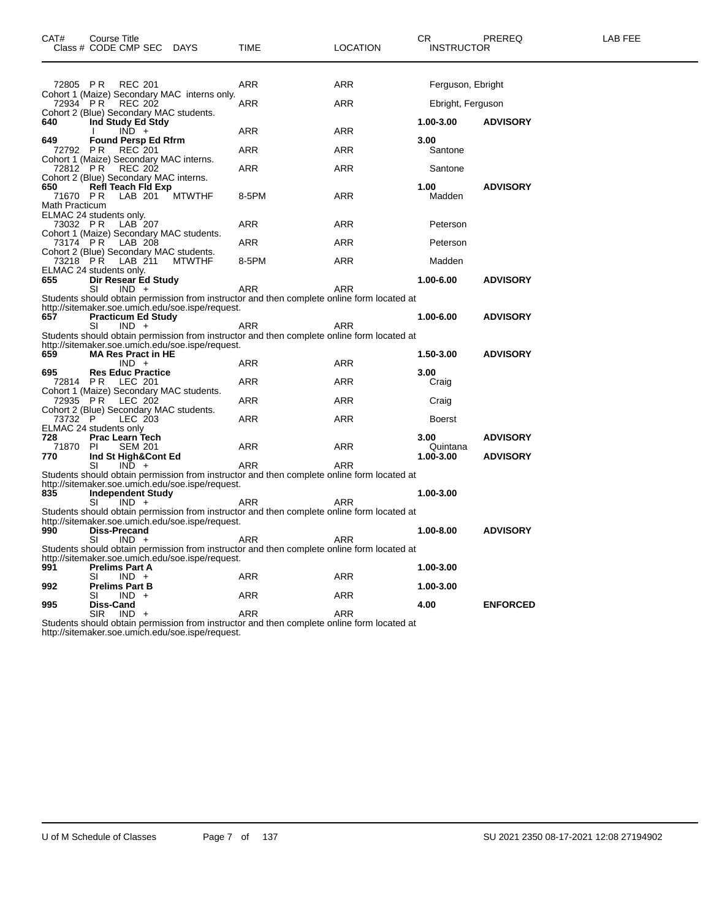| CAT#                              | Course Title<br>Class # CODE CMP SEC DAYS                                                      |                    | TIME                                                                                                     | <b>LOCATION</b>   | CR<br><b>INSTRUCTOR</b> | PREREQ          | LAB FEE |
|-----------------------------------|------------------------------------------------------------------------------------------------|--------------------|----------------------------------------------------------------------------------------------------------|-------------------|-------------------------|-----------------|---------|
|                                   | 72805 PR REC 201                                                                               |                    | ARR                                                                                                      | ARR               | Ferguson, Ebright       |                 |         |
| 72934 PR                          | Cohort 1 (Maize) Secondary MAC interns only.<br>REC 202                                        |                    | ARR                                                                                                      | <b>ARR</b>        | Ebright, Ferguson       |                 |         |
| 640                               | Cohort 2 (Blue) Secondary MAC students.<br>Ind Study Ed Stdy<br>$IND +$                        |                    | ARR                                                                                                      | <b>ARR</b>        | 1.00-3.00               | <b>ADVISORY</b> |         |
| 649<br>72792 PR                   | <b>Found Persp Ed Rfrm</b><br><b>REC</b> 201<br>Cohort 1 (Maize) Secondary MAC interns.        |                    | <b>ARR</b>                                                                                               | <b>ARR</b>        | 3.00<br>Santone         |                 |         |
| 72812 PR                          | <b>REC 202</b><br>Cohort 2 (Blue) Secondary MAC interns.                                       |                    | ARR                                                                                                      | ARR               | Santone                 |                 |         |
| 650<br>71670 PR<br>Math Practicum | Refl Teach Fld Exp<br>LAB 201                                                                  | <b>MTWTHF</b>      | 8-5PM                                                                                                    | <b>ARR</b>        | 1.00<br>Madden          | <b>ADVISORY</b> |         |
| 73032 PR                          | ELMAC 24 students only.<br>LAB 207                                                             |                    | ARR                                                                                                      | ARR               | Peterson                |                 |         |
| 73174 PR                          | Cohort 1 (Maize) Secondary MAC students.<br>LAB 208                                            |                    | ARR                                                                                                      | <b>ARR</b>        | Peterson                |                 |         |
|                                   | Cohort 2 (Blue) Secondary MAC students.<br>73218 PR LAB 211                                    | MTWTHF             | 8-5PM                                                                                                    | <b>ARR</b>        | Madden                  |                 |         |
| 655                               | ELMAC 24 students only.<br>Dir Resear Ed Study<br>SI<br>$IND +$                                |                    | <b>ARR</b>                                                                                               | <b>ARR</b>        | 1.00-6.00               | <b>ADVISORY</b> |         |
| 657                               | http://sitemaker.soe.umich.edu/soe.ispe/request.<br><b>Practicum Ed Study</b><br>SI<br>$IND +$ |                    | Students should obtain permission from instructor and then complete online form located at<br>ARR        | <b>ARR</b>        | 1.00-6.00               | <b>ADVISORY</b> |         |
| 659                               | http://sitemaker.soe.umich.edu/soe.ispe/request.<br><b>MA Res Pract in HE</b>                  |                    | Students should obtain permission from instructor and then complete online form located at               |                   | 1.50-3.00               | <b>ADVISORY</b> |         |
| 695<br>72814 PR                   | $IND +$<br><b>Res Educ Practice</b><br>LEC 201                                                 |                    | ARR<br>ARR                                                                                               | ARR<br><b>ARR</b> | 3.00<br>Craig           |                 |         |
|                                   | Cohort 1 (Maize) Secondary MAC students.<br>72935 PR LEC 202                                   |                    | <b>ARR</b>                                                                                               | <b>ARR</b>        | Craig                   |                 |         |
| 73732 P                           | Cohort 2 (Blue) Secondary MAC students.<br>LEC 203<br>ELMAC 24 students only                   |                    | ARR                                                                                                      | ARR               | <b>Boerst</b>           |                 |         |
| 728<br>71870 PI                   | <b>Prac Learn Tech</b><br><b>SEM 201</b>                                                       |                    | ARR                                                                                                      | ARR               | 3.00<br>Quintana        | <b>ADVISORY</b> |         |
| 770                               | Ind St High&Cont Ed<br>$IND +$<br>SI                                                           |                    | <b>ARR</b><br>Students should obtain permission from instructor and then complete online form located at | <b>ARR</b>        | 1.00-3.00               | <b>ADVISORY</b> |         |
| 835                               | http://sitemaker.soe.umich.edu/soe.ispe/request.<br><b>Independent Study</b>                   |                    |                                                                                                          |                   | 1.00-3.00               |                 |         |
|                                   | SI<br>$IND +$<br>http://sitemaker.soe.umich.edu/soe.ispe/request.                              |                    | ARR<br>Students should obtain permission from instructor and then complete online form located at        | ARR               |                         |                 |         |
| 990                               | Diss-Precand<br>$IND +$<br>SI                                                                  |                    | ARR<br>Students should obtain permission from instructor and then complete online form located at        | <b>ARR</b>        | 1.00-8.00               | <b>ADVISORY</b> |         |
| 991                               | http://sitemaker.soe.umich.edu/soe.ispe/request.<br><b>Prelims Part A</b><br>SI                |                    |                                                                                                          | ARR               | 1.00-3.00               |                 |         |
| 992                               | $IND +$<br><b>Prelims Part B</b><br>SI<br>$IND +$                                              |                    | ARR<br>ARR                                                                                               | ARR               | 1.00-3.00               |                 |         |
| 995                               | Diss-Cand<br><b>SIR</b><br>$IND +$                                                             | ta a tacairtean an | <b>ARR</b>                                                                                               | <b>ARR</b>        | 4.00                    | <b>ENFORCED</b> |         |

SIR IND + ARR ARR Students should obtain permission from instructor and then complete online form located at http://sitemaker.soe.umich.edu/soe.ispe/request.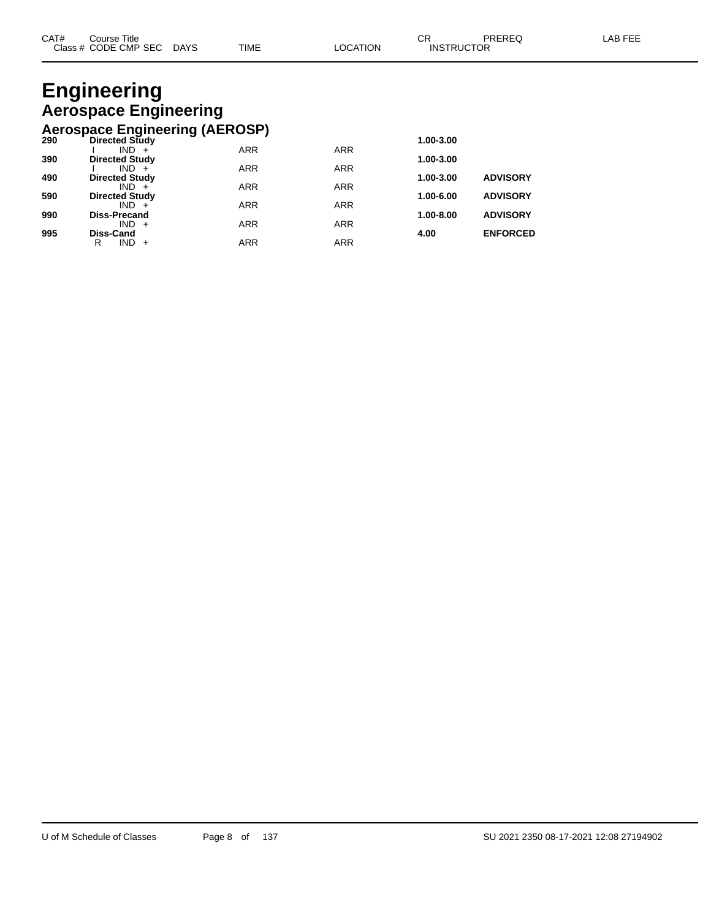### **Engineering Aerospace Engineering Aerospace Engineering (AEROSP)**

|     | ACTOSPACE LIIGHICEIIIIG (ALITOOI ) |            |            |           |                 |
|-----|------------------------------------|------------|------------|-----------|-----------------|
| 290 | <b>Directed Study</b>              |            |            | 1.00-3.00 |                 |
|     | $IND +$                            | <b>ARR</b> | <b>ARR</b> |           |                 |
| 390 | <b>Directed Study</b>              |            |            | 1.00-3.00 |                 |
|     | $IND +$                            | <b>ARR</b> | <b>ARR</b> |           |                 |
| 490 | <b>Directed Study</b>              |            |            | 1.00-3.00 | <b>ADVISORY</b> |
|     | $IND +$                            | <b>ARR</b> | <b>ARR</b> |           |                 |
| 590 | <b>Directed Study</b>              |            |            | 1.00-6.00 | <b>ADVISORY</b> |
|     | $IND +$                            | <b>ARR</b> | <b>ARR</b> |           |                 |
| 990 | Diss-Precand                       |            |            | 1.00-8.00 | <b>ADVISORY</b> |
|     | $IND +$                            | <b>ARR</b> | <b>ARR</b> |           |                 |
| 995 | Diss-Cand                          |            |            | 4.00      | <b>ENFORCED</b> |
|     | $IND +$<br>R                       | <b>ARR</b> | <b>ARR</b> |           |                 |
|     |                                    |            |            |           |                 |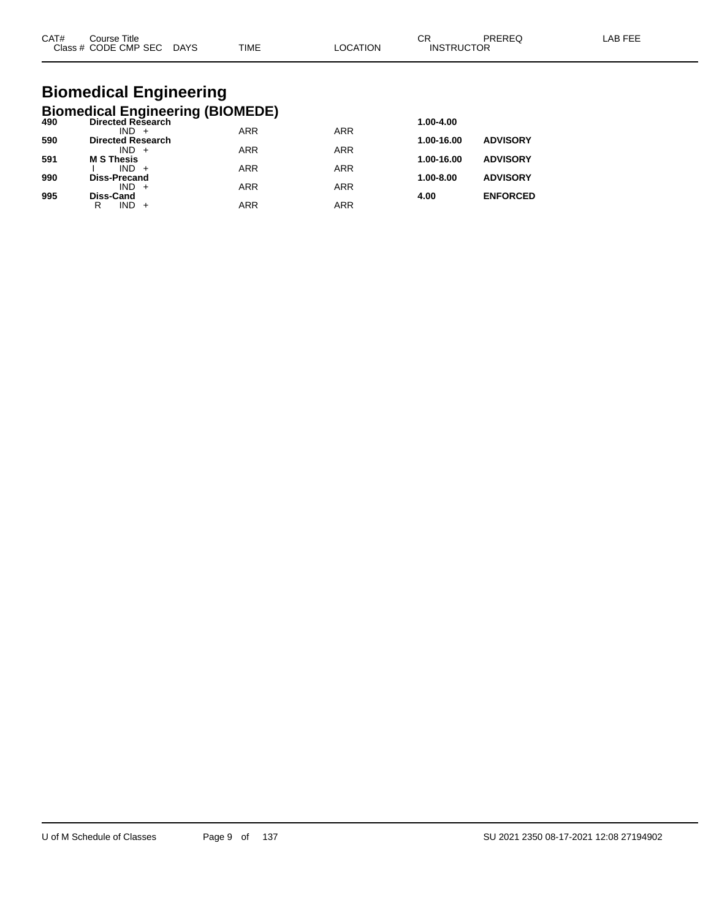| CAT# | Title<br>Course      |             |             |                | ົ<br>◡            | <b>PREREC</b> | AB FFF |
|------|----------------------|-------------|-------------|----------------|-------------------|---------------|--------|
|      | Class # CODE CMP SEC | <b>DAYS</b> | <b>TIME</b> | <b>OCATION</b> | <b>INSTRUCTOR</b> |               |        |

### **Biomedical Engineering Biomedical Engineering (BIOMEDE)**

| 490 | <b>Directed Research</b>            |            |            | 1.00-4.00     |                 |
|-----|-------------------------------------|------------|------------|---------------|-----------------|
| 590 | $IND +$<br><b>Directed Research</b> | <b>ARR</b> | <b>ARR</b> | 1.00-16.00    | <b>ADVISORY</b> |
|     | $IND +$                             | <b>ARR</b> | <b>ARR</b> |               |                 |
| 591 | <b>M S Thesis</b>                   |            |            | 1.00-16.00    | <b>ADVISORY</b> |
| 990 | $IND +$<br><b>Diss-Precand</b>      | <b>ARR</b> | <b>ARR</b> | $1.00 - 8.00$ | <b>ADVISORY</b> |
|     | $IND +$                             | <b>ARR</b> | <b>ARR</b> |               |                 |
| 995 | <b>Diss-Cand</b>                    |            |            | 4.00          | <b>ENFORCED</b> |
|     | R<br>$IND +$                        | <b>ARR</b> | ARR        |               |                 |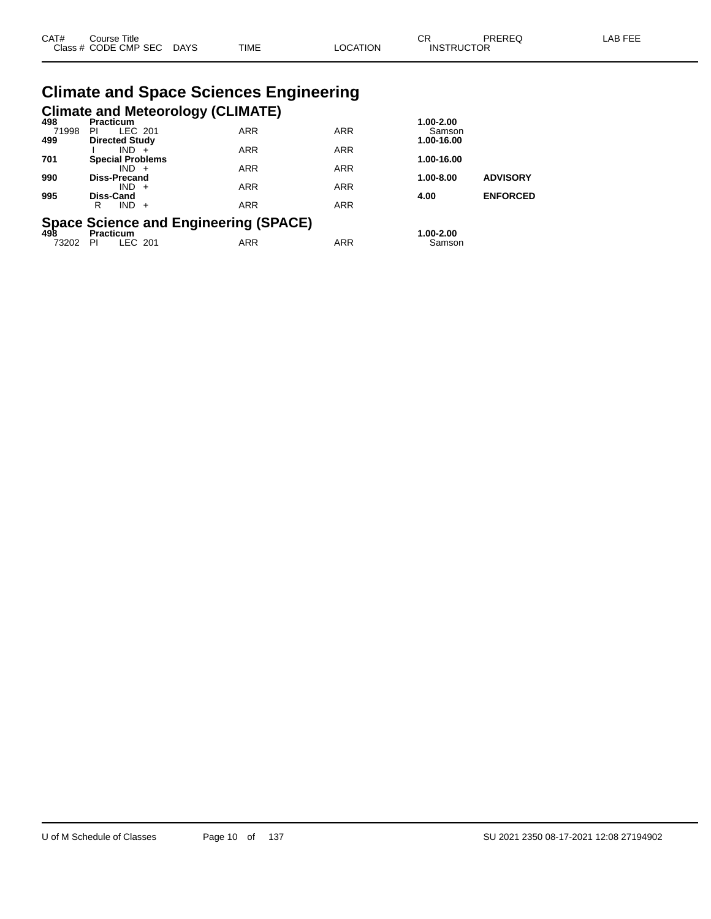| CAT# | ourse Titleٽ              |             |                 | ∼י<br>◡┍          | PREREQ | LAB FEE |
|------|---------------------------|-------------|-----------------|-------------------|--------|---------|
|      | Class # CODE CMP SEC DAYS | <b>TIME</b> | <b>LOCATION</b> | <b>INSTRUCTOR</b> |        |         |

# **Climate and Space Sciences Engineering**

|              |                                        | <b>Climate and Meteorology (CLIMATE)</b>               |            |                      |                 |
|--------------|----------------------------------------|--------------------------------------------------------|------------|----------------------|-----------------|
| 498          | <b>Practicum</b>                       |                                                        |            | 1.00-2.00            |                 |
| 71998<br>499 | LEC 201<br>PI<br><b>Directed Study</b> | <b>ARR</b>                                             | <b>ARR</b> | Samson<br>1.00-16.00 |                 |
|              | $IND +$                                | <b>ARR</b>                                             | <b>ARR</b> |                      |                 |
| 701          | <b>Special Problems</b>                |                                                        |            | 1.00-16.00           |                 |
| 990          | $IND +$<br><b>Diss-Precand</b>         | <b>ARR</b>                                             | <b>ARR</b> | 1.00-8.00            | <b>ADVISORY</b> |
|              | IND.<br>$+$                            | <b>ARR</b>                                             | <b>ARR</b> |                      |                 |
| 995          | <b>Diss-Cand</b>                       |                                                        |            | 4.00                 | <b>ENFORCED</b> |
|              | $IND +$<br>R                           | <b>ARR</b>                                             | <b>ARR</b> |                      |                 |
|              |                                        |                                                        |            |                      |                 |
|              |                                        | Space Science and Engineering (SPACE)<br>498 Practicum |            | 1.00-2.00            |                 |
| 73202        | LEC 201<br><b>PI</b>                   | <b>ARR</b>                                             | <b>ARR</b> | Samson               |                 |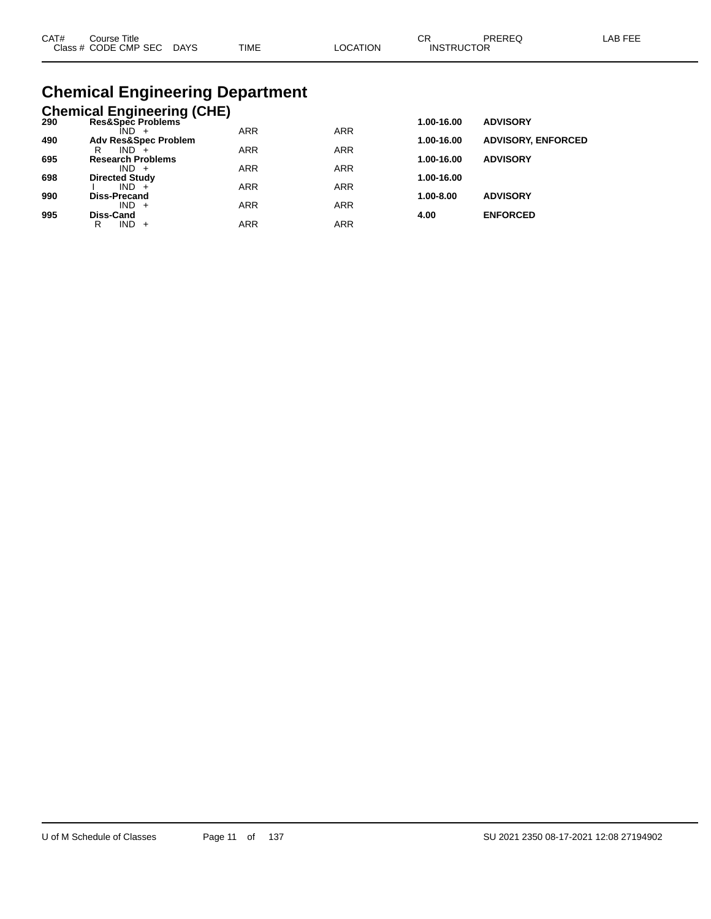| CAT# | Course Title              |             |          | ∩⊓                | PREREQ | LAB FEE |
|------|---------------------------|-------------|----------|-------------------|--------|---------|
|      | Class # CODE CMP SEC DAYS | <b>TIME</b> | ∟OCATION | <b>INSTRUCTOR</b> |        |         |

### **Chemical Engineering Department**

|     | <b>Chemical Engineering (CHE)</b>   |            |            |            |                           |
|-----|-------------------------------------|------------|------------|------------|---------------------------|
| 290 | Res&Spec Problems                   |            |            | 1.00-16.00 | <b>ADVISORY</b>           |
|     | ÎND -                               | <b>ARR</b> | <b>ARR</b> |            |                           |
| 490 | <b>Adv Res&amp;Spec Problem</b>     |            |            | 1.00-16.00 | <b>ADVISORY, ENFORCED</b> |
|     | $IND +$<br>R                        | <b>ARR</b> | <b>ARR</b> |            |                           |
| 695 | <b>Research Problems</b><br>$IND +$ | <b>ARR</b> | <b>ARR</b> | 1.00-16.00 | <b>ADVISORY</b>           |
| 698 | <b>Directed Study</b>               |            |            | 1.00-16.00 |                           |
|     | $IND +$                             | <b>ARR</b> | <b>ARR</b> |            |                           |
| 990 | Diss-Precand                        |            |            | 1.00-8.00  | <b>ADVISORY</b>           |
|     | $IND +$                             | <b>ARR</b> | <b>ARR</b> |            |                           |
| 995 | Diss-Cand                           |            |            | 4.00       | <b>ENFORCED</b>           |
|     | IND.<br>R<br>$+$                    | ARR        | <b>ARR</b> |            |                           |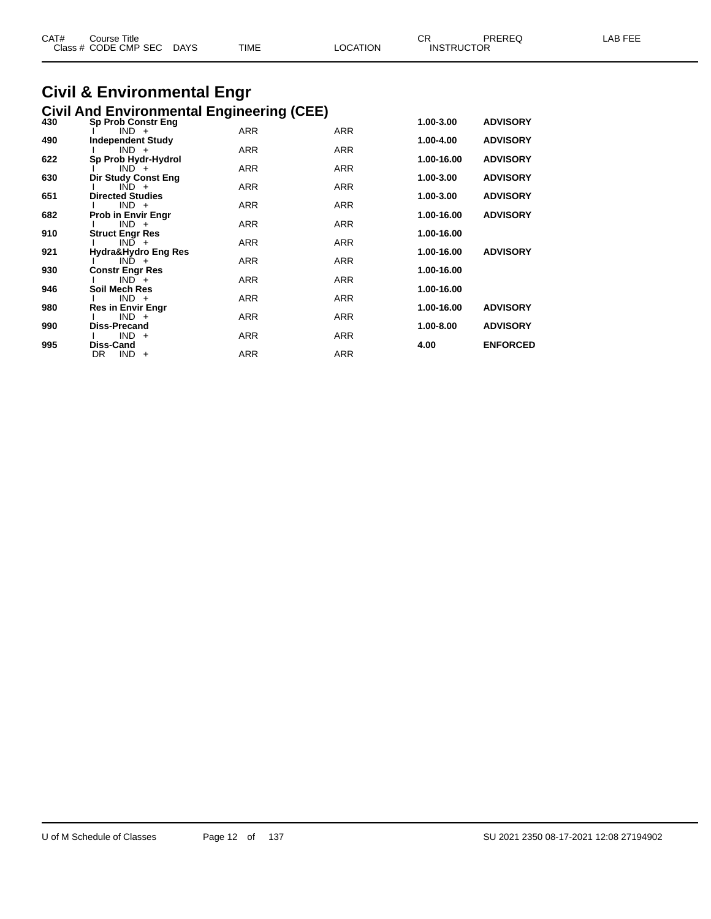| CAT# | Course Title<br>Class # CODE CMP SEC | <b>DAYS</b> | <b>TIME</b> | LOCATION | СR<br><b>INSTRUCTOR</b> | PREREQ | LAB FEE |
|------|--------------------------------------|-------------|-------------|----------|-------------------------|--------|---------|
|      |                                      |             |             |          |                         |        |         |

## **Civil & Environmental Engr**

|     | <b>Civil And Environmental Engineering (CEE)</b> |            |            |            |                 |
|-----|--------------------------------------------------|------------|------------|------------|-----------------|
| 430 | <b>Sp Prob Constr Eng</b>                        |            |            | 1.00-3.00  | <b>ADVISORY</b> |
| 490 | $IND +$<br><b>Independent Study</b>              | <b>ARR</b> | <b>ARR</b> | 1.00-4.00  | <b>ADVISORY</b> |
|     | $IND +$                                          | <b>ARR</b> | <b>ARR</b> |            |                 |
| 622 | Sp Prob Hydr-Hydrol                              |            |            | 1.00-16.00 | <b>ADVISORY</b> |
| 630 | $IND +$<br>Dir Study Const Eng                   | <b>ARR</b> | <b>ARR</b> | 1.00-3.00  | <b>ADVISORY</b> |
|     | $\overline{IND}$ +                               | <b>ARR</b> | <b>ARR</b> |            |                 |
| 651 | <b>Directed Studies</b>                          |            |            | 1.00-3.00  | <b>ADVISORY</b> |
| 682 | $IND +$<br><b>Prob in Envir Engr</b>             | <b>ARR</b> | <b>ARR</b> | 1.00-16.00 | <b>ADVISORY</b> |
|     | $IND +$                                          | <b>ARR</b> | <b>ARR</b> |            |                 |
| 910 | <b>Struct Engr Res</b>                           |            |            | 1.00-16.00 |                 |
|     | $IND +$                                          | <b>ARR</b> | <b>ARR</b> |            |                 |
| 921 | Hydra&Hydro Eng Res<br>$IND +$                   | <b>ARR</b> | ARR        | 1.00-16.00 | <b>ADVISORY</b> |
| 930 | <b>Constr Engr Res</b>                           |            |            | 1.00-16.00 |                 |
|     | $IND +$                                          | <b>ARR</b> | <b>ARR</b> |            |                 |
| 946 | Soil Mech Res<br>$IND +$                         | <b>ARR</b> | <b>ARR</b> | 1.00-16.00 |                 |
| 980 | <b>Res in Envir Engr</b>                         |            |            | 1.00-16.00 | <b>ADVISORY</b> |
|     | $IND +$                                          | <b>ARR</b> | <b>ARR</b> |            |                 |
| 990 | Diss-Precand                                     |            |            | 1.00-8.00  | <b>ADVISORY</b> |
| 995 | $IND +$<br>Diss-Cand                             | <b>ARR</b> | ARR        | 4.00       | <b>ENFORCED</b> |
|     | DR.<br>$IND +$                                   | <b>ARR</b> | <b>ARR</b> |            |                 |
|     |                                                  |            |            |            |                 |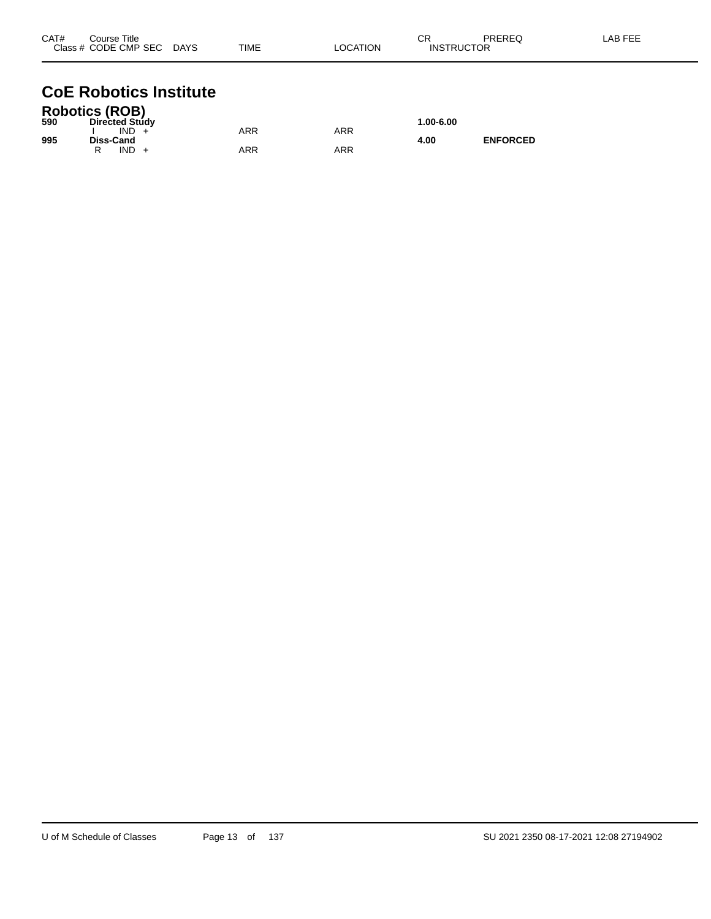| CAT# | Course Title              |             |          | ⌒冖                | PREREQ | _AB FEE |
|------|---------------------------|-------------|----------|-------------------|--------|---------|
|      | Class # CODE CMP SEC DAYS | <b>TIME</b> | LOCATION | <b>INSTRUCTOR</b> |        |         |
|      |                           |             |          |                   |        |         |

### **CoE Robotics Institute**

|     | <b>Robotics (ROB)</b> |     |     |           |                 |
|-----|-----------------------|-----|-----|-----------|-----------------|
| 590 | <b>Directed Study</b> |     |     | 1.00-6.00 |                 |
|     | IND.                  | ARR | ARR |           |                 |
| 995 | <b>Diss-Cand</b>      |     |     | 4.00      | <b>ENFORCED</b> |
|     | IND                   | ARR | ARR |           |                 |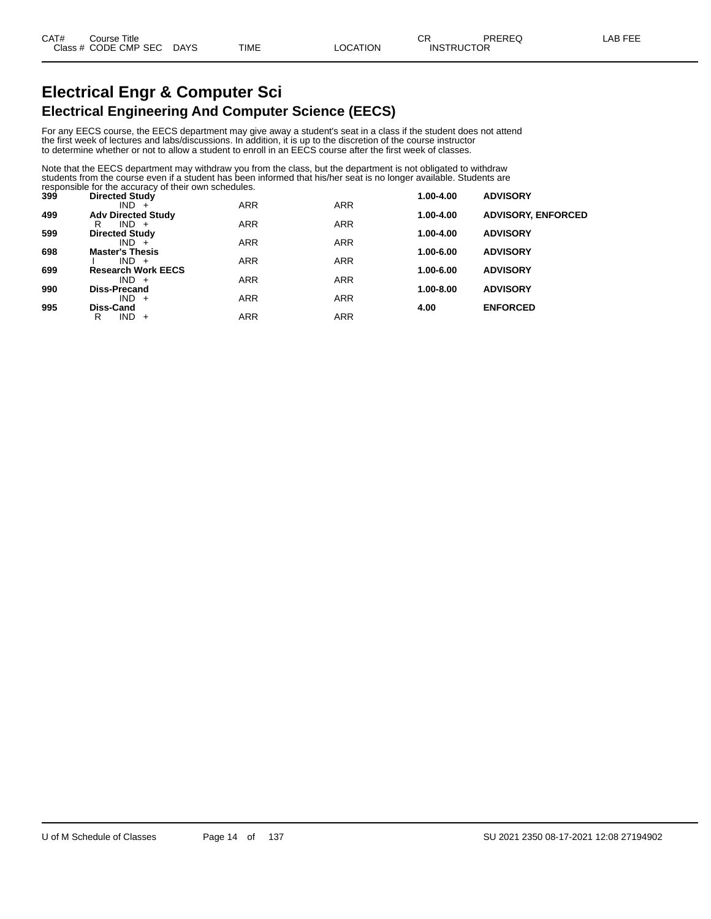### **Electrical Engr & Computer Sci Electrical Engineering And Computer Science (EECS)**

For any EECS course, the EECS department may give away a student's seat in a class if the student does not attend the first week of lectures and labs/discussions. In addition, it is up to the discretion of the course instructor to determine whether or not to allow a student to enroll in an EECS course after the first week of classes.

Note that the EECS department may withdraw you from the class, but the department is not obligated to withdraw students from the course even if a student has been informed that his/her seat is no longer available. Students are responsible for the accuracy of their own schedules.

| 399 | <b>Directed Study</b>             |            |            | $1.00 - 4.00$ | <b>ADVISORY</b>           |
|-----|-----------------------------------|------------|------------|---------------|---------------------------|
|     | $IND +$                           | <b>ARR</b> | <b>ARR</b> |               |                           |
| 499 | <b>Adv Directed Study</b>         |            |            | 1.00-4.00     | <b>ADVISORY, ENFORCED</b> |
|     | $IND +$<br>R                      | <b>ARR</b> | <b>ARR</b> |               |                           |
| 599 | <b>Directed Study</b>             |            |            | 1.00-4.00     | <b>ADVISORY</b>           |
|     | $IND +$                           | <b>ARR</b> | <b>ARR</b> |               |                           |
| 698 | <b>Master's Thesis</b><br>$IND +$ | <b>ARR</b> | <b>ARR</b> | 1.00-6.00     | <b>ADVISORY</b>           |
| 699 | <b>Research Work EECS</b>         |            |            | 1.00-6.00     | <b>ADVISORY</b>           |
|     | $IND +$                           | <b>ARR</b> | <b>ARR</b> |               |                           |
| 990 | <b>Diss-Precand</b>               |            |            | 1.00-8.00     | <b>ADVISORY</b>           |
|     | $IND +$                           | <b>ARR</b> | <b>ARR</b> |               |                           |
| 995 | Diss-Cand                         |            |            | 4.00          | <b>ENFORCED</b>           |
|     | IND.<br>R<br>$+$                  | <b>ARR</b> | <b>ARR</b> |               |                           |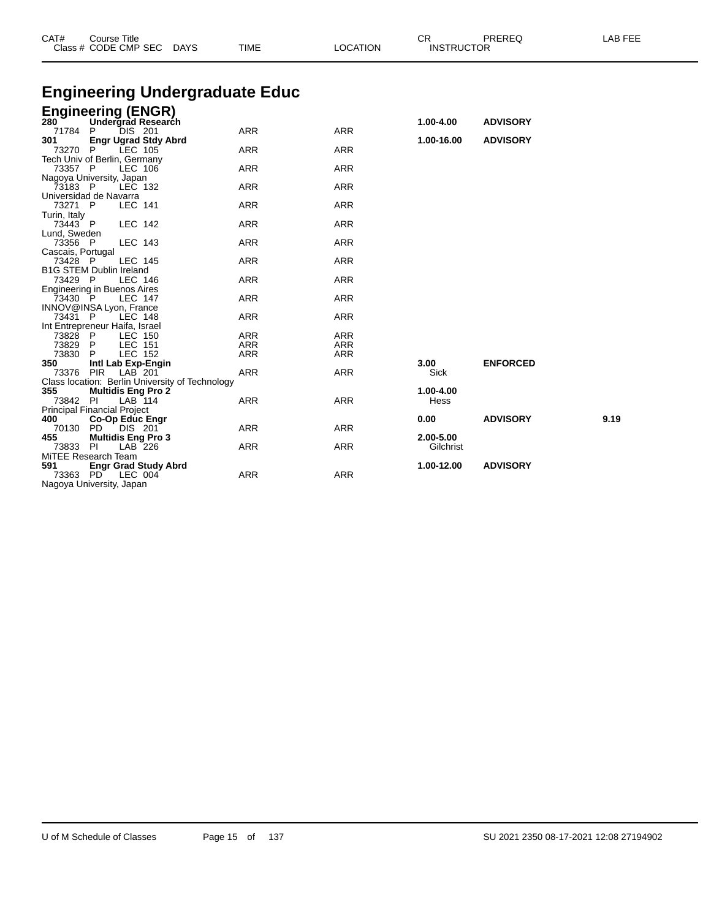| Class # CODE CMP SEC<br>DAYS                               | TIME                     | <b>LOCATION</b>          | <b>INSTRUCTOR</b>      |                 |      |
|------------------------------------------------------------|--------------------------|--------------------------|------------------------|-----------------|------|
| <b>Engineering Undergraduate Educ</b>                      |                          |                          |                        |                 |      |
|                                                            |                          |                          |                        |                 |      |
| <b>Engineering (ENGR)</b><br>280 Undergrad Research        |                          |                          | 1.00-4.00              | <b>ADVISORY</b> |      |
| 71784<br>DIS 201<br>P                                      | <b>ARR</b>               | <b>ARR</b>               |                        |                 |      |
| <b>Engr Ugrad Stdy Abrd</b><br>301                         |                          |                          | 1.00-16.00             | <b>ADVISORY</b> |      |
| 73270<br>P<br>LEC 105                                      | <b>ARR</b>               | <b>ARR</b>               |                        |                 |      |
| Tech Univ of Berlin, Germany<br>73357 P<br>LEC 106         | <b>ARR</b>               | <b>ARR</b>               |                        |                 |      |
| Nagoya University, Japan                                   |                          |                          |                        |                 |      |
| 73183 P<br>LEC 132                                         | <b>ARR</b>               | <b>ARR</b>               |                        |                 |      |
| Universidad de Navarra<br>73271 P<br><b>LEC 141</b>        | <b>ARR</b>               | <b>ARR</b>               |                        |                 |      |
| Turin, Italy                                               |                          |                          |                        |                 |      |
| 73443 P<br><b>LEC 142</b>                                  | <b>ARR</b>               | <b>ARR</b>               |                        |                 |      |
| Lund, Sweden                                               |                          |                          |                        |                 |      |
| LEC 143<br>73356 P                                         | <b>ARR</b>               | <b>ARR</b>               |                        |                 |      |
| Cascais, Portugal<br>73428 P<br>LEC 145                    | <b>ARR</b>               | <b>ARR</b>               |                        |                 |      |
| <b>B1G STEM Dublin Ireland</b>                             |                          |                          |                        |                 |      |
| 73429 P<br><b>LEC 146</b>                                  | <b>ARR</b>               | <b>ARR</b>               |                        |                 |      |
| Engineering in Buenos Aires<br>73430 P                     | <b>ARR</b>               | <b>ARR</b>               |                        |                 |      |
| <b>LEC 147</b><br>INNOV@INSA Lyon, France                  |                          |                          |                        |                 |      |
| 73431 P<br><b>LEC 148</b>                                  | <b>ARR</b>               | <b>ARR</b>               |                        |                 |      |
| Int Entrepreneur Haifa, Israel                             |                          |                          |                        |                 |      |
| 73828 P<br>LEC 150                                         | <b>ARR</b>               | <b>ARR</b>               |                        |                 |      |
| 73829 P<br><b>LEC 151</b><br>73830<br><b>LEC 152</b><br>P. | <b>ARR</b><br><b>ARR</b> | <b>ARR</b><br><b>ARR</b> |                        |                 |      |
| 350<br>Intl Lab Exp-Engin                                  |                          |                          | 3.00                   | <b>ENFORCED</b> |      |
| 73376<br><b>PIR</b><br>LAB 201                             | <b>ARR</b>               | <b>ARR</b>               | Sick                   |                 |      |
| Class location: Berlin University of Technology            |                          |                          |                        |                 |      |
| 355<br><b>Multidis Eng Pro 2</b><br>73842 PI<br>$LAB-114$  | <b>ARR</b>               | <b>ARR</b>               | 1.00-4.00<br>Hess      |                 |      |
| <b>Principal Financial Project</b>                         |                          |                          |                        |                 |      |
| 400<br><b>Co-Op Educ Engr</b>                              |                          |                          | 0.00                   | <b>ADVISORY</b> | 9.19 |
| 70130 PD<br>DIS 201                                        | <b>ARR</b>               | <b>ARR</b>               |                        |                 |      |
| <b>Multidis Eng Pro 3</b><br>455<br>73833<br>PI<br>LAB 226 | <b>ARR</b>               | <b>ARR</b>               | 2.00-5.00<br>Gilchrist |                 |      |
| MiTEE Research Team                                        |                          |                          |                        |                 |      |
| 591<br><b>Engr Grad Study Abrd</b>                         |                          |                          | 1.00-12.00             | <b>ADVISORY</b> |      |
| 73363 PD<br>LEC 004                                        | <b>ARR</b>               | <b>ARR</b>               |                        |                 |      |
| Nagoya University, Japan                                   |                          |                          |                        |                 |      |

CAT# Course Title Case CR PREREQ LAB FEE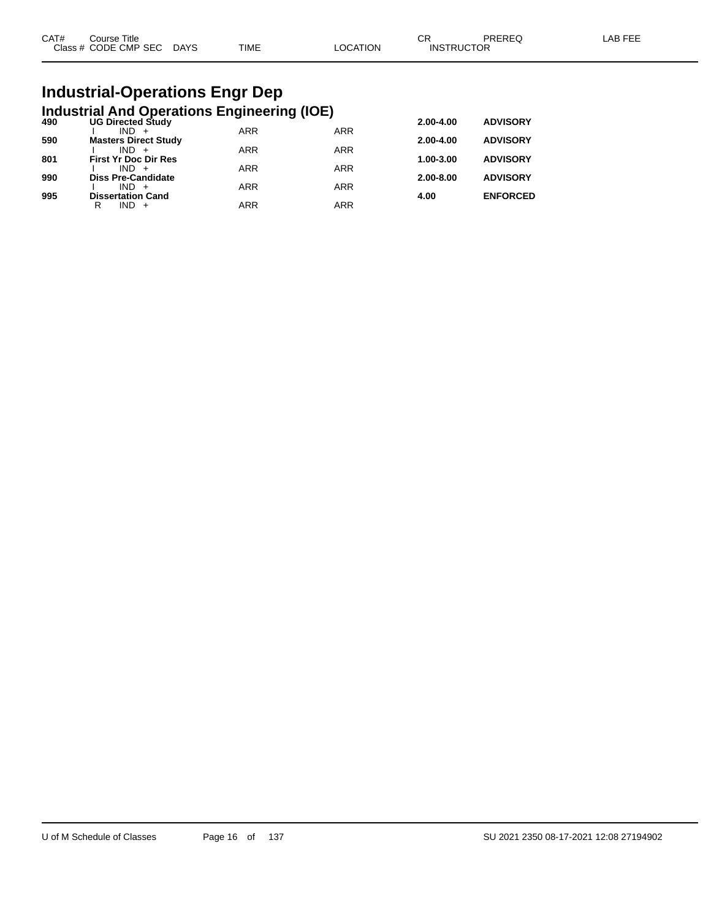| CAT# | Course Title              |      |          | rπ<br>∪N.         | PREREQ | _AB FEE |
|------|---------------------------|------|----------|-------------------|--------|---------|
|      | Class # CODE CMP SEC DAYS | TIME | LOCATION | <b>INSTRUCTOR</b> |        |         |

## **Industrial-Operations Engr Dep**

|     | <b>Industrial And Operations Engineering (IOE)</b> |            |            |               |                 |
|-----|----------------------------------------------------|------------|------------|---------------|-----------------|
| 490 | <b>UG Directed Study</b>                           |            |            | 2.00-4.00     | <b>ADVISORY</b> |
|     | $IND +$                                            | <b>ARR</b> | <b>ARR</b> |               |                 |
| 590 | <b>Masters Direct Study</b>                        |            |            | 2.00-4.00     | <b>ADVISORY</b> |
|     | $IND +$                                            | <b>ARR</b> | <b>ARR</b> |               |                 |
| 801 | <b>First Yr Doc Dir Res</b>                        |            |            | 1.00-3.00     | <b>ADVISORY</b> |
|     | $IND +$                                            | <b>ARR</b> | <b>ARR</b> |               |                 |
| 990 | <b>Diss Pre-Candidate</b>                          |            |            | $2.00 - 8.00$ | <b>ADVISORY</b> |
|     | $IND +$                                            | <b>ARR</b> | <b>ARR</b> |               |                 |
| 995 | <b>Dissertation Cand</b>                           |            |            | 4.00          | <b>ENFORCED</b> |
|     | $IND +$<br>R                                       | <b>ARR</b> | <b>ARR</b> |               |                 |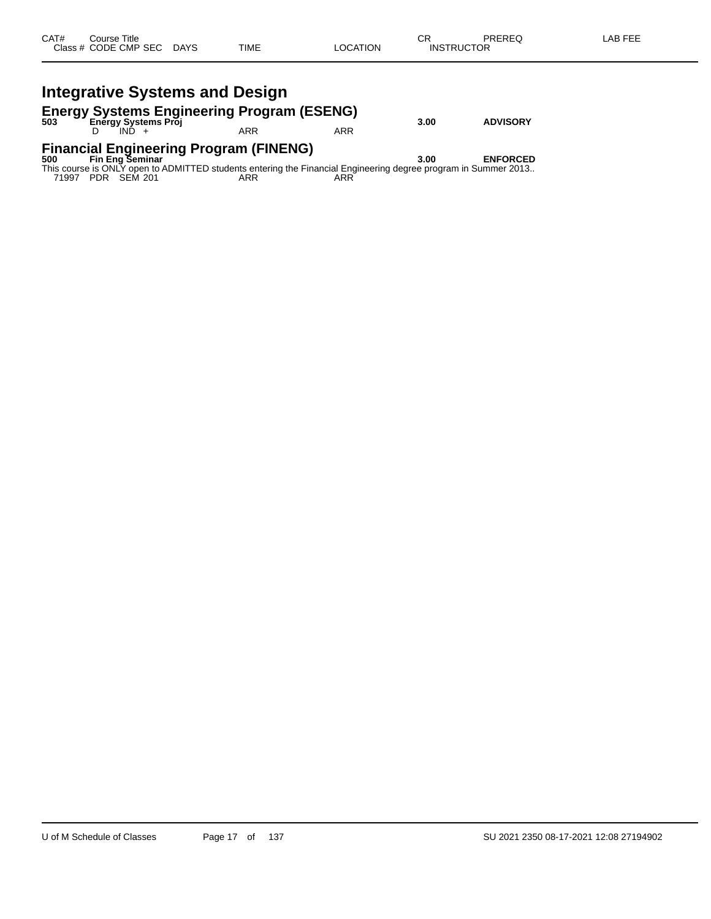### **Energy Systems Engineering Program (ESENG) 503 Energy Systems Proj 3.00 ADVISORY**

D IND + ARR ARR ARR

### **Financial Engineering Program (FINENG) 500 Fin Eng Seminar 3.00 ENFORCED**

This course is ONLY open to ADMITTED students entering the Financial Engineering degree program in Summer 2013.. 71997 PDR SEM 201 ARR ARR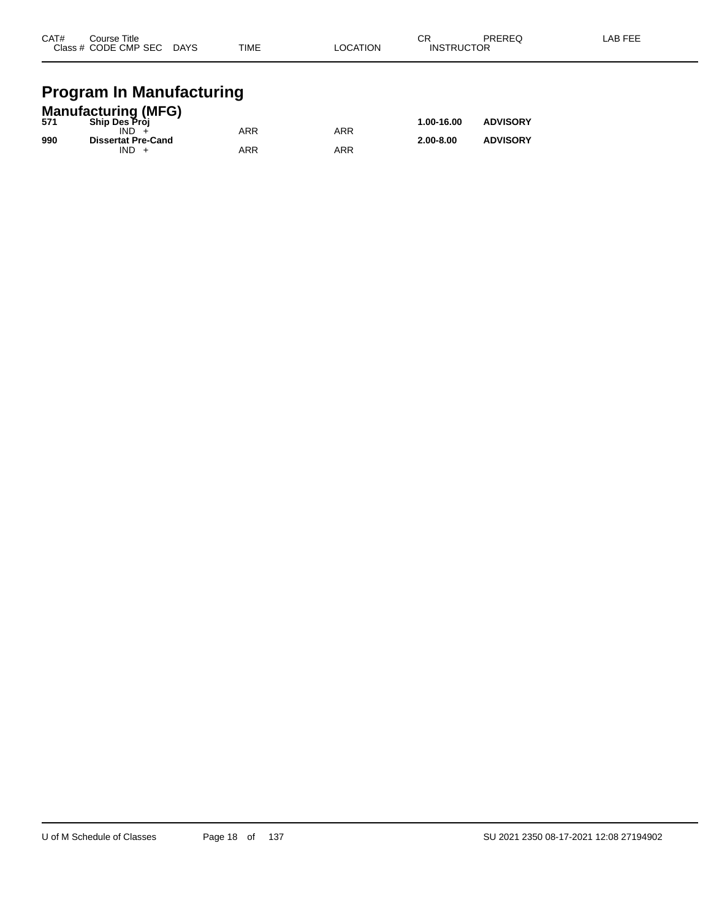| CAT#<br>PREREQ<br>◠г<br>Course Title<br>-UN<br>Class # CODE CMP SEC<br><b>TIME</b><br><b>INSTRUCTOR</b><br><b>DAYS</b><br>LOCATION | LAB FEE |
|------------------------------------------------------------------------------------------------------------------------------------|---------|
|------------------------------------------------------------------------------------------------------------------------------------|---------|

### **Program In Manufacturing**

|     | <b>Manufacturing (MFG)</b> |     |            |               |                 |
|-----|----------------------------|-----|------------|---------------|-----------------|
| 571 | <b>Ship Des Pròi</b>       |     |            | 1.00-16.00    | <b>ADVISORY</b> |
|     | IND.                       | ARR | <b>ARR</b> |               |                 |
| 990 | <b>Dissertat Pre-Cand</b>  |     |            | $2.00 - 8.00$ | <b>ADVISORY</b> |
|     | $IND +$                    | ARR | ARR        |               |                 |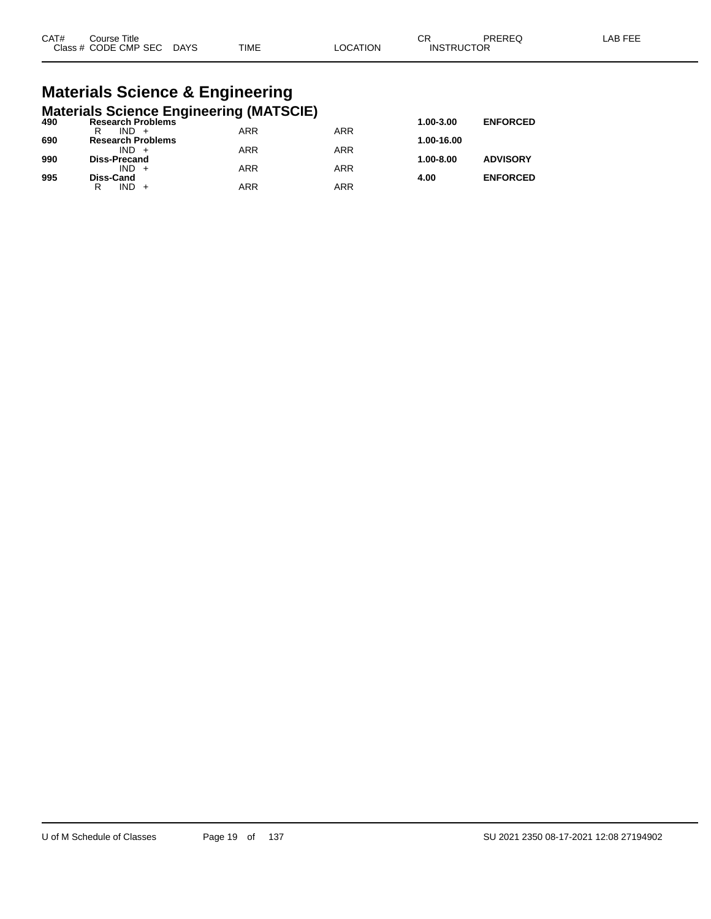| CAT# | ourse Titleٽ              |      |                 | ⌒冖<br>◡◚          | PREREQ | ∟AB FEE |
|------|---------------------------|------|-----------------|-------------------|--------|---------|
|      | Class # CODE CMP SEC DAYS | TIME | <b>LOCATION</b> | <b>INSTRUCTOR</b> |        |         |

# **Materials Science & Engineering**

|     | <b>Materials Science Engineering (MATSCIE)</b> |            |            |            |                 |
|-----|------------------------------------------------|------------|------------|------------|-----------------|
| 490 | <b>Research Problems</b>                       |            |            | 1.00-3.00  | <b>ENFORCED</b> |
|     | $IND +$<br>R                                   | ARR        | <b>ARR</b> |            |                 |
| 690 | <b>Research Problems</b>                       |            |            | 1.00-16.00 |                 |
|     | $IND +$                                        | <b>ARR</b> | <b>ARR</b> |            |                 |
| 990 | <b>Diss-Precand</b>                            | <b>ARR</b> |            | 1.00-8.00  | <b>ADVISORY</b> |
| 995 | $IND +$<br><b>Diss-Cand</b>                    |            | <b>ARR</b> | 4.00       | <b>ENFORCED</b> |
|     | $IND +$<br>R                                   | <b>ARR</b> | <b>ARR</b> |            |                 |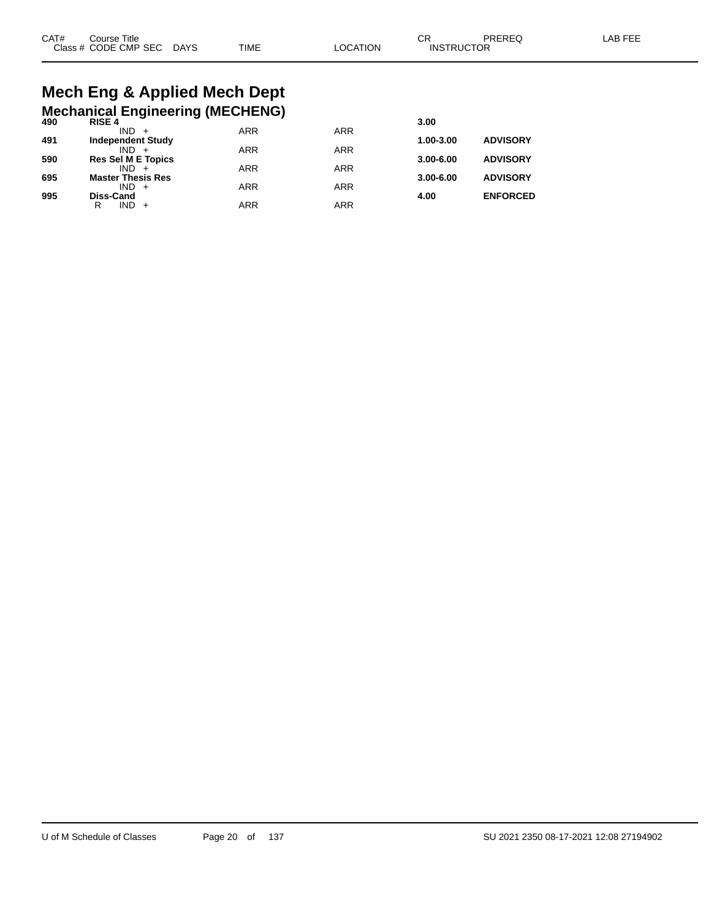# **Mech Eng & Applied Mech Dept**

|     | <b>Mechanical Engineering (MECHENG)</b> |            |            |               |                 |
|-----|-----------------------------------------|------------|------------|---------------|-----------------|
| 490 | <b>RISE 4</b>                           |            |            | 3.00          |                 |
| 491 | $IND +$<br><b>Independent Study</b>     | <b>ARR</b> | <b>ARR</b> | 1.00-3.00     | <b>ADVISORY</b> |
|     | $IND +$                                 | <b>ARR</b> | <b>ARR</b> |               |                 |
| 590 | <b>Res Sel M E Topics</b>               |            |            | $3.00 - 6.00$ | <b>ADVISORY</b> |
|     | $IND +$                                 | <b>ARR</b> | <b>ARR</b> |               |                 |
| 695 | <b>Master Thesis Res</b><br>$IND +$     | <b>ARR</b> | <b>ARR</b> | $3.00 - 6.00$ | <b>ADVISORY</b> |
| 995 | <b>Diss-Cand</b>                        |            |            | 4.00          | <b>ENFORCED</b> |
|     | $IND +$<br>R                            | <b>ARR</b> | <b>ARR</b> |               |                 |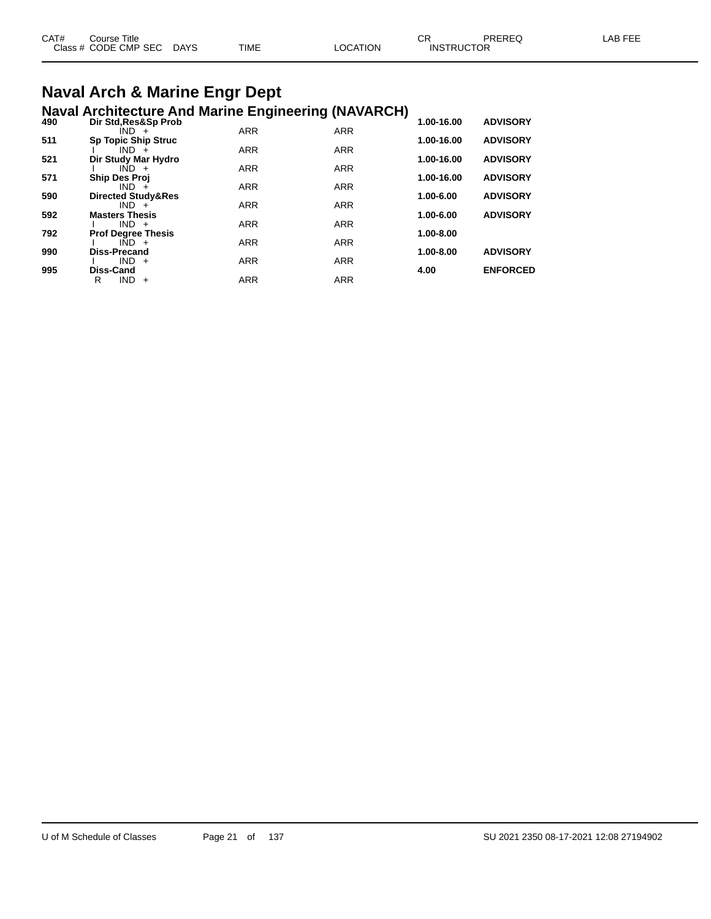| CAT# | Course Title         |             |             |          | СR                | <b>PREREQ</b> | AB FFF |
|------|----------------------|-------------|-------------|----------|-------------------|---------------|--------|
|      | Class # CODE CMP SEC | <b>DAYS</b> | <b>TIME</b> | LOCATION | <b>INSTRUCTOR</b> |               |        |
|      |                      |             |             |          |                   |               |        |

## **Naval Arch & Marine Engr Dept**

|     | <b>Naval Architecture And Marine Engineering (NAVARCH)</b> |            |            |            |                 |
|-----|------------------------------------------------------------|------------|------------|------------|-----------------|
| 490 | Dir Std, Res&Sp Prob                                       |            |            | 1.00-16.00 | <b>ADVISORY</b> |
|     | $IND +$                                                    | <b>ARR</b> | <b>ARR</b> |            |                 |
| 511 | <b>Sp Topic Ship Struc</b><br>$IND +$                      | <b>ARR</b> | <b>ARR</b> | 1.00-16.00 | <b>ADVISORY</b> |
| 521 | Dir Study Mar Hydro                                        |            |            | 1.00-16.00 | <b>ADVISORY</b> |
|     | $IND +$                                                    | <b>ARR</b> | <b>ARR</b> |            |                 |
| 571 | <b>Ship Des Proj</b>                                       |            |            | 1.00-16.00 | <b>ADVISORY</b> |
|     | $IND +$                                                    | <b>ARR</b> | <b>ARR</b> |            |                 |
| 590 | <b>Directed Study&amp;Res</b>                              |            |            | 1.00-6.00  | <b>ADVISORY</b> |
| 592 | $IND +$<br><b>Masters Thesis</b>                           | <b>ARR</b> | <b>ARR</b> | 1.00-6.00  | <b>ADVISORY</b> |
|     | $IND +$                                                    | <b>ARR</b> | <b>ARR</b> |            |                 |
| 792 | <b>Prof Degree Thesis</b>                                  |            |            | 1.00-8.00  |                 |
|     | $IND +$                                                    | <b>ARR</b> | <b>ARR</b> |            |                 |
| 990 | <b>Diss-Precand</b>                                        |            |            | 1.00-8.00  | <b>ADVISORY</b> |
|     | $IND +$                                                    | <b>ARR</b> | <b>ARR</b> |            |                 |
| 995 | <b>Diss-Cand</b>                                           |            |            | 4.00       | <b>ENFORCED</b> |
|     | R<br><b>IND</b><br>$+$                                     | ARR        | <b>ARR</b> |            |                 |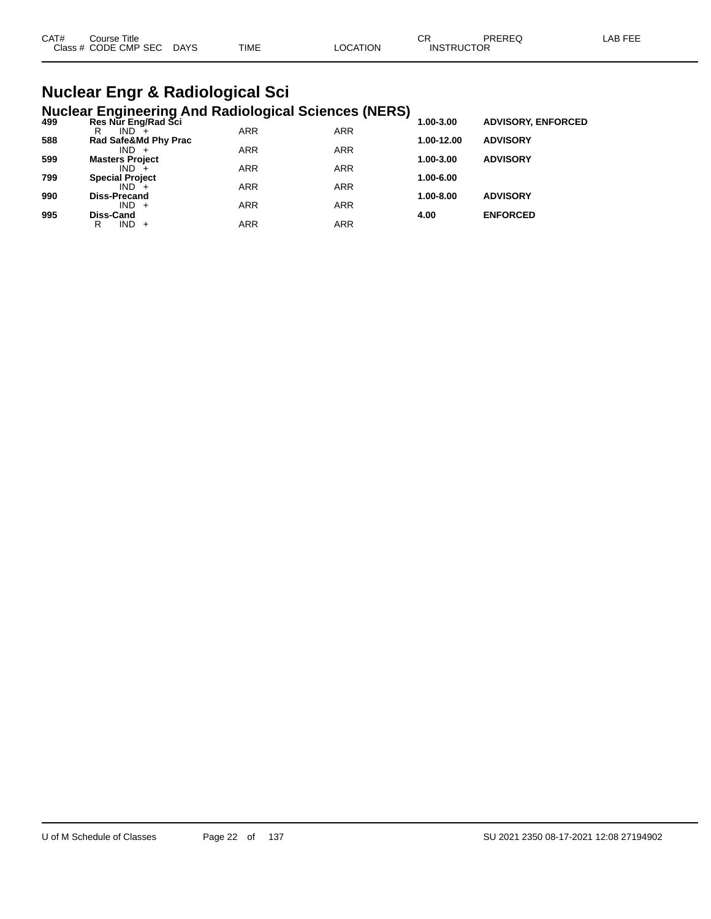| CAT#<br>Course Title |      |             |                | ⌒冖 | PREREC            | LAB FEF |
|----------------------|------|-------------|----------------|----|-------------------|---------|
| Class # CODE CMP SEC | DAYS | <b>TIME</b> | <b>OCATION</b> |    | <b>INSTRUCTOR</b> |         |

### **Nuclear Engr & Radiological Sci Nuclear Engineering And Radiological Sciences (NERS)**

| 499 | Res Nur Eng/Rad Sci    |            |            | - 1<br>1.00-3.00 | <b>ADVISORY, ENFORCED</b> |  |
|-----|------------------------|------------|------------|------------------|---------------------------|--|
|     | $IND +$<br>R           | <b>ARR</b> | <b>ARR</b> |                  |                           |  |
| 588 | Rad Safe&Md Phy Prac   |            |            | 1.00-12.00       | <b>ADVISORY</b>           |  |
|     | $IND +$                | <b>ARR</b> | <b>ARR</b> |                  |                           |  |
| 599 | <b>Masters Project</b> |            |            | 1.00-3.00        | <b>ADVISORY</b>           |  |
|     | $IND +$                | <b>ARR</b> | <b>ARR</b> |                  |                           |  |
| 799 | <b>Special Project</b> |            |            | 1.00-6.00        |                           |  |
|     | $IND +$                | <b>ARR</b> | <b>ARR</b> |                  |                           |  |
| 990 | <b>Diss-Precand</b>    |            |            | 1.00-8.00        | <b>ADVISORY</b>           |  |
|     | $IND +$                | <b>ARR</b> | <b>ARR</b> |                  |                           |  |
| 995 | Diss-Cand              |            |            | 4.00             | <b>ENFORCED</b>           |  |
|     | $IND +$<br>R           | ARR        | ARR        |                  |                           |  |
|     |                        |            |            |                  |                           |  |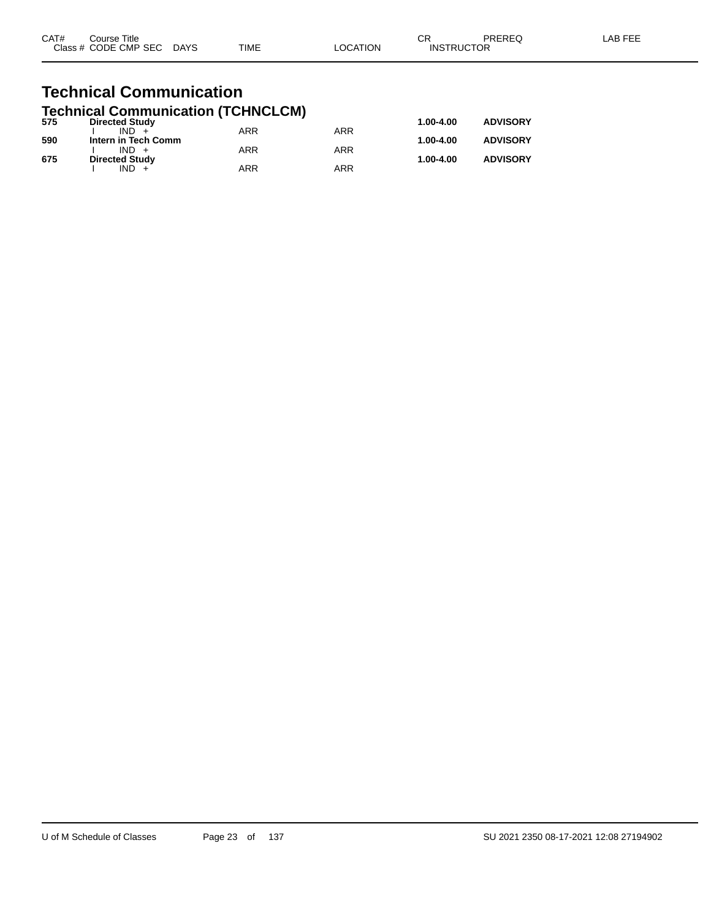| CAT# | Course Title              |             |          | ΩD                | PREREQ | LAB FEE |
|------|---------------------------|-------------|----------|-------------------|--------|---------|
|      | Class # CODE CMP SEC DAYS | <b>TIME</b> | _OCATION | <b>INSTRUCTOR</b> |        |         |
|      |                           |             |          |                   |        |         |

### **Technical Communication Technical Communication (TCHNCLCM)**

| 575 | <b>Directed Study</b> |            |     | 1.00-4.00 | <b>ADVISORY</b> |
|-----|-----------------------|------------|-----|-----------|-----------------|
|     | $IND +$               | <b>ARR</b> | ARR |           |                 |
| 590 | Intern in Tech Comm   |            |     | 1.00-4.00 | <b>ADVISORY</b> |
|     | $IND +$               | ARR        | ARR |           |                 |
| 675 | <b>Directed Study</b> |            |     | 1.00-4.00 | <b>ADVISORY</b> |
|     | $IND +$               | ARR        | ARR |           |                 |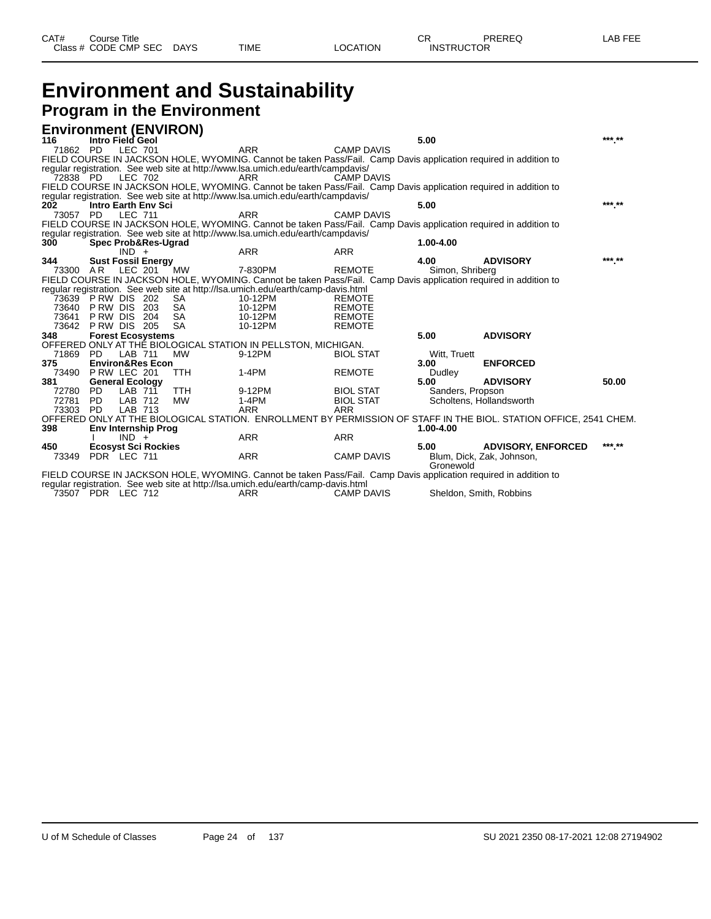| CAT# | Course Title              |      |          | $\cap$<br>◡ጙ      | PREREQ | LAB FEE |
|------|---------------------------|------|----------|-------------------|--------|---------|
|      | Class # CODE CMP SEC DAYS | TIME | ∟OCATION | <b>INSTRUCTOR</b> |        |         |
|      |                           |      |          |                   |        |         |

### **Environment and Sustainability Program in the Environment**

|              | <b>Environment (ENVIRON)</b>             |            |                                                                                                                                                                                                     |                   |                  |                                                                                                                   |        |
|--------------|------------------------------------------|------------|-----------------------------------------------------------------------------------------------------------------------------------------------------------------------------------------------------|-------------------|------------------|-------------------------------------------------------------------------------------------------------------------|--------|
| 116          | Intro Field Geol                         |            |                                                                                                                                                                                                     |                   | 5.00             |                                                                                                                   | *** ** |
| 71862 PD     | <b>LEC 701</b>                           |            | <b>ARR</b>                                                                                                                                                                                          | <b>CAMP DAVIS</b> |                  |                                                                                                                   |        |
|              |                                          |            | FIELD COURSE IN JACKSON HOLE, WYOMING. Cannot be taken Pass/Fail. Camp Davis application required in addition to                                                                                    |                   |                  |                                                                                                                   |        |
|              |                                          |            | regular registration. See web site at http://www.lsa.umich.edu/earth/campdavis/                                                                                                                     |                   |                  |                                                                                                                   |        |
|              | 72838 PD LEC 702                         |            | ARR                                                                                                                                                                                                 | <b>CAMP DAVIS</b> |                  |                                                                                                                   |        |
|              |                                          |            | FIELD COURSE IN JACKSON HOLE, WYOMING. Cannot be taken Pass/Fail. Camp Davis application required in addition to                                                                                    |                   |                  |                                                                                                                   |        |
|              |                                          |            | regular registration. See web site at http://www.lsa.umich.edu/earth/campdavis/                                                                                                                     |                   |                  |                                                                                                                   | *** ** |
| 202          | <b>Intro Earth Env Sci</b>               |            |                                                                                                                                                                                                     |                   | 5.00             |                                                                                                                   |        |
|              | 73057 PD LEC 711                         |            | <b>ARR</b>                                                                                                                                                                                          | <b>CAMP DAVIS</b> |                  |                                                                                                                   |        |
|              |                                          |            | FIELD COURSE IN JACKSON HOLE, WYOMING. Cannot be taken Pass/Fail. Camp Davis application required in addition to<br>regular registration. See web site at http://www.lsa.umich.edu/earth/campdavis/ |                   |                  |                                                                                                                   |        |
| 300          | Spec Prob&Res-Ugrad                      |            |                                                                                                                                                                                                     |                   | 1.00-4.00        |                                                                                                                   |        |
|              | $IND +$                                  |            | <b>ARR</b>                                                                                                                                                                                          | <b>ARR</b>        |                  |                                                                                                                   |        |
| 344          | <b>Sust Fossil Energy</b>                |            |                                                                                                                                                                                                     |                   | 4.00             | <b>ADVISORY</b>                                                                                                   | *** ** |
| 73300 AR     | LEC 201                                  | MW         | 7-830PM                                                                                                                                                                                             | <b>REMOTE</b>     | Simon, Shriberg  |                                                                                                                   |        |
|              |                                          |            | FIELD COURSE IN JACKSON HOLE, WYOMING. Cannot be taken Pass/Fail. Camp Davis application required in addition to                                                                                    |                   |                  |                                                                                                                   |        |
|              |                                          |            | regular registration. See web site at http://lsa.umich.edu/earth/camp-davis.html                                                                                                                    |                   |                  |                                                                                                                   |        |
|              | 73639 PRW DIS 202                        | SA.        | 10-12PM                                                                                                                                                                                             | <b>REMOTE</b>     |                  |                                                                                                                   |        |
| 73640        | PRW DIS 203                              | SA         | 10-12PM                                                                                                                                                                                             | <b>REMOTE</b>     |                  |                                                                                                                   |        |
| 73641        | PRW DIS 204                              | SA         | 10-12PM                                                                                                                                                                                             | <b>REMOTE</b>     |                  |                                                                                                                   |        |
| 73642        | PRW DIS 205                              | SA         | 10-12PM                                                                                                                                                                                             | <b>REMOTE</b>     |                  |                                                                                                                   |        |
| 348          | <b>Forest Ecosystems</b>                 |            |                                                                                                                                                                                                     |                   | 5.00             | <b>ADVISORY</b>                                                                                                   |        |
|              |                                          |            | OFFERED ONLY AT THE BIOLOGICAL STATION IN PELLSTON, MICHIGAN.                                                                                                                                       |                   |                  |                                                                                                                   |        |
| 71869 PD     | <b>LAB 711</b>                           | <b>MW</b>  | 9-12PM                                                                                                                                                                                              | <b>BIOL STAT</b>  | Witt, Truett     |                                                                                                                   |        |
| 375          | <b>Environ&amp;Res Econ</b>              |            |                                                                                                                                                                                                     |                   | 3.00             | <b>ENFORCED</b>                                                                                                   |        |
|              | 73490 P RW LEC 201                       | <b>TTH</b> | 1-4PM                                                                                                                                                                                               | <b>REMOTE</b>     | Dudley<br>5.00   | <b>ADVISORY</b>                                                                                                   | 50.00  |
| 381<br>72780 | <b>General Ecology</b><br>LAB 711<br>PD. | <b>TTH</b> | 9-12PM                                                                                                                                                                                              | <b>BIOL STAT</b>  |                  |                                                                                                                   |        |
| 72781        | LAB 712<br><b>PD</b>                     | <b>MW</b>  | 1-4PM                                                                                                                                                                                               | <b>BIOL STAT</b>  | Sanders, Propson | Scholtens, Hollandsworth                                                                                          |        |
| 73303        | LAB 713<br>PD.                           |            | <b>ARR</b>                                                                                                                                                                                          | <b>ARR</b>        |                  |                                                                                                                   |        |
|              |                                          |            |                                                                                                                                                                                                     |                   |                  | OFFERED ONLY AT THE BIOLOGICAL STATION. ENROLLMENT BY PERMISSION OF STAFF IN THE BIOL. STATION OFFICE, 2541 CHEM. |        |
| 398          | <b>Env Internship Prog</b>               |            |                                                                                                                                                                                                     |                   | 1.00-4.00        |                                                                                                                   |        |
|              | $IND +$                                  |            | <b>ARR</b>                                                                                                                                                                                          | <b>ARR</b>        |                  |                                                                                                                   |        |
| 450          | <b>Ecosyst Sci Rockies</b>               |            |                                                                                                                                                                                                     |                   | 5.00             | <b>ADVISORY, ENFORCED</b>                                                                                         | *** ** |
|              | 73349 PDR LEC 711                        |            | <b>ARR</b>                                                                                                                                                                                          | <b>CAMP DAVIS</b> |                  | Blum, Dick, Zak, Johnson,                                                                                         |        |
|              |                                          |            |                                                                                                                                                                                                     |                   | Gronewold        |                                                                                                                   |        |
|              |                                          |            | FIFLD COURSE IN JACKSON HOLE, WYOMING, Cannot be taken Pass/Fail. Camp Davis application required in addition to                                                                                    |                   |                  |                                                                                                                   |        |

FIELD COURSE IN JACKSON HOLE, WYOMING. Cannot be taken Pass/Fail. Camp Davis application required in addition to regular registration. See web site at http://lsa.umich.edu/earth/camp-davis.html

73507 PDR LEC 712 ARR CAMP DAVIS Sheldon, Smith, Robbins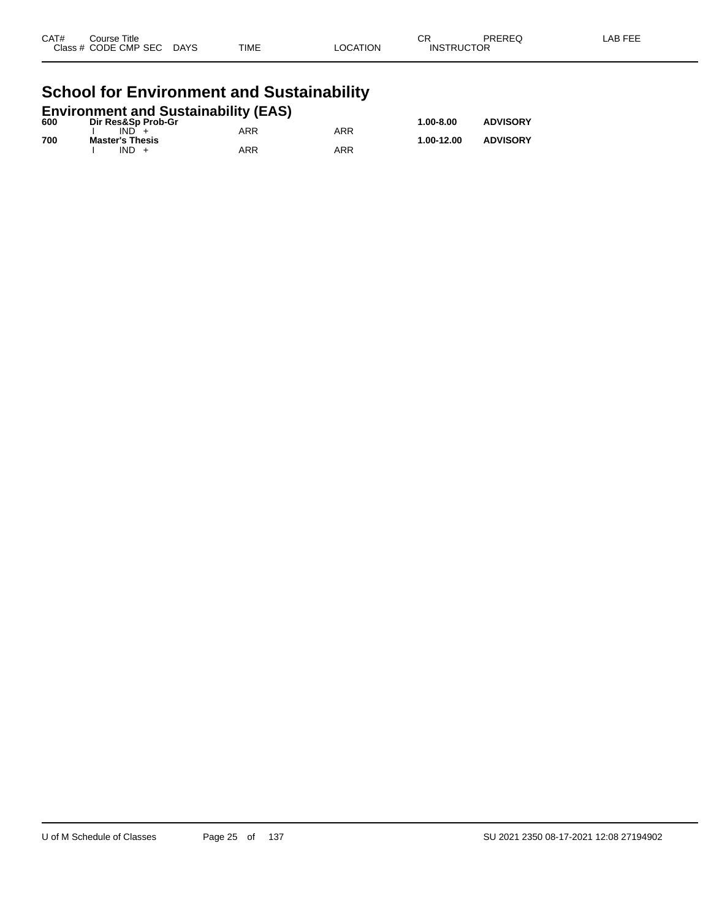| CAT# | Course Title         |             |             |          | СR                | PREREQ | _AB FEE |
|------|----------------------|-------------|-------------|----------|-------------------|--------|---------|
|      | Class # CODE CMP SEC | <b>DAYS</b> | <b>TIME</b> | LOCATION | <b>INSTRUCTOR</b> |        |         |
|      |                      |             |             |          |                   |        |         |

### **School for Environment and Sustainability**

| <b>Environment and Sustainability (EAS)</b> |                        |     |            |               |                 |  |  |  |
|---------------------------------------------|------------------------|-----|------------|---------------|-----------------|--|--|--|
| 600                                         | Dir Res&Sp Prob-Gr     |     |            | $1.00 - 8.00$ | <b>ADVISORY</b> |  |  |  |
|                                             | $IND +$                | ARR | <b>ARR</b> |               |                 |  |  |  |
| 700                                         | <b>Master's Thesis</b> |     |            | 1.00-12.00    | <b>ADVISORY</b> |  |  |  |
|                                             | $IND +$                | ARR | ARR        |               |                 |  |  |  |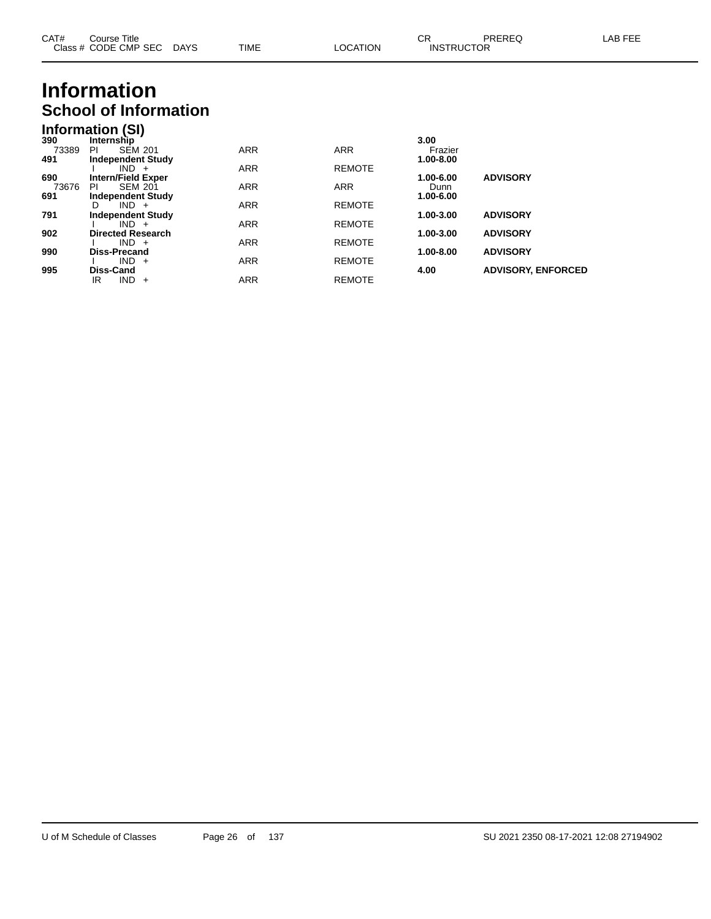| CAT# | Course Title         |             |             |                 | ⌒冖<br>◡⊓          | PREREQ | _AB FEF |
|------|----------------------|-------------|-------------|-----------------|-------------------|--------|---------|
|      | Class # CODE CMP SEC | <b>DAYS</b> | <b>TIME</b> | <b>LOCATION</b> | <b>INSTRUCTOR</b> |        |         |

## **Information School of Information**

| <u>ssissi viine</u> |  |
|---------------------|--|
| Information (SI)    |  |
|                     |  |

| 390   | Internship                |            |               | 3.00      |                           |
|-------|---------------------------|------------|---------------|-----------|---------------------------|
| 73389 | <b>SEM 201</b><br>PI      | <b>ARR</b> | <b>ARR</b>    | Frazier   |                           |
| 491   | <b>Independent Study</b>  |            |               | 1.00-8.00 |                           |
|       | $IND +$                   | <b>ARR</b> | <b>REMOTE</b> |           |                           |
| 690   | <b>Intern/Field Exper</b> |            |               | 1.00-6.00 | <b>ADVISORY</b>           |
| 73676 | <b>SEM 201</b><br>PI      | <b>ARR</b> | <b>ARR</b>    | Dunn      |                           |
| 691   | <b>Independent Study</b>  |            |               | 1.00-6.00 |                           |
|       | $IND +$<br>D              | <b>ARR</b> | <b>REMOTE</b> |           |                           |
| 791   | <b>Independent Study</b>  |            |               | 1.00-3.00 | <b>ADVISORY</b>           |
|       | $IND +$                   | <b>ARR</b> | <b>REMOTE</b> |           |                           |
| 902   | <b>Directed Research</b>  |            |               | 1.00-3.00 | <b>ADVISORY</b>           |
|       | $IND +$                   | <b>ARR</b> | <b>REMOTE</b> |           |                           |
| 990   | Diss-Precand              |            |               | 1.00-8.00 | <b>ADVISORY</b>           |
|       | $IND +$                   | <b>ARR</b> | <b>REMOTE</b> |           |                           |
| 995   | Diss-Cand                 |            |               | 4.00      | <b>ADVISORY, ENFORCED</b> |
|       | IND.<br>IR<br>$+$         | <b>ARR</b> | <b>REMOTE</b> |           |                           |
|       |                           |            |               |           |                           |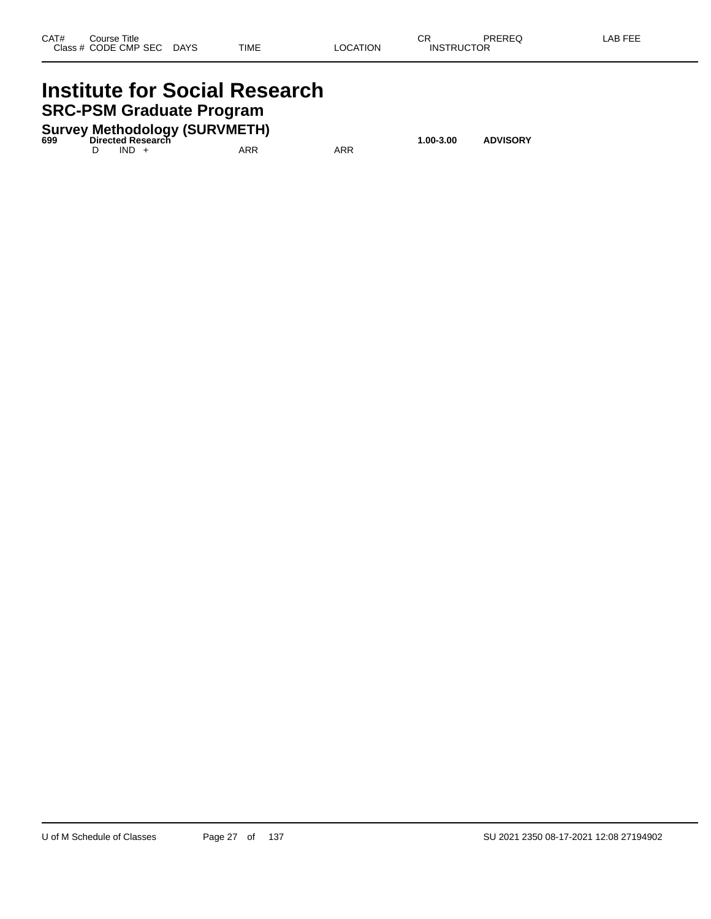### **Institute for Social Research SRC-PSM Graduate Program**

**Survey Methodology (SURVMETH) 699 Directed Research 1.00-3.00 ADVISORY**

D IND + ARR ARR ARR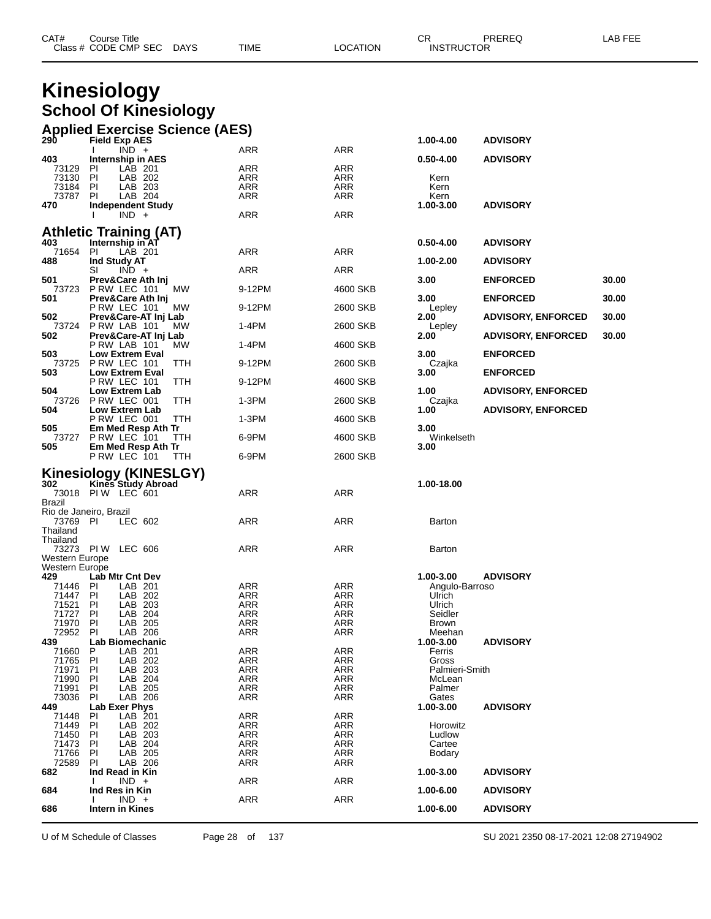|                                  | <b>Kinesiology</b>                                            |                          |                          |                     |                           |       |
|----------------------------------|---------------------------------------------------------------|--------------------------|--------------------------|---------------------|---------------------------|-------|
|                                  |                                                               |                          |                          |                     |                           |       |
|                                  | <b>School Of Kinesiology</b>                                  |                          |                          |                     |                           |       |
|                                  |                                                               |                          |                          |                     |                           |       |
| 290                              | <b>Applied Exercise Science (AES)</b><br><b>Field Exp AES</b> |                          |                          |                     |                           |       |
|                                  | $IND +$                                                       | ARR                      | ARR                      | 1.00-4.00           | <b>ADVISORY</b>           |       |
| 403                              | Internship in AES                                             |                          |                          | 0.50-4.00           | <b>ADVISORY</b>           |       |
| 73129<br>73130                   | LAB 201<br><b>PI</b>                                          | ARR                      | ARR                      |                     |                           |       |
| 73184                            | LAB 202<br>PI<br><b>PI</b><br>LAB 203                         | ARR<br>ARR               | ARR<br>ARR               | Kern<br>Kern        |                           |       |
| 73787                            | LAB 204<br>-PI                                                | ARR                      | ARR                      | Kern                |                           |       |
| 470                              | <b>Independent Study</b><br>$IND +$                           | ARR                      | ARR                      | 1.00-3.00           | <b>ADVISORY</b>           |       |
|                                  |                                                               |                          |                          |                     |                           |       |
|                                  | Athletic Training (AT)                                        |                          |                          |                     |                           |       |
| 403<br>71654                     | Internship in AT<br>LAB 201<br>PI                             | ARR                      | ARR                      | $0.50 - 4.00$       | <b>ADVISORY</b>           |       |
| 488                              | Ind Study AT                                                  |                          |                          | 1.00-2.00           | <b>ADVISORY</b>           |       |
|                                  | SI<br>$IND +$                                                 | ARR                      | ARR                      |                     |                           |       |
| 501<br>73723                     | Prev&Care Ath Inj<br>PRW LEC 101<br>МW                        | 9-12PM                   | 4600 SKB                 | 3.00                | <b>ENFORCED</b>           | 30.00 |
| 501                              | Prev&Care Ath Inj                                             |                          |                          | 3.00                | <b>ENFORCED</b>           | 30.00 |
|                                  | PRW LEC 101<br>МW                                             | 9-12PM                   | 2600 SKB                 | Lepley              |                           |       |
| 502<br>73724                     | Prev&Care-AT Inj Lab<br>PRW LAB 101<br><b>MW</b>              | 1-4PM                    | 2600 SKB                 | 2.00<br>Lepley      | <b>ADVISORY, ENFORCED</b> | 30.00 |
| 502                              | Prev&Care-AT Inj Lab<br>PRW LAB 101<br>МW                     | 1-4PM                    | 4600 SKB                 | 2.00                | <b>ADVISORY, ENFORCED</b> | 30.00 |
| 503<br>73725                     | <b>Low Extrem Eval</b><br>PRW LEC 101<br>ттн                  | 9-12PM                   | 2600 SKB                 | 3.00<br>Czajka      | <b>ENFORCED</b>           |       |
| 503                              | <b>Low Extrem Eval</b><br>PRW LEC 101<br>TTH                  | 9-12PM                   | 4600 SKB                 | 3.00                | <b>ENFORCED</b>           |       |
| 504<br>73726                     | Low Extrem Lab<br>PRW LEC 001<br>TTH                          | 1-3PM                    | 2600 SKB                 | 1.00                | <b>ADVISORY, ENFORCED</b> |       |
| 504                              | <b>Low Extrem Lab</b>                                         |                          |                          | Czajka<br>1.00      | <b>ADVISORY, ENFORCED</b> |       |
| 505                              | PRW LEC 001<br>TTH<br>Em Med Resp Ath Tr                      | 1-3PM                    | 4600 SKB                 | 3.00                |                           |       |
| 73727<br>505                     | PRW LEC 101<br>TTH<br>Em Med Resp Ath Tr                      | 6-9PM                    | 4600 SKB                 | Winkelseth<br>3.00  |                           |       |
|                                  | PRW LEC 101<br>TTH                                            | 6-9PM                    | 2600 SKB                 |                     |                           |       |
|                                  | Kinesiology (KINESLGY)                                        |                          |                          |                     |                           |       |
| 302                              | Kines Study Abroad                                            |                          |                          | 1.00-18.00          |                           |       |
| Brazil                           | 73018 PIW LEC 601                                             | ARR                      | ARR                      |                     |                           |       |
|                                  | Rio de Janeiro, Brazil                                        |                          |                          |                     |                           |       |
| 73769 PI<br>Thailand             | LEC 602                                                       | ARR                      | ARR                      | Barton              |                           |       |
| Thailand                         |                                                               |                          |                          |                     |                           |       |
|                                  | 73273 PIW LEC 606                                             | ARR                      | ARR                      | Barton              |                           |       |
| Western Europe<br>Western Europe |                                                               |                          |                          |                     |                           |       |
| 429                              | <b>Lab Mtr Cnt Dev</b>                                        |                          |                          | 1.00-3.00           | <b>ADVISORY</b>           |       |
| 71446                            | LAB 201<br>PI                                                 | <b>ARR</b>               | <b>ARR</b>               | Angulo-Barroso      |                           |       |
| 71447<br>71521                   | ΡI<br>LAB 202<br>LAB 203<br>PI                                | <b>ARR</b><br><b>ARR</b> | ARR<br><b>ARR</b>        | Ulrich<br>Ulrich    |                           |       |
| 71727                            | LAB 204<br>PI                                                 | ARR                      | <b>ARR</b>               | Seidler             |                           |       |
| 71970                            | PI<br>LAB 205                                                 | <b>ARR</b>               | <b>ARR</b>               | <b>Brown</b>        |                           |       |
| 72952                            | LAB 206<br>PI                                                 | <b>ARR</b>               | <b>ARR</b>               | Meehan              |                           |       |
| 439<br>71660                     | Lab Biomechanic<br>P<br>LAB 201                               | <b>ARR</b>               | <b>ARR</b>               | 1.00-3.00<br>Ferris | <b>ADVISORY</b>           |       |
| 71765                            | PI<br>LAB 202                                                 | <b>ARR</b>               | <b>ARR</b>               | Gross               |                           |       |
| 71971                            | LAB 203<br><b>PI</b>                                          | ARR                      | <b>ARR</b>               | Palmieri-Smith      |                           |       |
| 71990                            | LAB 204<br><b>PI</b>                                          | <b>ARR</b>               | ARR                      | McLean              |                           |       |
| 71991                            | PI<br>LAB 205                                                 | <b>ARR</b>               | ARR                      | Palmer              |                           |       |
| 73036<br>449                     | LAB 206<br>PI<br><b>Lab Exer Phys</b>                         | <b>ARR</b>               | <b>ARR</b>               | Gates<br>1.00-3.00  | <b>ADVISORY</b>           |       |
| 71448                            | LAB 201<br>PI                                                 | <b>ARR</b>               | <b>ARR</b>               |                     |                           |       |
| 71449                            | PI<br>LAB 202                                                 | <b>ARR</b>               | <b>ARR</b>               | Horowitz            |                           |       |
| 71450                            | LAB 203<br><b>PI</b>                                          | <b>ARR</b>               | <b>ARR</b>               | Ludlow              |                           |       |
| 71473<br>71766                   | LAB 204<br>PI<br>LAB 205<br>PI                                | <b>ARR</b><br><b>ARR</b> | <b>ARR</b><br><b>ARR</b> | Cartee<br>Bodary    |                           |       |
| 72589                            | PI<br>LAB 206                                                 | ARR                      | <b>ARR</b>               |                     |                           |       |
| 682                              | Ind Read in Kin                                               |                          |                          | 1.00-3.00           | <b>ADVISORY</b>           |       |
| 684                              | $IND +$<br>Ind Res in Kin                                     | <b>ARR</b>               | <b>ARR</b>               | 1.00-6.00           | <b>ADVISORY</b>           |       |
|                                  | $IND +$                                                       | <b>ARR</b>               | <b>ARR</b>               |                     |                           |       |
| 686                              | <b>Intern in Kines</b>                                        |                          |                          | 1.00-6.00           | <b>ADVISORY</b>           |       |

Class # CODE CMP SEC DAYS TIME LOCATION INSTRUCTOR

U of M Schedule of Classes Page 28 of 137 SU 2021 2350 08-17-2021 12:08 27194902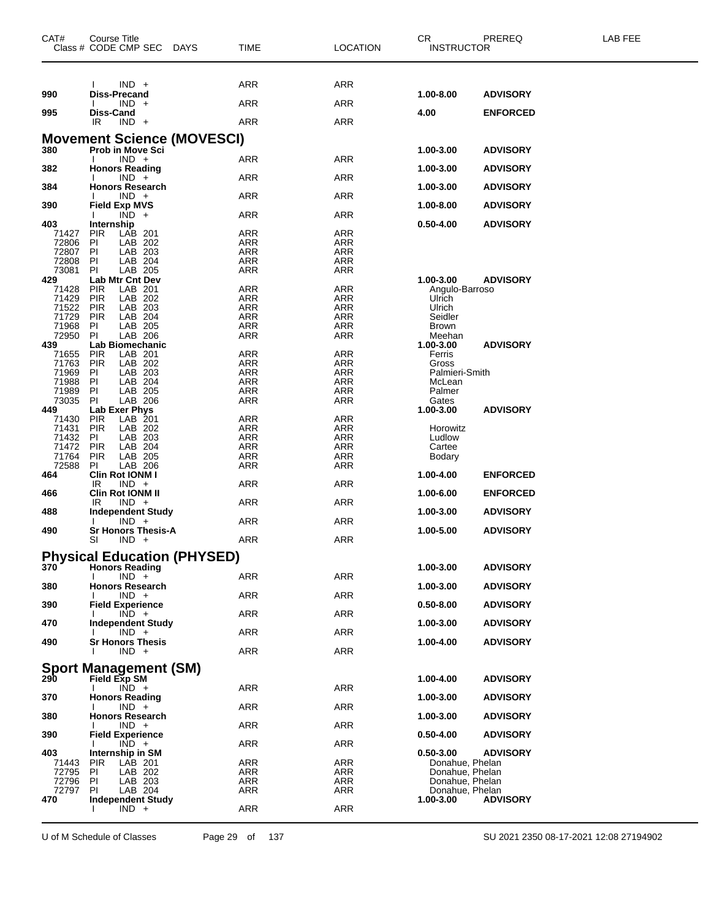| CAT#           | <b>Course Title</b><br>Class # CODE CMP SEC<br><b>DAYS</b> | TIME              | <b>LOCATION</b>          | PREREQ<br>CR<br><b>INSTRUCTOR</b>      | LAB FEE |
|----------------|------------------------------------------------------------|-------------------|--------------------------|----------------------------------------|---------|
|                |                                                            |                   |                          |                                        |         |
| 990            | $IND +$<br><b>Diss-Precand</b>                             | ARR               | <b>ARR</b>               | 1.00-8.00<br><b>ADVISORY</b>           |         |
|                | $IND +$                                                    | <b>ARR</b>        | <b>ARR</b>               |                                        |         |
| 995            | Diss-Cand<br>IR.<br>$IND +$                                | <b>ARR</b>        | <b>ARR</b>               | 4.00<br><b>ENFORCED</b>                |         |
|                | <b>Movement Science (MOVESCI)</b>                          |                   |                          |                                        |         |
| 380            | <b>Prob in Move Sci</b><br>$IND +$                         | ARR               | ARR                      | 1.00-3.00<br><b>ADVISORY</b>           |         |
| 382            | <b>Honors Reading</b>                                      |                   |                          | 1.00-3.00<br><b>ADVISORY</b>           |         |
| 384            | $IND +$<br><b>Honors Research</b>                          | ARR               | ARR                      | 1.00-3.00<br><b>ADVISORY</b>           |         |
| 390            | $IND +$<br><b>Field Exp MVS</b>                            | ARR               | ARR                      | 1.00-8.00<br><b>ADVISORY</b>           |         |
| 403            | $\overline{IND}$ +<br>Internship                           | <b>ARR</b>        | <b>ARR</b>               | $0.50 - 4.00$<br><b>ADVISORY</b>       |         |
| 71427          | PIR<br>LAB 201                                             | ARR               | <b>ARR</b>               |                                        |         |
| 72806          | LAB 202<br>ΡI                                              | <b>ARR</b>        | <b>ARR</b>               |                                        |         |
| 72807          | ΡI<br>LAB 203                                              | <b>ARR</b>        | ARR                      |                                        |         |
| 72808<br>73081 | LAB 204<br>ΡI<br>LAB 205<br>ΡI                             | ARR<br>ARR        | <b>ARR</b><br><b>ARR</b> |                                        |         |
| 429            | Lab Mtr Cnt Dev                                            |                   |                          | 1.00-3.00<br><b>ADVISORY</b>           |         |
| 71428          | <b>PIR</b><br>LAB 201                                      | <b>ARR</b>        | <b>ARR</b>               | Angulo-Barroso                         |         |
| 71429          | <b>PIR</b><br>LAB 202                                      | <b>ARR</b>        | <b>ARR</b>               | Ulrich                                 |         |
| 71522          | <b>PIR</b><br>LAB 203                                      | <b>ARR</b>        | ARR                      | Ulrich                                 |         |
| 71729          | <b>PIR</b><br>LAB 204                                      | ARR               | <b>ARR</b>               | Seidler                                |         |
| 71968          | LAB 205<br>ΡI                                              | <b>ARR</b>        | <b>ARR</b>               | <b>Brown</b>                           |         |
| 72950          | LAB 206<br>ΡI                                              | ARR               | <b>ARR</b>               | Meehan                                 |         |
| 439<br>71655   | Lab Biomechanic<br>LAB 201<br><b>PIR</b>                   | <b>ARR</b>        | <b>ARR</b>               | 1.00-3.00<br><b>ADVISORY</b><br>Ferris |         |
| 71763          | <b>PIR</b><br>LAB 202                                      | ARR               | ARR                      | Gross                                  |         |
| 71969          | LAB 203<br>ΡI                                              | <b>ARR</b>        | <b>ARR</b>               | Palmieri-Smith                         |         |
| 71988          | LAB 204<br>ΡI                                              | ARR               | ARR                      | McLean                                 |         |
| 71989          | ΡI<br>LAB 205                                              | ARR               | ARR                      | Palmer                                 |         |
| 73035          | PI<br>LAB 206                                              | ARR               | <b>ARR</b>               | Gates                                  |         |
| 449            | Lab Exer Phys                                              |                   |                          | 1.00-3.00<br><b>ADVISORY</b>           |         |
| 71430          | PIR<br>LAB 201                                             | <b>ARR</b>        | <b>ARR</b>               |                                        |         |
| 71431<br>71432 | <b>PIR</b><br>LAB 202<br>LAB 203<br>ΡI                     | ARR<br><b>ARR</b> | <b>ARR</b><br>ARR        | Horowitz<br>Ludlow                     |         |
| 71472          | <b>PIR</b><br>LAB 204                                      | <b>ARR</b>        | ARR                      | Cartee                                 |         |
| 71764          | PIR<br>LAB 205                                             | ARR               | <b>ARR</b>               | Bodary                                 |         |
| 72588          | PI<br>LAB 206                                              | ARR               | <b>ARR</b>               |                                        |         |
| 464            | Clin Rot IONM I                                            |                   |                          | 1.00-4.00<br><b>ENFORCED</b>           |         |
|                | $IND +$<br>IR.                                             | ARR               | ARR                      |                                        |         |
| 466            | <b>Clin Rot IONM II</b>                                    |                   |                          | 1.00-6.00<br><b>ENFORCED</b>           |         |
| 488            | $IND +$<br>IR<br><b>Independent Study</b>                  | ARR               | <b>ARR</b>               | 1.00-3.00<br><b>ADVISORY</b>           |         |
| 490            | $IND +$<br><b>Sr Honors Thesis-A</b>                       | ARR               | <b>ARR</b>               | 1.00-5.00<br><b>ADVISORY</b>           |         |
|                | SI<br>$IND +$                                              | <b>ARR</b>        | ARR                      |                                        |         |
|                | <b>Physical Education (PHYSED)</b>                         |                   |                          |                                        |         |
| 370            | <b>Honors Reading</b><br>$IND +$                           | ARR               | <b>ARR</b>               | 1.00-3.00<br><b>ADVISORY</b>           |         |
| 380            | <b>Honors Research</b>                                     | <b>ARR</b>        | <b>ARR</b>               | 1.00-3.00<br><b>ADVISORY</b>           |         |
| 390            | $IND +$<br><b>Field Experience</b>                         |                   |                          | $0.50 - 8.00$<br><b>ADVISORY</b>       |         |
| 470            | $IND +$<br><b>Independent Study</b>                        | ARR               | <b>ARR</b>               | 1.00-3.00<br><b>ADVISORY</b>           |         |
| 490            | $IND +$<br><b>Sr Honors Thesis</b>                         | ARR               | <b>ARR</b>               | 1.00-4.00<br><b>ADVISORY</b>           |         |
|                | $IND +$                                                    | <b>ARR</b>        | <b>ARR</b>               |                                        |         |
|                | <b>Sport Management (SM)</b>                               |                   |                          |                                        |         |
| 290            | <b>Field Exp SM</b>                                        |                   |                          | 1.00-4.00<br><b>ADVISORY</b>           |         |
| 370            | $IND +$<br>$\mathbf{I}$<br><b>Honors Reading</b>           | <b>ARR</b>        | <b>ARR</b>               | 1.00-3.00<br><b>ADVISORY</b>           |         |
| 380            | $IND +$<br><b>Honors Research</b>                          | <b>ARR</b>        | <b>ARR</b>               | <b>ADVISORY</b><br>1.00-3.00           |         |
|                | $IND +$                                                    | ARR               | <b>ARR</b>               |                                        |         |
| 390            | <b>Field Experience</b><br>$IND +$                         | <b>ARR</b>        | <b>ARR</b>               | 0.50-4.00<br><b>ADVISORY</b>           |         |
| 403            | Internship in SM                                           |                   |                          | $0.50 - 3.00$<br><b>ADVISORY</b>       |         |
| 71443<br>72795 | PIR<br>LAB 201<br>PI.<br>LAB 202                           | ARR<br>ARR        | ARR<br>ARR               | Donahue, Phelan<br>Donahue, Phelan     |         |
| 72796          | LAB 203<br>PI.                                             | ARR               | ARR                      | Donahue, Phelan                        |         |
| 72797          | ΡI<br>LAB 204                                              | ARR               | ARR                      | Donahue, Phelan                        |         |
| 470            | Independent Study                                          |                   |                          | <b>ADVISORY</b><br>1.00-3.00           |         |
|                | $IND +$                                                    | <b>ARR</b>        | <b>ARR</b>               |                                        |         |

U of M Schedule of Classes Page 29 of 137 SU 2021 2350 08-17-2021 12:08 27194902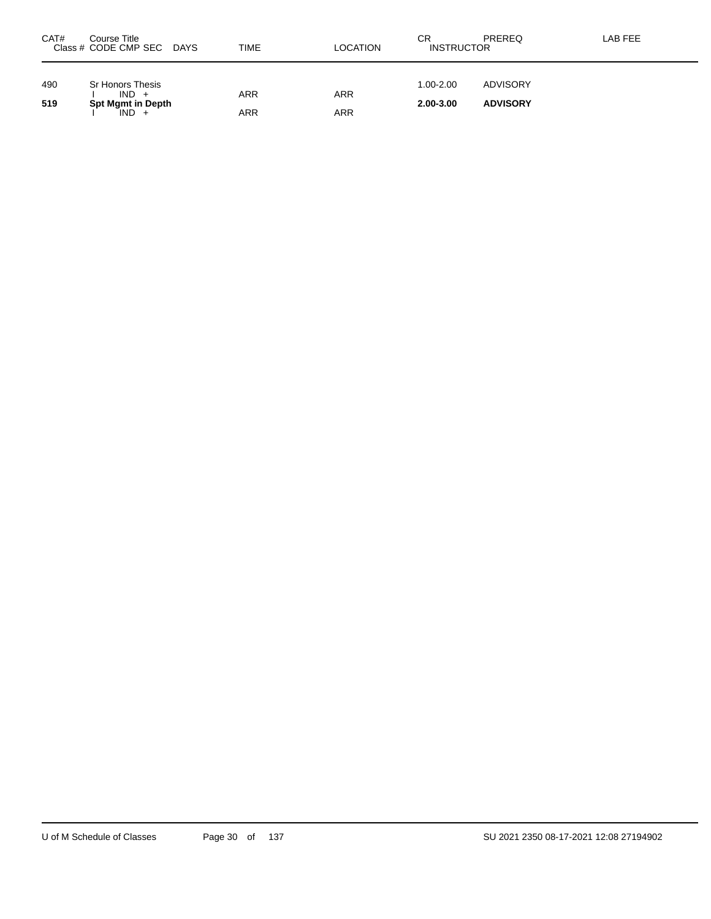| CAT#       | Course Title<br>Class # CODE CMP SEC DAYS                          | TIME              | <b>LOCATION</b>   | СR<br><b>INSTRUCTOR</b>    | <b>PREREQ</b>               | LAB FEE |
|------------|--------------------------------------------------------------------|-------------------|-------------------|----------------------------|-----------------------------|---------|
| 490<br>519 | Sr Honors Thesis<br>$IND +$<br><b>Spt Mgmt in Depth</b><br>$IND +$ | ARR<br><b>ARR</b> | <b>ARR</b><br>ARR | $1.00 - 2.00$<br>2.00-3.00 | ADVISORY<br><b>ADVISORY</b> |         |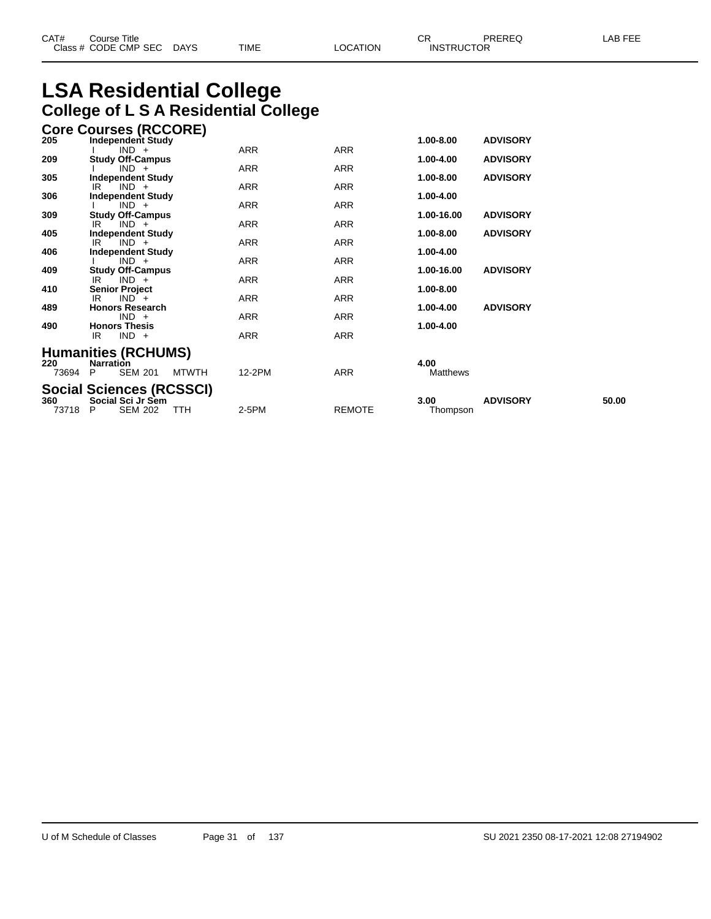### **LSA Residential College College of L S A Residential College**

|       | <b>Core Courses (RCCORE)</b>              |            |               |               |                 |       |
|-------|-------------------------------------------|------------|---------------|---------------|-----------------|-------|
| 205   | Independent Study                         |            |               | 1.00-8.00     | <b>ADVISORY</b> |       |
|       | $IND +$                                   | ARR        | ARR           |               |                 |       |
| 209   | <b>Study Off-Campus</b><br>$IND +$        | <b>ARR</b> | <b>ARR</b>    | 1.00-4.00     | <b>ADVISORY</b> |       |
| 305   | <b>Independent Study</b>                  |            |               | $1.00 - 8.00$ | <b>ADVISORY</b> |       |
|       | $IND +$<br>IR                             | ARR        | ARR           |               |                 |       |
| 306   | <b>Independent Study</b>                  |            |               | 1.00-4.00     |                 |       |
|       | $IND +$                                   | ARR        | ARR           |               |                 |       |
| 309   | <b>Study Off-Campus</b>                   | ARR        | <b>ARR</b>    | 1.00-16.00    | <b>ADVISORY</b> |       |
| 405   | $IND +$<br>IR<br><b>Independent Study</b> |            |               | 1.00-8.00     | <b>ADVISORY</b> |       |
|       | $IND +$<br>IR                             | <b>ARR</b> | <b>ARR</b>    |               |                 |       |
| 406   | <b>Independent Study</b>                  |            |               | 1.00-4.00     |                 |       |
|       | $IND +$                                   | ARR        | ARR           |               |                 |       |
| 409   | <b>Study Off-Campus</b><br>$IND +$        | <b>ARR</b> |               | 1.00-16.00    | <b>ADVISORY</b> |       |
| 410   | IR.<br><b>Senior Project</b>              |            | ARR           | 1.00-8.00     |                 |       |
|       | $IND +$<br>IR                             | ARR        | ARR           |               |                 |       |
| 489   | <b>Honors Research</b>                    |            |               | 1.00-4.00     | <b>ADVISORY</b> |       |
|       | $IND +$                                   | ARR        | <b>ARR</b>    |               |                 |       |
| 490   | <b>Honors Thesis</b><br>$IND +$<br>IR     | <b>ARR</b> | <b>ARR</b>    | 1.00-4.00     |                 |       |
|       |                                           |            |               |               |                 |       |
|       | <b>Humanities (RCHUMS)</b>                |            |               |               |                 |       |
| 220   | <b>Narration</b>                          |            |               | 4.00          |                 |       |
| 73694 | <b>SEM 201</b><br><b>MTWTH</b><br>P.      | 12-2PM     | <b>ARR</b>    | Matthews      |                 |       |
|       | <b>Social Sciences (RCSSCI)</b>           |            |               |               |                 |       |
| 360   | Social Sci Jr Sem                         |            |               | 3.00          | <b>ADVISORY</b> | 50.00 |
| 73718 | <b>SEM 202</b><br>TTH<br>P                | 2-5PM      | <b>REMOTE</b> | Thompson      |                 |       |
|       |                                           |            |               |               |                 |       |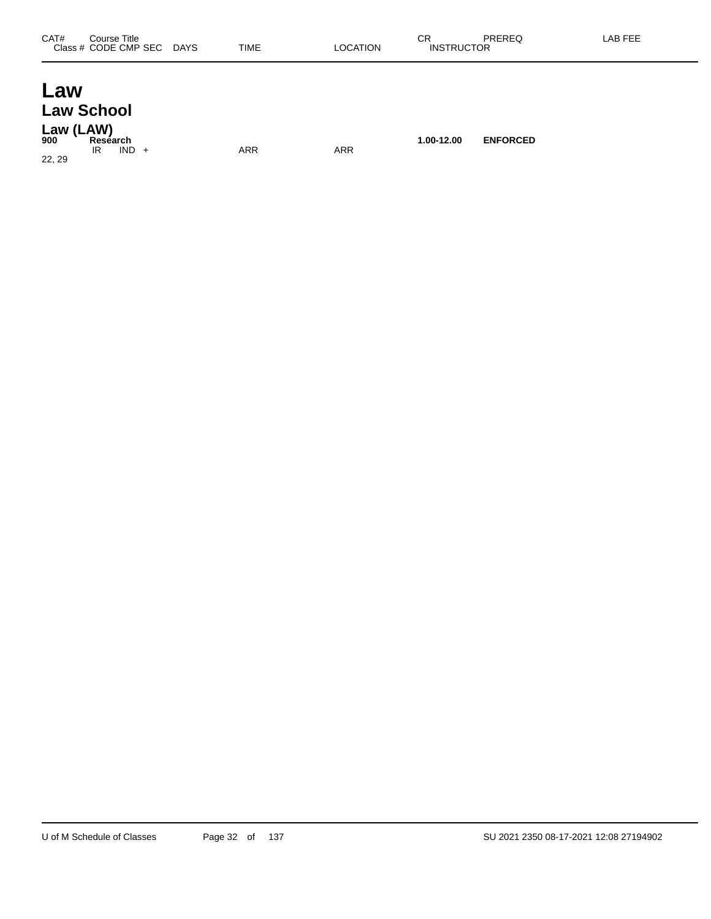### **Law Law School**

**Law (LAW) 900 Research 1.00-12.00 ENFORCED** IR IND + ARR ARR ARR 22, 29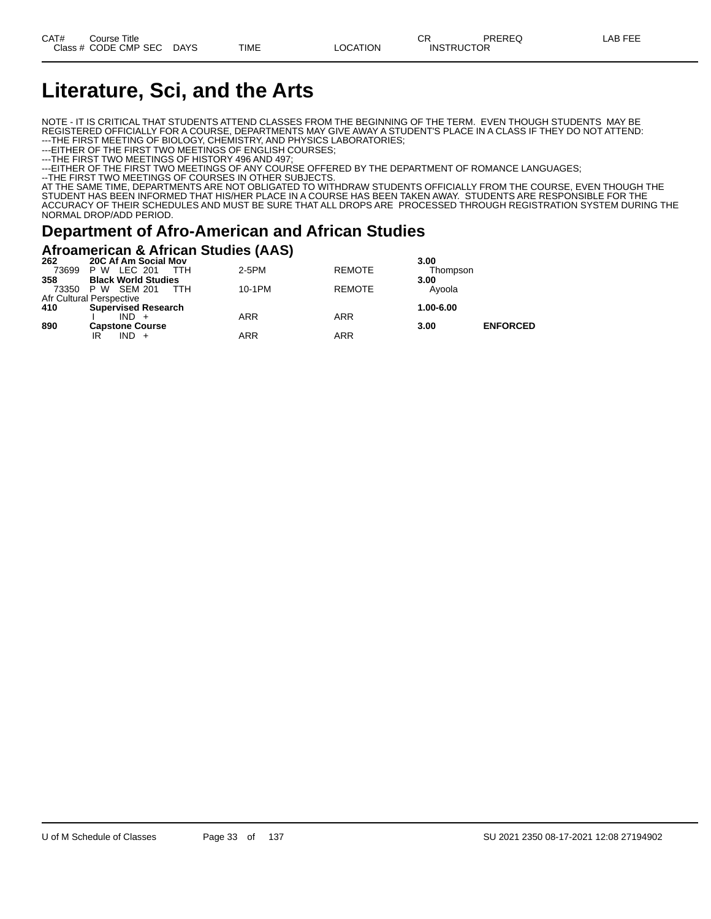### **Literature, Sci, and the Arts**

NOTE - IT IS CRITICAL THAT STUDENTS ATTEND CLASSES FROM THE BEGINNING OF THE TERM. EVEN THOUGH STUDENTS MAY BE REGISTERED OFFICIALLY FOR A COURSE, DEPARTMENTS MAY GIVE AWAY A STUDENT'S PLACE IN A CLASS IF THEY DO NOT ATTEND: ---THE FIRST MEETING OF BIOLOGY, CHEMISTRY, AND PHYSICS LABORATORIES;

---EITHER OF THE FIRST TWO MEETINGS OF ENGLISH COURSES;

---THE FIRST TWO MEETINGS OF HISTORY 496 AND 497;

---EITHER OF THE FIRST TWO MEETINGS OF ANY COURSE OFFERED BY THE DEPARTMENT OF ROMANCE LANGUAGES;

--THE FIRST TWO MEETINGS OF COURSES IN OTHER SUBJECTS.

AT THE SAME TIME, DEPARTMENTS ARE NOT OBLIGATED TO WITHDRAW STUDENTS OFFICIALLY FROM THE COURSE, EVEN THOUGH THE STUDENT HAS BEEN INFORMED THAT HIS/HER PLACE IN A COURSE HAS BEEN TAKEN AWAY. STUDENTS ARE RESPONSIBLE FOR THE ACCURACY OF THEIR SCHEDULES AND MUST BE SURE THAT ALL DROPS ARE PROCESSED THROUGH REGISTRATION SYSTEM DURING THE NORMAL DROP/ADD PERIOD.

### **Department of Afro-American and African Studies**

### **Afroamerican & African Studies (AAS)**

| 262   | 20C Af Am Social Mov       |        |               | 3.00      |                 |
|-------|----------------------------|--------|---------------|-----------|-----------------|
| 73699 | P W LEC 201<br><b>TTH</b>  | 2-5PM  | <b>REMOTE</b> | Thompson  |                 |
| 358   | <b>Black World Studies</b> |        |               | 3.00      |                 |
|       | 73350 P W SEM 201<br>TTH.  | 10-1PM | <b>REMOTE</b> | Avoola    |                 |
|       | Afr Cultural Perspective   |        |               |           |                 |
| 410   | <b>Supervised Research</b> |        |               | 1.00-6.00 |                 |
|       | $IND +$                    | ARR    | ARR           |           |                 |
| 890   | <b>Capstone Course</b>     |        |               | 3.00      | <b>ENFORCED</b> |
|       | $IND +$<br>IR              | ARR    | <b>ARR</b>    |           |                 |
|       |                            |        |               |           |                 |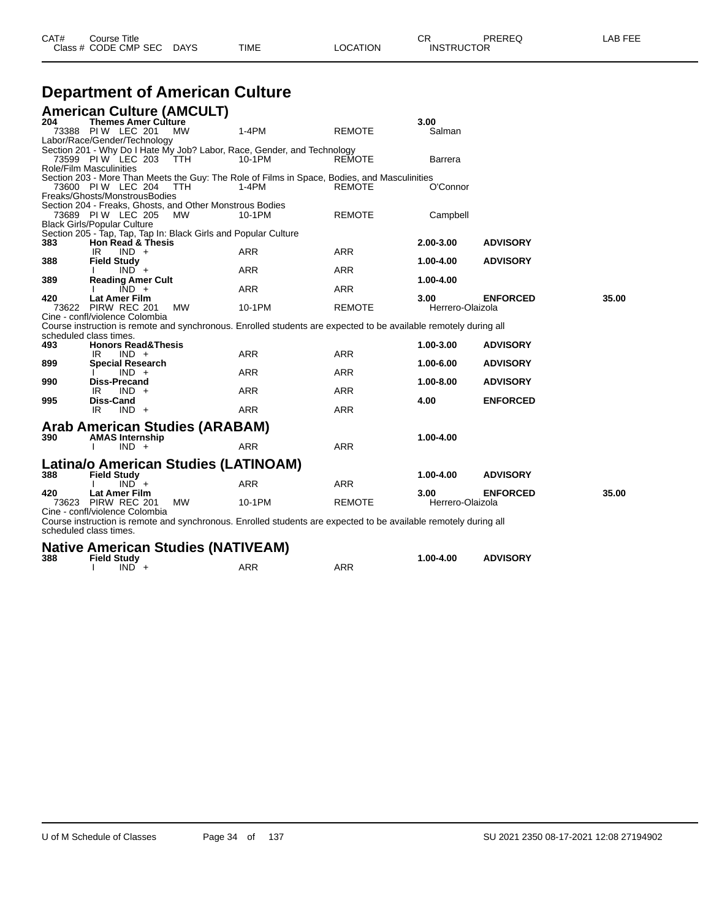| <b>Department of American Culture</b> |                                                                 |           |                                                                                                                  |               |                  |                 |       |  |  |
|---------------------------------------|-----------------------------------------------------------------|-----------|------------------------------------------------------------------------------------------------------------------|---------------|------------------|-----------------|-------|--|--|
|                                       | <b>American Culture (AMCULT)</b>                                |           |                                                                                                                  |               |                  |                 |       |  |  |
| 204                                   | <b>Themes Amer Culture</b>                                      |           |                                                                                                                  |               | 3.00             |                 |       |  |  |
|                                       | 73388 PIW LEC 201                                               | <b>MW</b> | $1-4PM$                                                                                                          | <b>REMOTE</b> | Salman           |                 |       |  |  |
|                                       | Labor/Race/Gender/Technology                                    |           | Section 201 - Why Do I Hate My Job? Labor, Race, Gender, and Technology                                          |               |                  |                 |       |  |  |
|                                       | 73599 PIW LEC 203 TTH                                           |           | 10-1PM                                                                                                           | <b>REMOTE</b> | Barrera          |                 |       |  |  |
|                                       | <b>Role/Film Masculinities</b>                                  |           |                                                                                                                  |               |                  |                 |       |  |  |
|                                       |                                                                 |           | Section 203 - More Than Meets the Guy: The Role of Films in Space, Bodies, and Masculinities                     |               |                  |                 |       |  |  |
|                                       | 73600 PIW LEC 204<br>Freaks/Ghosts/MonstrousBodies              | ттн       | 1-4PM                                                                                                            | REMOTE        | O'Connor         |                 |       |  |  |
|                                       | Section 204 - Freaks, Ghosts, and Other Monstrous Bodies        |           |                                                                                                                  |               |                  |                 |       |  |  |
|                                       | 73689 PIW LEC 205                                               | MW.       | 10-1PM                                                                                                           | <b>REMOTE</b> | Campbell         |                 |       |  |  |
|                                       | <b>Black Girls/Popular Culture</b>                              |           |                                                                                                                  |               |                  |                 |       |  |  |
| 383                                   | Section 205 - Tap, Tap, Tap In: Black Girls and Popular Culture |           |                                                                                                                  |               |                  |                 |       |  |  |
|                                       | <b>Hon Read &amp; Thesis</b><br>IR<br>$IND +$                   |           | <b>ARR</b>                                                                                                       | <b>ARR</b>    | 2.00-3.00        | <b>ADVISORY</b> |       |  |  |
| 388                                   | <b>Field Study</b>                                              |           |                                                                                                                  |               | 1.00-4.00        | <b>ADVISORY</b> |       |  |  |
|                                       | $IND +$                                                         |           | <b>ARR</b>                                                                                                       | <b>ARR</b>    |                  |                 |       |  |  |
| 389                                   | <b>Reading Amer Cult</b>                                        |           |                                                                                                                  |               | 1.00-4.00        |                 |       |  |  |
| 420                                   | $IND +$<br><b>Lat Amer Film</b>                                 |           | <b>ARR</b>                                                                                                       | <b>ARR</b>    | 3.00             | <b>ENFORCED</b> | 35.00 |  |  |
|                                       | 73622 PIRW REC 201                                              | <b>MW</b> | 10-1PM                                                                                                           | <b>REMOTE</b> | Herrero-Olaizola |                 |       |  |  |
|                                       | Cine - confl/violence Colombia                                  |           |                                                                                                                  |               |                  |                 |       |  |  |
|                                       |                                                                 |           | Course instruction is remote and synchronous. Enrolled students are expected to be available remotely during all |               |                  |                 |       |  |  |
| 493                                   | scheduled class times.<br><b>Honors Read&amp;Thesis</b>         |           |                                                                                                                  |               | 1.00-3.00        | <b>ADVISORY</b> |       |  |  |
|                                       | $IND +$<br>IR                                                   |           | <b>ARR</b>                                                                                                       | <b>ARR</b>    |                  |                 |       |  |  |
| 899                                   | <b>Special Research</b>                                         |           |                                                                                                                  |               | 1.00-6.00        | <b>ADVISORY</b> |       |  |  |
|                                       | $IND +$                                                         |           | <b>ARR</b>                                                                                                       | <b>ARR</b>    |                  |                 |       |  |  |
| 990                                   | <b>Diss-Precand</b><br>$IND +$                                  |           | <b>ARR</b>                                                                                                       | <b>ARR</b>    | 1.00-8.00        | <b>ADVISORY</b> |       |  |  |
| 995                                   | IR<br><b>Diss-Cand</b>                                          |           |                                                                                                                  |               | 4.00             | <b>ENFORCED</b> |       |  |  |
|                                       | IR<br>$IND +$                                                   |           | <b>ARR</b>                                                                                                       | <b>ARR</b>    |                  |                 |       |  |  |
|                                       |                                                                 |           |                                                                                                                  |               |                  |                 |       |  |  |
| 390                                   | Arab American Studies (ARABAM)<br><b>AMAS Internship</b>        |           |                                                                                                                  |               | 1.00-4.00        |                 |       |  |  |
|                                       | $IND +$                                                         |           | <b>ARR</b>                                                                                                       | <b>ARR</b>    |                  |                 |       |  |  |
|                                       |                                                                 |           |                                                                                                                  |               |                  |                 |       |  |  |
|                                       | Latina/o American Studies (LATINOAM)                            |           |                                                                                                                  |               |                  |                 |       |  |  |
| 388                                   | <b>Field Study</b><br>$IND^+$                                   |           | <b>ARR</b>                                                                                                       | <b>ARR</b>    | 1.00-4.00        | <b>ADVISORY</b> |       |  |  |
| 420                                   | <b>Lat Amer Film</b>                                            |           |                                                                                                                  |               | 3.00             | <b>ENFORCED</b> | 35.00 |  |  |
|                                       | 73623 PIRW REC 201                                              | <b>MW</b> | 10-1PM                                                                                                           | <b>REMOTE</b> | Herrero-Olaizola |                 |       |  |  |
|                                       | Cine - confl/violence Colombia                                  |           |                                                                                                                  |               |                  |                 |       |  |  |
|                                       | scheduled class times.                                          |           | Course instruction is remote and synchronous. Enrolled students are expected to be available remotely during all |               |                  |                 |       |  |  |

Class # CODE CMP SEC DAYS TIME LOCATION INSTRUCTOR

|     | <b>Native American Studies (NATIVEAM)</b> |  |     |     |           |                 |  |  |
|-----|-------------------------------------------|--|-----|-----|-----------|-----------------|--|--|
| 388 | <b>Field Study</b><br>$IND +$             |  | ARR | ARR | 1.00-4.00 | <b>ADVISORY</b> |  |  |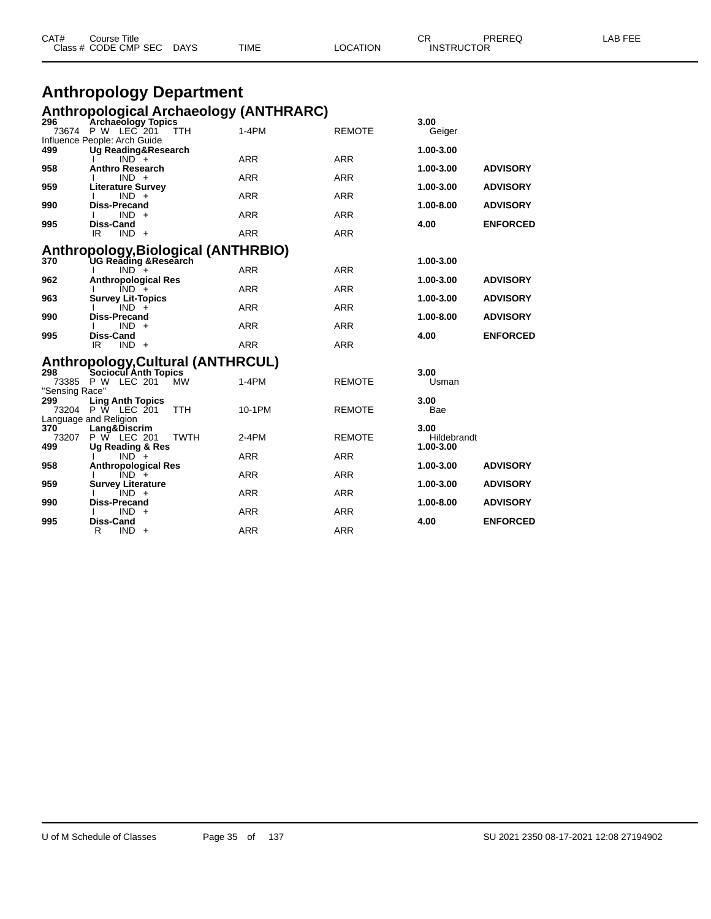|                | <b>Anthropology Department</b>                                          |            |               |             |                 |  |
|----------------|-------------------------------------------------------------------------|------------|---------------|-------------|-----------------|--|
|                | <b>Anthropological Archaeology (ANTHRARC)</b>                           |            |               |             |                 |  |
| 296            | <b>Archaeology Topics</b>                                               |            |               | 3.00        |                 |  |
|                | 73674 P W LEC 201<br>TTH<br>Influence People: Arch Guide                | $1-4PM$    | REMOTE        | Geiger      |                 |  |
| 499            | Ug Reading&Research                                                     |            |               | 1.00-3.00   |                 |  |
| 958            | $IND +$<br><b>Anthro Research</b>                                       | ARR        | <b>ARR</b>    | 1.00-3.00   | <b>ADVISORY</b> |  |
|                | $IND +$                                                                 | ARR        | <b>ARR</b>    |             |                 |  |
| 959            | <b>Literature Survey</b>                                                | <b>ARR</b> | <b>ARR</b>    | 1.00-3.00   | <b>ADVISORY</b> |  |
| 990            | $IND +$<br><b>Diss-Precand</b>                                          |            |               | 1.00-8.00   | <b>ADVISORY</b> |  |
|                | $IND +$                                                                 | <b>ARR</b> | <b>ARR</b>    |             |                 |  |
| 995            | <b>Diss-Cand</b><br>IR<br>$IND +$                                       | <b>ARR</b> | <b>ARR</b>    | 4.00        | <b>ENFORCED</b> |  |
|                |                                                                         |            |               |             |                 |  |
| 370            | Anthropology, Biological (ANTHRBIO)<br><b>UG Reading &amp; Research</b> |            | 1.00-3.00     |             |                 |  |
|                | $IND +$                                                                 | <b>ARR</b> | <b>ARR</b>    |             |                 |  |
| 962            | <b>Anthropological Res</b>                                              | <b>ARR</b> | <b>ARR</b>    | 1.00-3.00   | <b>ADVISORY</b> |  |
| 963            | $IND +$<br><b>Survey Lit-Topics</b>                                     |            |               | 1.00-3.00   | <b>ADVISORY</b> |  |
|                | $IND +$                                                                 | <b>ARR</b> | <b>ARR</b>    |             |                 |  |
| 990            | <b>Diss-Precand</b><br>$IND +$                                          | <b>ARR</b> | <b>ARR</b>    | 1.00-8.00   | <b>ADVISORY</b> |  |
| 995            | <b>Diss-Cand</b>                                                        |            |               | 4.00        | <b>ENFORCED</b> |  |
|                | IR<br>$IND +$                                                           | <b>ARR</b> | <b>ARR</b>    |             |                 |  |
|                | <b>Anthropology, Cultural (ANTHRCUL)</b>                                |            |               |             |                 |  |
| 298            | <b>Sociocul Anth Topics</b><br>73385 P W LEC 201                        | 1-4PM      |               | 3.00        |                 |  |
| "Sensing Race" | MW                                                                      |            | <b>REMOTE</b> | Usman       |                 |  |
| 299            | <b>Ling Anth Topics</b>                                                 |            |               | 3.00        |                 |  |
|                | 73204 P W LEC 201<br><b>TTH</b><br>Language and Religion                | 10-1PM     | <b>REMOTE</b> | Bae         |                 |  |
| 370            | Lang&Discrim                                                            |            |               | 3.00        |                 |  |
| 73207<br>499   | P W LEC 201<br><b>TWTH</b>                                              | 2-4PM      | <b>REMOTE</b> | Hildebrandt |                 |  |
|                | Ug Reading & Res<br>$IND +$                                             | <b>ARR</b> | <b>ARR</b>    | 1.00-3.00   |                 |  |
| 958            | <b>Anthropological Res</b>                                              |            |               | 1.00-3.00   | <b>ADVISORY</b> |  |
| 959            | $IND +$<br><b>Survey Literature</b>                                     | <b>ARR</b> | <b>ARR</b>    | 1.00-3.00   | <b>ADVISORY</b> |  |
|                | $IND +$                                                                 | <b>ARR</b> | <b>ARR</b>    |             |                 |  |
| 990            | Diss-Precand<br>$IND +$                                                 | <b>ARR</b> | <b>ARR</b>    | 1.00-8.00   | <b>ADVISORY</b> |  |
| 995            | <b>Diss-Cand</b>                                                        |            |               | 4.00        | <b>ENFORCED</b> |  |

CAT# Course Title Case CR PREREQ LAB FEE

Class # CODE CMP SEC DAYS TIME LOCATION INSTRUCTOR

R IND + ARR ARR ARR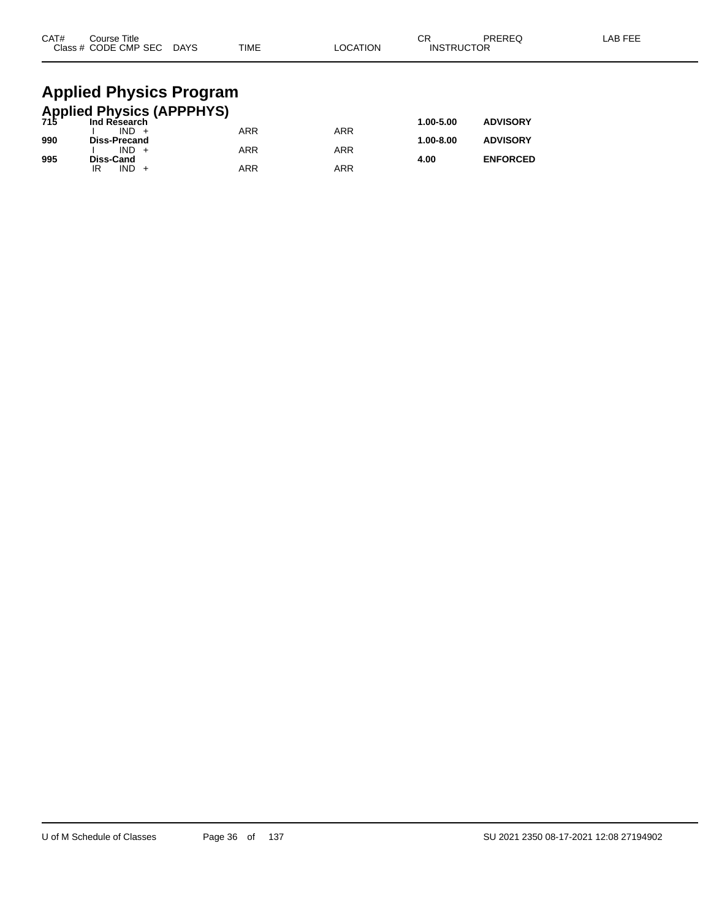| CAT#                                                 | Course Title<br>Class # CODE CMP SEC DAYS |  | <b>TIME</b> | <b>LOCATION</b> | СR<br><b>INSTRUCTOR</b> | PREREQ          | LAB FEE |  |  |  |  |  |  |
|------------------------------------------------------|-------------------------------------------|--|-------------|-----------------|-------------------------|-----------------|---------|--|--|--|--|--|--|
| <b>Applied Physics Program</b>                       |                                           |  |             |                 |                         |                 |         |  |  |  |  |  |  |
| <b>Applied Physics (APPPHYS)</b><br>715 Ind Research |                                           |  |             |                 |                         |                 |         |  |  |  |  |  |  |
|                                                      | $IND +$                                   |  | <b>ARR</b>  | <b>ARR</b>      | 1.00-5.00               | <b>ADVISORY</b> |         |  |  |  |  |  |  |
| 990                                                  | <b>Diss-Precand</b>                       |  |             |                 | 1.00-8.00               | <b>ADVISORY</b> |         |  |  |  |  |  |  |
|                                                      | $IND +$                                   |  | ARR         | <b>ARR</b>      |                         |                 |         |  |  |  |  |  |  |

**995 Diss-Cand 4.00 ENFORCED**

IR IND + ARR ARR ARR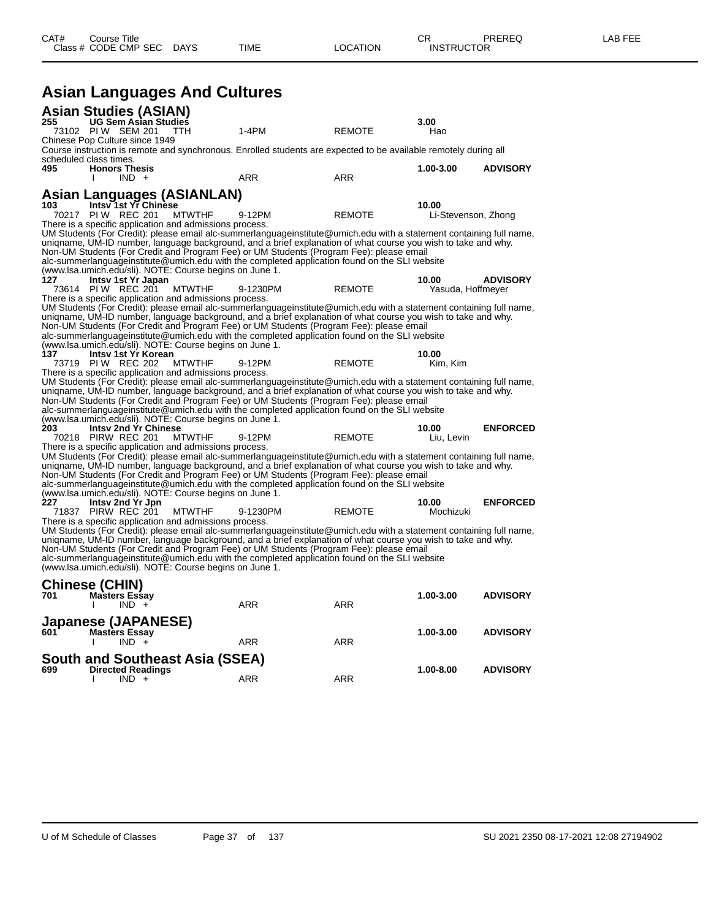| CAT# | Course Title<br>Class # CODE CMP SEC DAYS                                                                          |                                                                                                                    | TIME                                                                                                                                                                                                                                                                                                                                                                                                                             | LOCATION      | СR<br><b>INSTRUCTOR</b>      | PREREQ          | LAB FEE |
|------|--------------------------------------------------------------------------------------------------------------------|--------------------------------------------------------------------------------------------------------------------|----------------------------------------------------------------------------------------------------------------------------------------------------------------------------------------------------------------------------------------------------------------------------------------------------------------------------------------------------------------------------------------------------------------------------------|---------------|------------------------------|-----------------|---------|
|      |                                                                                                                    | <b>Asian Languages And Cultures</b>                                                                                |                                                                                                                                                                                                                                                                                                                                                                                                                                  |               |                              |                 |         |
|      |                                                                                                                    |                                                                                                                    |                                                                                                                                                                                                                                                                                                                                                                                                                                  |               |                              |                 |         |
| 255  | <b>Asian Studies (ASIAN)</b><br><b>UG Sem Asian Studies</b><br>73102 PIW SEM 201<br>Chinese Pop Culture since 1949 | <b>TTH</b>                                                                                                         | 1-4PM                                                                                                                                                                                                                                                                                                                                                                                                                            | <b>REMOTE</b> | 3.00<br>Hao                  |                 |         |
|      |                                                                                                                    |                                                                                                                    | Course instruction is remote and synchronous. Enrolled students are expected to be available remotely during all                                                                                                                                                                                                                                                                                                                 |               |                              |                 |         |
|      | scheduled class times.                                                                                             |                                                                                                                    |                                                                                                                                                                                                                                                                                                                                                                                                                                  |               |                              |                 |         |
| 495  | <b>Honors Thesis</b><br>$IND +$                                                                                    |                                                                                                                    | ARR                                                                                                                                                                                                                                                                                                                                                                                                                              | ARR           | 1.00-3.00                    | <b>ADVISORY</b> |         |
|      |                                                                                                                    |                                                                                                                    |                                                                                                                                                                                                                                                                                                                                                                                                                                  |               |                              |                 |         |
|      | Intsy 1st Yr Chinese                                                                                               | Asian Languages (ASIANLAN)                                                                                         |                                                                                                                                                                                                                                                                                                                                                                                                                                  |               |                              |                 |         |
| 103  | 70217 PIW REC 201                                                                                                  | <b>MTWTHF</b>                                                                                                      | 9-12PM                                                                                                                                                                                                                                                                                                                                                                                                                           | <b>REMOTE</b> | 10.00<br>Li-Stevenson, Zhong |                 |         |
|      |                                                                                                                    | There is a specific application and admissions process.                                                            |                                                                                                                                                                                                                                                                                                                                                                                                                                  |               |                              |                 |         |
|      |                                                                                                                    |                                                                                                                    | UM Students (For Credit): please email alc-summerlanguageinstitute@umich.edu with a statement containing full name,<br>uniqname, UM-ID number, language background, and a brief explanation of what course you wish to take and why.<br>Non-UM Students (For Credit and Program Fee) or UM Students (Program Fee): please email<br>alc-summerlanguageinstitute@umich.edu with the completed application found on the SLI website |               |                              |                 |         |
|      |                                                                                                                    | (www.lsa.umich.edu/sli). NOTE: Course begins on June 1.                                                            |                                                                                                                                                                                                                                                                                                                                                                                                                                  |               |                              |                 |         |
| 127  | Intsy 1st Yr Japan                                                                                                 |                                                                                                                    |                                                                                                                                                                                                                                                                                                                                                                                                                                  |               | 10.00                        | <b>ADVISORY</b> |         |
|      | 73614 PIW REC 201                                                                                                  | <b>MTWTHF</b><br>There is a specific application and admissions process.                                           | 9-1230PM                                                                                                                                                                                                                                                                                                                                                                                                                         | <b>REMOTE</b> | Yasuda, Hoffmeyer            |                 |         |
|      |                                                                                                                    |                                                                                                                    | UM Students (For Credit): please email alc-summerlanguageinstitute@umich.edu with a statement containing full name,<br>uniqname, UM-ID number, language background, and a brief explanation of what course you wish to take and why.<br>Non-UM Students (For Credit and Program Fee) or UM Students (Program Fee): please email<br>alc-summerlanguageinstitute@umich.edu with the completed application found on the SLI website |               |                              |                 |         |
|      |                                                                                                                    | (www.lsa.umich.edu/sli). NOTE: Course begins on June 1.                                                            |                                                                                                                                                                                                                                                                                                                                                                                                                                  |               |                              |                 |         |
| 137  | Intsy 1st Yr Korean                                                                                                |                                                                                                                    |                                                                                                                                                                                                                                                                                                                                                                                                                                  |               | 10.00                        |                 |         |
|      | 73719 PIW REC 202                                                                                                  | <b>MTWTHF</b><br>There is a specific application and admissions process.                                           | 9-12PM                                                                                                                                                                                                                                                                                                                                                                                                                           | <b>REMOTE</b> | Kim, Kim                     |                 |         |
|      |                                                                                                                    | (www.lsa.umich.edu/sli). NOTE: Course begins on June 1.                                                            | UM Students (For Credit): please email alc-summerlanguageinstitute@umich.edu with a statement containing full name,<br>uniqname, UM-ID number, language background, and a brief explanation of what course you wish to take and why.<br>Non-UM Students (For Credit and Program Fee) or UM Students (Program Fee): please email<br>alc-summerlanguageinstitute@umich.edu with the completed application found on the SLI website |               |                              |                 |         |
| 203  | <b>Intsy 2nd Yr Chinese</b>                                                                                        |                                                                                                                    |                                                                                                                                                                                                                                                                                                                                                                                                                                  |               | 10.00                        | <b>ENFORCED</b> |         |
|      | 70218 PIRW REC 201                                                                                                 | <b>MTWTHF</b>                                                                                                      | 9-12PM                                                                                                                                                                                                                                                                                                                                                                                                                           | <b>REMOTE</b> | Liu, Levin                   |                 |         |
|      |                                                                                                                    | There is a specific application and admissions process.<br>(www.lsa.umich.edu/sli). NOTE: Course begins on June 1. | UM Students (For Credit): please email alc-summerlanguageinstitute@umich.edu with a statement containing full name,<br>uniqname, UM-ID number, language background, and a brief explanation of what course you wish to take and why.<br>Non-UM Students (For Credit and Program Fee) or UM Students (Program Fee): please email<br>alc-summerlanguageinstitute@umich.edu with the completed application found on the SLI website |               |                              |                 |         |
| 227  | Intsy 2nd Yr Jpn                                                                                                   |                                                                                                                    |                                                                                                                                                                                                                                                                                                                                                                                                                                  |               | 10.00                        | <b>ENFORCED</b> |         |
|      | 71837 PIRW REC 201                                                                                                 | <b>MTWTHF</b>                                                                                                      | 9-1230PM                                                                                                                                                                                                                                                                                                                                                                                                                         | <b>REMOTE</b> | Mochizuki                    |                 |         |
|      |                                                                                                                    | There is a specific application and admissions process.<br>(www.lsa.umich.edu/sli). NOTE: Course begins on June 1. | UM Students (For Credit): please email alc-summerlanguageinstitute@umich.edu with a statement containing full name,<br>uniqname, UM-ID number, language background, and a brief explanation of what course you wish to take and why.<br>Non-UM Students (For Credit and Program Fee) or UM Students (Program Fee): please email<br>alc-summerlanguageinstitute@umich.edu with the completed application found on the SLI website |               |                              |                 |         |
|      | <b>Chinese (CHIN)</b>                                                                                              |                                                                                                                    |                                                                                                                                                                                                                                                                                                                                                                                                                                  |               |                              |                 |         |
| 701  | <b>Masters Essay</b><br>$IND +$                                                                                    |                                                                                                                    | ARR                                                                                                                                                                                                                                                                                                                                                                                                                              | ARR           | 1.00-3.00                    | <b>ADVISORY</b> |         |
|      | <b>Japanese (JAPANESE)</b>                                                                                         |                                                                                                                    |                                                                                                                                                                                                                                                                                                                                                                                                                                  |               |                              |                 |         |
| 601  | <b>Mastèrs Essay</b>                                                                                               |                                                                                                                    |                                                                                                                                                                                                                                                                                                                                                                                                                                  |               | 1.00-3.00                    | <b>ADVISORY</b> |         |
|      | $IND +$                                                                                                            |                                                                                                                    | ARR                                                                                                                                                                                                                                                                                                                                                                                                                              | ARR           |                              |                 |         |
|      |                                                                                                                    | <b>South and Southeast Asia (SSEA)</b>                                                                             |                                                                                                                                                                                                                                                                                                                                                                                                                                  |               |                              |                 |         |
| 699  | <b>Directed Readings</b>                                                                                           |                                                                                                                    |                                                                                                                                                                                                                                                                                                                                                                                                                                  |               | 1.00-8.00                    | <b>ADVISORY</b> |         |
|      | $IND +$                                                                                                            |                                                                                                                    | ARR                                                                                                                                                                                                                                                                                                                                                                                                                              | ARR           |                              |                 |         |
|      |                                                                                                                    |                                                                                                                    |                                                                                                                                                                                                                                                                                                                                                                                                                                  |               |                              |                 |         |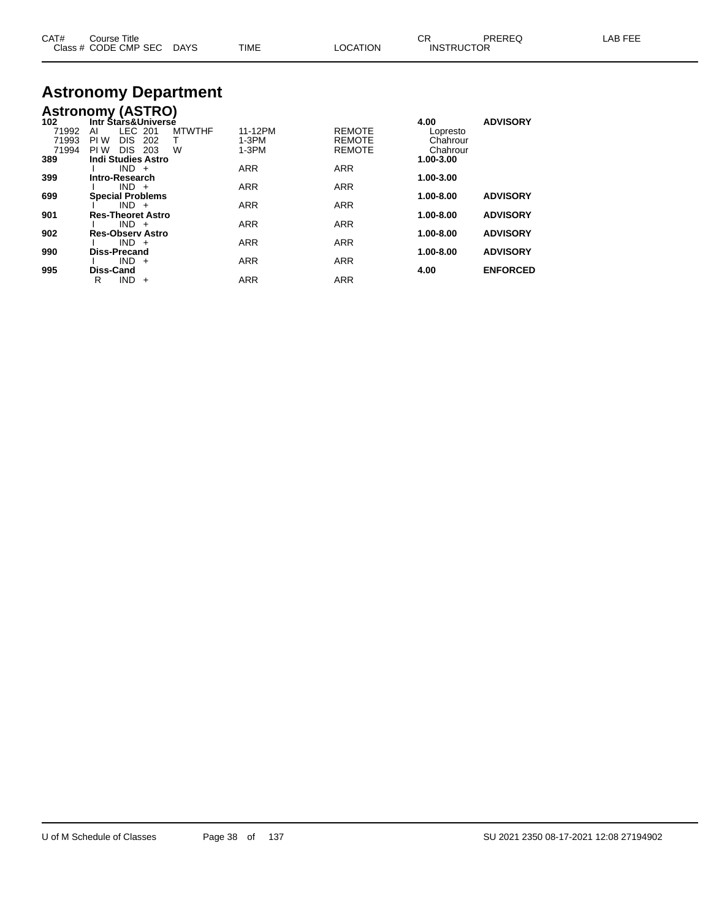| CAT# | Course Title              |             |                 |                   | PREREQ | LAB FEE |
|------|---------------------------|-------------|-----------------|-------------------|--------|---------|
|      | Class # CODE CMP SEC DAYS | <b>TIME</b> | <b>LOCATION</b> | <b>INSTRUCTOR</b> |        |         |
|      |                           |             |                 |                   |        |         |

### **Astronomy Department**

|       | <b>Astronomy (ASTRO)</b>  |               |            |               |               |                 |
|-------|---------------------------|---------------|------------|---------------|---------------|-----------------|
| 102   | Intr Stars&Universe       |               |            |               | 4.00          | <b>ADVISORY</b> |
| 71992 | LEC 201<br>AI             | <b>MTWTHF</b> | 11-12PM    | <b>REMOTE</b> | Lopresto      |                 |
| 71993 | <b>DIS</b><br>PI W<br>202 | т             | $1-3PM$    | <b>REMOTE</b> | Chahrour      |                 |
| 71994 | PI W<br>DIS 203           | W             | $1-3PM$    | <b>REMOTE</b> | Chahrour      |                 |
| 389   | <b>Indi Studies Astro</b> |               |            |               | 1.00-3.00     |                 |
|       | $IND +$                   |               | <b>ARR</b> | <b>ARR</b>    |               |                 |
| 399   | Intro-Research            |               |            |               | 1.00-3.00     |                 |
|       | $IND +$                   |               | <b>ARR</b> | <b>ARR</b>    |               |                 |
| 699   | <b>Special Problems</b>   |               |            |               | $1.00 - 8.00$ | <b>ADVISORY</b> |
|       | $IND +$                   |               | <b>ARR</b> | <b>ARR</b>    |               |                 |
| 901   | <b>Res-Theoret Astro</b>  |               |            |               | $1.00 - 8.00$ | <b>ADVISORY</b> |
|       | $IND +$                   |               | <b>ARR</b> | <b>ARR</b>    |               |                 |
| 902   | <b>Res-Observ Astro</b>   |               |            |               | $1.00 - 8.00$ | <b>ADVISORY</b> |
|       | $IND +$                   |               | <b>ARR</b> | <b>ARR</b>    |               |                 |
| 990   | <b>Diss-Precand</b>       |               |            |               | 1.00-8.00     | <b>ADVISORY</b> |
|       | $IND +$                   |               | <b>ARR</b> | <b>ARR</b>    |               |                 |
| 995   | Diss-Cand                 |               |            |               | 4.00          | <b>ENFORCED</b> |
|       | $IND +$<br>R              |               | <b>ARR</b> | <b>ARR</b>    |               |                 |
|       |                           |               |            |               |               |                 |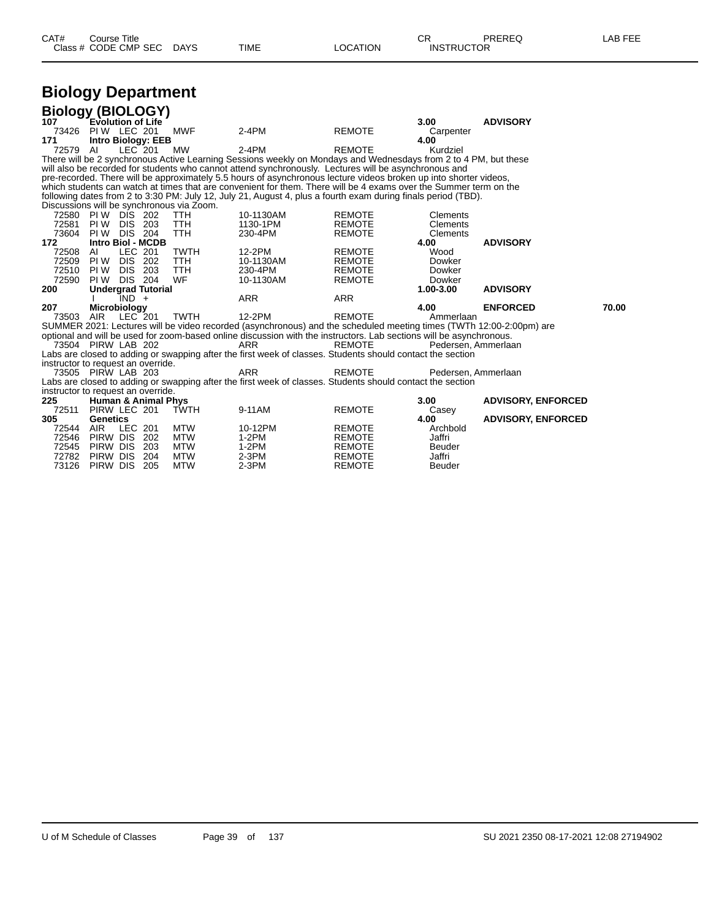| CAT# | Title<br>Course      |             |      |                | ⌒冖<br><b>UN</b>   | PREREQ | ---<br>ΔR.<br>노니니 |
|------|----------------------|-------------|------|----------------|-------------------|--------|-------------------|
|      | Class # CODE CMP SEC | <b>DAYS</b> | TIME | <b>OCATION</b> | <b>INSTRUCTOR</b> |        |                   |

## **Biology Department**

| <b>Biology (BIOLOGY)</b>                  |                                  |                    |                                |                                           |                                                                                                                     |                                |                         |                           |       |
|-------------------------------------------|----------------------------------|--------------------|--------------------------------|-------------------------------------------|---------------------------------------------------------------------------------------------------------------------|--------------------------------|-------------------------|---------------------------|-------|
| 107                                       | <b>Evolution of Life</b>         |                    |                                |                                           |                                                                                                                     |                                | 3.00                    | <b>ADVISORY</b>           |       |
| 73426                                     | <b>PIW LEC 201</b>               |                    |                                | <b>MWF</b>                                | 2-4PM                                                                                                               | <b>REMOTE</b>                  | Carpenter               |                           |       |
| 171                                       |                                  |                    | <b>Intro Biology: EEB</b>      |                                           |                                                                                                                     |                                | 4.00                    |                           |       |
| 72579                                     | AI                               | LEC 201            |                                | <b>MW</b>                                 | 2-4PM                                                                                                               | <b>REMOTE</b>                  | Kurdziel                |                           |       |
|                                           |                                  |                    |                                |                                           | There will be 2 synchronous Active Learning Sessions weekly on Mondays and Wednesdays from 2 to 4 PM, but these     |                                |                         |                           |       |
|                                           |                                  |                    |                                |                                           | will also be recorded for students who cannot attend synchronously. Lectures will be asynchronous and               |                                |                         |                           |       |
|                                           |                                  |                    |                                |                                           | pre-recorded. There will be approximately 5.5 hours of asynchronous lecture videos broken up into shorter videos,   |                                |                         |                           |       |
|                                           |                                  |                    |                                |                                           | which students can watch at times that are convenient for them. There will be 4 exams over the Summer term on the   |                                |                         |                           |       |
|                                           |                                  |                    |                                |                                           | following dates from 2 to 3:30 PM: July 12, July 21, August 4, plus a fourth exam during finals period (TBD).       |                                |                         |                           |       |
|                                           |                                  |                    |                                | Discussions will be synchronous via Zoom. |                                                                                                                     |                                |                         |                           |       |
| 72580 PIW DIS 202                         |                                  |                    |                                | TTH                                       | 10-1130AM                                                                                                           | <b>REMOTE</b>                  | <b>Clements</b>         |                           |       |
| 72581                                     | PI W                             | DIS.               | 203                            | <b>TTH</b>                                | 1130-1PM                                                                                                            | <b>REMOTE</b>                  | Clements                |                           |       |
| 73604                                     | PI W<br><b>Intro Biol - MCDB</b> | <b>DIS 204</b>     |                                | <b>TTH</b>                                | 230-4PM                                                                                                             | <b>REMOTE</b>                  | Clements                |                           |       |
| 172                                       |                                  |                    |                                |                                           |                                                                                                                     |                                | 4.00                    | <b>ADVISORY</b>           |       |
| 72508                                     | AI                               | LEC 201            |                                | <b>TWTH</b><br><b>TTH</b>                 | 12-2PM<br>10-1130AM                                                                                                 | <b>REMOTE</b><br><b>REMOTE</b> | Wood                    |                           |       |
| 72509<br>72510 PIW                        | PI W                             | DIS 202<br>DIS 203 |                                | <b>TTH</b>                                | 230-4PM                                                                                                             | <b>REMOTE</b>                  | Dowker<br>Dowker        |                           |       |
| 72590                                     | PI W                             | <b>DIS 204</b>     |                                | <b>WF</b>                                 | 10-1130AM                                                                                                           |                                |                         |                           |       |
| 200                                       |                                  |                    | <b>Undergrad Tutorial</b>      |                                           |                                                                                                                     | <b>REMOTE</b>                  | Dowker<br>1.00-3.00     | <b>ADVISORY</b>           |       |
|                                           |                                  |                    |                                |                                           |                                                                                                                     |                                |                         |                           |       |
|                                           |                                  |                    |                                |                                           |                                                                                                                     |                                |                         |                           |       |
|                                           |                                  | IND +              |                                |                                           | <b>ARR</b>                                                                                                          | ARR                            |                         |                           |       |
| 207                                       | <b>Microbiology</b>              |                    |                                |                                           |                                                                                                                     |                                | 4.00                    | <b>ENFORCED</b>           | 70.00 |
| 73503                                     | AIR                              | LEC <sup>201</sup> |                                | <b>TWTH</b>                               | 12-2PM                                                                                                              | <b>REMOTE</b>                  | Ammerlaan               |                           |       |
|                                           |                                  |                    |                                |                                           | SUMMER 2021: Lectures will be video recorded (asynchronous) and the scheduled meeting times (TWTh 12:00-2:00pm) are |                                |                         |                           |       |
|                                           |                                  |                    |                                |                                           | optional and will be used for zoom-based online discussion with the instructors. Lab sections will be asynchronous. |                                |                         |                           |       |
| 73504 PIRW LAB 202                        |                                  |                    |                                |                                           | ARR                                                                                                                 | REMOTE                         | Pedersen, Ammerlaan     |                           |       |
|                                           |                                  |                    |                                |                                           | Labs are closed to adding or swapping after the first week of classes. Students should contact the section          |                                |                         |                           |       |
| instructor to request an override.        |                                  |                    |                                |                                           |                                                                                                                     |                                |                         |                           |       |
| 73505 PIRW LAB 203                        |                                  |                    |                                |                                           | ARR                                                                                                                 | REMOTE                         | Pedersen, Ammerlaan     |                           |       |
|                                           |                                  |                    |                                |                                           | Labs are closed to adding or swapping after the first week of classes. Students should contact the section          |                                |                         |                           |       |
| instructor to request an override.<br>225 |                                  |                    | <b>Human &amp; Animal Phys</b> |                                           |                                                                                                                     |                                | 3.00                    | <b>ADVISORY, ENFORCED</b> |       |
| 72511                                     | PIRW LEC 201                     |                    |                                | <b>TWTH</b>                               | 9-11AM                                                                                                              | <b>REMOTE</b>                  | Casey                   |                           |       |
| 305                                       | Genetics                         |                    |                                |                                           |                                                                                                                     |                                | 4.00                    | <b>ADVISORY, ENFORCED</b> |       |
| 72544                                     | AIR.                             | LEC 201            |                                | <b>MTW</b>                                | 10-12PM                                                                                                             | <b>REMOTE</b>                  | Archbold                |                           |       |
| 72546                                     | PIRW DIS                         |                    | 202                            | MTW                                       | 1-2PM                                                                                                               | <b>REMOTE</b>                  | Jaffri                  |                           |       |
| 72545                                     | PIRW DIS                         |                    | 203                            | MTW                                       | $1-2PM$                                                                                                             | <b>REMOTE</b>                  | Beuder                  |                           |       |
| 72782<br>73126                            | PIRW DIS<br>PIRW DIS             |                    | 204<br>205                     | <b>MTW</b><br><b>MTW</b>                  | $2-3PM$<br>$2-3PM$                                                                                                  | <b>REMOTE</b><br><b>REMOTE</b> | Jaffri<br><b>Beuder</b> |                           |       |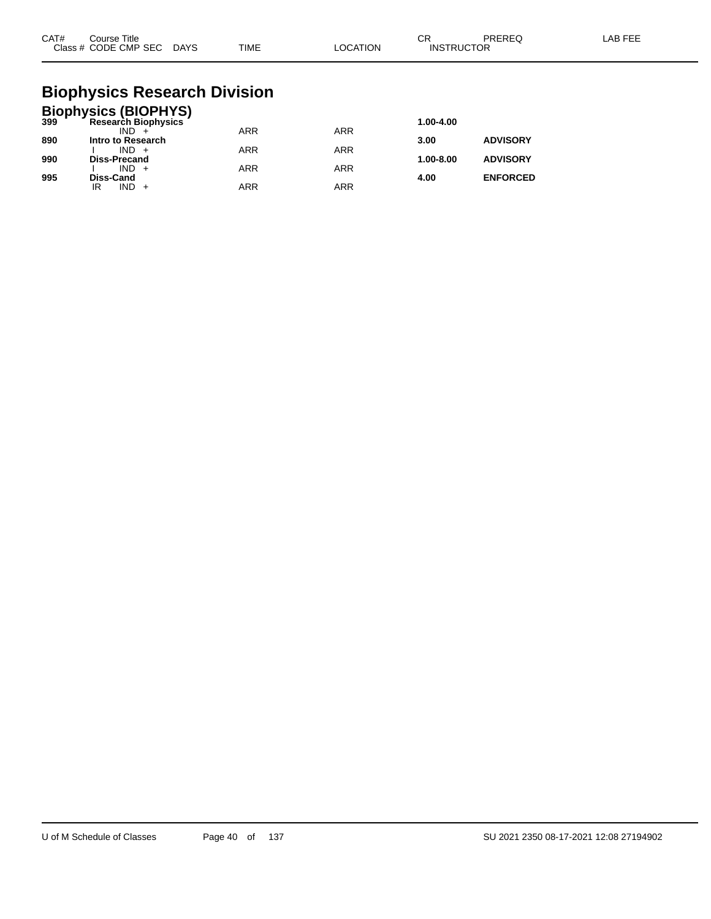| CAT# | Course Title<br>Class # CODE CMP SEC DAYS | <b>TIME</b> | LOCATION | СR<br><b>INSTRUCTOR</b> | PREREQ | LAB FEE |
|------|-------------------------------------------|-------------|----------|-------------------------|--------|---------|
|      |                                           |             |          |                         |        |         |

### **Biophysics Research Division**

|     | <b>Biophysics (BIOPHYS)</b><br>399 Research Biophysics |            |            |           |                 |
|-----|--------------------------------------------------------|------------|------------|-----------|-----------------|
|     |                                                        |            |            | 1.00-4.00 |                 |
|     | $IND +$                                                | <b>ARR</b> | <b>ARR</b> |           |                 |
| 890 | Intro to Research                                      |            |            | 3.00      | <b>ADVISORY</b> |
|     | $IND +$                                                | <b>ARR</b> | <b>ARR</b> |           |                 |
| 990 | <b>Diss-Precand</b>                                    |            |            | 1.00-8.00 | <b>ADVISORY</b> |
|     | $IND +$                                                | <b>ARR</b> | <b>ARR</b> |           |                 |
| 995 | Diss-Cand                                              |            |            | 4.00      | <b>ENFORCED</b> |
|     | IND.<br>IR                                             | <b>ARR</b> | ARR        |           |                 |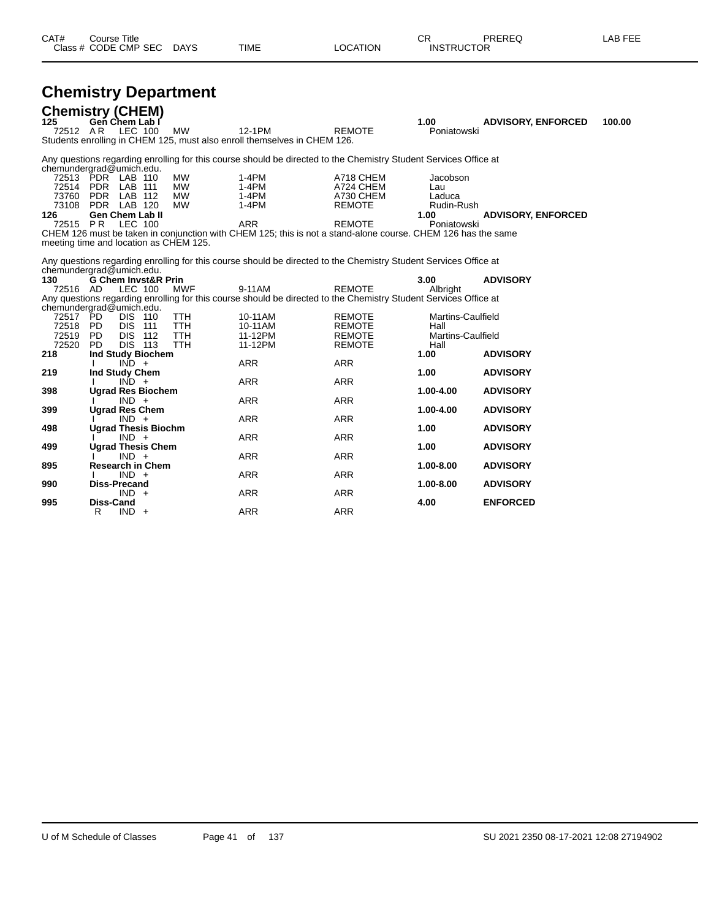| CAT# | Title<br>Course      |      |      |          | Ωn<br>◡∩          | PREREQ | . EEF<br>AR. |
|------|----------------------|------|------|----------|-------------------|--------|--------------|
|      | Class # CODE CMP SEC | DAYS | TIME | LOCATION | <b>INSTRUCTOR</b> |        |              |

## **Chemistry Department**

| 125                  | <b>Chemistry (CHEM)</b><br>Gen Chem Lab I |                          |                                                                                                                            |                                | 1.00                             | <b>ADVISORY, ENFORCED</b> | 100.00 |
|----------------------|-------------------------------------------|--------------------------|----------------------------------------------------------------------------------------------------------------------------|--------------------------------|----------------------------------|---------------------------|--------|
| 72512 AR             | LEC 100                                   | MW                       | 12-1PM<br>Students enrolling in CHEM 125, must also enroll themselves in CHEM 126.                                         | <b>REMOTE</b>                  | Poniatowski                      |                           |        |
|                      | chemundergrad@umich.edu.                  |                          | Any questions regarding enrolling for this course should be directed to the Chemistry Student Services Office at           |                                |                                  |                           |        |
|                      | 72513 PDR LAB 110<br>72514 PDR LAB 111    | <b>MW</b><br><b>MW</b>   | $1-4PM$<br>$1-4PM$                                                                                                         | A718 CHEM<br>A724 CHEM         | Jacobson<br>Lau                  |                           |        |
| 73108                | 73760 PDR LAB 112<br>PDR LAB 120          | <b>MW</b><br><b>MW</b>   | $1-4PM$<br>$1-4PM$                                                                                                         | A730 CHEM<br><b>REMOTE</b>     | Laduca<br>Rudin-Rush             |                           |        |
| 126<br>72515 PR      | <b>Gen Chem Lab II</b><br><b>LEC 100</b>  |                          | <b>ARR</b><br>CHEM 126 must be taken in conjunction with CHEM 125; this is not a stand-alone course. CHEM 126 has the same | <b>REMOTE</b>                  | 1.00<br>Poniatowski              | <b>ADVISORY, ENFORCED</b> |        |
|                      | meeting time and location as CHEM 125.    |                          |                                                                                                                            |                                |                                  |                           |        |
|                      | chemundergrad@umich.edu.                  |                          | Any questions regarding enrolling for this course should be directed to the Chemistry Student Services Office at           |                                |                                  |                           |        |
| 130<br>72516 AD      | <b>G Chem Invst&amp;R Prin</b><br>LEC 100 | <b>MWF</b>               | 9-11AM                                                                                                                     | <b>REMOTE</b>                  | 3.00<br>Albright                 | <b>ADVISORY</b>           |        |
|                      | chemundergrad@umich.edu.                  |                          | Any questions regarding enrolling for this course should be directed to the Chemistry Student Services Office at           |                                |                                  |                           |        |
| 72517 PD<br>72518 PD | <b>DIS 110</b><br><b>DIS 111</b>          | <b>TTH</b><br><b>TTH</b> | 10-11AM<br>10-11AM                                                                                                         | <b>REMOTE</b><br><b>REMOTE</b> | <b>Martins-Caulfield</b><br>Hall |                           |        |
| 72519 PD<br>72520    | DIS 112<br><b>DIS 113</b><br>PD.          | <b>TTH</b><br><b>TTH</b> | 11-12PM<br>11-12PM                                                                                                         | <b>REMOTE</b><br>REMOTE        | <b>Martins-Caulfield</b><br>Hall |                           |        |
| 218                  | Ind Study Biochem<br>$IND +$              |                          | <b>ARR</b>                                                                                                                 | <b>ARR</b>                     | 1.00                             | <b>ADVISORY</b>           |        |
| 219                  | Ind Study Chem<br>$IND +$                 |                          | <b>ARR</b>                                                                                                                 | <b>ARR</b>                     | 1.00                             | <b>ADVISORY</b>           |        |
| 398                  | <b>Ugrad Res Biochem</b><br>$IND +$       |                          | <b>ARR</b>                                                                                                                 | <b>ARR</b>                     | 1.00-4.00                        | <b>ADVISORY</b>           |        |
| 399                  | <b>Ugrad Res Chem</b>                     |                          |                                                                                                                            |                                | 1.00-4.00                        | <b>ADVISORY</b>           |        |
| 498                  | $IND +$<br><b>Ugrad Thesis Biochm</b>     |                          | ARR                                                                                                                        | <b>ARR</b>                     | 1.00                             | <b>ADVISORY</b>           |        |
| 499                  | $IND +$<br><b>Ugrad Thesis Chem</b>       |                          | <b>ARR</b>                                                                                                                 | <b>ARR</b>                     | 1.00                             | <b>ADVISORY</b>           |        |
| 895                  | $IND +$<br><b>Research in Chem</b>        |                          | <b>ARR</b>                                                                                                                 | <b>ARR</b>                     | 1.00-8.00                        | <b>ADVISORY</b>           |        |
| 990                  | $IND +$<br><b>Diss-Precand</b>            |                          | <b>ARR</b>                                                                                                                 | <b>ARR</b>                     | 1.00-8.00                        | <b>ADVISORY</b>           |        |
| 995                  | $IND +$<br><b>Diss-Cand</b>               |                          | ARR                                                                                                                        | <b>ARR</b>                     | 4.00                             | <b>ENFORCED</b>           |        |
|                      | R<br>$IND +$                              |                          | <b>ARR</b>                                                                                                                 | <b>ARR</b>                     |                                  |                           |        |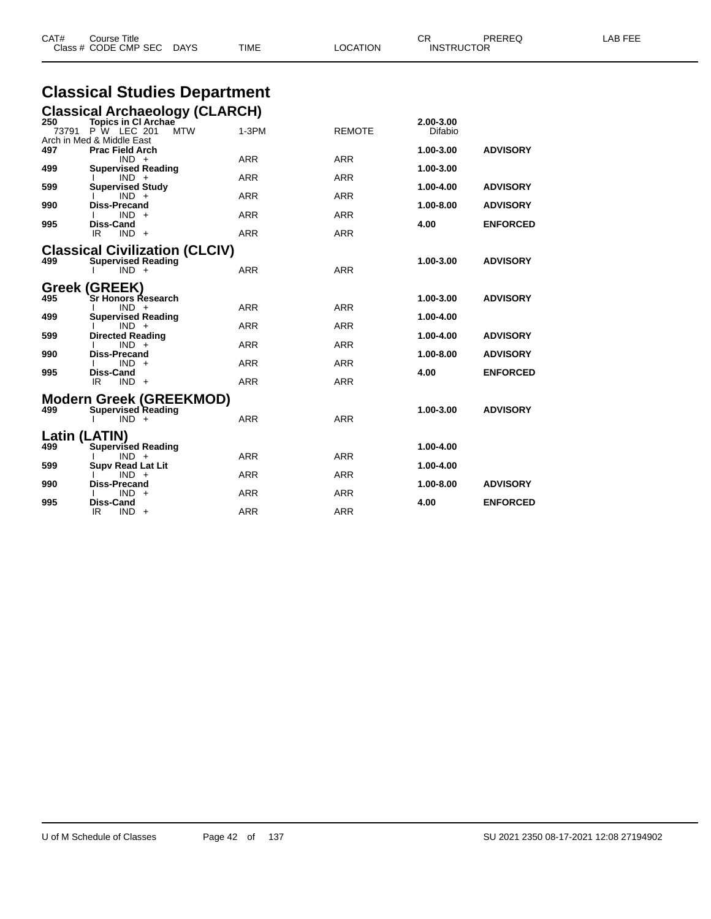|              | Class # CODE CMP SEC<br><b>DAYS</b>                            | TIME       | LOCATION      | <b>INSTRUCTOR</b>    |                 |  |
|--------------|----------------------------------------------------------------|------------|---------------|----------------------|-----------------|--|
|              | <b>Classical Studies Department</b>                            |            |               |                      |                 |  |
|              | <b>Classical Archaeology (CLARCH)</b>                          |            |               |                      |                 |  |
| 250<br>73791 | <b>Topics in CI Archae</b><br><b>P W LEC 201</b><br><b>MTW</b> | $1-3PM$    | <b>REMOTE</b> | 2.00-3.00<br>Difabio |                 |  |
| 497          | Arch in Med & Middle East<br><b>Prac Field Arch</b>            |            |               | 1.00-3.00            | <b>ADVISORY</b> |  |
|              | $IND +$                                                        | <b>ARR</b> | <b>ARR</b>    |                      |                 |  |
| 499          | <b>Supervised Reading</b><br>$IND +$                           | <b>ARR</b> | <b>ARR</b>    | 1.00-3.00            |                 |  |
| 599          | <b>Supervised Study</b>                                        |            |               | 1.00-4.00            | <b>ADVISORY</b> |  |
|              | $IND +$                                                        | ARR        | <b>ARR</b>    |                      |                 |  |
| 990          | Diss-Precand<br>$IND +$                                        | <b>ARR</b> | <b>ARR</b>    | 1.00-8.00            | <b>ADVISORY</b> |  |
| 995          | <b>Diss-Cand</b>                                               |            |               | 4.00                 | <b>ENFORCED</b> |  |
|              | IR<br>$IND +$                                                  | <b>ARR</b> | <b>ARR</b>    |                      |                 |  |
|              | <b>Classical Civilization (CLCIV)</b>                          |            |               |                      |                 |  |
| 499          | <b>Supervised Reading</b>                                      | <b>ARR</b> | <b>ARR</b>    | 1.00-3.00            | <b>ADVISORY</b> |  |
|              | $IND +$                                                        |            |               |                      |                 |  |
|              | <b>Greek (GREEK)</b>                                           |            |               |                      |                 |  |
| 495          | Sr Honors Research<br>$IND +$                                  | <b>ARR</b> | <b>ARR</b>    | 1.00-3.00            | <b>ADVISORY</b> |  |
| 499          | <b>Supervised Reading</b>                                      |            |               | 1.00-4.00            |                 |  |
|              | $IND +$                                                        | <b>ARR</b> | <b>ARR</b>    |                      |                 |  |
| 599          | <b>Directed Reading</b><br>$IND +$                             | <b>ARR</b> | <b>ARR</b>    | 1.00-4.00            | <b>ADVISORY</b> |  |
| 990          | Diss-Precand                                                   |            |               | 1.00-8.00            | <b>ADVISORY</b> |  |
|              | $IND +$                                                        | ARR        | ARR           |                      |                 |  |
| 995          | Diss-Cand<br>IR.<br>$IND +$                                    | <b>ARR</b> | <b>ARR</b>    | 4.00                 | <b>ENFORCED</b> |  |
|              |                                                                |            |               |                      |                 |  |
| 499          | <b>Modern Greek (GREEKMOD)</b><br><b>Supervised Reading</b>    |            |               | 1.00-3.00            | <b>ADVISORY</b> |  |
|              | $IND +$                                                        | <b>ARR</b> | <b>ARR</b>    |                      |                 |  |
|              |                                                                |            |               |                      |                 |  |
| 499          | Latin (LATIN)<br><b>Supervised Reading</b>                     |            |               | 1.00-4.00            |                 |  |
|              | $IND +$                                                        | <b>ARR</b> | <b>ARR</b>    |                      |                 |  |
| 599          | <b>Supv Read Lat Lit</b>                                       |            |               | 1.00-4.00            |                 |  |
| 990          | $IND +$<br>Diss-Precand                                        | <b>ARR</b> | <b>ARR</b>    | 1.00-8.00            | <b>ADVISORY</b> |  |
|              | $IND +$                                                        | ARR        | <b>ARR</b>    |                      |                 |  |
| 995          | <b>Diss-Cand</b><br>IR<br>$IND +$                              | <b>ARR</b> | <b>ARR</b>    | 4.00                 | <b>ENFORCED</b> |  |
|              |                                                                |            |               |                      |                 |  |

CAT# Course Title Case CR PREREQ LAB FEE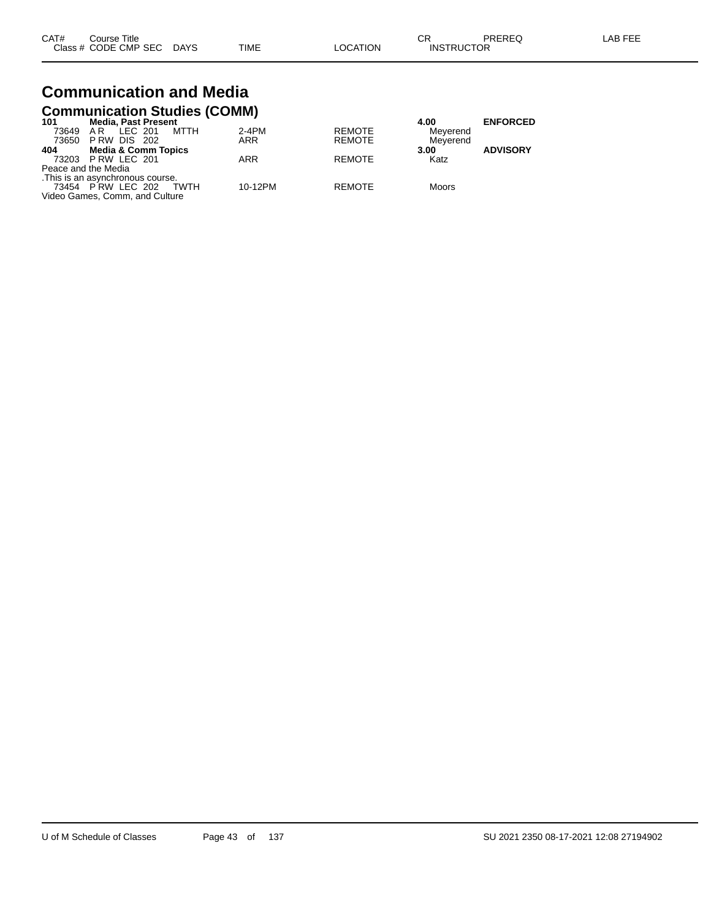| CAT# | Course Title              |      |                 | СR                | PREREQ | LAB FEE |
|------|---------------------------|------|-----------------|-------------------|--------|---------|
|      | Class # CODE CMP SEC DAYS | TIME | <b>LOCATION</b> | <b>INSTRUCTOR</b> |        |         |

### **Communication and Media Communication Studies (COMM)**

| 101                 | <b>Media, Past Present</b>        |         |               | 4.00     | <b>ENFORCED</b> |
|---------------------|-----------------------------------|---------|---------------|----------|-----------------|
| 73649               | MTTH<br>LEC 201<br>AR             | $2-4PM$ | <b>REMOTE</b> | Meyerend |                 |
|                     | 73650 P RW DIS 202                | ARR     | <b>REMOTE</b> | Meverend |                 |
| 404                 | <b>Media &amp; Comm Topics</b>    |         |               | 3.00     | <b>ADVISORY</b> |
|                     | 73203 PRW LEC 201                 | ARR     | <b>REMOTE</b> | Katz     |                 |
| Peace and the Media |                                   |         |               |          |                 |
|                     | . This is an asynchronous course. |         |               |          |                 |
|                     | 73454 PRW LEC 202<br>TWTH         | 10-12PM | <b>REMOTE</b> | Moors    |                 |
|                     | Video Games, Comm, and Culture    |         |               |          |                 |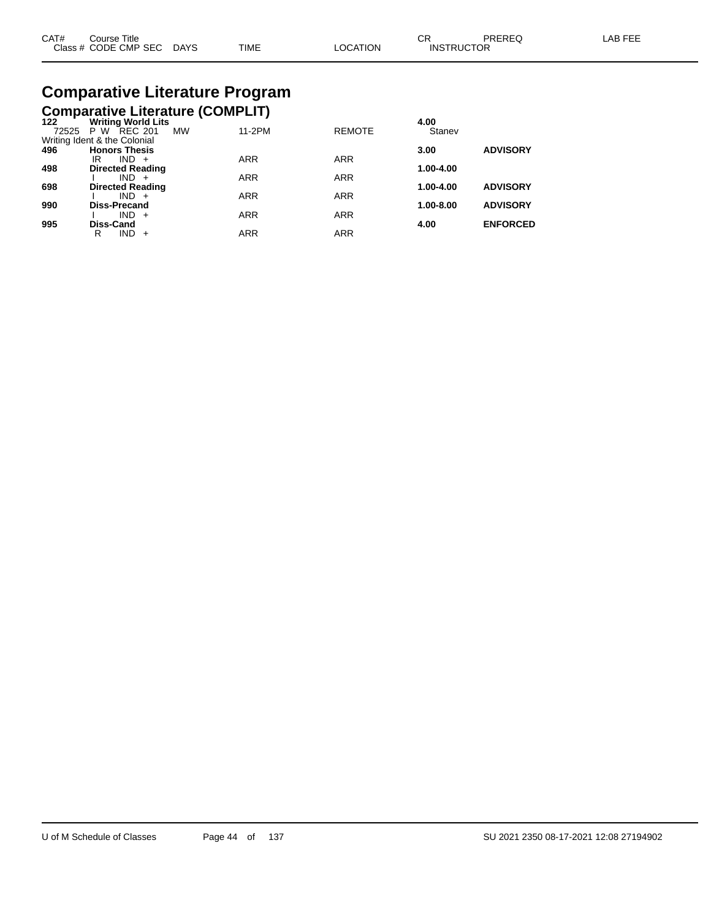| CAT# | Title<br>Course      |             |             |                | ⌒冖<br>◡           | PREREQ | _AB FEF |
|------|----------------------|-------------|-------------|----------------|-------------------|--------|---------|
|      | Class # CODE CMP SEC | <b>DAYS</b> | <b>TIME</b> | <b>OCATION</b> | <b>INSTRUCTOR</b> |        |         |

# **Comparative Literature Program**

|      | <b>Comparative Literature (COMPLIT)</b> |  |
|------|-----------------------------------------|--|
| 122. | Writing Warld Lite                      |  |

| 122   | <b>Writing World Lits</b>          |            |               | 4.00      |                 |
|-------|------------------------------------|------------|---------------|-----------|-----------------|
| 72525 | <b>MW</b><br><b>REC 201</b><br>P W | 11-2PM     | <b>REMOTE</b> | Stanev    |                 |
|       | Writing Ident & the Colonial       |            |               |           |                 |
| 496   | <b>Honors Thesis</b>               |            |               | 3.00      | <b>ADVISORY</b> |
|       | ΙR<br>$IND +$                      | <b>ARR</b> | <b>ARR</b>    |           |                 |
| 498   | <b>Directed Reading</b>            |            |               | 1.00-4.00 |                 |
|       | $IND +$                            | <b>ARR</b> | <b>ARR</b>    |           |                 |
| 698   | <b>Directed Reading</b>            |            |               | 1.00-4.00 | <b>ADVISORY</b> |
|       | $IND +$                            | <b>ARR</b> | <b>ARR</b>    |           |                 |
| 990   | <b>Diss-Precand</b>                |            |               | 1.00-8.00 | <b>ADVISORY</b> |
|       | $IND +$                            | <b>ARR</b> | <b>ARR</b>    |           |                 |
| 995   | Diss-Cand                          |            |               | 4.00      | <b>ENFORCED</b> |
|       | $IND +$<br>R                       | <b>ARR</b> | ARR           |           |                 |
|       |                                    |            |               |           |                 |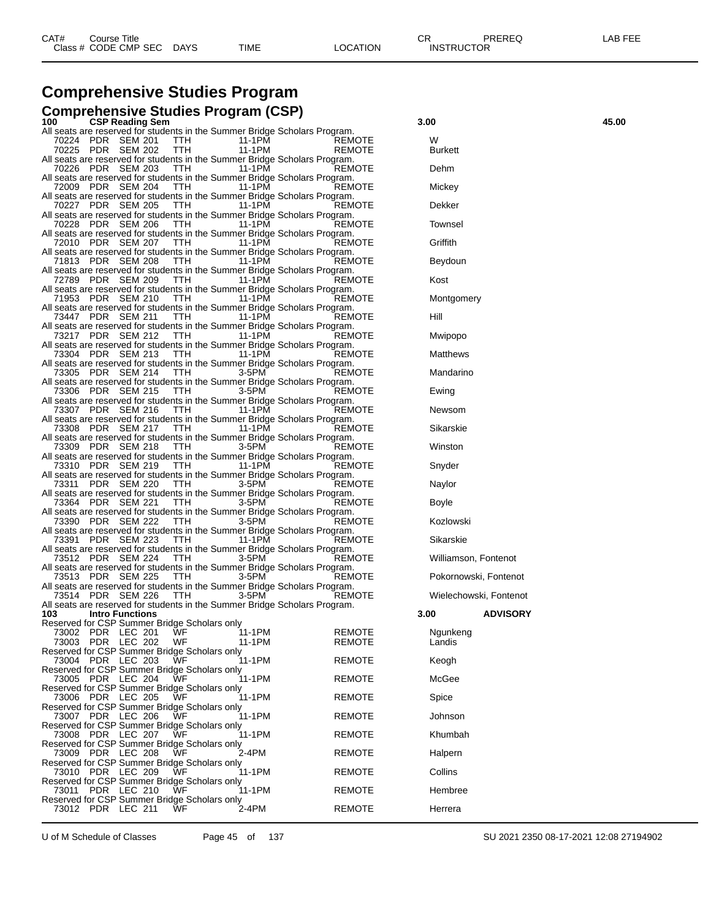## **Comprehensive Studies Program**

#### **Comprehensive Studies Program (CSP)**

| 100   | <b>CSP Reading Sem</b>                                                                                        |                  |                  | 3.00                |                        | 45.00 |
|-------|---------------------------------------------------------------------------------------------------------------|------------------|------------------|---------------------|------------------------|-------|
|       | All seats are reserved for students in the Summer Bridge Scholars Program.                                    |                  |                  |                     |                        |       |
|       | 70224 PDR SEM 201<br>TTH<br>70225 PDR SEM 202<br><b>TTH</b>                                                   | 11-1PM<br>11-1PM | REMOTE<br>REMOTE | w<br><b>Burkett</b> |                        |       |
|       | All seats are reserved for students in the Summer Bridge Scholars Program.                                    |                  |                  |                     |                        |       |
|       | 70226 PDR SEM 203<br><b>TTH</b>                                                                               | 11-1PM           | REMOTE           | Dehm                |                        |       |
|       | All seats are reserved for students in the Summer Bridge Scholars Program.                                    |                  |                  |                     |                        |       |
|       | 72009 PDR SEM 204<br><b>TTH</b>                                                                               | 11-1 PM          | REMOTE           | Mickey              |                        |       |
|       | All seats are reserved for students in the Summer Bridge Scholars Program.                                    |                  |                  |                     |                        |       |
|       | 70227 PDR SEM 205<br>TTH                                                                                      | 11-1PM           | REMOTE           | Dekker              |                        |       |
|       | All seats are reserved for students in the Summer Bridge Scholars Program.                                    | 11-1PM           | REMOTE           | Townsel             |                        |       |
|       | 70228 PDR SEM 206<br><b>TTH</b><br>All seats are reserved for students in the Summer Bridge Scholars Program. |                  |                  |                     |                        |       |
|       | 72010 PDR SEM 207<br>TTH                                                                                      | 11-1PM           | REMOTE           | Griffith            |                        |       |
|       | All seats are reserved for students in the Summer Bridge Scholars Program.                                    |                  |                  |                     |                        |       |
|       | 71813 PDR SEM 208<br>TTH.                                                                                     | 11-1PM           | REMOTE           | Beydoun             |                        |       |
|       | All seats are reserved for students in the Summer Bridge Scholars Program.                                    |                  |                  |                     |                        |       |
|       | 72789 PDR SEM 209<br><b>TTH</b>                                                                               | 11-1PM           | REMOTE           | Kost                |                        |       |
|       | All seats are reserved for students in the Summer Bridge Scholars Program.<br>71953 PDR SEM 210<br>TTH.       | 11-1PM           | REMOTE           | Montgomery          |                        |       |
|       | All seats are reserved for students in the Summer Bridge Scholars Program.                                    |                  |                  |                     |                        |       |
|       | 73447 PDR SEM 211<br><b>TTH</b>                                                                               | 11-1PM           | REMOTE           | Hill                |                        |       |
|       | All seats are reserved for students in the Summer Bridge Scholars Program.                                    |                  |                  |                     |                        |       |
|       | 73217 PDR SEM 212<br><b>TTH</b>                                                                               | 11-1PM           | REMOTE           | Mwipopo             |                        |       |
|       | All seats are reserved for students in the Summer Bridge Scholars Program.                                    |                  |                  |                     |                        |       |
|       | 73304 PDR SEM 213<br>TTH.                                                                                     | 11-1PM           | REMOTE           | Matthews            |                        |       |
|       | All seats are reserved for students in the Summer Bridge Scholars Program.<br>73305 PDR SEM 214<br>TTH        | 3-5PM            | REMOTE           | Mandarino           |                        |       |
|       | All seats are reserved for students in the Summer Bridge Scholars Program.                                    |                  |                  |                     |                        |       |
|       | 73306 PDR SEM 215<br><b>TTH</b>                                                                               | 3-5PM            | REMOTE           | Ewing               |                        |       |
|       | All seats are reserved for students in the Summer Bridge Scholars Program.                                    |                  |                  |                     |                        |       |
|       | 73307 PDR SEM 216<br>TTH                                                                                      | 11-1PM           | REMOTE           | Newsom              |                        |       |
|       | All seats are reserved for students in the Summer Bridge Scholars Program.                                    |                  |                  |                     |                        |       |
|       | 73308 PDR SEM 217<br>TTH.                                                                                     | 11-1PM           | <b>REMOTE</b>    | Sikarskie           |                        |       |
|       | All seats are reserved for students in the Summer Bridge Scholars Program.<br>73309 PDR SEM 218<br><b>TTH</b> | 3-5PM            | REMOTE           | Winston             |                        |       |
|       | All seats are reserved for students in the Summer Bridge Scholars Program.                                    |                  |                  |                     |                        |       |
|       | 73310 PDR SEM 219<br>TTH.                                                                                     | 11-1PM           | <b>REMOTE</b>    | Snyder              |                        |       |
|       | All seats are reserved for students in the Summer Bridge Scholars Program.                                    |                  |                  |                     |                        |       |
|       | 73311 PDR SEM 220<br>TTH.                                                                                     | 3-5PM            | REMOTE           | Naylor              |                        |       |
|       | All seats are reserved for students in the Summer Bridge Scholars Program.                                    |                  |                  |                     |                        |       |
|       | 73364 PDR SEM 221<br>TTH                                                                                      | 3-5PM            | REMOTE           | Boyle               |                        |       |
|       | All seats are reserved for students in the Summer Bridge Scholars Program.<br>73390 PDR SEM 222<br>TTH.       | 3-5PM            | <b>REMOTE</b>    | Kozlowski           |                        |       |
|       | All seats are reserved for students in the Summer Bridge Scholars Program.                                    |                  |                  |                     |                        |       |
|       | 73391 PDR SEM 223<br>TTH                                                                                      | 11-1PM           | REMOTE           | Sikarskie           |                        |       |
|       | All seats are reserved for students in the Summer Bridge Scholars Program.                                    |                  |                  |                     |                        |       |
|       | 73512 PDR SEM 224<br><b>TTH</b>                                                                               | 3-5PM            | REMOTE           |                     | Williamson, Fontenot   |       |
|       | All seats are reserved for students in the Summer Bridge Scholars Program.                                    |                  |                  |                     |                        |       |
|       | 73513 PDR SEM 225<br>TTH                                                                                      | 3-5PM            | REMOTE           |                     | Pokornowski, Fontenot  |       |
|       | All seats are reserved for students in the Summer Bridge Scholars Program.<br>73514 PDR SEM 226<br>TTH.       | 3-5PM            | REMOTE           |                     | Wielechowski, Fontenot |       |
|       | All seats are reserved for students in the Summer Bridge Scholars Program.                                    |                  |                  |                     |                        |       |
| 103   | <b>Intro Functions</b>                                                                                        |                  |                  | 3.00                | <b>ADVISORY</b>        |       |
|       | Reserved for CSP Summer Bridge Scholars only                                                                  |                  |                  |                     |                        |       |
|       | 73002 PDR LEC 201<br>WF.                                                                                      | 11-1PM           | <b>REMOTE</b>    | Ngunkeng            |                        |       |
|       | 73003 PDR LEC 202<br>WF                                                                                       | 11-1PM           | REMOTE           | Landis              |                        |       |
| 73004 | Reserved for CSP Summer Bridge Scholars only<br>PDR<br>LEC 203<br>WF                                          | 11-1PM           | <b>REMOTE</b>    | Keogh               |                        |       |
|       | Reserved for CSP Summer Bridge Scholars only                                                                  |                  |                  |                     |                        |       |
|       | 73005 PDR LEC 204<br>WF                                                                                       | 11-1PM           | <b>REMOTE</b>    | McGee               |                        |       |
|       | Reserved for CSP Summer Bridge Scholars only                                                                  |                  |                  |                     |                        |       |
| 73006 | LEC 205<br>WF<br>PDR                                                                                          | 11-1PM           | <b>REMOTE</b>    | Spice               |                        |       |
|       | Reserved for CSP Summer Bridge Scholars only                                                                  |                  |                  |                     |                        |       |
| 73007 | PDR LEC 206<br>WF                                                                                             | 11-1PM           | <b>REMOTE</b>    | Johnson             |                        |       |
|       | Reserved for CSP Summer Bridge Scholars only                                                                  | 11-1PM           | <b>REMOTE</b>    | Khumbah             |                        |       |
|       | 73008 PDR LEC 207<br>WF<br>Reserved for CSP Summer Bridge Scholars only                                       |                  |                  |                     |                        |       |
| 73009 | LEC 208<br>WF<br>PDR                                                                                          | 2-4PM            | <b>REMOTE</b>    | Halpern             |                        |       |
|       | Reserved for CSP Summer Bridge Scholars only                                                                  |                  |                  |                     |                        |       |
| 73010 | PDR LEC 209<br>WF                                                                                             | 11-1PM           | <b>REMOTE</b>    | Collins             |                        |       |
|       | Reserved for CSP Summer Bridge Scholars only                                                                  |                  |                  |                     |                        |       |
| 73011 | PDR LEC 210<br>WF                                                                                             | 11-1PM           | <b>REMOTE</b>    | Hembree             |                        |       |
|       | Reserved for CSP Summer Bridge Scholars only<br>73012 PDR LEC 211<br>WF                                       | 2-4PM            | REMOTE           | Herrera             |                        |       |
|       |                                                                                                               |                  |                  |                     |                        |       |

| 3.00                   |                 | 45.00 |
|------------------------|-----------------|-------|
| W<br><b>Burkett</b>    |                 |       |
| Dehm                   |                 |       |
| Mickey                 |                 |       |
| Dekker                 |                 |       |
| <b>Townsel</b>         |                 |       |
| Griffith               |                 |       |
| Beydoun                |                 |       |
| Kost                   |                 |       |
| Montgomery             |                 |       |
| Hill                   |                 |       |
| Mwipopo                |                 |       |
| <b>Matthews</b>        |                 |       |
| Mandarino              |                 |       |
| Ewing                  |                 |       |
| Newsom                 |                 |       |
| Sikarskie              |                 |       |
| Winston                |                 |       |
| Snyder                 |                 |       |
| Naylor                 |                 |       |
| Boyle                  |                 |       |
| Kozlowski              |                 |       |
| Sikarskie              |                 |       |
| Williamson, Fontenot   |                 |       |
| Pokornowski, Fontenot  |                 |       |
| Wielechowski, Fontenot |                 |       |
| 3.00                   | <b>ADVISORY</b> |       |
| Ngunkeng<br>Landis     |                 |       |
| Keogh                  |                 |       |
| McGee                  |                 |       |
| Spice                  |                 |       |
| Johnson                |                 |       |
| Khumbah                |                 |       |
| Halpern                |                 |       |
| Collins                |                 |       |
| Hembree                |                 |       |
| Herrera                |                 |       |

U of M Schedule of Classes Page 45 of 137 SU 2021 2350 08-17-2021 12:08 27194902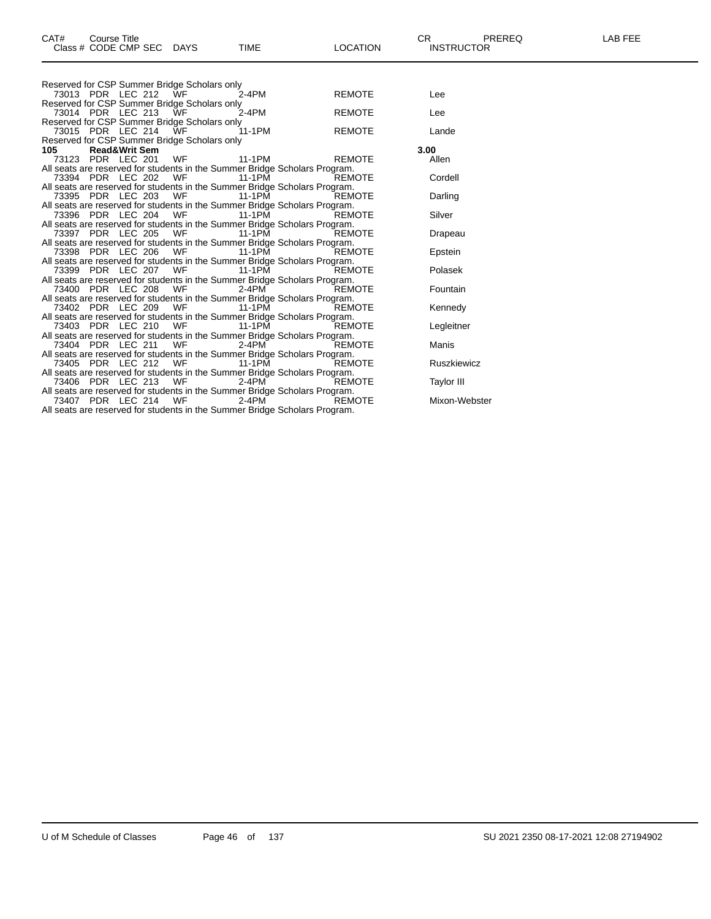| CAT#<br>Course Title<br>Class # CODE CMP SEC DAYS                                                                                                                             |     | <b>TIME</b> | <b>LOCATION</b> | CR.<br><b>INSTRUCTOR</b> | PREREQ | <b>LAB FEE</b> |
|-------------------------------------------------------------------------------------------------------------------------------------------------------------------------------|-----|-------------|-----------------|--------------------------|--------|----------------|
|                                                                                                                                                                               |     |             |                 |                          |        |                |
| Reserved for CSP Summer Bridge Scholars only<br>73013 PDR LEC 212                                                                                                             | WF  | $2-4PM$     | <b>REMOTE</b>   | Lee                      |        |                |
| Reserved for CSP Summer Bridge Scholars only<br>73014 PDR LEC 213                                                                                                             | WF  | $2-4PM$     | <b>REMOTE</b>   | Lee                      |        |                |
| Reserved for CSP Summer Bridge Scholars only<br>73015 PDR LEC 214                                                                                                             | ЙVF | 11-1PM      | <b>REMOTE</b>   | Lande                    |        |                |
| Reserved for CSP Summer Bridge Scholars only<br>105<br><b>Read&amp;Writ Sem</b>                                                                                               |     |             |                 | 3.00                     |        |                |
| 73123 PDR LEC 201                                                                                                                                                             | WF  | 11-1PM      | <b>REMOTE</b>   | Allen                    |        |                |
| All seats are reserved for students in the Summer Bridge Scholars Program.<br>73394 PDR LEC 202                                                                               | WF  | 11-1PM      | REMOTE          | Cordell                  |        |                |
| All seats are reserved for students in the Summer Bridge Scholars Program.<br>73395 PDR LEC 203                                                                               | WF  | 11-1PM      | <b>REMOTE</b>   | Darling                  |        |                |
| All seats are reserved for students in the Summer Bridge Scholars Program.<br>73396 PDR LEC 204                                                                               | WF  | 11-1PM      | <b>REMOTE</b>   | Silver                   |        |                |
| All seats are reserved for students in the Summer Bridge Scholars Program.<br>73397 PDR LEC 205                                                                               | WF  | 11-1PM      | <b>REMOTE</b>   | Drapeau                  |        |                |
| All seats are reserved for students in the Summer Bridge Scholars Program.<br>73398 PDR LEC 206                                                                               | WF  | 11-1PM      | <b>REMOTE</b>   | Epstein                  |        |                |
| All seats are reserved for students in the Summer Bridge Scholars Program.<br>73399 PDR LEC 207                                                                               | WF  | 11-1 PM     | REMOTE          | Polasek                  |        |                |
| All seats are reserved for students in the Summer Bridge Scholars Program.<br>73400 PDR LEC 208<br>All seats are reserved for students in the Summer Bridge Scholars Program. | WF  | $2 - 4 PM$  | REMOTE          | Fountain                 |        |                |
| 73402 PDR LEC 209                                                                                                                                                             | WF  | 11-1PM      | <b>REMOTE</b>   | Kennedy                  |        |                |
| All seats are reserved for students in the Summer Bridge Scholars Program.<br>73403 PDR LEC 210                                                                               | WF  | 11-1 PM     | <b>REMOTE</b>   | Legleitner               |        |                |
| All seats are reserved for students in the Summer Bridge Scholars Program.<br>73404 PDR LEC 211                                                                               | WF  | 2-4PM       | <b>REMOTE</b>   | Manis                    |        |                |
| All seats are reserved for students in the Summer Bridge Scholars Program.<br>73405 PDR LEC 212                                                                               | WF  | 11-1PM      | <b>REMOTE</b>   | <b>Ruszkiewicz</b>       |        |                |
| All seats are reserved for students in the Summer Bridge Scholars Program.<br>73406 PDR LEC 213                                                                               | WF  | $2-4PM$     | REMOTE          | <b>Taylor III</b>        |        |                |
| All seats are reserved for students in the Summer Bridge Scholars Program.<br>73407 PDR LEC 214                                                                               | WF  | 2-4PM       | REMOTE          | Mixon-Webster            |        |                |

All seats are reserved for students in the Summer Bridge Scholars Program.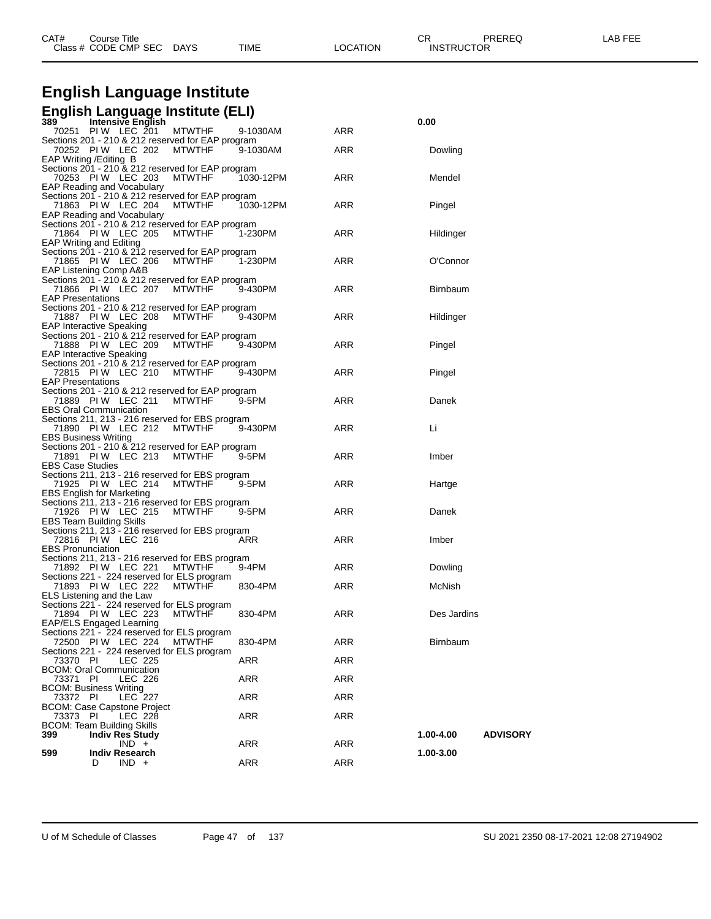| CAT# | Course Title         |             |      |                 | ⌒冖                | PREREQ | _AB<br>. |
|------|----------------------|-------------|------|-----------------|-------------------|--------|----------|
|      | Class # CODE CMP SEC | <b>DAYS</b> | TIME | <b>LOCATION</b> | <b>INSTRUCTOR</b> |        |          |

# **English Language Institute**

## **English Language Institute (ELI) 389 Intensive English 0.00**

| ວ໐ອ                         | <b>INVERSIVE ENGINEER</b>                         |               |           |            | v.vv                         |
|-----------------------------|---------------------------------------------------|---------------|-----------|------------|------------------------------|
|                             | 70251 PIW LEC 201                                 | <b>MTWTHF</b> | 9-1030AM  | ARR        |                              |
|                             | Sections 201 - 210 & 212 reserved for EAP program |               |           |            |                              |
|                             | 70252 PIW LEC 202                                 | <b>MTWTHF</b> | 9-1030AM  | ARR        | Dowling                      |
|                             | EAP Writing / Editing B                           |               |           |            |                              |
|                             | Sections 201 - 210 & 212 reserved for EAP program |               |           |            |                              |
|                             | 70253 PIW LEC 203                                 | <b>MTWTHF</b> | 1030-12PM | ARR        | Mendel                       |
|                             | EAP Reading and Vocabulary                        |               |           |            |                              |
|                             |                                                   |               |           |            |                              |
|                             | Sections 201 - 210 & 212 reserved for EAP program |               |           |            |                              |
|                             | 71863 PIW LEC 204                                 | <b>MTWTHF</b> | 1030-12PM | ARR        | Pingel                       |
|                             | EAP Reading and Vocabulary                        |               |           |            |                              |
|                             | Sections 201 - 210 & 212 reserved for EAP program |               |           |            |                              |
|                             | 71864 PIW LEC 205                                 | MTWTHF        | 1-230PM   | ARR        | Hildinger                    |
|                             | EAP Writing and Editing                           |               |           |            |                              |
|                             | Sections 201 - 210 & 212 reserved for EAP program |               |           |            |                              |
|                             | 71865 PIW LEC 206                                 | MTWTHF        | 1-230PM   | ARR        | O'Connor                     |
|                             |                                                   |               |           |            |                              |
|                             | EAP Listening Comp A&B                            |               |           |            |                              |
|                             | Sections 201 - 210 & 212 reserved for EAP program |               |           |            |                              |
|                             | 71866 PIW LEC 207 MTWTHF                          |               | 9-430PM   | ARR        | Birnbaum                     |
| <b>EAP Presentations</b>    |                                                   |               |           |            |                              |
|                             | Sections 201 - 210 & 212 reserved for EAP program |               |           |            |                              |
|                             | 71887 PIW LEC 208                                 | <b>MTWTHF</b> | 9-430PM   | ARR        | Hildinger                    |
|                             | <b>EAP Interactive Speaking</b>                   |               |           |            |                              |
|                             | Sections 201 - 210 & 212 reserved for EAP program |               |           |            |                              |
|                             | 71888 PIW LEC 209                                 | MTWTHF        | 9-430PM   | ARR        | Pingel                       |
|                             | <b>EAP Interactive Speaking</b>                   |               |           |            |                              |
|                             | Sections 201 - 210 & 212 reserved for EAP program |               |           |            |                              |
|                             |                                                   |               |           |            |                              |
|                             | 72815 PIW LEC 210                                 | MTWTHF        | 9-430PM   | ARR        | Pingel                       |
| <b>EAP Presentations</b>    |                                                   |               |           |            |                              |
|                             | Sections 201 - 210 & 212 reserved for EAP program |               |           |            |                              |
|                             | 71889 PIW LEC 211                                 | <b>MTWTHF</b> | 9-5PM     | ARR        | Danek                        |
|                             | <b>EBS Oral Communication</b>                     |               |           |            |                              |
|                             | Sections 211, 213 - 216 reserved for EBS program  |               |           |            |                              |
|                             | 71890 PIW LEC 212                                 | MTWTHF        | 9-430PM   | ARR        | Li                           |
| <b>EBS Business Writing</b> |                                                   |               |           |            |                              |
|                             | Sections 201 - 210 & 212 reserved for EAP program |               |           |            |                              |
|                             | 71891 PIW LEC 213                                 | MTWTHF        | 9-5PM     | ARR        | Imber                        |
| <b>EBS Case Studies</b>     |                                                   |               |           |            |                              |
|                             |                                                   |               |           |            |                              |
|                             | Sections 211, 213 - 216 reserved for EBS program  |               |           |            |                              |
|                             | 71925 PIW LEC 214                                 | <b>MTWTHF</b> | 9-5PM     | ARR        | Hartge                       |
|                             | EBS English for Marketing                         |               |           |            |                              |
|                             | Sections 211, 213 - 216 reserved for EBS program  |               |           |            |                              |
|                             | 71926 PIW LEC 215                                 | MTWTHF        | 9-5PM     | ARR        | Danek                        |
|                             | <b>EBS Team Building Skills</b>                   |               |           |            |                              |
|                             | Sections 211, 213 - 216 reserved for EBS program  |               |           |            |                              |
|                             | 72816 PIW LEC 216                                 |               | ARR       | ARR        | Imber                        |
| <b>EBS Pronunciation</b>    |                                                   |               |           |            |                              |
|                             | Sections 211, 213 - 216 reserved for EBS program  |               |           |            |                              |
|                             | 71892 PIW LEC 221                                 | <b>MTWTHF</b> | 9-4PM     | ARR        | Dowling                      |
|                             | Sections 221 - 224 reserved for ELS program       |               |           |            |                              |
|                             |                                                   |               |           |            |                              |
|                             | 71893 PIW LEC 222                                 | <b>MTWTHF</b> | 830-4PM   | ARR        | McNish                       |
|                             | ELS Listening and the Law                         |               |           |            |                              |
|                             | Sections 221 - 224 reserved for ELS program       |               |           |            |                              |
|                             | 71894 PIW LEC 223                                 | <b>MTWTHF</b> | 830-4PM   | ARR        | Des Jardins                  |
|                             | <b>EAP/ELS Engaged Learning</b>                   |               |           |            |                              |
|                             | Sections 221 - 224 reserved for ELS program       |               |           |            |                              |
|                             | 72500 PIW LEC 224 MTWTHF                          |               | 830-4PM   | <b>ARR</b> | Birnbaum                     |
|                             | Sections 221 - 224 reserved for ELS program       |               |           |            |                              |
| 73370 PI                    | LEC 225                                           |               | ARR       | ARR        |                              |
|                             | <b>BCOM: Oral Communication</b>                   |               |           |            |                              |
| 73371 PI                    | LEC 226                                           |               | ARR       | ARR        |                              |
|                             |                                                   |               |           |            |                              |
|                             | <b>BCOM: Business Writing</b>                     |               |           |            |                              |
| 73372 PI                    | <b>LEC 227</b>                                    |               | ARR       | <b>ARR</b> |                              |
|                             | <b>BCOM: Case Capstone Project</b>                |               |           |            |                              |
| 73373 PI                    | LEC 228                                           |               | ARR       | ARR        |                              |
|                             | <b>BCOM: Team Building Skills</b>                 |               |           |            |                              |
| 399                         | <b>Indiv Res Study</b>                            |               |           |            | <b>ADVISORY</b><br>1.00-4.00 |
|                             | $IND +$                                           |               | ARR       | ARR        |                              |
| 599                         | <b>Indiv Research</b>                             |               |           |            | 1.00-3.00                    |
|                             | $IND +$<br>D                                      |               | ARR       | ARR        |                              |
|                             |                                                   |               |           |            |                              |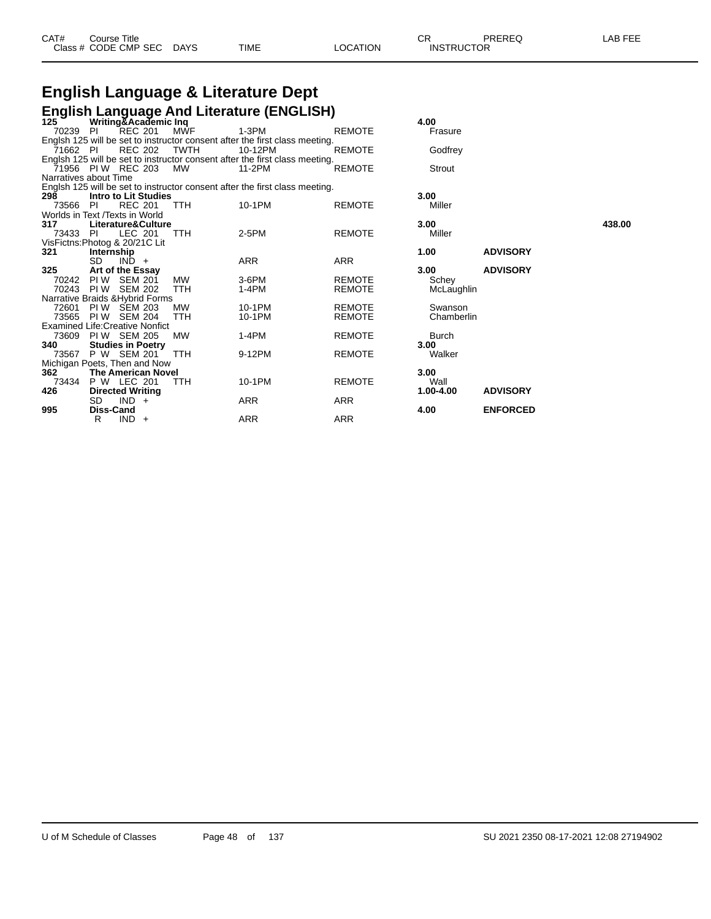| CAT# | ourse Titleٽ<br>Class # CODE CMP SEC DAYS | <b>TIME</b> | <b>LOCATION</b> | ⌒冖<br>◡┍<br><b>INSTRUCTOR</b> | PREREQ | LAB FEE |
|------|-------------------------------------------|-------------|-----------------|-------------------------------|--------|---------|
|      |                                           |             |                 |                               |        |         |

# **English Language & Literature Dept**

|                                        |                  |                             |             | <b>English Language And Literature (ENGLISH)</b>                            |               |              |                 |        |
|----------------------------------------|------------------|-----------------------------|-------------|-----------------------------------------------------------------------------|---------------|--------------|-----------------|--------|
| 125                                    |                  | Writing&Academic Inq        |             |                                                                             |               | 4.00         |                 |        |
| 70239 PI                               |                  | <b>REC 201</b>              | <b>MWF</b>  | $1-3PM$                                                                     | <b>REMOTE</b> | Frasure      |                 |        |
|                                        |                  |                             |             | Englsh 125 will be set to instructor consent after the first class meeting. |               |              |                 |        |
| 71662 PI                               |                  | <b>REC 202</b>              | <b>TWTH</b> | 10-12PM                                                                     | <b>REMOTE</b> | Godfrey      |                 |        |
|                                        |                  |                             |             | Englsh 125 will be set to instructor consent after the first class meeting. |               |              |                 |        |
| 71956 PIW REC 203                      |                  |                             | MW          | 11-2PM                                                                      | <b>REMOTE</b> | Strout       |                 |        |
| Narratives about Time                  |                  |                             |             |                                                                             |               |              |                 |        |
|                                        |                  |                             |             | Englsh 125 will be set to instructor consent after the first class meeting. |               |              |                 |        |
| 298                                    |                  | <b>Intro to Lit Studies</b> |             |                                                                             |               | 3.00         |                 |        |
| 73566                                  | -PI              | <b>REC 201</b>              | <b>TTH</b>  | 10-1PM                                                                      | <b>REMOTE</b> | Miller       |                 |        |
| Worlds in Text /Texts in World         |                  |                             |             |                                                                             |               |              |                 |        |
| 317                                    |                  | Literature&Culture          |             |                                                                             |               | 3.00         |                 | 438.00 |
| 73433                                  | - PI             | LEC 201                     | TTH         | 2-5PM                                                                       | <b>REMOTE</b> | Miller       |                 |        |
| VisFictns: Photog & 20/21C Lit         |                  |                             |             |                                                                             |               |              |                 |        |
| 321                                    | Internship       |                             |             |                                                                             |               | 1.00         | <b>ADVISORY</b> |        |
|                                        | SD.              | $IND +$                     |             | <b>ARR</b>                                                                  | <b>ARR</b>    |              |                 |        |
| 325                                    |                  | Art of the Essay            |             |                                                                             |               | 3.00         | <b>ADVISORY</b> |        |
| 70242                                  | PI W             | SEM 201                     | MW          | 3-6PM                                                                       | <b>REMOTE</b> | Schey        |                 |        |
| 70243                                  | PI W             | <b>SEM 202</b>              | TTH         | $1-4PM$                                                                     | <b>REMOTE</b> | McLaughlin   |                 |        |
| Narrative Braids & Hybrid Forms        |                  |                             |             |                                                                             |               |              |                 |        |
| 72601                                  |                  | <b>PIW SEM 203</b>          | <b>MW</b>   | 10-1PM                                                                      | <b>REMOTE</b> | Swanson      |                 |        |
| 73565                                  |                  | <b>PIW SEM 204</b>          | <b>TTH</b>  | 10-1PM                                                                      | <b>REMOTE</b> | Chamberlin   |                 |        |
| <b>Examined Life: Creative Nonfict</b> |                  |                             |             |                                                                             |               |              |                 |        |
| 73609                                  |                  | <b>PIW SEM 205</b>          | <b>MW</b>   | $1-4PM$                                                                     | <b>REMOTE</b> | <b>Burch</b> |                 |        |
| 340                                    |                  | <b>Studies in Poetry</b>    |             |                                                                             |               | 3.00         |                 |        |
| 73567                                  |                  | P W SEM 201                 | TTH         | 9-12PM                                                                      | <b>REMOTE</b> | Walker       |                 |        |
| Michigan Poets, Then and Now           |                  |                             |             |                                                                             |               |              |                 |        |
| 362                                    |                  | The American Novel          |             |                                                                             |               | 3.00         |                 |        |
| 73434                                  |                  | <b>P W LEC 201</b>          | TTH         | 10-1PM                                                                      | <b>REMOTE</b> | Wall         |                 |        |
| 426                                    |                  | <b>Directed Writing</b>     |             |                                                                             |               | 1.00-4.00    | <b>ADVISORY</b> |        |
|                                        | SD.              | $IND +$                     |             | ARR                                                                         | <b>ARR</b>    |              |                 |        |
| 995                                    | <b>Diss-Cand</b> |                             |             |                                                                             |               | 4.00         | <b>ENFORCED</b> |        |
|                                        | R                | $IND +$                     |             | ARR                                                                         | <b>ARR</b>    |              |                 |        |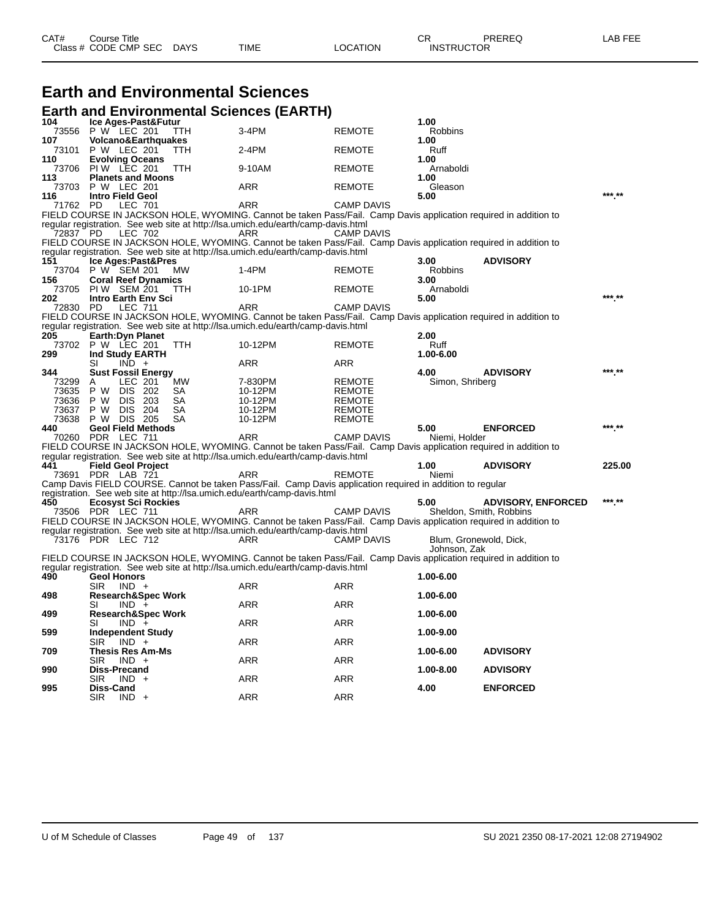| CAT# | ುourse Title         |             |      |          | ⌒冖<br>◡⊓          | PREREQ | AR FFF |
|------|----------------------|-------------|------|----------|-------------------|--------|--------|
|      | Class # CODE CMP SEC | <b>DAYS</b> | TIME | LOCATION | <b>INSTRUCTOR</b> |        |        |

|              |           |                                                 |            | <b>Earth and Environmental Sciences</b>                                                 |                                                                                                                  |                         |                                                      |        |
|--------------|-----------|-------------------------------------------------|------------|-----------------------------------------------------------------------------------------|------------------------------------------------------------------------------------------------------------------|-------------------------|------------------------------------------------------|--------|
| 104          |           | Ice Ages-Past&Futur                             |            | <b>Earth and Environmental Sciences (EARTH)</b>                                         |                                                                                                                  | 1.00                    |                                                      |        |
| 73556        |           | P W LEC 201                                     | <b>TTH</b> | 3-4PM                                                                                   | <b>REMOTE</b>                                                                                                    | Robbins                 |                                                      |        |
| 107<br>73101 |           | <b>Volcano&amp;Earthquakes</b><br>P W LEC 201   | TTH        | $2-4PM$                                                                                 | <b>REMOTE</b>                                                                                                    | 1.00<br>Ruff            |                                                      |        |
| 110<br>73706 |           | <b>Evolving Oceans</b><br><b>PIW LEC 201</b>    | TTH        | 9-10AM                                                                                  | REMOTE                                                                                                           | 1.00<br>Arnaboldi       |                                                      |        |
| 113<br>73703 |           | <b>Planets and Moons</b><br>P W LEC 201         |            | ARR                                                                                     | <b>REMOTE</b>                                                                                                    | 1.00<br>Gleason         |                                                      |        |
| 116          | 71762 PD  | <b>Intro Field Geol</b><br>LEC 701              |            | ARR                                                                                     | <b>CAMP DAVIS</b>                                                                                                | 5.00                    |                                                      | *** ** |
|              |           |                                                 |            |                                                                                         | FIELD COURSE IN JACKSON HOLE, WYOMING. Cannot be taken Pass/Fail. Camp Davis application required in addition to |                         |                                                      |        |
|              | 72837 PD  | LEC 702                                         |            | regular registration. See web site at http://lsa.umich.edu/earth/camp-davis.html<br>ARR | CAMP DAVIS                                                                                                       |                         |                                                      |        |
|              |           |                                                 |            |                                                                                         | FIELD COURSE IN JACKSON HOLE, WYOMING. Cannot be taken Pass/Fail. Camp Davis application required in addition to |                         |                                                      |        |
| 151          |           | Ice Ages:Past&Pres                              |            | regular registration. See web site at http://lsa.umich.edu/earth/camp-davis.html        |                                                                                                                  | 3.00                    | <b>ADVISORY</b>                                      |        |
| 73704        |           | P W SEM 201                                     | <b>MW</b>  | $1-4PM$                                                                                 | <b>REMOTE</b>                                                                                                    | Robbins                 |                                                      |        |
| 156          |           | <b>Coral Reef Dynamics</b>                      |            |                                                                                         |                                                                                                                  | 3.00                    |                                                      |        |
| 73705<br>202 |           | PIW SEM 201<br>Intro Earth Env Sci              | TTH        | 10-1PM                                                                                  | <b>REMOTE</b>                                                                                                    | Arnaboldi<br>5.00       |                                                      | *** ** |
|              | 72830 PD  | <b>LEC 711</b>                                  |            | ARR                                                                                     | <b>CAMP DAVIS</b>                                                                                                |                         |                                                      |        |
|              |           |                                                 |            |                                                                                         | FIELD COURSE IN JACKSON HOLE, WYOMING. Cannot be taken Pass/Fail. Camp Davis application required in addition to |                         |                                                      |        |
|              |           |                                                 |            | regular registration. See web site at http://lsa.umich.edu/earth/camp-davis.html        |                                                                                                                  |                         |                                                      |        |
| 205<br>73702 |           | <b>Earth: Dvn Planet</b><br>P W LEC 201         | TTH        | 10-12PM                                                                                 | REMOTE                                                                                                           | 2.00<br>Ruff            |                                                      |        |
| 299          |           | Ind Study EARTH                                 |            |                                                                                         |                                                                                                                  | 1.00-6.00               |                                                      |        |
|              | SI        | $IND +$                                         |            | ARR                                                                                     | ARR                                                                                                              |                         |                                                      | *** ** |
| 344<br>73299 | A         | <b>Sust Fossil Energy</b><br>LEC 201            | МW         | 7-830PM                                                                                 | REMOTE                                                                                                           | 4.00<br>Simon, Shriberg | <b>ADVISORY</b>                                      |        |
| 73635        | P W       | DIS 202                                         | SA         | 10-12PM                                                                                 | <b>REMOTE</b>                                                                                                    |                         |                                                      |        |
| 73636        | P W       | DIS 203                                         | SA         | 10-12PM                                                                                 | <b>REMOTE</b>                                                                                                    |                         |                                                      |        |
| 73637        | P W       | DIS 204                                         | SA         | 10-12PM                                                                                 | <b>REMOTE</b>                                                                                                    |                         |                                                      |        |
| 73638<br>440 | P W       | DIS 205<br><b>Geol Field Methods</b>            | SА         | 10-12PM                                                                                 | <b>REMOTE</b>                                                                                                    | 5.00                    | <b>ENFORCED</b>                                      | *** ** |
|              |           | 70260 PDR LEC 711                               |            | ARR                                                                                     | <b>CAMP DAVIS</b>                                                                                                | Niemi, Holder           |                                                      |        |
|              |           |                                                 |            |                                                                                         | FIELD COURSE IN JACKSON HOLE, WYOMING. Cannot be taken Pass/Fail. Camp Davis application required in addition to |                         |                                                      |        |
| 441          |           |                                                 |            | regular registration. See web site at http://lsa.umich.edu/earth/camp-davis.html        |                                                                                                                  | 1.00                    | <b>ADVISORY</b>                                      | 225.00 |
| 73691        |           | <b>Field Geol Project</b><br>PDR LAB 721        |            | ARR                                                                                     | <b>REMOTE</b>                                                                                                    | Niemi                   |                                                      |        |
|              |           |                                                 |            |                                                                                         | Camp Davis FIELD COURSE. Cannot be taken Pass/Fail. Camp Davis application required in addition to regular       |                         |                                                      |        |
|              |           |                                                 |            | registration. See web site at http://lsa.umich.edu/earth/camp-davis.html                |                                                                                                                  |                         |                                                      | *** ** |
| 450          |           | <b>Ecosyst Sci Rockies</b><br>73506 PDR LEC 711 |            | ARR                                                                                     | CAMP DAVIS                                                                                                       | 5.00                    | <b>ADVISORY, ENFORCED</b><br>Sheldon, Smith, Robbins |        |
|              |           |                                                 |            |                                                                                         | FIELD COURSE IN JACKSON HOLE, WYOMING. Cannot be taken Pass/Fail. Camp Davis application required in addition to |                         |                                                      |        |
|              |           |                                                 |            | regular registration. See web site at http://lsa.umich.edu/earth/camp-davis.html        |                                                                                                                  |                         |                                                      |        |
|              |           | 73176 PDR LEC 712                               |            | ARR                                                                                     | <b>CAMP DAVIS</b>                                                                                                | Johnson, Zak            | Blum, Gronewold, Dick,                               |        |
|              |           |                                                 |            | regular registration. See web site at http://lsa.umich.edu/earth/camp-davis.html        | FIELD COURSE IN JACKSON HOLE, WYOMING. Cannot be taken Pass/Fail. Camp Davis application required in addition to |                         |                                                      |        |
| 490          |           | <b>Geol Honors</b>                              |            |                                                                                         |                                                                                                                  | 1.00-6.00               |                                                      |        |
|              | SIR.      | $IND +$                                         |            | ARR                                                                                     | ARR                                                                                                              |                         |                                                      |        |
| 498          | SL        | <b>Research&amp;Spec Work</b><br>$IND +$        |            | <b>ARR</b>                                                                              | <b>ARR</b>                                                                                                       | 1.00-6.00               |                                                      |        |
| 499          |           | <b>Research&amp;Spec Work</b>                   |            |                                                                                         |                                                                                                                  | 1.00-6.00               |                                                      |        |
|              | SI.       | $IND +$                                         |            | ARR                                                                                     | <b>ARR</b>                                                                                                       |                         |                                                      |        |
| 599          |           | <b>Independent Study</b><br>$SIR$ $IND +$       |            | ARR                                                                                     | ARR                                                                                                              | 1.00-9.00               |                                                      |        |
| 709          |           | <b>Thesis Res Am-Ms</b>                         |            |                                                                                         |                                                                                                                  | 1.00-6.00               | <b>ADVISORY</b>                                      |        |
|              | SIR       | $IND +$                                         |            | ARR                                                                                     | <b>ARR</b>                                                                                                       |                         |                                                      |        |
| 990          |           | Diss-Precand<br>$SIR$ $IND +$                   |            | ARR                                                                                     | <b>ARR</b>                                                                                                       | 1.00-8.00               | <b>ADVISORY</b>                                      |        |
| 995          | Diss-Cand | $SIR$ $IND +$                                   |            | ARR                                                                                     | ARR                                                                                                              | 4.00                    | <b>ENFORCED</b>                                      |        |
|              |           |                                                 |            |                                                                                         |                                                                                                                  |                         |                                                      |        |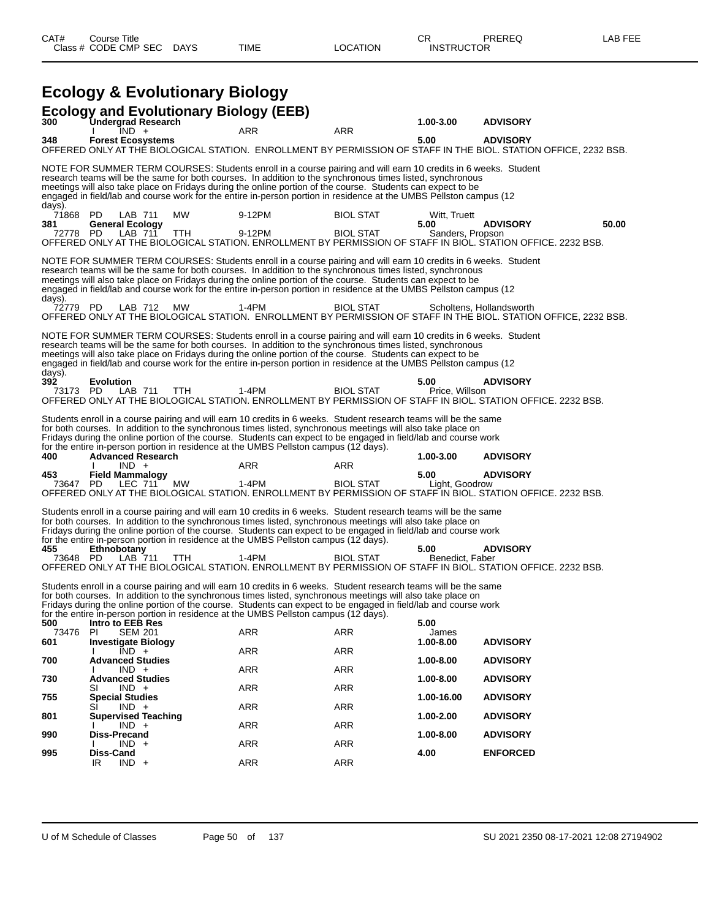| <b>Ecology and Evolutionary Biology (EEB)</b><br><b>Undergrad Research</b><br>300<br>1.00-3.00<br><b>ADVISORY</b><br>ARR<br>$IND +$<br>ARR<br><b>ADVISORY</b><br><b>Forest Ecosystems</b><br>5.00<br>348<br>OFFERED ONLY AT THÉ BIOLOGICAL STATION. ENROLLMENT BY PERMISSION OF STAFF IN THE BIOL. STATION OFFICE. 2232 BSB.<br>NOTE FOR SUMMER TERM COURSES: Students enroll in a course pairing and will earn 10 credits in 6 weeks. Student<br>research teams will be the same for both courses. In addition to the synchronous times listed, synchronous<br>meetings will also take place on Fridays during the online portion of the course. Students can expect to be<br>engaged in field/lab and course work for the entire in-person portion in residence at the UMBS Pellston campus (12<br>days).<br>71868<br>LAB 711<br>MW<br>9-12PM<br><b>BIOL STAT</b><br>PD.<br>Witt, Truett<br><b>ADVISORY</b><br>381<br><b>General Ecology</b><br>5.00<br>72778 PD<br>LAB 711<br>9-12PM<br><b>BIOL STAT</b><br><b>TTH</b><br>Sanders, Propson<br>OFFERED ONLY AT THE BIOLOGICAL STATION. ENROLLMENT BY PERMISSION OF STAFF IN BIOL. STATION OFFICE. 2232 BSB.<br>NOTE FOR SUMMER TERM COURSES: Students enroll in a course pairing and will earn 10 credits in 6 weeks. Student<br>research teams will be the same for both courses. In addition to the synchronous times listed, synchronous<br>meetings will also take place on Fridays during the online portion of the course. Students can expect to be<br>engaged in field/lab and course work for the entire in-person portion in residence at the UMBS Pellston campus (12<br>days).<br><b>BIOL STAT</b><br>72779 PD<br>LAB 712<br><b>MW</b><br>1-4PM<br>Scholtens, Hollandsworth<br>OFFERED ONLY AT THE BIOLOGICAL STATION. ENROLLMENT BY PERMISSION OF STAFF IN THE BIOL. STATION OFFICE, 2232 BSB.<br>NOTE FOR SUMMER TERM COURSES: Students enroll in a course pairing and will earn 10 credits in 6 weeks. Student<br>research teams will be the same for both courses. In addition to the synchronous times listed, synchronous<br>meetings will also take place on Fridays during the online portion of the course. Students can expect to be<br>engaged in field/lab and course work for the entire in-person portion in residence at the UMBS Pellston campus (12<br>days).<br>392<br><b>Evolution</b><br>5.00<br><b>ADVISORY</b><br>LAB 711<br>1-4PM<br><b>BIOL STAT</b><br>Price, Willson<br>73173 PD<br><b>TTH</b><br>OFFERED ONLY AT THE BIOLOGICAL STATION. ENROLLMENT BY PERMISSION OF STAFF IN BIOL. STATION OFFICE. 2232 BSB.<br>Students enroll in a course pairing and will earn 10 credits in 6 weeks. Student research teams will be the same<br>for both courses. In addition to the synchronous times listed, synchronous meetings will also take place on<br>Fridays during the online portion of the course. Students can expect to be engaged in field/lab and course work<br>for the entire in-person portion in residence at the UMBS Pellston campus (12 days).<br><b>Advanced Research</b><br><b>ADVISORY</b><br>400<br>1.00-3.00<br>$IND +$<br>ARR<br>ARR<br><b>Field Mammalogy</b><br>5.00<br><b>ADVISORY</b><br>453<br>73647 PD<br>LEC 711<br>МW<br>1-4PM<br><b>BIOL STAT</b><br>Light, Goodrow<br>OFFERED ONLY AT THE BIOLOGICAL STATION. ENROLLMENT BY PERMISSION OF STAFF IN BIOL. STATION OFFICE. 2232 BSB.<br>Students enroll in a course pairing and will earn 10 credits in 6 weeks. Student research teams will be the same<br>for both courses. In addition to the synchronous times listed, synchronous meetings will also take place on<br>Fridays during the online portion of the course. Students can expect to be engaged in field/lab and course work<br>for the entire in-person portion in residence at the UMBS Pellston campus (12 days).<br>5.00<br><b>ADVISORY</b><br>455<br>Ethnobotany<br>LAB 711<br>$1-4PM$<br><b>BIOL STAT</b><br>73648 PD<br><b>TTH</b><br>Benedict, Faber<br>OFFERED ONLY AT THE BIOLOGICAL STATION. ENROLLMENT BY PERMISSION OF STAFF IN BIOL. STATION OFFICE. 2232 BSB.<br>Students enroll in a course pairing and will earn 10 credits in 6 weeks. Student research teams will be the same<br>for both courses. In addition to the synchronous times listed, synchronous meetings will also take place on<br>Fridays during the online portion of the course. Students can expect to be engaged in field/lab and course work<br>for the entire in-person portion in residence at the UMBS Pellston campus (12 days).<br>5.00<br>500<br>Intro to EEB Res<br>ARR<br><b>ARR</b><br>73476<br>-PI<br><b>SEM 201</b><br>James<br><b>ADVISORY</b><br>601<br><b>Investigate Biology</b><br>1.00-8.00<br><b>ARR</b><br><b>ARR</b><br>$IND +$<br><b>Advanced Studies</b><br>700<br>1.00-8.00<br><b>ADVISORY</b><br><b>ARR</b><br><b>ARR</b><br>$IND +$<br><b>Advanced Studies</b><br>730<br>1.00-8.00<br><b>ADVISORY</b><br>ARR<br><b>ARR</b><br>$IND +$<br>SI |     | <b>Ecology &amp; Evolutionary Biology</b> |  |            |                 |  |
|----------------------------------------------------------------------------------------------------------------------------------------------------------------------------------------------------------------------------------------------------------------------------------------------------------------------------------------------------------------------------------------------------------------------------------------------------------------------------------------------------------------------------------------------------------------------------------------------------------------------------------------------------------------------------------------------------------------------------------------------------------------------------------------------------------------------------------------------------------------------------------------------------------------------------------------------------------------------------------------------------------------------------------------------------------------------------------------------------------------------------------------------------------------------------------------------------------------------------------------------------------------------------------------------------------------------------------------------------------------------------------------------------------------------------------------------------------------------------------------------------------------------------------------------------------------------------------------------------------------------------------------------------------------------------------------------------------------------------------------------------------------------------------------------------------------------------------------------------------------------------------------------------------------------------------------------------------------------------------------------------------------------------------------------------------------------------------------------------------------------------------------------------------------------------------------------------------------------------------------------------------------------------------------------------------------------------------------------------------------------------------------------------------------------------------------------------------------------------------------------------------------------------------------------------------------------------------------------------------------------------------------------------------------------------------------------------------------------------------------------------------------------------------------------------------------------------------------------------------------------------------------------------------------------------------------------------------------------------------------------------------------------------------------------------------------------------------------------------------------------------------------------------------------------------------------------------------------------------------------------------------------------------------------------------------------------------------------------------------------------------------------------------------------------------------------------------------------------------------------------------------------------------------------------------------------------------------------------------------------------------------------------------------------------------------------------------------------------------------------------------------------------------------------------------------------------------------------------------------------------------------------------------------------------------------------------------------------------------------------------------------------------------------------------------------------------------------------------------------------------------------------------------------------------------------------------------------------------------------------------------------------------------------------------------------------------------------------------------------------------------------------------------------------------------------------------------------------------------------------------------------------------------------------------------------------------------------------------------------------------------------------------------------------------------------------------------------------------------------------------------------------------------------------------------------------------------------------------------------------------------------------------------------------------------------------------------------------------------------------------|-----|-------------------------------------------|--|------------|-----------------|--|
|                                                                                                                                                                                                                                                                                                                                                                                                                                                                                                                                                                                                                                                                                                                                                                                                                                                                                                                                                                                                                                                                                                                                                                                                                                                                                                                                                                                                                                                                                                                                                                                                                                                                                                                                                                                                                                                                                                                                                                                                                                                                                                                                                                                                                                                                                                                                                                                                                                                                                                                                                                                                                                                                                                                                                                                                                                                                                                                                                                                                                                                                                                                                                                                                                                                                                                                                                                                                                                                                                                                                                                                                                                                                                                                                                                                                                                                                                                                                                                                                                                                                                                                                                                                                                                                                                                                                                                                                                                                                                                                                                                                                                                                                                                                                                                                                                                                                                                                                                                                              |     |                                           |  |            |                 |  |
|                                                                                                                                                                                                                                                                                                                                                                                                                                                                                                                                                                                                                                                                                                                                                                                                                                                                                                                                                                                                                                                                                                                                                                                                                                                                                                                                                                                                                                                                                                                                                                                                                                                                                                                                                                                                                                                                                                                                                                                                                                                                                                                                                                                                                                                                                                                                                                                                                                                                                                                                                                                                                                                                                                                                                                                                                                                                                                                                                                                                                                                                                                                                                                                                                                                                                                                                                                                                                                                                                                                                                                                                                                                                                                                                                                                                                                                                                                                                                                                                                                                                                                                                                                                                                                                                                                                                                                                                                                                                                                                                                                                                                                                                                                                                                                                                                                                                                                                                                                                              |     |                                           |  |            |                 |  |
|                                                                                                                                                                                                                                                                                                                                                                                                                                                                                                                                                                                                                                                                                                                                                                                                                                                                                                                                                                                                                                                                                                                                                                                                                                                                                                                                                                                                                                                                                                                                                                                                                                                                                                                                                                                                                                                                                                                                                                                                                                                                                                                                                                                                                                                                                                                                                                                                                                                                                                                                                                                                                                                                                                                                                                                                                                                                                                                                                                                                                                                                                                                                                                                                                                                                                                                                                                                                                                                                                                                                                                                                                                                                                                                                                                                                                                                                                                                                                                                                                                                                                                                                                                                                                                                                                                                                                                                                                                                                                                                                                                                                                                                                                                                                                                                                                                                                                                                                                                                              |     |                                           |  |            |                 |  |
|                                                                                                                                                                                                                                                                                                                                                                                                                                                                                                                                                                                                                                                                                                                                                                                                                                                                                                                                                                                                                                                                                                                                                                                                                                                                                                                                                                                                                                                                                                                                                                                                                                                                                                                                                                                                                                                                                                                                                                                                                                                                                                                                                                                                                                                                                                                                                                                                                                                                                                                                                                                                                                                                                                                                                                                                                                                                                                                                                                                                                                                                                                                                                                                                                                                                                                                                                                                                                                                                                                                                                                                                                                                                                                                                                                                                                                                                                                                                                                                                                                                                                                                                                                                                                                                                                                                                                                                                                                                                                                                                                                                                                                                                                                                                                                                                                                                                                                                                                                                              |     |                                           |  |            |                 |  |
|                                                                                                                                                                                                                                                                                                                                                                                                                                                                                                                                                                                                                                                                                                                                                                                                                                                                                                                                                                                                                                                                                                                                                                                                                                                                                                                                                                                                                                                                                                                                                                                                                                                                                                                                                                                                                                                                                                                                                                                                                                                                                                                                                                                                                                                                                                                                                                                                                                                                                                                                                                                                                                                                                                                                                                                                                                                                                                                                                                                                                                                                                                                                                                                                                                                                                                                                                                                                                                                                                                                                                                                                                                                                                                                                                                                                                                                                                                                                                                                                                                                                                                                                                                                                                                                                                                                                                                                                                                                                                                                                                                                                                                                                                                                                                                                                                                                                                                                                                                                              |     |                                           |  |            | 50.00           |  |
|                                                                                                                                                                                                                                                                                                                                                                                                                                                                                                                                                                                                                                                                                                                                                                                                                                                                                                                                                                                                                                                                                                                                                                                                                                                                                                                                                                                                                                                                                                                                                                                                                                                                                                                                                                                                                                                                                                                                                                                                                                                                                                                                                                                                                                                                                                                                                                                                                                                                                                                                                                                                                                                                                                                                                                                                                                                                                                                                                                                                                                                                                                                                                                                                                                                                                                                                                                                                                                                                                                                                                                                                                                                                                                                                                                                                                                                                                                                                                                                                                                                                                                                                                                                                                                                                                                                                                                                                                                                                                                                                                                                                                                                                                                                                                                                                                                                                                                                                                                                              |     |                                           |  |            |                 |  |
|                                                                                                                                                                                                                                                                                                                                                                                                                                                                                                                                                                                                                                                                                                                                                                                                                                                                                                                                                                                                                                                                                                                                                                                                                                                                                                                                                                                                                                                                                                                                                                                                                                                                                                                                                                                                                                                                                                                                                                                                                                                                                                                                                                                                                                                                                                                                                                                                                                                                                                                                                                                                                                                                                                                                                                                                                                                                                                                                                                                                                                                                                                                                                                                                                                                                                                                                                                                                                                                                                                                                                                                                                                                                                                                                                                                                                                                                                                                                                                                                                                                                                                                                                                                                                                                                                                                                                                                                                                                                                                                                                                                                                                                                                                                                                                                                                                                                                                                                                                                              |     |                                           |  |            |                 |  |
|                                                                                                                                                                                                                                                                                                                                                                                                                                                                                                                                                                                                                                                                                                                                                                                                                                                                                                                                                                                                                                                                                                                                                                                                                                                                                                                                                                                                                                                                                                                                                                                                                                                                                                                                                                                                                                                                                                                                                                                                                                                                                                                                                                                                                                                                                                                                                                                                                                                                                                                                                                                                                                                                                                                                                                                                                                                                                                                                                                                                                                                                                                                                                                                                                                                                                                                                                                                                                                                                                                                                                                                                                                                                                                                                                                                                                                                                                                                                                                                                                                                                                                                                                                                                                                                                                                                                                                                                                                                                                                                                                                                                                                                                                                                                                                                                                                                                                                                                                                                              |     |                                           |  |            |                 |  |
|                                                                                                                                                                                                                                                                                                                                                                                                                                                                                                                                                                                                                                                                                                                                                                                                                                                                                                                                                                                                                                                                                                                                                                                                                                                                                                                                                                                                                                                                                                                                                                                                                                                                                                                                                                                                                                                                                                                                                                                                                                                                                                                                                                                                                                                                                                                                                                                                                                                                                                                                                                                                                                                                                                                                                                                                                                                                                                                                                                                                                                                                                                                                                                                                                                                                                                                                                                                                                                                                                                                                                                                                                                                                                                                                                                                                                                                                                                                                                                                                                                                                                                                                                                                                                                                                                                                                                                                                                                                                                                                                                                                                                                                                                                                                                                                                                                                                                                                                                                                              |     |                                           |  |            |                 |  |
|                                                                                                                                                                                                                                                                                                                                                                                                                                                                                                                                                                                                                                                                                                                                                                                                                                                                                                                                                                                                                                                                                                                                                                                                                                                                                                                                                                                                                                                                                                                                                                                                                                                                                                                                                                                                                                                                                                                                                                                                                                                                                                                                                                                                                                                                                                                                                                                                                                                                                                                                                                                                                                                                                                                                                                                                                                                                                                                                                                                                                                                                                                                                                                                                                                                                                                                                                                                                                                                                                                                                                                                                                                                                                                                                                                                                                                                                                                                                                                                                                                                                                                                                                                                                                                                                                                                                                                                                                                                                                                                                                                                                                                                                                                                                                                                                                                                                                                                                                                                              |     |                                           |  |            |                 |  |
|                                                                                                                                                                                                                                                                                                                                                                                                                                                                                                                                                                                                                                                                                                                                                                                                                                                                                                                                                                                                                                                                                                                                                                                                                                                                                                                                                                                                                                                                                                                                                                                                                                                                                                                                                                                                                                                                                                                                                                                                                                                                                                                                                                                                                                                                                                                                                                                                                                                                                                                                                                                                                                                                                                                                                                                                                                                                                                                                                                                                                                                                                                                                                                                                                                                                                                                                                                                                                                                                                                                                                                                                                                                                                                                                                                                                                                                                                                                                                                                                                                                                                                                                                                                                                                                                                                                                                                                                                                                                                                                                                                                                                                                                                                                                                                                                                                                                                                                                                                                              |     |                                           |  |            |                 |  |
|                                                                                                                                                                                                                                                                                                                                                                                                                                                                                                                                                                                                                                                                                                                                                                                                                                                                                                                                                                                                                                                                                                                                                                                                                                                                                                                                                                                                                                                                                                                                                                                                                                                                                                                                                                                                                                                                                                                                                                                                                                                                                                                                                                                                                                                                                                                                                                                                                                                                                                                                                                                                                                                                                                                                                                                                                                                                                                                                                                                                                                                                                                                                                                                                                                                                                                                                                                                                                                                                                                                                                                                                                                                                                                                                                                                                                                                                                                                                                                                                                                                                                                                                                                                                                                                                                                                                                                                                                                                                                                                                                                                                                                                                                                                                                                                                                                                                                                                                                                                              |     |                                           |  |            |                 |  |
|                                                                                                                                                                                                                                                                                                                                                                                                                                                                                                                                                                                                                                                                                                                                                                                                                                                                                                                                                                                                                                                                                                                                                                                                                                                                                                                                                                                                                                                                                                                                                                                                                                                                                                                                                                                                                                                                                                                                                                                                                                                                                                                                                                                                                                                                                                                                                                                                                                                                                                                                                                                                                                                                                                                                                                                                                                                                                                                                                                                                                                                                                                                                                                                                                                                                                                                                                                                                                                                                                                                                                                                                                                                                                                                                                                                                                                                                                                                                                                                                                                                                                                                                                                                                                                                                                                                                                                                                                                                                                                                                                                                                                                                                                                                                                                                                                                                                                                                                                                                              |     |                                           |  |            |                 |  |
|                                                                                                                                                                                                                                                                                                                                                                                                                                                                                                                                                                                                                                                                                                                                                                                                                                                                                                                                                                                                                                                                                                                                                                                                                                                                                                                                                                                                                                                                                                                                                                                                                                                                                                                                                                                                                                                                                                                                                                                                                                                                                                                                                                                                                                                                                                                                                                                                                                                                                                                                                                                                                                                                                                                                                                                                                                                                                                                                                                                                                                                                                                                                                                                                                                                                                                                                                                                                                                                                                                                                                                                                                                                                                                                                                                                                                                                                                                                                                                                                                                                                                                                                                                                                                                                                                                                                                                                                                                                                                                                                                                                                                                                                                                                                                                                                                                                                                                                                                                                              |     |                                           |  |            |                 |  |
|                                                                                                                                                                                                                                                                                                                                                                                                                                                                                                                                                                                                                                                                                                                                                                                                                                                                                                                                                                                                                                                                                                                                                                                                                                                                                                                                                                                                                                                                                                                                                                                                                                                                                                                                                                                                                                                                                                                                                                                                                                                                                                                                                                                                                                                                                                                                                                                                                                                                                                                                                                                                                                                                                                                                                                                                                                                                                                                                                                                                                                                                                                                                                                                                                                                                                                                                                                                                                                                                                                                                                                                                                                                                                                                                                                                                                                                                                                                                                                                                                                                                                                                                                                                                                                                                                                                                                                                                                                                                                                                                                                                                                                                                                                                                                                                                                                                                                                                                                                                              |     |                                           |  |            |                 |  |
|                                                                                                                                                                                                                                                                                                                                                                                                                                                                                                                                                                                                                                                                                                                                                                                                                                                                                                                                                                                                                                                                                                                                                                                                                                                                                                                                                                                                                                                                                                                                                                                                                                                                                                                                                                                                                                                                                                                                                                                                                                                                                                                                                                                                                                                                                                                                                                                                                                                                                                                                                                                                                                                                                                                                                                                                                                                                                                                                                                                                                                                                                                                                                                                                                                                                                                                                                                                                                                                                                                                                                                                                                                                                                                                                                                                                                                                                                                                                                                                                                                                                                                                                                                                                                                                                                                                                                                                                                                                                                                                                                                                                                                                                                                                                                                                                                                                                                                                                                                                              |     |                                           |  |            |                 |  |
|                                                                                                                                                                                                                                                                                                                                                                                                                                                                                                                                                                                                                                                                                                                                                                                                                                                                                                                                                                                                                                                                                                                                                                                                                                                                                                                                                                                                                                                                                                                                                                                                                                                                                                                                                                                                                                                                                                                                                                                                                                                                                                                                                                                                                                                                                                                                                                                                                                                                                                                                                                                                                                                                                                                                                                                                                                                                                                                                                                                                                                                                                                                                                                                                                                                                                                                                                                                                                                                                                                                                                                                                                                                                                                                                                                                                                                                                                                                                                                                                                                                                                                                                                                                                                                                                                                                                                                                                                                                                                                                                                                                                                                                                                                                                                                                                                                                                                                                                                                                              |     |                                           |  |            |                 |  |
|                                                                                                                                                                                                                                                                                                                                                                                                                                                                                                                                                                                                                                                                                                                                                                                                                                                                                                                                                                                                                                                                                                                                                                                                                                                                                                                                                                                                                                                                                                                                                                                                                                                                                                                                                                                                                                                                                                                                                                                                                                                                                                                                                                                                                                                                                                                                                                                                                                                                                                                                                                                                                                                                                                                                                                                                                                                                                                                                                                                                                                                                                                                                                                                                                                                                                                                                                                                                                                                                                                                                                                                                                                                                                                                                                                                                                                                                                                                                                                                                                                                                                                                                                                                                                                                                                                                                                                                                                                                                                                                                                                                                                                                                                                                                                                                                                                                                                                                                                                                              |     |                                           |  |            |                 |  |
|                                                                                                                                                                                                                                                                                                                                                                                                                                                                                                                                                                                                                                                                                                                                                                                                                                                                                                                                                                                                                                                                                                                                                                                                                                                                                                                                                                                                                                                                                                                                                                                                                                                                                                                                                                                                                                                                                                                                                                                                                                                                                                                                                                                                                                                                                                                                                                                                                                                                                                                                                                                                                                                                                                                                                                                                                                                                                                                                                                                                                                                                                                                                                                                                                                                                                                                                                                                                                                                                                                                                                                                                                                                                                                                                                                                                                                                                                                                                                                                                                                                                                                                                                                                                                                                                                                                                                                                                                                                                                                                                                                                                                                                                                                                                                                                                                                                                                                                                                                                              |     |                                           |  |            |                 |  |
|                                                                                                                                                                                                                                                                                                                                                                                                                                                                                                                                                                                                                                                                                                                                                                                                                                                                                                                                                                                                                                                                                                                                                                                                                                                                                                                                                                                                                                                                                                                                                                                                                                                                                                                                                                                                                                                                                                                                                                                                                                                                                                                                                                                                                                                                                                                                                                                                                                                                                                                                                                                                                                                                                                                                                                                                                                                                                                                                                                                                                                                                                                                                                                                                                                                                                                                                                                                                                                                                                                                                                                                                                                                                                                                                                                                                                                                                                                                                                                                                                                                                                                                                                                                                                                                                                                                                                                                                                                                                                                                                                                                                                                                                                                                                                                                                                                                                                                                                                                                              |     |                                           |  |            |                 |  |
| <b>ARR</b><br><b>ARR</b><br>$IND +$                                                                                                                                                                                                                                                                                                                                                                                                                                                                                                                                                                                                                                                                                                                                                                                                                                                                                                                                                                                                                                                                                                                                                                                                                                                                                                                                                                                                                                                                                                                                                                                                                                                                                                                                                                                                                                                                                                                                                                                                                                                                                                                                                                                                                                                                                                                                                                                                                                                                                                                                                                                                                                                                                                                                                                                                                                                                                                                                                                                                                                                                                                                                                                                                                                                                                                                                                                                                                                                                                                                                                                                                                                                                                                                                                                                                                                                                                                                                                                                                                                                                                                                                                                                                                                                                                                                                                                                                                                                                                                                                                                                                                                                                                                                                                                                                                                                                                                                                                          | 755 | <b>Special Studies</b>                    |  | 1.00-16.00 | <b>ADVISORY</b> |  |
| 1.00-2.00<br><b>ADVISORY</b><br>801<br><b>Supervised Teaching</b><br>ARR<br><b>ARR</b><br>$IND +$                                                                                                                                                                                                                                                                                                                                                                                                                                                                                                                                                                                                                                                                                                                                                                                                                                                                                                                                                                                                                                                                                                                                                                                                                                                                                                                                                                                                                                                                                                                                                                                                                                                                                                                                                                                                                                                                                                                                                                                                                                                                                                                                                                                                                                                                                                                                                                                                                                                                                                                                                                                                                                                                                                                                                                                                                                                                                                                                                                                                                                                                                                                                                                                                                                                                                                                                                                                                                                                                                                                                                                                                                                                                                                                                                                                                                                                                                                                                                                                                                                                                                                                                                                                                                                                                                                                                                                                                                                                                                                                                                                                                                                                                                                                                                                                                                                                                                            |     |                                           |  |            |                 |  |
| 990<br>Diss-Precand<br>1.00-8.00<br><b>ADVISORY</b><br>$IND +$<br>ARR<br><b>ARR</b>                                                                                                                                                                                                                                                                                                                                                                                                                                                                                                                                                                                                                                                                                                                                                                                                                                                                                                                                                                                                                                                                                                                                                                                                                                                                                                                                                                                                                                                                                                                                                                                                                                                                                                                                                                                                                                                                                                                                                                                                                                                                                                                                                                                                                                                                                                                                                                                                                                                                                                                                                                                                                                                                                                                                                                                                                                                                                                                                                                                                                                                                                                                                                                                                                                                                                                                                                                                                                                                                                                                                                                                                                                                                                                                                                                                                                                                                                                                                                                                                                                                                                                                                                                                                                                                                                                                                                                                                                                                                                                                                                                                                                                                                                                                                                                                                                                                                                                          |     |                                           |  |            |                 |  |
| <b>ENFORCED</b><br>995<br>Diss-Cand<br>4.00<br><b>ARR</b><br><b>ARR</b><br>$IND +$<br>IR                                                                                                                                                                                                                                                                                                                                                                                                                                                                                                                                                                                                                                                                                                                                                                                                                                                                                                                                                                                                                                                                                                                                                                                                                                                                                                                                                                                                                                                                                                                                                                                                                                                                                                                                                                                                                                                                                                                                                                                                                                                                                                                                                                                                                                                                                                                                                                                                                                                                                                                                                                                                                                                                                                                                                                                                                                                                                                                                                                                                                                                                                                                                                                                                                                                                                                                                                                                                                                                                                                                                                                                                                                                                                                                                                                                                                                                                                                                                                                                                                                                                                                                                                                                                                                                                                                                                                                                                                                                                                                                                                                                                                                                                                                                                                                                                                                                                                                     |     |                                           |  |            |                 |  |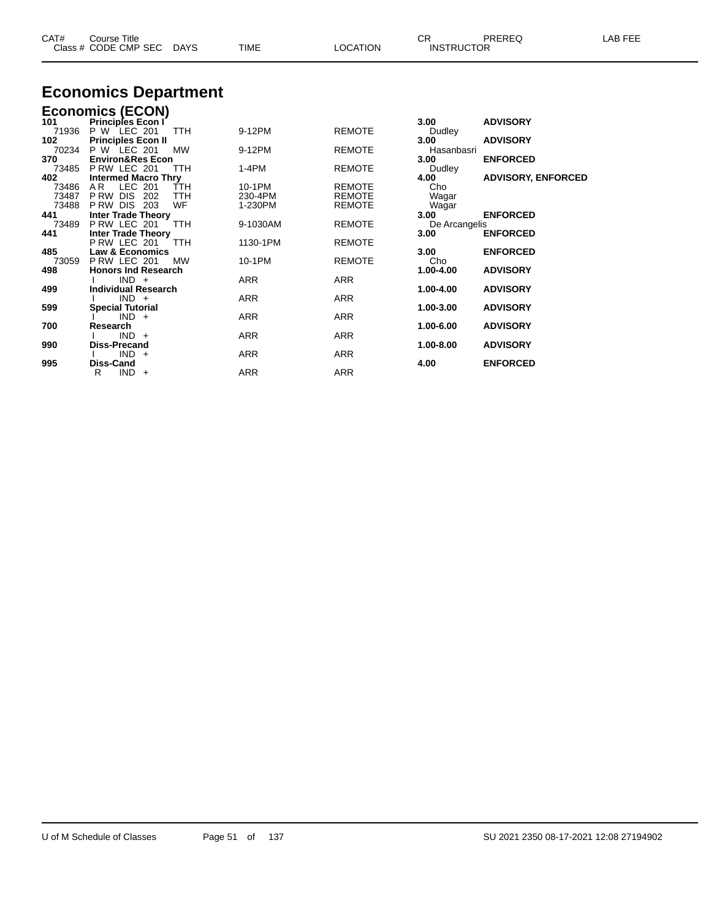| CAT#<br>Course Title<br>Class # CODE CMP SEC DAYS | <b>TIME</b> | <b>LOCATION</b> | СR<br><b>INSTRUCTOR</b> | PREREQ | LAB FEE |
|---------------------------------------------------|-------------|-----------------|-------------------------|--------|---------|
| $\sim$<br>$\overline{\phantom{a}}$                |             |                 |                         |        |         |

### **Economics Department**

|       | <b>Economics (ECON)</b>                                |            |               |                  |                           |
|-------|--------------------------------------------------------|------------|---------------|------------------|---------------------------|
| 101   | <b>Principles Econ I</b>                               |            |               | 3.00             | <b>ADVISORY</b>           |
| 71936 | P W LEC 201<br>TTH                                     | 9-12PM     | <b>REMOTE</b> | Dudley           |                           |
| 102   | <b>Principles Econ II</b>                              |            |               | 3.00             | <b>ADVISORY</b>           |
| 70234 | LEC 201<br><b>MW</b><br>P W                            | 9-12PM     | <b>REMOTE</b> | Hasanbasri       |                           |
| 370   | <b>Environ&amp;Res Econ</b>                            |            |               | 3.00             | <b>ENFORCED</b>           |
| 73485 | PRW LEC 201<br><b>TTH</b>                              | $1-4PM$    | <b>REMOTE</b> | Dudley           |                           |
| 402   | <b>Intermed Macro Thry</b>                             |            |               | 4.00             | <b>ADVISORY, ENFORCED</b> |
| 73486 | LEC 201<br>ŤTH<br>A <sub>R</sub>                       | 10-1PM     | <b>REMOTE</b> | Cho              |                           |
| 73487 | <b>DIS</b><br>P RW<br>202<br>TTH                       | 230-4PM    | <b>REMOTE</b> | Wagar            |                           |
| 73488 | WF<br><b>DIS</b><br>P RW<br>203                        | 1-230PM    | <b>REMOTE</b> | Wagar            |                           |
| 441   | <b>Inter Trade Theory</b>                              |            |               | 3.00             | <b>ENFORCED</b>           |
| 73489 | PRW LEC 201<br>TTH                                     | 9-1030AM   | <b>REMOTE</b> | De Arcangelis    |                           |
| 441   | <b>Inter Trade Theory</b>                              |            |               | 3.00             | <b>ENFORCED</b>           |
|       | P RW LEC 201<br>TTH                                    | 1130-1PM   | <b>REMOTE</b> |                  |                           |
| 485   | <b>Law &amp; Economics</b>                             |            |               | 3.00             | <b>ENFORCED</b>           |
| 73059 | PRW LEC 201<br><b>MW</b><br><b>Honors Ind Research</b> | 10-1PM     | <b>REMOTE</b> | Cho<br>1.00-4.00 |                           |
| 498   |                                                        |            |               |                  | <b>ADVISORY</b>           |
| 499   | $IND +$<br><b>Individual Research</b>                  | ARR        | ARR           | 1.00-4.00        | <b>ADVISORY</b>           |
|       | $IND +$                                                | <b>ARR</b> | <b>ARR</b>    |                  |                           |
| 599   | <b>Special Tutorial</b>                                |            |               | 1.00-3.00        | <b>ADVISORY</b>           |
|       | $IND +$                                                | <b>ARR</b> | <b>ARR</b>    |                  |                           |
| 700   | Research                                               |            |               | 1.00-6.00        | <b>ADVISORY</b>           |
|       | $IND +$                                                | <b>ARR</b> | ARR           |                  |                           |
| 990   | <b>Diss-Precand</b>                                    |            |               | 1.00-8.00        | <b>ADVISORY</b>           |
|       | $IND +$                                                | <b>ARR</b> | <b>ARR</b>    |                  |                           |
| 995   | <b>Diss-Cand</b>                                       |            |               | 4.00             | <b>ENFORCED</b>           |
|       | R<br>$IND +$                                           | ARR        | ARR           |                  |                           |
|       |                                                        |            |               |                  |                           |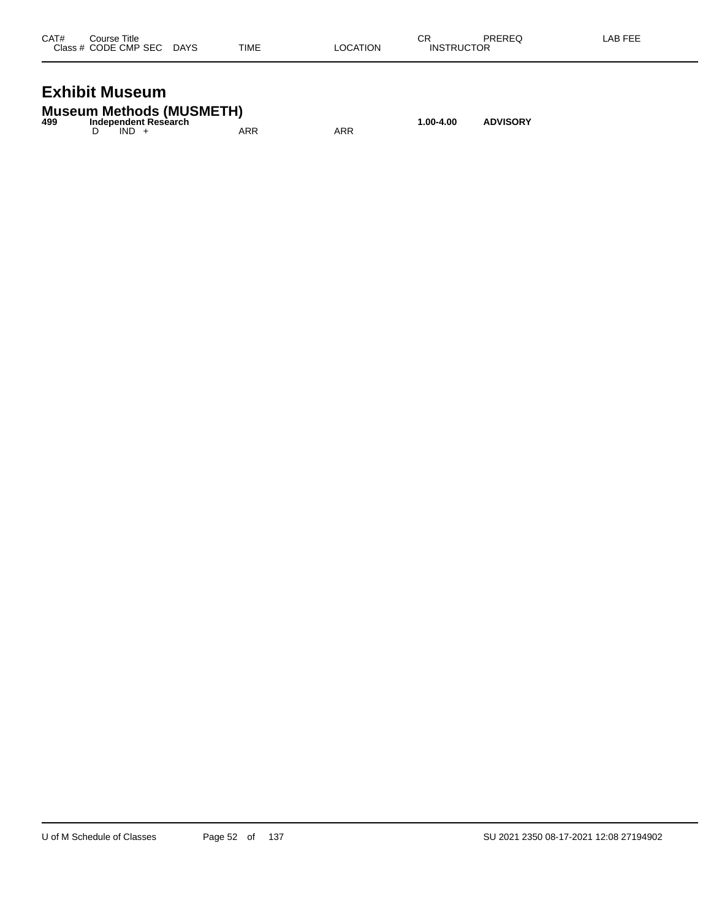| CAT# | Course Title              |      |          | СR                | PREREQ | LAB FEE |
|------|---------------------------|------|----------|-------------------|--------|---------|
|      | Class # CODE CMP SEC DAYS | TIME | LOCATION | <b>INSTRUCTOR</b> |        |         |
|      |                           |      |          |                   |        |         |

## **Exhibit Museum**

|     | <b>Museum Methods (MUSMETH)</b> |     |     |           |                 |
|-----|---------------------------------|-----|-----|-----------|-----------------|
| 499 | Independent Research            |     |     | 1.00-4.00 | <b>ADVISORY</b> |
|     | $IND +$                         | ARR | ARR |           |                 |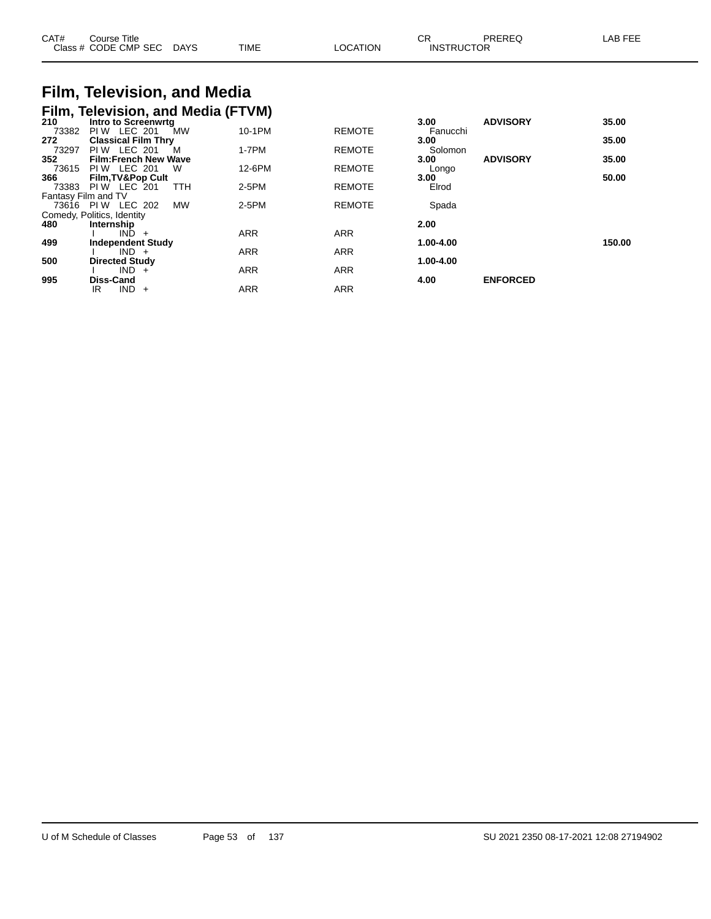| CAT#<br>Close | .<br>Course Title<br><b>CODE CMP SEC</b> | <b>DAYS</b> | <b>TIME</b> | TION<br>гγ. | СR<br><b>INST</b><br>l IC<br>⊐ | AR EEE |
|---------------|------------------------------------------|-------------|-------------|-------------|--------------------------------|--------|
|               |                                          |             |             |             |                                |        |

#### **Film, Television, and Media Film, Television, and Media (FTVM)**

| $\overline{\phantom{a}}$<br>210 | Intro to Screenwrtg           |            |               | 3.00      | <b>ADVISORY</b> | 35.00  |
|---------------------------------|-------------------------------|------------|---------------|-----------|-----------------|--------|
| 73382                           | <b>PIW LEC 201</b><br>MW      | 10-1PM     | <b>REMOTE</b> | Fanucchi  |                 |        |
| 272                             | <b>Classical Film Thry</b>    |            |               | 3.00      |                 | 35.00  |
| 73297                           | <b>PIW LEC 201</b><br>M       | $1-7PM$    | <b>REMOTE</b> | Solomon   |                 |        |
| 352                             | <b>Film:French New Wave</b>   |            |               | 3.00      | <b>ADVISORY</b> | 35.00  |
| 73615                           | <b>PIW LEC 201</b><br>W       | 12-6PM     | <b>REMOTE</b> | Longo     |                 |        |
| 366                             | <b>Film, TV&amp;Pop Cult</b>  |            |               | 3.00      |                 | 50.00  |
| 73383                           | LEC 201<br>PI W<br><b>TTH</b> | 2-5PM      | <b>REMOTE</b> | Elrod     |                 |        |
| Fantasy Film and TV             |                               |            |               |           |                 |        |
| 73616 PIW                       | LEC 202<br><b>MW</b>          | 2-5PM      | <b>REMOTE</b> | Spada     |                 |        |
|                                 | Comedy, Politics, Identity    |            |               |           |                 |        |
| 480                             | Internship                    |            |               | 2.00      |                 |        |
|                                 | IND.<br>$\ddot{}$             | <b>ARR</b> | <b>ARR</b>    |           |                 |        |
| 499                             | <b>Independent Study</b>      |            |               | 1.00-4.00 |                 | 150.00 |
|                                 | $IND +$                       | <b>ARR</b> | <b>ARR</b>    |           |                 |        |
| 500                             | <b>Directed Study</b>         |            |               | 1.00-4.00 |                 |        |
|                                 | $IND +$                       | <b>ARR</b> | <b>ARR</b>    |           |                 |        |
| 995                             | <b>Diss-Cand</b>              |            |               | 4.00      | <b>ENFORCED</b> |        |
|                                 | <b>IND</b><br>IR.<br>$\pm$    | <b>ARR</b> | <b>ARR</b>    |           |                 |        |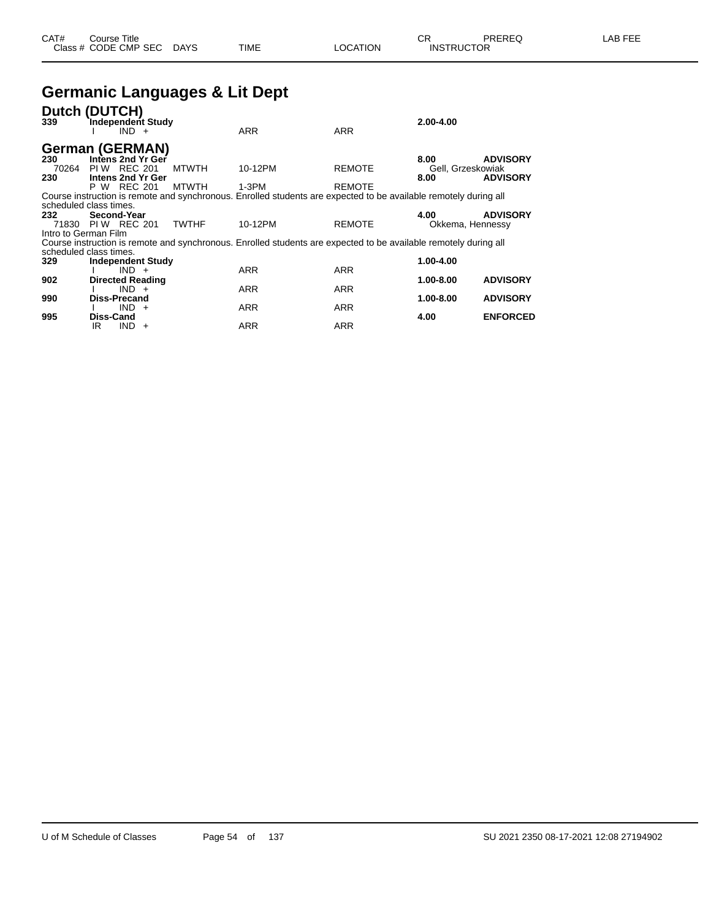### **Germanic Languages & Lit Dept**

| Dutch (<br>339                | <b>DUTCH)</b>           | $IND +$        | <b>Independent Study</b> |              | <b>ARR</b>                                                                                                       | <b>ARR</b>    | $2.00 - 4.00$     |                 |
|-------------------------------|-------------------------|----------------|--------------------------|--------------|------------------------------------------------------------------------------------------------------------------|---------------|-------------------|-----------------|
| <b>German (GERMAN)</b>        |                         |                |                          |              |                                                                                                                  |               |                   |                 |
| 230                           | Intens 2nd Yr Ger       |                |                          |              |                                                                                                                  |               | 8.00              | <b>ADVISORY</b> |
| 70264                         | PI W                    | <b>REC 201</b> |                          | <b>MTWTH</b> | 10-12PM                                                                                                          | <b>REMOTE</b> | Gell, Grzeskowiak |                 |
| 230                           | Intens 2nd Yr Ger       |                |                          |              |                                                                                                                  |               | 8.00              | <b>ADVISORY</b> |
|                               | P W REC 201             |                |                          | <b>MTWTH</b> | $1-3PM$                                                                                                          | <b>REMOTE</b> |                   |                 |
|                               |                         |                |                          |              | Course instruction is remote and synchronous. Enrolled students are expected to be available remotely during all |               |                   |                 |
| scheduled class times.<br>232 | Second-Year             |                |                          |              |                                                                                                                  |               | 4.00              | <b>ADVISORY</b> |
|                               | 71830 PIW REC 201       |                |                          | <b>TWTHF</b> | 10-12PM                                                                                                          | <b>REMOTE</b> | Okkema, Hennessy  |                 |
| Intro to German Film          |                         |                |                          |              |                                                                                                                  |               |                   |                 |
|                               |                         |                |                          |              | Course instruction is remote and synchronous. Enrolled students are expected to be available remotely during all |               |                   |                 |
| scheduled class times.        |                         |                |                          |              |                                                                                                                  |               |                   |                 |
| 329                           |                         |                | <b>Independent Study</b> |              |                                                                                                                  |               | 1.00-4.00         |                 |
|                               |                         | $IND +$        |                          |              | <b>ARR</b>                                                                                                       | <b>ARR</b>    |                   |                 |
| 902                           | <b>Directed Reading</b> |                |                          |              |                                                                                                                  |               | 1.00-8.00         | <b>ADVISORY</b> |
|                               |                         | $IND +$        |                          |              | <b>ARR</b>                                                                                                       | <b>ARR</b>    |                   |                 |
| 990                           | <b>Diss-Precand</b>     |                |                          |              |                                                                                                                  |               | 1.00-8.00         | <b>ADVISORY</b> |
|                               |                         | $IND +$        |                          |              | ARR                                                                                                              | ARR           |                   |                 |
| 995                           | Diss-Cand<br>IR         | <b>IND</b>     | $+$                      |              | ARR                                                                                                              | ARR           | 4.00              | <b>ENFORCED</b> |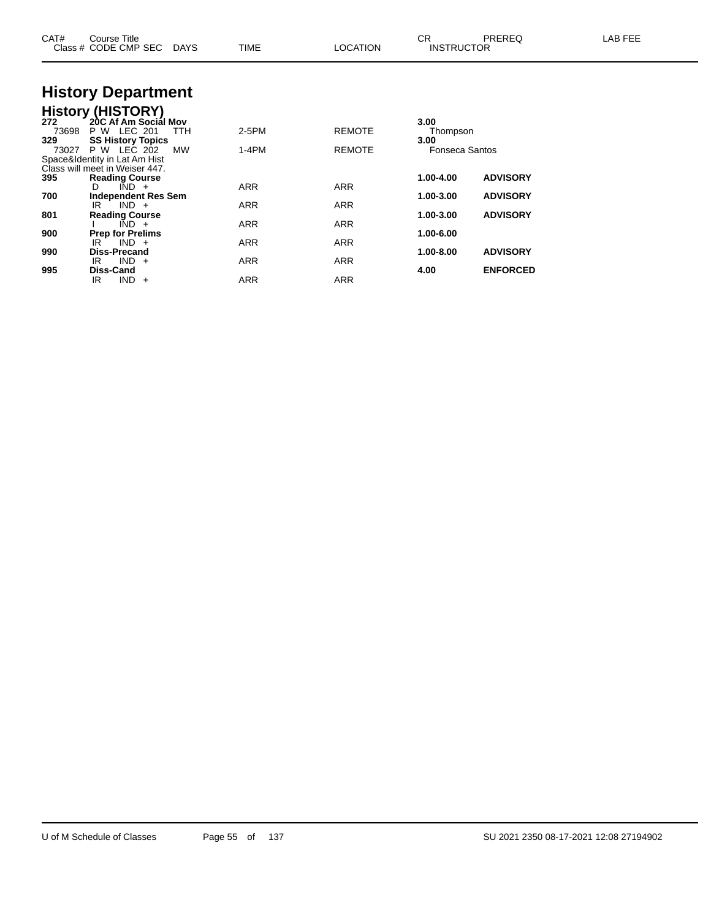| CAT#         | Course Title<br>Class # CODE CMP SEC                                               | DAYS       | <b>TIME</b> | LOCATION      | CR<br><b>INSTRUCTOR</b>       | PREREQ          | LAB FEE |
|--------------|------------------------------------------------------------------------------------|------------|-------------|---------------|-------------------------------|-----------------|---------|
|              | <b>History Department</b>                                                          |            |             |               |                               |                 |         |
| 272<br>73698 | <b>History (HISTORY)</b><br>20C Af Am Social Mov<br><b>P W LEC 201</b>             | <b>TTH</b> | 2-5PM       | <b>REMOTE</b> | 3.00<br>Thompson              |                 |         |
| 329<br>73027 | <b>SS History Topics</b><br>P W LEC 202<br>Space&Identity in Lat Am Hist           | MW         | $1-4PM$     | <b>REMOTE</b> | 3.00<br><b>Fonseca Santos</b> |                 |         |
| 395          | Class will meet in Weiser 447.<br><b>Reading Course</b><br>$\overline{IND}$ +<br>D |            | <b>ARR</b>  | ARR           | 1.00-4.00                     | <b>ADVISORY</b> |         |
| 700          | <b>Independent Res Sem</b><br>$IND +$<br>IR                                        |            | ARR         | ARR           | 1.00-3.00                     | <b>ADVISORY</b> |         |
| 801<br>900   | <b>Reading Course</b><br>$IND +$<br><b>Prep for Prelims</b>                        |            | ARR         | ARR           | 1.00-3.00<br>1.00-6.00        | <b>ADVISORY</b> |         |
| 990          | $IND +$<br>IR<br><b>Diss-Precand</b>                                               |            | <b>ARR</b>  | ARR           | 1.00-8.00                     | <b>ADVISORY</b> |         |
| 995          | $IND +$<br>IR.<br>Diss-Cand<br>$IND +$<br>IR.                                      |            | ARR<br>ARR  | ARR<br>ARR    | 4.00                          | <b>ENFORCED</b> |         |
|              |                                                                                    |            |             |               |                               |                 |         |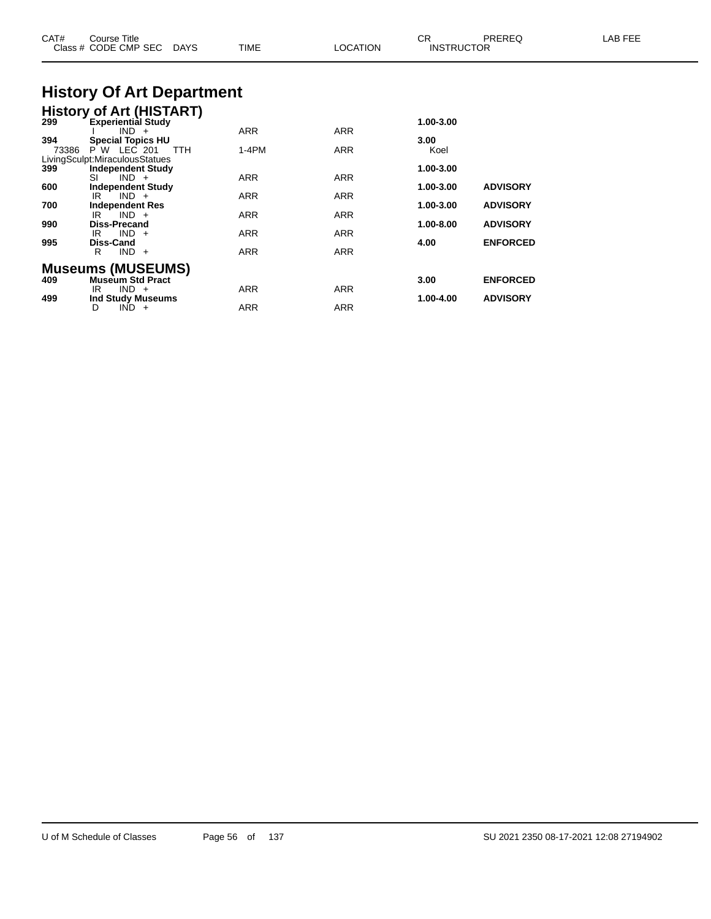| CAT#         | Course Title<br>Class # CODE CMP SEC DAYS                                                         | <b>TIME</b>       | <b>LOCATION</b>          | CR.<br><b>INSTRUCTOR</b> | PREREQ          | LAB FEE |
|--------------|---------------------------------------------------------------------------------------------------|-------------------|--------------------------|--------------------------|-----------------|---------|
|              | <b>History Of Art Department</b>                                                                  |                   |                          |                          |                 |         |
|              | <b>History of Art (HISTART)</b><br>299 Experiential Study<br><b>Experiential Study</b><br>$IND +$ | ARR               | ARR                      | 1.00-3.00                |                 |         |
| 394<br>73386 | <b>Special Topics HU</b><br>P W LEC 201<br><b>TTH</b><br>LivingSculpt:MiraculousStatues           | $1-4PM$           | <b>ARR</b>               | 3.00<br>Koel             |                 |         |
| 399<br>600   | <b>Independent Study</b><br>$IND +$<br>SI                                                         | ARR               | ARR                      | 1.00-3.00<br>1.00-3.00   | <b>ADVISORY</b> |         |
| 700          | <b>Independent Study</b><br>$IND +$<br>IR<br><b>Independent Res</b>                               | ARR               | ARR                      | 1.00-3.00                | <b>ADVISORY</b> |         |
| 990          | $IND +$<br>IR<br><b>Diss-Precand</b><br>$IND +$<br>IR                                             | ARR<br>ARR        | ARR<br><b>ARR</b>        | 1.00-8.00                | <b>ADVISORY</b> |         |
| 995          | Diss-Cand<br>$IND +$<br>R                                                                         | ARR               | <b>ARR</b>               | 4.00                     | <b>ENFORCED</b> |         |
| 409          | <b>Museums (MUSEUMS)</b><br><b>Museum Std Pract</b>                                               |                   |                          | 3.00                     | <b>ENFORCED</b> |         |
| 499          | $IND +$<br>IR<br><b>Ind Study Museums</b><br>$IND +$<br>D                                         | ARR<br><b>ARR</b> | <b>ARR</b><br><b>ARR</b> | 1.00-4.00                | <b>ADVISORY</b> |         |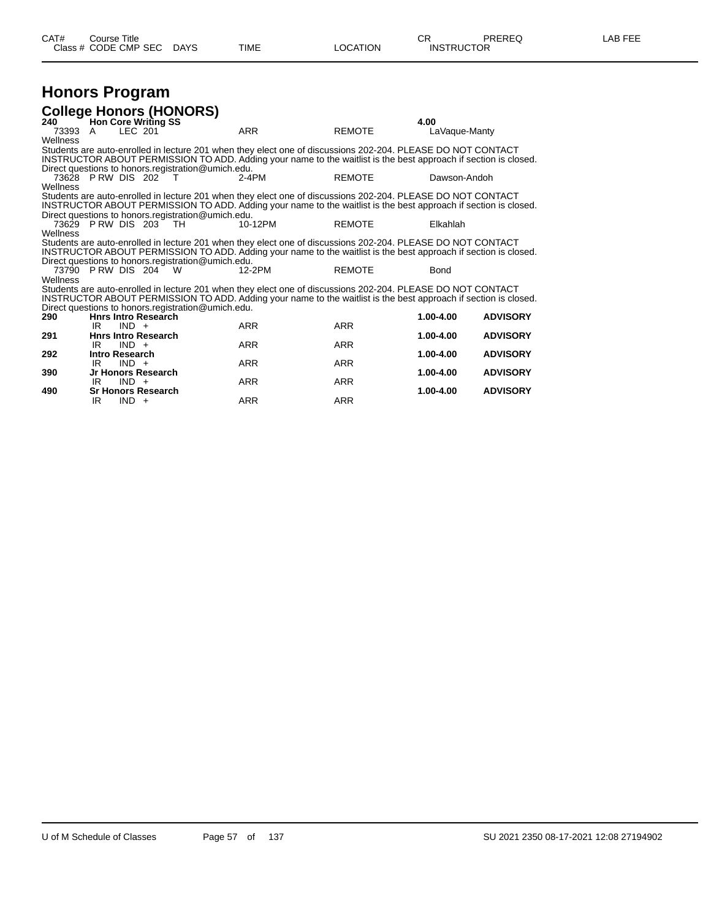#### **Honors Program College Honors (HONORS)**

| ooligge Honora (Honoro)<br>240 |                |         | <b>Hon Core Writing SS</b> |                                                    |                                                                                                                 |               | 4.00          |                 |
|--------------------------------|----------------|---------|----------------------------|----------------------------------------------------|-----------------------------------------------------------------------------------------------------------------|---------------|---------------|-----------------|
| 73393                          | - A            | LEC 201 |                            |                                                    | <b>ARR</b>                                                                                                      | <b>REMOTE</b> | LaVaque-Manty |                 |
| Wellness                       |                |         |                            |                                                    |                                                                                                                 |               |               |                 |
|                                |                |         |                            |                                                    | Students are auto-enrolled in lecture 201 when they elect one of discussions 202-204. PLEASE DO NOT CONTACT     |               |               |                 |
|                                |                |         |                            |                                                    | INSTRUCTOR ABOUT PERMISSION TO ADD. Adding your name to the waitlist is the best approach if section is closed. |               |               |                 |
|                                |                |         |                            | Direct questions to honors.registration@umich.edu. |                                                                                                                 |               |               |                 |
|                                |                |         | 73628 PRW DIS 202 T        |                                                    | 2-4PM                                                                                                           | <b>REMOTE</b> | Dawson-Andoh  |                 |
| Wellness                       |                |         |                            |                                                    |                                                                                                                 |               |               |                 |
|                                |                |         |                            |                                                    | Students are auto-enrolled in lecture 201 when they elect one of discussions 202-204. PLEASE DO NOT CONTACT     |               |               |                 |
|                                |                |         |                            |                                                    | INSTRUCTOR ABOUT PERMISSION TO ADD. Adding your name to the waitlist is the best approach if section is closed. |               |               |                 |
|                                |                |         |                            | Direct questions to honors.registration@umich.edu. |                                                                                                                 |               |               |                 |
|                                |                |         | 73629 P RW DIS 203 TH      |                                                    | 10-12PM                                                                                                         | <b>REMOTE</b> | Elkahlah      |                 |
| Wellness                       |                |         |                            |                                                    |                                                                                                                 |               |               |                 |
|                                |                |         |                            |                                                    | Students are auto-enrolled in lecture 201 when they elect one of discussions 202-204. PLEASE DO NOT CONTACT     |               |               |                 |
|                                |                |         |                            |                                                    | INSTRUCTOR ABOUT PERMISSION TO ADD. Adding your name to the waitlist is the best approach if section is closed. |               |               |                 |
|                                |                |         |                            | Direct questions to honors.registration@umich.edu. |                                                                                                                 |               |               |                 |
| 73790 P RW DIS 204<br>Wellness |                |         | <b>W</b>                   |                                                    | 12-2PM                                                                                                          | <b>REMOTE</b> | <b>Bond</b>   |                 |
|                                |                |         |                            |                                                    | Students are auto-enrolled in lecture 201 when they elect one of discussions 202-204. PLEASE DO NOT CONTACT     |               |               |                 |
|                                |                |         |                            |                                                    | INSTRUCTOR ABOUT PERMISSION TO ADD. Adding your name to the waitlist is the best approach if section is closed. |               |               |                 |
|                                |                |         |                            | Direct questions to honors.registration@umich.edu. |                                                                                                                 |               |               |                 |
| 290                            |                |         | <b>Hnrs Intro Research</b> |                                                    |                                                                                                                 |               | 1.00-4.00     | <b>ADVISORY</b> |
|                                | IR             | $IND +$ |                            |                                                    | <b>ARR</b>                                                                                                      | <b>ARR</b>    |               |                 |
| 291                            |                |         | <b>Hnrs Intro Research</b> |                                                    |                                                                                                                 |               | $1.00 - 4.00$ | <b>ADVISORY</b> |
|                                | IR             | $IND +$ |                            |                                                    | <b>ARR</b>                                                                                                      | <b>ARR</b>    |               |                 |
| 292                            | Intro Research |         |                            |                                                    |                                                                                                                 |               | 1.00-4.00     | <b>ADVISORY</b> |
|                                | IR.            | $IND +$ |                            |                                                    | <b>ARR</b>                                                                                                      | <b>ARR</b>    |               |                 |
| 390                            |                |         | Jr Honors Research         |                                                    |                                                                                                                 |               | $1.00 - 4.00$ | <b>ADVISORY</b> |
|                                | IR             | $IND +$ |                            |                                                    | <b>ARR</b>                                                                                                      | <b>ARR</b>    |               |                 |
| 490                            |                |         | <b>Sr Honors Research</b>  |                                                    |                                                                                                                 |               | $1.00 - 4.00$ | <b>ADVISORY</b> |
|                                | IR.            | $IND +$ |                            |                                                    | ARR                                                                                                             | <b>ARR</b>    |               |                 |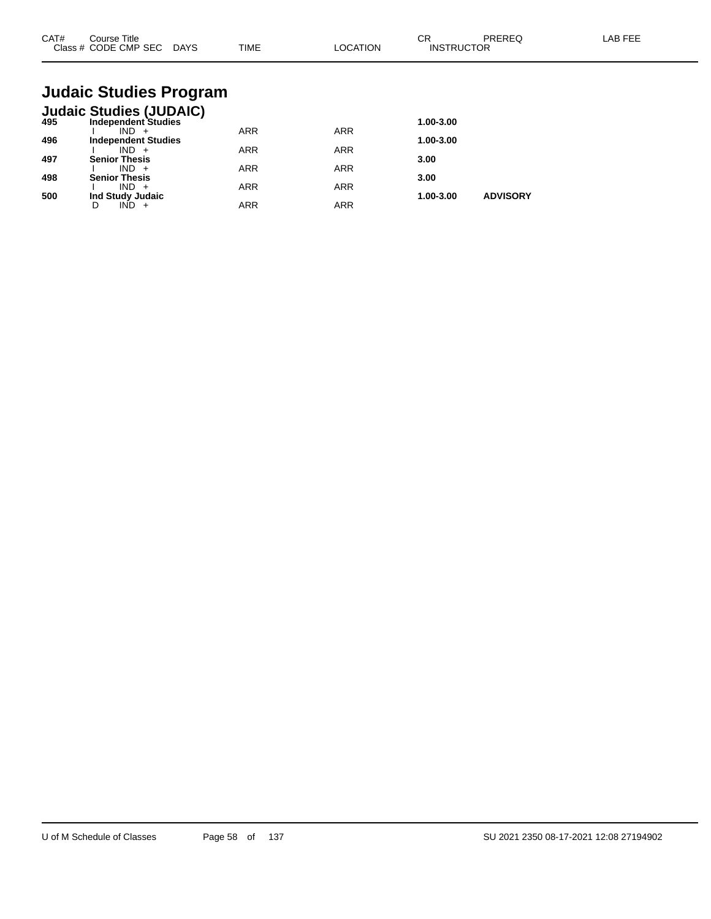| CAT# | Course Title<br>Class # CODE CMP SEC | <b>DAYS</b> | <b>TIME</b> | LOCATION | $\sim$ r<br>◡<br><b>INSTRUCTOR</b> | PREREQ | <b>AB FEF</b> |
|------|--------------------------------------|-------------|-------------|----------|------------------------------------|--------|---------------|
|      |                                      |             |             |          |                                    |        |               |

## **Judaic Studies Program**

|     | <b>Judaic Studies (JUDAIC)</b> |            |            |           |                 |
|-----|--------------------------------|------------|------------|-----------|-----------------|
| 495 | <b>Independent Studies</b>     |            |            | 1.00-3.00 |                 |
|     | $IND +$                        | <b>ARR</b> | <b>ARR</b> |           |                 |
| 496 | <b>Independent Studies</b>     |            |            | 1.00-3.00 |                 |
|     | $IND +$                        | <b>ARR</b> | <b>ARR</b> |           |                 |
| 497 | <b>Senior Thesis</b>           |            |            | 3.00      |                 |
|     | $IND +$                        | <b>ARR</b> | <b>ARR</b> |           |                 |
| 498 | <b>Senior Thesis</b>           |            |            | 3.00      |                 |
|     | $IND +$                        | <b>ARR</b> | <b>ARR</b> |           |                 |
| 500 | Ind Study Judaic               |            |            | 1.00-3.00 | <b>ADVISORY</b> |
|     | IND                            | ARR        | <b>ARR</b> |           |                 |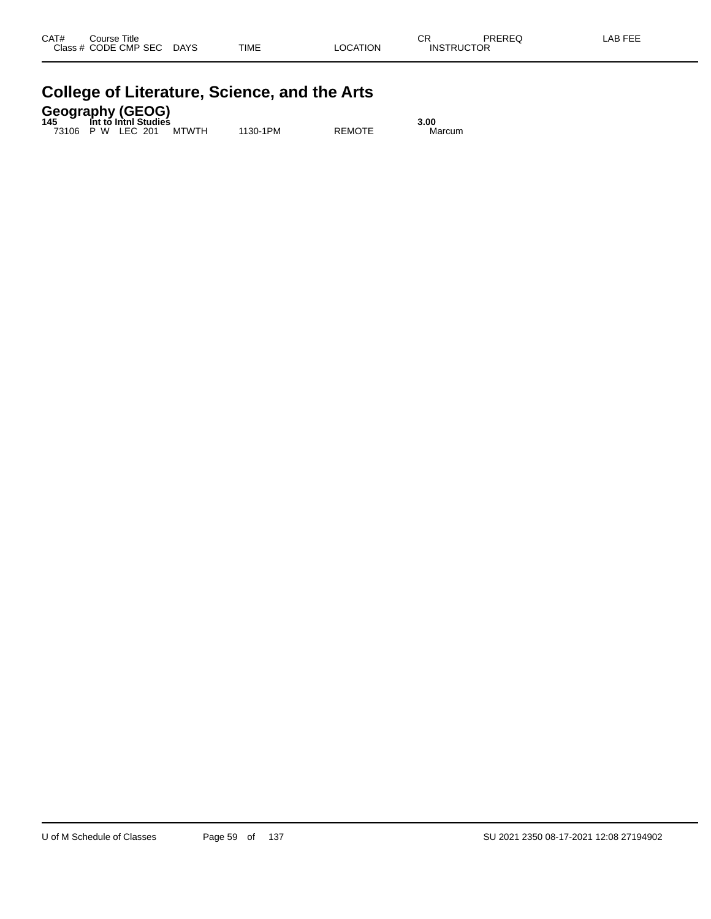| CAT#<br><b>Class</b> | Course Title<br>CODE CMP<br><b>SEC</b> | <b>DAYS</b> | <b>TIME</b> | LOCATION | СR<br>TRUCTOR<br>INS | <b>DDEDEC</b><br>REG | EEE<br>_AP |
|----------------------|----------------------------------------|-------------|-------------|----------|----------------------|----------------------|------------|
|                      |                                        |             |             |          |                      |                      |            |

| <b>Geography (GEOG)</b><br>145 Int to Inthi Studies |      |
|-----------------------------------------------------|------|
|                                                     | 3.00 |

73106 P W LEC 201 MTWTH 1130-1PM REMOTE Marcum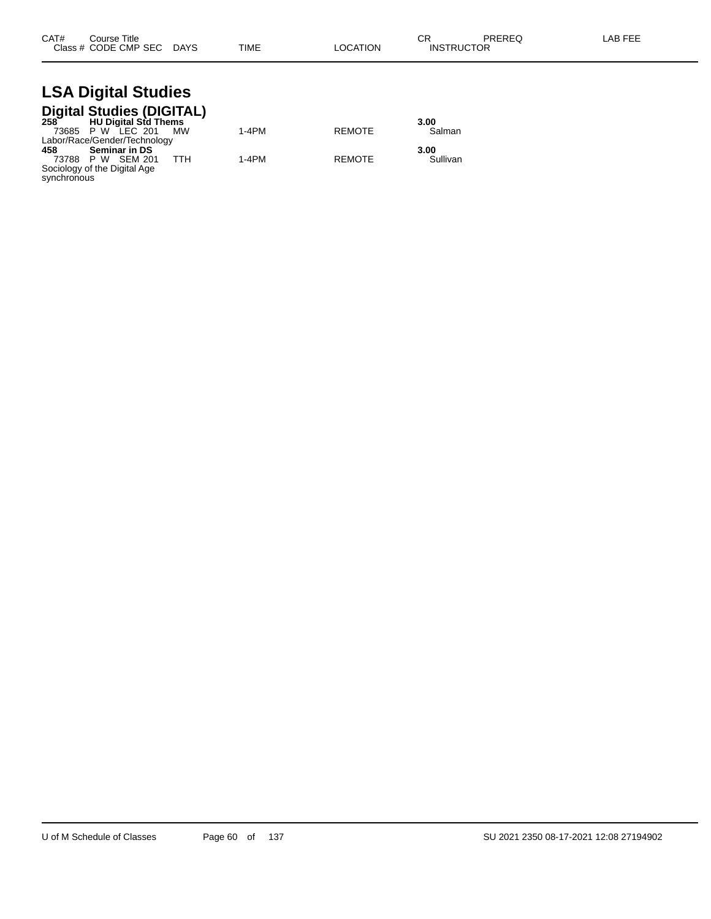| CAT# | Course Title              |      |          | ~~                | PREREQ | LAB FEE |
|------|---------------------------|------|----------|-------------------|--------|---------|
|      | Class # CODE CMP SEC DAYS | TIME | LOCATION | <b>INSTRUCTOR</b> |        |         |

# **LSA Digital Studies**

|             | Digital Studies (DIGITAL)<br>258 HU Digital Std Thems |     |         |               |          |
|-------------|-------------------------------------------------------|-----|---------|---------------|----------|
|             |                                                       |     |         |               | 3.00     |
|             | 73685 P W LEC 201                                     | MW  | $1-4PM$ | <b>REMOTE</b> | Salman   |
|             | Labor/Race/Gender/Technology                          |     |         |               |          |
| 458         | <b>Seminar in DS</b>                                  |     |         |               | 3.00     |
|             | 73788 P W SEM 201                                     | TTH | $1-4PM$ | <b>REMOTE</b> | Sullivan |
|             | Sociology of the Digital Age                          |     |         |               |          |
| synchronous |                                                       |     |         |               |          |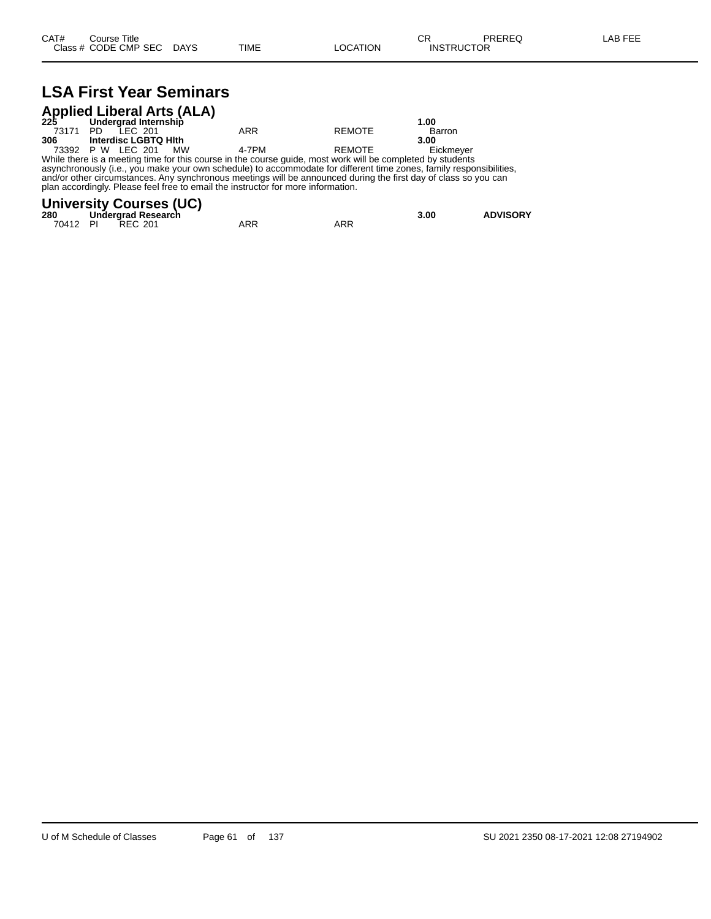## **LSA First Year Seminars**

| <b>Applied Liberal Arts (ALA)</b><br>225 Undergrad Internship |      |         |                      |                                                                                                           |               |           |  |  |  |  |
|---------------------------------------------------------------|------|---------|----------------------|-----------------------------------------------------------------------------------------------------------|---------------|-----------|--|--|--|--|
|                                                               |      |         |                      |                                                                                                           |               | 1.00      |  |  |  |  |
| 73171                                                         | - PD | LEC 201 |                      | ARR                                                                                                       | <b>REMOTE</b> | Barron    |  |  |  |  |
| 306                                                           |      |         | Interdisc LGBTQ HIth |                                                                                                           |               | 3.00      |  |  |  |  |
| 73392 P W LEC 201                                             |      |         | MW                   | 4-7PM                                                                                                     | REMOTE        | Eickmever |  |  |  |  |
|                                                               |      |         |                      | While there is a meeting time for this course in the course quide most work will be completed by students |               |           |  |  |  |  |

While there is a meeting time for this course in the course guide, most work will be completed by students asynchronously (i.e., you make your own schedule) to accommodate for different time zones, family responsibilities, and/or other circumstances. Any synchronous meetings will be announced during the first day of class so you can plan accordingly. Please feel free to email the instructor for more information.

#### **University Courses (UC)**

| 280      | Undergrad Research |     |     | 3.00 | <b>ADVISORY</b> |
|----------|--------------------|-----|-----|------|-----------------|
| 70412 PI | <b>REC 201</b>     | ARR | ARR |      |                 |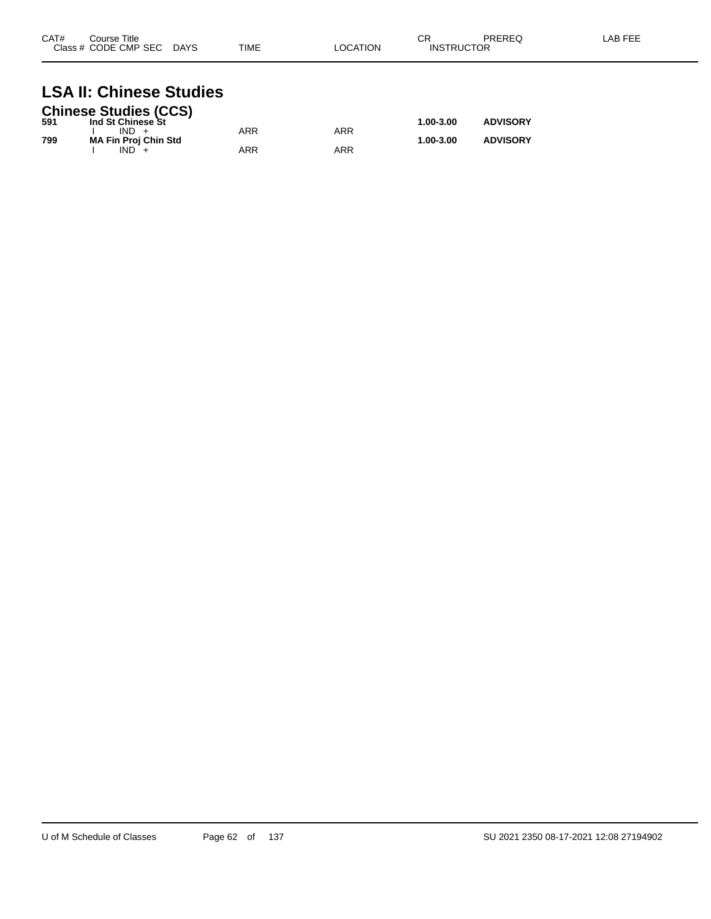| CAT# | Course Title<br>Class # CODE CMP SEC | <b>DAYS</b> | <b>TIME</b> | LOCATION | СR<br><b>INSTRUCTOR</b> | PREREQ | LAB FEE |
|------|--------------------------------------|-------------|-------------|----------|-------------------------|--------|---------|
|      |                                      |             |             |          |                         |        |         |

## **LSA II: Chinese Studies**

|     | <b>Chinese Studies (CCS)</b> |     |     |               |                 |
|-----|------------------------------|-----|-----|---------------|-----------------|
| 591 | Ind St Chinese St            |     |     | $1.00 - 3.00$ | <b>ADVISORY</b> |
|     | $IND +$                      | ARR | ARR |               |                 |
| 799 | <b>MA Fin Proj Chin Std</b>  |     |     | $1.00 - 3.00$ | <b>ADVISORY</b> |
|     | $IND +$                      | ARR | ARR |               |                 |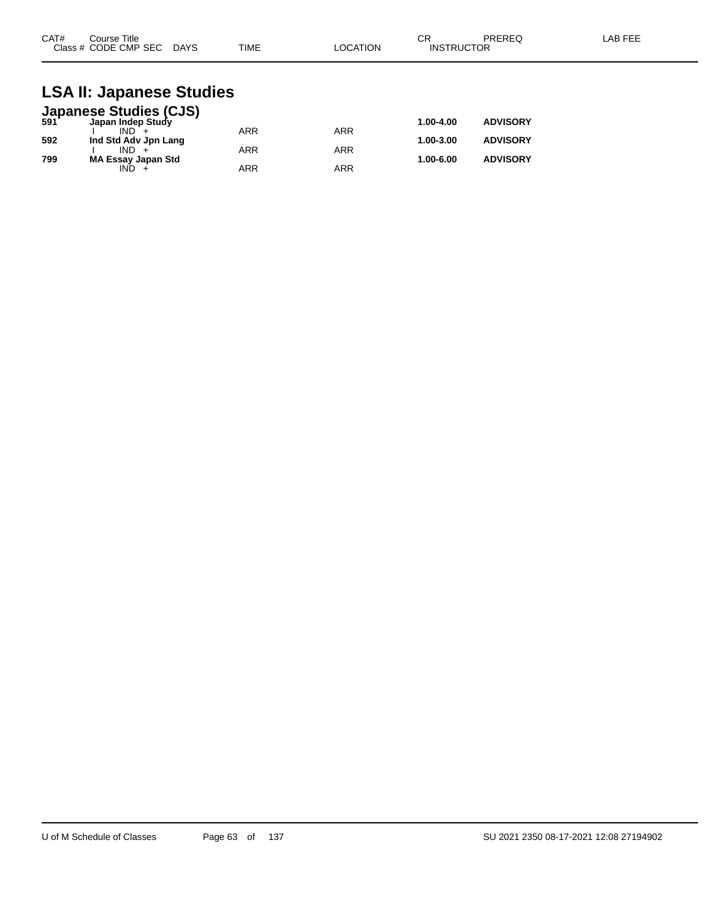| CAT#<br>Course Title      |             | ⌒冖<br>◡г |                   | PREREQ | LAB FEE |
|---------------------------|-------------|----------|-------------------|--------|---------|
| Class # CODE CMP SEC DAYS | <b>TIME</b> | LOCATION | <b>INSTRUCTOR</b> |        |         |

### **LSA II: Japanese Studies**

|     | <b>Japanese Studies (CJS)</b><br>591 Japan Indep Study |            |            |           |                 |
|-----|--------------------------------------------------------|------------|------------|-----------|-----------------|
|     |                                                        |            |            | 1.00-4.00 | <b>ADVISORY</b> |
|     | $IND +$                                                | <b>ARR</b> | ARR        |           |                 |
| 592 | Ind Std Adv Jpn Lang                                   |            |            | 1.00-3.00 | <b>ADVISORY</b> |
|     | $IND +$                                                | <b>ARR</b> | <b>ARR</b> |           |                 |
| 799 | <b>MA Essay Japan Std</b>                              |            |            | 1.00-6.00 | <b>ADVISORY</b> |
|     | IND.                                                   | <b>ARR</b> | ARR        |           |                 |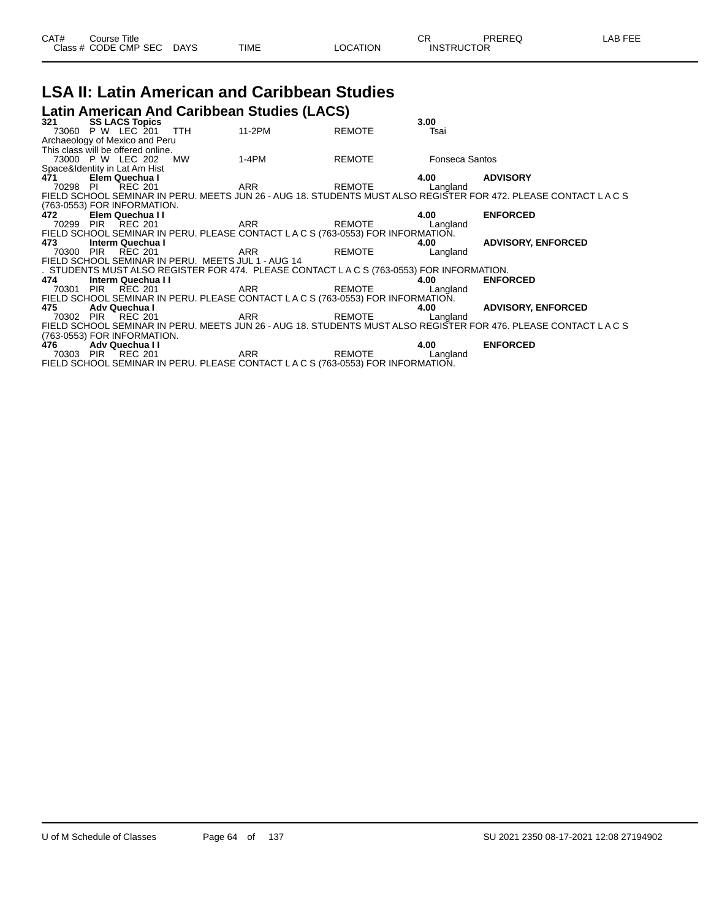|  | CAT# | ourse Titleٽ<br>Class # CODE CMP SEC DAYS |  | TIME | LOCATION | ∩⊓<br>- UN<br><b>INSTRUCTOR</b> | PREREQ | -AB FEE |
|--|------|-------------------------------------------|--|------|----------|---------------------------------|--------|---------|
|--|------|-------------------------------------------|--|------|----------|---------------------------------|--------|---------|

## **LSA II: Latin American and Caribbean Studies**

**Latin American And Caribbean Studies (LACS)**

| 321      | <b>SS LACS Topics</b>              |                                                    |                                                                                        |               | 3.00                  |                                                                                                               |
|----------|------------------------------------|----------------------------------------------------|----------------------------------------------------------------------------------------|---------------|-----------------------|---------------------------------------------------------------------------------------------------------------|
|          | 73060 P W LEC 201                  | TTH                                                | 11-2PM                                                                                 | REMOTE        | Tsai                  |                                                                                                               |
|          | Archaeology of Mexico and Peru     |                                                    |                                                                                        |               |                       |                                                                                                               |
|          | This class will be offered online. |                                                    |                                                                                        |               |                       |                                                                                                               |
|          | 73000 P W LEC 202                  | MW                                                 | 1-4PM                                                                                  | REMOTE        | <b>Fonseca Santos</b> |                                                                                                               |
|          | Space&Identity in Lat Am Hist      |                                                    |                                                                                        |               |                       |                                                                                                               |
| 471      | Elem Quechua I                     |                                                    |                                                                                        |               | 4.00                  | <b>ADVISORY</b>                                                                                               |
| 70298 PI | REC 201                            |                                                    | ARR                                                                                    | REMOTE        | Langland              |                                                                                                               |
|          |                                    |                                                    |                                                                                        |               |                       | FIELD SCHOOL SEMINAR IN PERU. MEETS JUN 26 - AUG 18. STUDENTS MUST ALSO REGISTER FOR 472. PLEASE CONTACT LACS |
|          | (763-0553) FOR INFORMATION.        |                                                    |                                                                                        |               |                       |                                                                                                               |
| 472      | Elem Quechua II                    |                                                    |                                                                                        |               | 4.00                  | <b>ENFORCED</b>                                                                                               |
|          | 70299 PIR REC 201                  |                                                    | ARR REMOTE Langland                                                                    |               |                       |                                                                                                               |
|          |                                    |                                                    | FIELD SCHOOL SEMINAR IN PERU. PLEASE CONTACT LACS (763-0553) FOR INFORMATION.          |               |                       |                                                                                                               |
| 473      | Interm Quechua I                   |                                                    |                                                                                        |               | 4.00                  | <b>ADVISORY, ENFORCED</b>                                                                                     |
|          | 70300 PIR REC 201                  |                                                    | ARR                                                                                    | <b>REMOTE</b> | Langland              |                                                                                                               |
|          |                                    | FIELD SCHOOL SEMINAR IN PERU. MEETS JUL 1 - AUG 14 |                                                                                        |               |                       |                                                                                                               |
|          |                                    |                                                    | . STUDENTS MUST ALSO REGISTER FOR 474. PLEASE CONTACT LACS (763-0553) FOR INFORMATION. |               |                       |                                                                                                               |
| 474      | Interm Quechua I I                 |                                                    |                                                                                        |               | 4.00                  | <b>ENFORCED</b>                                                                                               |
|          | 70301 PIR REC 201                  |                                                    | ARR                                                                                    | REMOTE        | Langland              |                                                                                                               |
|          |                                    |                                                    | FIELD SCHOOL SEMINAR IN PERU. PLEASE CONTACT LACS (763-0553) FOR INFORMATION.          |               |                       |                                                                                                               |
| 475      | Adv Quechua I                      |                                                    |                                                                                        |               | 4.00                  | <b>ADVISORY, ENFORCED</b>                                                                                     |
|          | 70302 PIR REC 201                  |                                                    | ARR REMOTE                                                                             |               | Langland              |                                                                                                               |
|          |                                    |                                                    |                                                                                        |               |                       | FIELD SCHOOL SEMINAR IN PERU. MEETS JUN 26 - AUG 18. STUDENTS MUST ALSO REGISTER FOR 476. PLEASE CONTACT LACS |
|          | (763-0553) FOR INFORMATION.        |                                                    |                                                                                        |               |                       |                                                                                                               |
| 476      | Adv Quechua II                     |                                                    |                                                                                        | REMOTE        | 4.00                  | <b>ENFORCED</b>                                                                                               |
|          | 70303 PIR REC 201                  |                                                    | ARR                                                                                    |               | Langland              |                                                                                                               |
|          |                                    |                                                    | FIELD SCHOOL SEMINAR IN PERU. PLEASE CONTACT LACS (763-0553) FOR INFORMATION.          |               |                       |                                                                                                               |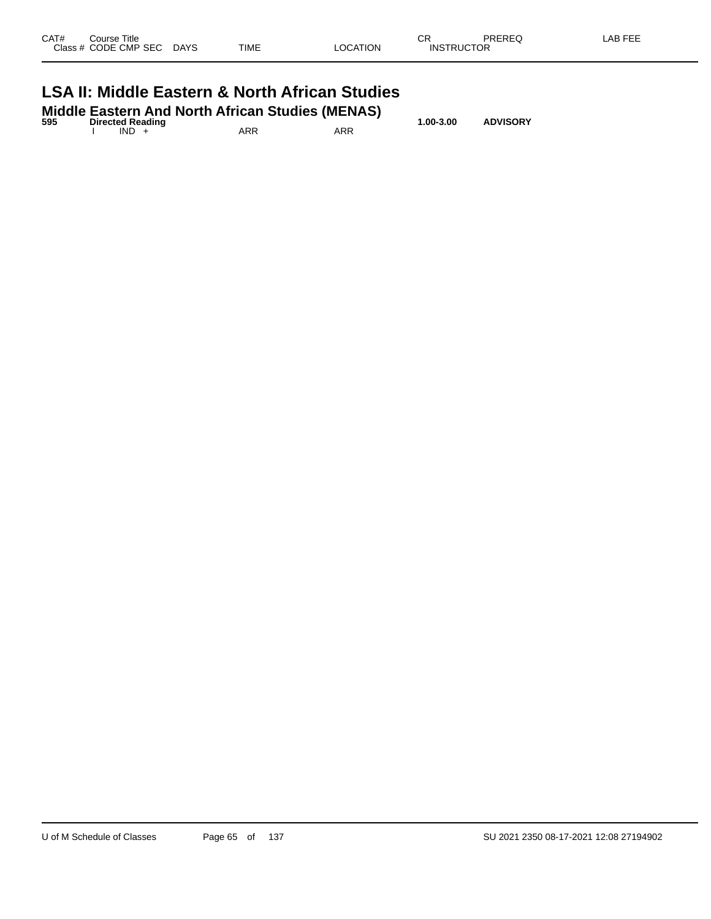| Class # CODE CMP SEC DAYS                                 |  | TIME | LOCATION | <b>INSTRUCTOR</b> |  |  |  |  |  |
|-----------------------------------------------------------|--|------|----------|-------------------|--|--|--|--|--|
| <b>LSA II: Middle Eastern &amp; North African Studies</b> |  |      |          |                   |  |  |  |  |  |

|     |                         |      | <b>Middle Eastern And North African Studies (MENAS)</b> |     |           |                 |  |
|-----|-------------------------|------|---------------------------------------------------------|-----|-----------|-----------------|--|
| 595 | <b>Directed Reading</b> | IND. | ARR                                                     | ARR | 1.00-3.00 | <b>ADVISORY</b> |  |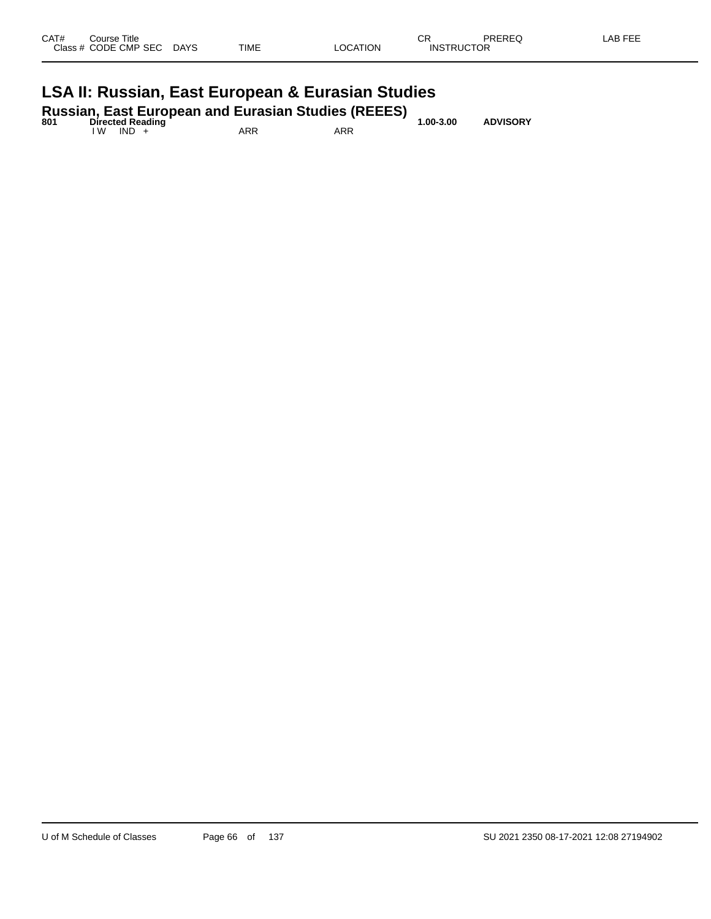| CAT#<br>Course Title<br>Class # CODE CMP SEC DAYS | TIME | <b>LOCATION</b>                             | СR<br><b>INSTRUCTOR</b>       | LAB FEE<br>PREREQ |  |
|---------------------------------------------------|------|---------------------------------------------|-------------------------------|-------------------|--|
|                                                   |      | the company's company's company's company's | the control of the control of |                   |  |

## **LSA II: Russian, East European & Eurasian Studies**

| 801 | <b>Directed Reading</b> |     | <b>Russian, East European and Eurasian Studies (REEES)</b> | $1.00 - 3.00$ | <b>ADVISORY</b> |
|-----|-------------------------|-----|------------------------------------------------------------|---------------|-----------------|
|     | IW IND +                | ARR | ARR                                                        |               |                 |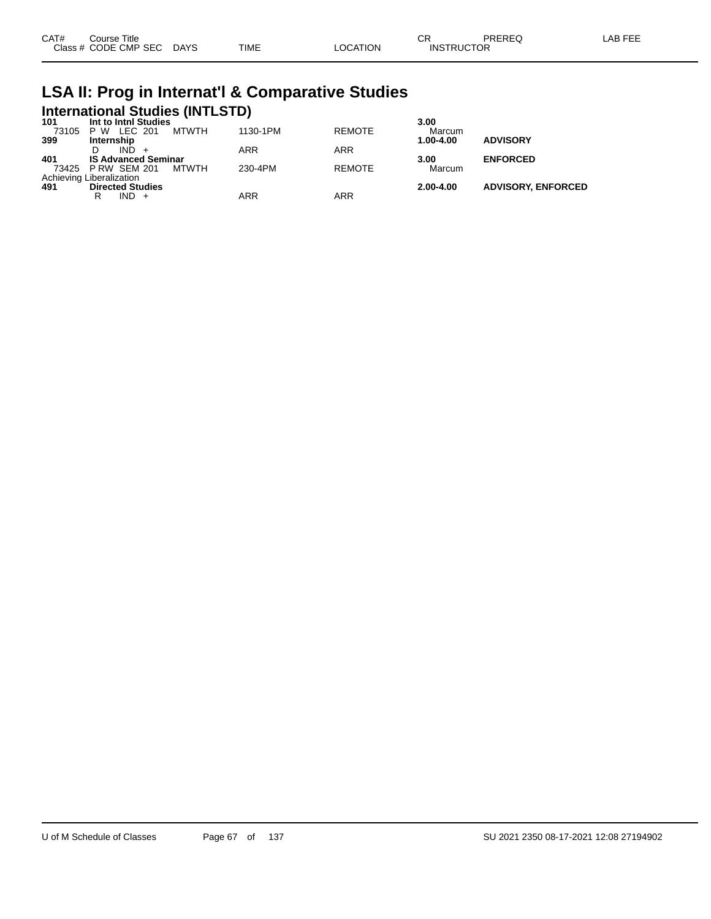| CAT# | ourse Titleٽ              |      |          | חה<br>◡⊓          | <b>PREREQ</b> | LAB FEE |
|------|---------------------------|------|----------|-------------------|---------------|---------|
|      | Class # CODE CMP SEC DAYS | TIME | ∟OCATION | <b>INSTRUCTOR</b> |               |         |

## **LSA II: Prog in Internat'l & Comparative Studies International Studies (INTLSTD) 101 Int to Intnl Studies 3.00**

| 101. | Int to Inthi Studies       |       |          |               | 3.UU      |                           |
|------|----------------------------|-------|----------|---------------|-----------|---------------------------|
|      | 73105 P W LEC 201          | MTWTH | 1130-1PM | <b>REMOTE</b> | Marcum    |                           |
| 399  | Internship                 |       |          |               | 1.00-4.00 | <b>ADVISORY</b>           |
|      | IND.                       |       | ARR      | <b>ARR</b>    |           |                           |
| 401  | <b>IS Advanced Seminar</b> |       |          |               | 3.00      | <b>ENFORCED</b>           |
|      | 73425 P RW SEM 201         | MTWTH | 230-4PM  | <b>REMOTE</b> | Marcum    |                           |
|      | Achieving Liberalization   |       |          |               |           |                           |
| 491  | <b>Directed Studies</b>    |       |          |               | 2.00-4.00 | <b>ADVISORY, ENFORCED</b> |
|      | IND +                      |       | ARR      | ARR           |           |                           |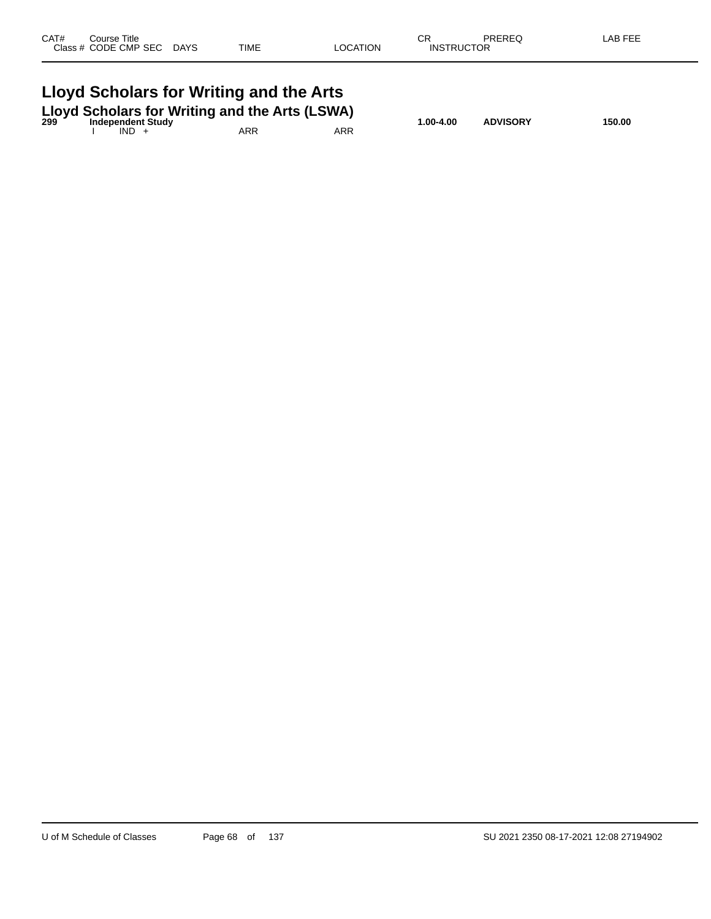| CAT# | Course Title<br>Class # CODE CMP SEC DAYS | TIME                                                                                                                      | <b>LOCATION</b> | СR<br><b>INSTRUCTOR</b> | PREREQ          | LAB FEE |
|------|-------------------------------------------|---------------------------------------------------------------------------------------------------------------------------|-----------------|-------------------------|-----------------|---------|
|      | $IND +$                                   | Lloyd Scholars for Writing and the Arts<br>Lloyd Scholars for Writing and the Arts (LSWA)<br>299 Independent Study<br>ARR | ARR             | 1.00-4.00               | <b>ADVISORY</b> | 150.00  |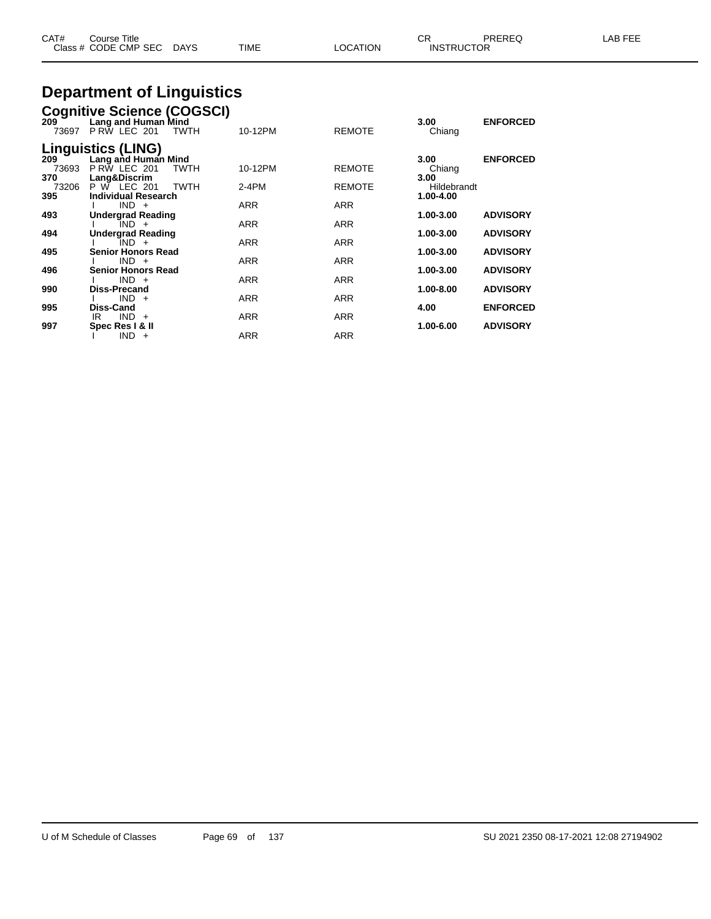| CAT#<br>Close - | Title<br>Course<br><b>CODE CMP SEC</b> | DAYS | <b>TIME</b> | <b>OCATION</b> | ◠⊏<br>◡<br><b>INSTRUCTOR</b> | PREREC | ΔF |
|-----------------|----------------------------------------|------|-------------|----------------|------------------------------|--------|----|
|                 |                                        |      |             |                |                              |        |    |

## **Department of Linguistics**

|              | <b>Cognitive Science (COGSCI)</b>                         |            |               |                          |                 |
|--------------|-----------------------------------------------------------|------------|---------------|--------------------------|-----------------|
| 209<br>73697 | Lang and Human Mind<br><b>P RW LEC 201</b><br><b>TWTH</b> | 10-12PM    | <b>REMOTE</b> | 3.00<br>Chiang           | <b>ENFORCED</b> |
| 209          | <b>Linguistics (LING)</b><br>Lang and Human Mind          |            |               | 3.00                     | <b>ENFORCED</b> |
| 73693<br>370 | <b>P RW LEC 201</b><br><b>TWTH</b><br>Lang&Discrim        | 10-12PM    | <b>REMOTE</b> | Chiang<br>3.00           |                 |
| 73206<br>395 | P W LEC 201<br><b>TWTH</b><br><b>Individual Research</b>  | $2-4PM$    | <b>REMOTE</b> | Hildebrandt<br>1.00-4.00 |                 |
| 493          | $IND +$<br><b>Undergrad Reading</b>                       | <b>ARR</b> | <b>ARR</b>    | 1.00-3.00                | <b>ADVISORY</b> |
|              | $IND +$                                                   | <b>ARR</b> | <b>ARR</b>    |                          | <b>ADVISORY</b> |
| 494          | <b>Undergrad Reading</b><br>IND +                         | <b>ARR</b> | <b>ARR</b>    | 1.00-3.00                |                 |
| 495          | <b>Senior Honors Read</b><br>$IND +$                      | <b>ARR</b> | <b>ARR</b>    | 1.00-3.00                | <b>ADVISORY</b> |
| 496          | <b>Senior Honors Read</b><br>$IND +$                      | <b>ARR</b> | <b>ARR</b>    | 1.00-3.00                | <b>ADVISORY</b> |
| 990          | <b>Diss-Precand</b><br>$IND +$                            | <b>ARR</b> | <b>ARR</b>    | 1.00-8.00                | <b>ADVISORY</b> |
| 995          | <b>Diss-Cand</b>                                          |            |               | 4.00                     | <b>ENFORCED</b> |
| 997          | $IND +$<br>IR.<br>Spec Res   & II                         | <b>ARR</b> | <b>ARR</b>    | 1.00-6.00                | <b>ADVISORY</b> |
|              | <b>IND</b><br>$+$                                         | <b>ARR</b> | <b>ARR</b>    |                          |                 |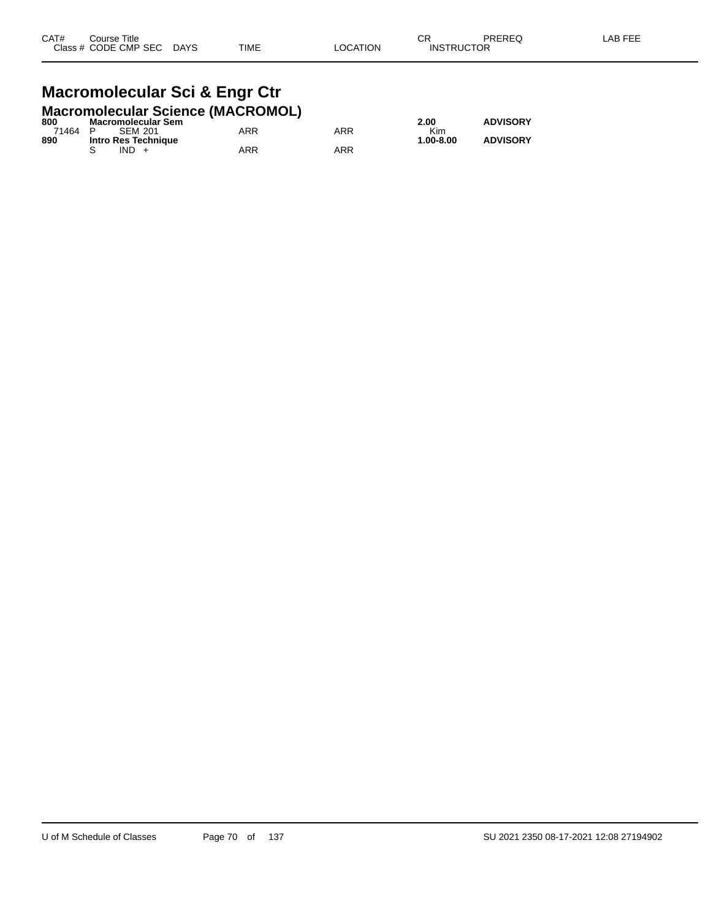#### **Macromolecular Sci & Engr Ctr Macromolecular Science (MACROMOL)**

| 800     | $\frac{1}{2}$<br><b>Macromolecular Sem</b> |     |            | 2.00      | <b>ADVISORY</b> |
|---------|--------------------------------------------|-----|------------|-----------|-----------------|
| 71464 P | SFM 201                                    | ARR | <b>ARR</b> | Kim       |                 |
| 890     | Intro Res Technique                        |     |            | 1.00-8.00 | <b>ADVISORY</b> |
|         | $IND +$                                    | ARR | <b>ARR</b> |           |                 |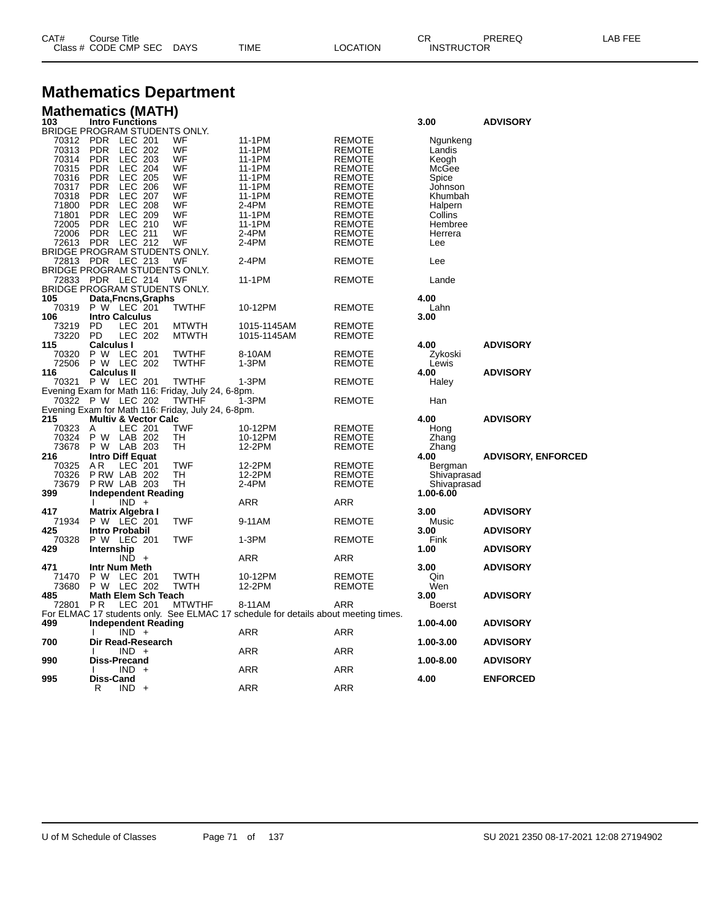| CAT# | ourse Titleٽ         |             |      |          | ⌒冖<br>◡⊓          | PREREQ | , EEF<br>AR. |
|------|----------------------|-------------|------|----------|-------------------|--------|--------------|
|      | Class # CODE CMP SEC | <b>DAYS</b> | TIME | LOCATION | <b>INSTRUCTOR</b> |        |              |

# **Mathematics Department**

| <b>Mathematics (MATH)</b>            |                                 |                |     |                                                    |                                                                                    |               |               |                           |
|--------------------------------------|---------------------------------|----------------|-----|----------------------------------------------------|------------------------------------------------------------------------------------|---------------|---------------|---------------------------|
| 103<br>BRIDGE PROGRAM STUDENTS ONLY. | <b>Intro Functions</b>          |                |     |                                                    |                                                                                    |               | 3.00          | <b>ADVISORY</b>           |
|                                      |                                 |                |     |                                                    |                                                                                    |               |               |                           |
| 70312                                | <b>PDR</b>                      | LEC 201        |     | WF<br>WF                                           | 11-1PM                                                                             | <b>REMOTE</b> | Ngunkeng      |                           |
| 70313                                | <b>PDR</b><br><b>PDR</b>        | LEC 202        |     | WF                                                 | 11-1PM                                                                             | <b>REMOTE</b> | Landis        |                           |
| 70314                                |                                 | LEC 203        |     |                                                    | 11-1PM                                                                             | <b>REMOTE</b> | Keogh         |                           |
| 70315                                | <b>PDR</b>                      | <b>LEC 204</b> |     | WF                                                 | 11-1PM                                                                             | <b>REMOTE</b> | McGee         |                           |
| 70316                                | <b>PDR</b>                      | <b>LEC 205</b> |     | WF                                                 | 11-1PM                                                                             | <b>REMOTE</b> | Spice         |                           |
| 70317                                | <b>PDR</b>                      | <b>LEC 206</b> |     | WF                                                 | 11-1PM                                                                             | <b>REMOTE</b> | Johnson       |                           |
| 70318                                | <b>PDR</b>                      | <b>LEC 207</b> |     | WF                                                 | 11-1PM                                                                             | <b>REMOTE</b> | Khumbah       |                           |
| 71800                                | <b>PDR</b>                      | <b>LEC 208</b> |     | WF                                                 | 2-4PM                                                                              | <b>REMOTE</b> | Halpern       |                           |
| 71801                                | <b>PDR</b>                      | <b>LEC 209</b> |     | WF                                                 | 11-1PM                                                                             | <b>REMOTE</b> | Collins       |                           |
| 72005                                | <b>PDR</b>                      | LEC 210        |     | WF                                                 | 11-1PM                                                                             | <b>REMOTE</b> | Hembree       |                           |
| 72006                                | <b>PDR</b>                      | LEC 211        |     | WF                                                 | 2-4PM                                                                              | <b>REMOTE</b> | Herrera       |                           |
| 72613                                | <b>PDR</b>                      | <b>LEC 212</b> |     | WF                                                 | 2-4PM                                                                              | <b>REMOTE</b> | Lee           |                           |
| BRIDGE PROGRAM STUDENTS ONLY.        |                                 |                |     |                                                    |                                                                                    |               |               |                           |
| 72813                                | PDR LEC 213                     |                |     | WF                                                 | 2-4PM                                                                              | <b>REMOTE</b> | Lee           |                           |
| BRIDGE PROGRAM STUDENTS ONLY.        |                                 |                |     |                                                    |                                                                                    |               |               |                           |
| 72833 PDR LEC 214                    |                                 |                |     | WF                                                 | 11-1PM                                                                             | <b>REMOTE</b> | Lande         |                           |
| BRIDGE PROGRAM STUDENTS ONLY.        |                                 |                |     |                                                    |                                                                                    |               |               |                           |
| 105                                  | Data, Fncns, Graphs             |                |     |                                                    |                                                                                    |               | 4.00          |                           |
| 70319                                |                                 |                |     |                                                    |                                                                                    |               |               |                           |
|                                      | P W LEC 201                     |                |     | <b>TWTHF</b>                                       | 10-12PM                                                                            | <b>REMOTE</b> | Lahn          |                           |
| 106                                  | <b>Intro Calculus</b>           |                |     |                                                    |                                                                                    |               | 3.00          |                           |
| 73219                                | <b>PD</b>                       | LEC 201        |     | <b>MTWTH</b>                                       | 1015-1145AM                                                                        | <b>REMOTE</b> |               |                           |
| 73220                                | <b>PD</b>                       | <b>LEC 202</b> |     | <b>MTWTH</b>                                       | 1015-1145AM                                                                        | <b>REMOTE</b> |               |                           |
| 115                                  | <b>Calculus I</b>               |                |     |                                                    |                                                                                    |               | 4.00          | <b>ADVISORY</b>           |
| 70320                                | P W LEC 201                     |                |     | <b>TWTHF</b>                                       | 8-10AM                                                                             | <b>REMOTE</b> | Zykoski       |                           |
| 72506                                | P W LEC 202                     |                |     | <b>TWTHF</b>                                       | 1-3PM                                                                              | <b>REMOTE</b> | Lewis         |                           |
| 116                                  | <b>Calculus II</b>              |                |     |                                                    |                                                                                    |               | 4.00          | <b>ADVISORY</b>           |
| 70321                                | P W LEC 201                     |                |     | <b>TWTHF</b>                                       | 1-3PM                                                                              | <b>REMOTE</b> | Haley         |                           |
|                                      |                                 |                |     | Evening Exam for Math 116: Friday, July 24, 6-8pm. |                                                                                    |               |               |                           |
| 70322 P W LEC 202                    |                                 |                |     | <b>TWTHF</b>                                       | 1-3PM                                                                              | <b>REMOTE</b> | Han           |                           |
|                                      |                                 |                |     | Evening Exam for Math 116: Friday, July 24, 6-8pm. |                                                                                    |               |               |                           |
| 215                                  | <b>Multiv &amp; Vector Calc</b> |                |     |                                                    |                                                                                    |               | 4.00          | <b>ADVISORY</b>           |
| 70323                                | A                               | <b>LEC 201</b> |     | <b>TWF</b>                                         | 10-12PM                                                                            | <b>REMOTE</b> | Hong          |                           |
| 70324                                | P W LAB 202                     |                |     | TH                                                 | 10-12PM                                                                            | <b>REMOTE</b> | Zhang         |                           |
| 73678                                | P W LAB 203                     |                |     | TН                                                 | 12-2PM                                                                             | <b>REMOTE</b> | Zhang         |                           |
| 216                                  | Intro Diff Equat                |                |     |                                                    |                                                                                    |               | 4.00          | <b>ADVISORY, ENFORCED</b> |
| 70325                                | AR                              | LEC 201        |     | <b>TWF</b>                                         | 12-2PM                                                                             | <b>REMOTE</b> |               |                           |
|                                      |                                 |                |     | TН                                                 |                                                                                    |               | Bergman       |                           |
| 70326                                | <b>P RW LAB 202</b>             |                |     |                                                    | 12-2PM                                                                             | <b>REMOTE</b> | Shivaprasad   |                           |
| 73679                                | PRW LAB 203                     |                |     | TН                                                 | 2-4PM                                                                              | <b>REMOTE</b> | Shivaprasad   |                           |
| 399                                  | <b>Independent Reading</b>      |                |     |                                                    |                                                                                    |               | 1.00-6.00     |                           |
|                                      | <sup>1</sup>                    | $IND +$        |     |                                                    | ARR                                                                                | ARR           |               |                           |
| 417                                  | Matrix Algebra I                |                |     |                                                    |                                                                                    |               | 3.00          | <b>ADVISORY</b>           |
| 71934                                | P W LEC 201                     |                |     | <b>TWF</b>                                         | 9-11AM                                                                             | <b>REMOTE</b> | Music         |                           |
| 425                                  | Intro Probabil                  |                |     |                                                    |                                                                                    |               | 3.00          | <b>ADVISORY</b>           |
| 70328                                | P W LEC 201                     |                |     | TWF                                                | 1-3PM                                                                              | <b>REMOTE</b> | Fink          |                           |
| 429                                  | Internship                      |                |     |                                                    |                                                                                    |               | 1.00          | <b>ADVISORY</b>           |
|                                      |                                 | $IND +$        |     |                                                    | ARR                                                                                | ARR           |               |                           |
| 471                                  | Intr Num Meth                   |                |     |                                                    |                                                                                    |               | 3.00          | <b>ADVISORY</b>           |
| 71470                                | P W LEC 201                     |                |     | TWTH                                               | 10-12PM                                                                            | <b>REMOTE</b> | Qin           |                           |
| 73680                                | P W LEC 202                     |                |     | <b>TWTH</b>                                        | 12-2PM                                                                             | <b>REMOTE</b> | Wen           |                           |
| 485                                  | Math Elem Sch Teach             |                |     |                                                    |                                                                                    |               | 3.00          | <b>ADVISORY</b>           |
| 72801                                | <b>PR</b>                       | LEC 201        |     | <b>MTWTHF</b>                                      | 8-11AM                                                                             | ARR           | <b>Boerst</b> |                           |
|                                      |                                 |                |     |                                                    | For ELMAC 17 students only. See ELMAC 17 schedule for details about meeting times. |               |               |                           |
| 499                                  | <b>Independent Reading</b>      |                |     |                                                    |                                                                                    |               | 1.00-4.00     | <b>ADVISORY</b>           |
|                                      |                                 |                |     |                                                    | ARR                                                                                | <b>ARR</b>    |               |                           |
|                                      |                                 | $IND +$        |     |                                                    |                                                                                    |               |               |                           |
| 700                                  | Dir Read-Research               |                |     |                                                    |                                                                                    |               | 1.00-3.00     | <b>ADVISORY</b>           |
|                                      |                                 | $IND +$        |     |                                                    | ARR                                                                                | ARR           |               |                           |
| 990                                  | <b>Diss-Precand</b>             |                |     |                                                    |                                                                                    |               | 1.00-8.00     | <b>ADVISORY</b>           |
|                                      |                                 | <b>IND</b>     | $+$ |                                                    | ARR                                                                                | ARR           |               |                           |
| 995                                  | <b>Diss-Cand</b>                |                |     |                                                    |                                                                                    |               | 4.00          | <b>ENFORCED</b>           |
|                                      | R                               | $IND +$        |     |                                                    | ARR                                                                                | <b>ARR</b>    |               |                           |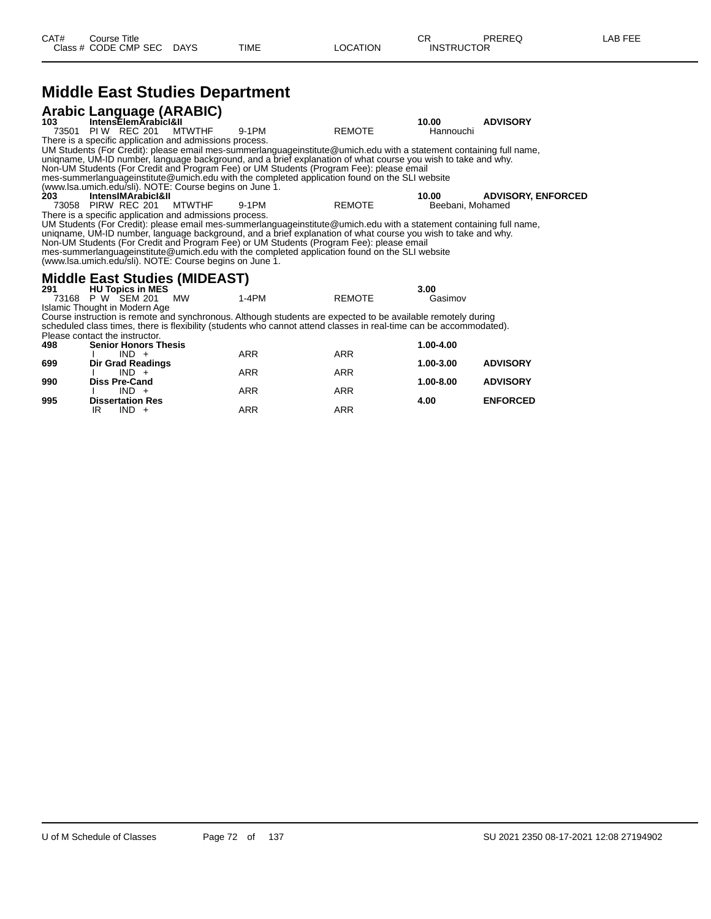## **Middle East Studies Department**

|       | Arabic Language (ARABIC)<br>103 IntensElemArabicI&II            |               |                                                                                                                                                                                                          |               | 10.00            | <b>ADVISORY</b>           |  |
|-------|-----------------------------------------------------------------|---------------|----------------------------------------------------------------------------------------------------------------------------------------------------------------------------------------------------------|---------------|------------------|---------------------------|--|
| 73501 | <b>PIW REC 201</b>                                              | <b>MTWTHF</b> | 9-1PM                                                                                                                                                                                                    | <b>REMOTE</b> | Hannouchi        |                           |  |
|       | There is a specific application and admissions process.         |               |                                                                                                                                                                                                          |               |                  |                           |  |
|       |                                                                 |               | UM Students (For Credit): please email mes-summerlanguageinstitute@umich.edu with a statement containing full name,                                                                                      |               |                  |                           |  |
|       |                                                                 |               | unigname, UM-ID number, language background, and a brief explanation of what course you wish to take and why.                                                                                            |               |                  |                           |  |
|       |                                                                 |               | Non-UM Students (For Credit and Program Fee) or UM Students (Program Fee): please email<br>mes-summerlanguageinstitute@umich.edu with the completed application found on the SLI website                 |               |                  |                           |  |
|       | (www.lsa.umich.edu/sli). NOTE: Course begins on June 1.         |               |                                                                                                                                                                                                          |               |                  |                           |  |
| 203   | IntensIMArabicI&II                                              |               |                                                                                                                                                                                                          |               | 10.00            | <b>ADVISORY, ENFORCED</b> |  |
|       | <b>MTWTHF</b><br>9-1PM<br><b>REMOTE</b><br>73058 PIRW REC 201   |               |                                                                                                                                                                                                          |               | Beebani, Mohamed |                           |  |
|       | There is a specific application and admissions process.         |               |                                                                                                                                                                                                          |               |                  |                           |  |
|       |                                                                 |               | UM Students (For Credit): please email mes-summerlanguageinstitute@umich.edu with a statement containing full name,                                                                                      |               |                  |                           |  |
|       |                                                                 |               | unigname, UM-ID number, language background, and a brief explanation of what course you wish to take and why.<br>Non-UM Students (For Credit and Program Fee) or UM Students (Program Fee): please email |               |                  |                           |  |
|       |                                                                 |               | mes-summerlanguageinstitute@umich.edu with the completed application found on the SLI website                                                                                                            |               |                  |                           |  |
|       | (www.lsa.umich.edu/sli). NOTE: Course begins on June 1.         |               |                                                                                                                                                                                                          |               |                  |                           |  |
|       |                                                                 |               |                                                                                                                                                                                                          |               |                  |                           |  |
| 291   | <b>Middle East Studies (MIDEAST)</b><br><b>HU Topics in MES</b> |               |                                                                                                                                                                                                          |               | 3.00             |                           |  |
| 73168 | P W SEM 201                                                     | <b>MW</b>     | $1-4PM$                                                                                                                                                                                                  | <b>REMOTE</b> | Gasimov          |                           |  |
|       | Islamic Thought in Modern Age                                   |               |                                                                                                                                                                                                          |               |                  |                           |  |
|       |                                                                 |               | Course instruction is remote and synchronous. Although students are expected to be available remotely during                                                                                             |               |                  |                           |  |
|       |                                                                 |               | scheduled class times, there is flexibility (students who cannot attend classes in real-time can be accommodated).                                                                                       |               |                  |                           |  |
|       | Please contact the instructor.                                  |               |                                                                                                                                                                                                          |               |                  |                           |  |
| 498   | <b>Senior Honors Thesis</b><br>$IND +$                          |               | <b>ARR</b>                                                                                                                                                                                               | ARR           | 1.00-4.00        |                           |  |
| 699   | Dir Grad Readings                                               |               |                                                                                                                                                                                                          |               | 1.00-3.00        | <b>ADVISORY</b>           |  |
|       | $IND +$                                                         |               | ARR                                                                                                                                                                                                      | <b>ARR</b>    |                  |                           |  |
| 990   | <b>Diss Pre-Cand</b>                                            |               |                                                                                                                                                                                                          |               | 1.00-8.00        | <b>ADVISORY</b>           |  |
|       | $IND +$                                                         |               | <b>ARR</b>                                                                                                                                                                                               | <b>ARR</b>    |                  |                           |  |
| 995   | <b>Dissertation Res</b>                                         |               |                                                                                                                                                                                                          |               | 4.00             | <b>ENFORCED</b>           |  |

IR IND + ARR ARR ARR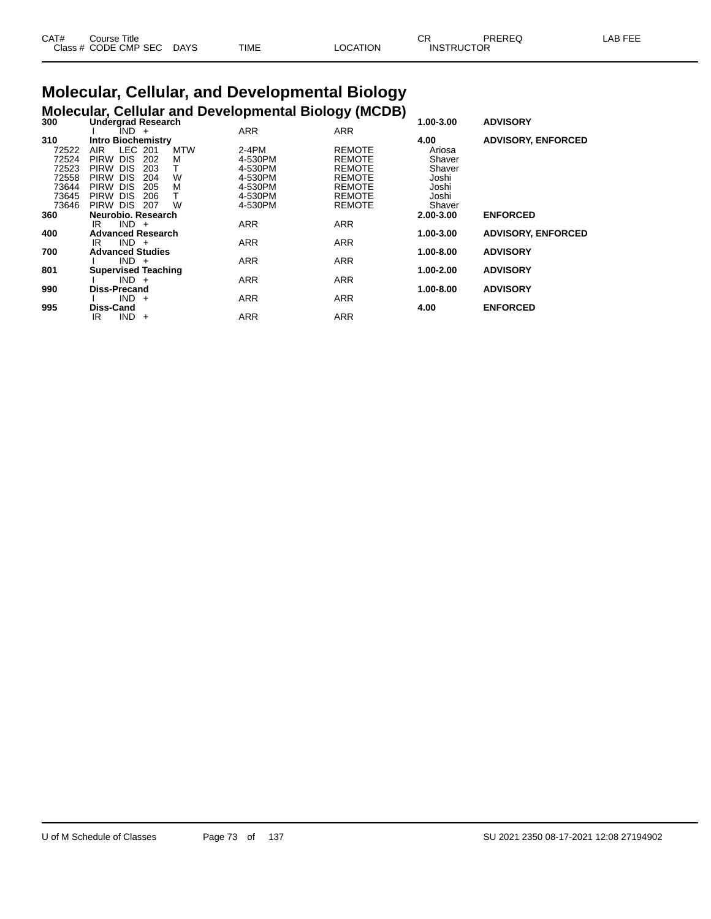| CAT# | Course Title         |             |      | $\cap$<br>◡ |                   | PREREC | _AB FEE |
|------|----------------------|-------------|------|-------------|-------------------|--------|---------|
|      | Class # CODE CMP SEC | <b>DAYS</b> | TIME | ∟OCATION    | <b>INSTRUCTOR</b> |        |         |

#### **Molecular, Cellular, and Developmental Biology Molecular, Cellular and Developmental Biology (MCDB)**

|                                       |                           |               | 1.00-3.00                 | <b>ADVISORY</b>           |
|---------------------------------------|---------------------------|---------------|---------------------------|---------------------------|
| IND +                                 | <b>ARR</b>                | <b>ARR</b>    |                           |                           |
| <b>Intro Biochemistry</b>             |                           |               | 4.00                      | <b>ADVISORY, ENFORCED</b> |
| LEC 201<br>AIR<br><b>MTW</b>          | $2-4PM$                   | <b>REMOTE</b> | Ariosa                    |                           |
| <b>DIS</b><br><b>PIRW</b><br>202<br>M | 4-530PM                   | <b>REMOTE</b> | Shaver                    |                           |
| <b>DIS</b><br><b>PIRW</b><br>203      | 4-530PM                   | REMOTE        | Shaver                    |                           |
| <b>PIRW</b><br><b>DIS</b><br>W<br>204 | 4-530PM                   | <b>REMOTE</b> | Joshi                     |                           |
| <b>DIS</b><br><b>PIRW</b><br>М<br>205 | 4-530PM                   | <b>REMOTE</b> | Joshi                     |                           |
| <b>DIS</b><br><b>PIRW</b><br>206      | 4-530PM                   | <b>REMOTE</b> | Joshi                     |                           |
| <b>DIS</b><br>W<br><b>PIRW</b><br>207 | 4-530PM                   | <b>REMOTE</b> | Shaver                    |                           |
| Neurobio, Research                    |                           |               | 2.00-3.00                 | <b>ENFORCED</b>           |
| $IND +$<br>IR                         | <b>ARR</b>                | <b>ARR</b>    |                           |                           |
| <b>Advanced Research</b>              |                           |               | 1.00-3.00                 | <b>ADVISORY, ENFORCED</b> |
| $IND +$<br>IR                         | <b>ARR</b>                | <b>ARR</b>    |                           |                           |
| <b>Advanced Studies</b>               |                           |               | 1.00-8.00                 | <b>ADVISORY</b>           |
| $IND +$                               | <b>ARR</b>                | <b>ARR</b>    |                           |                           |
| <b>Supervised Teaching</b>            |                           |               | 1.00-2.00                 | <b>ADVISORY</b>           |
| $IND +$                               | <b>ARR</b>                | <b>ARR</b>    |                           |                           |
| Diss-Precand                          |                           |               | 1.00-8.00                 | <b>ADVISORY</b>           |
| $IND +$                               |                           |               |                           |                           |
| Diss-Cand                             |                           |               | 4.00                      | <b>ENFORCED</b>           |
| IND.<br>IR<br>$+$                     | <b>ARR</b>                | <b>ARR</b>    |                           |                           |
|                                       | <b>Undergrad Research</b> | <b>ARR</b>    | <b>-- 1</b><br><b>ARR</b> | ,                         |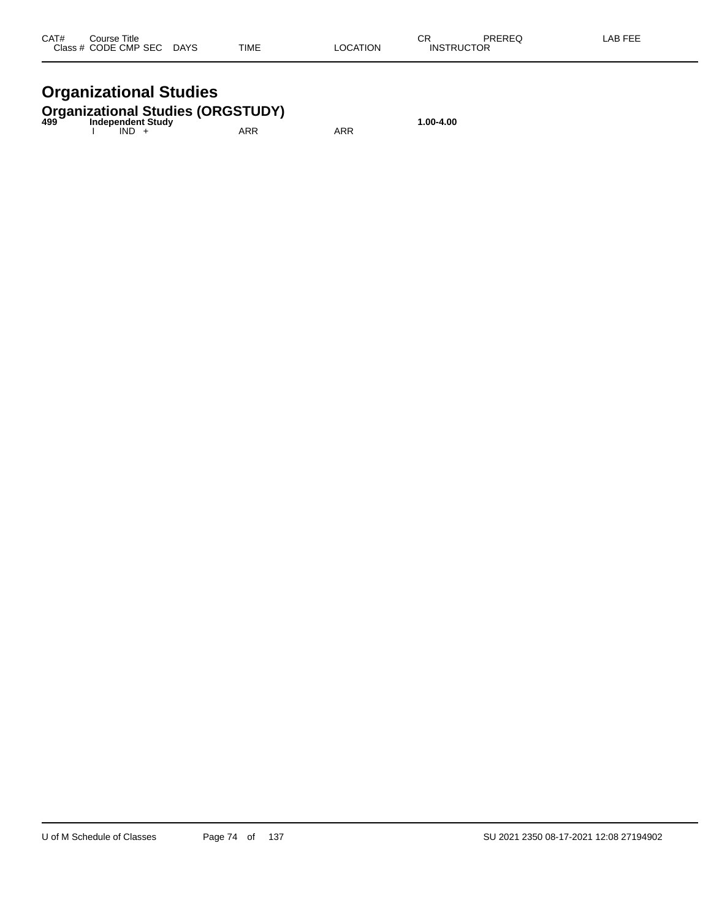| CAT# | Course Title              |      |          | ΩD                | PREREQ | -AB FEE |
|------|---------------------------|------|----------|-------------------|--------|---------|
|      | Class # CODE CMP SEC DAYS | TIME | LOCATION | <b>INSTRUCTOR</b> |        |         |

## **Organizational Studies**

# **Organizational Studies (ORGSTUDY) 499 Independent Study 1.00-4.00**

| 499 | <b>INVERSIBLE STRAP</b><br>IND. | ARR | ARR |  |
|-----|---------------------------------|-----|-----|--|
|     |                                 |     |     |  |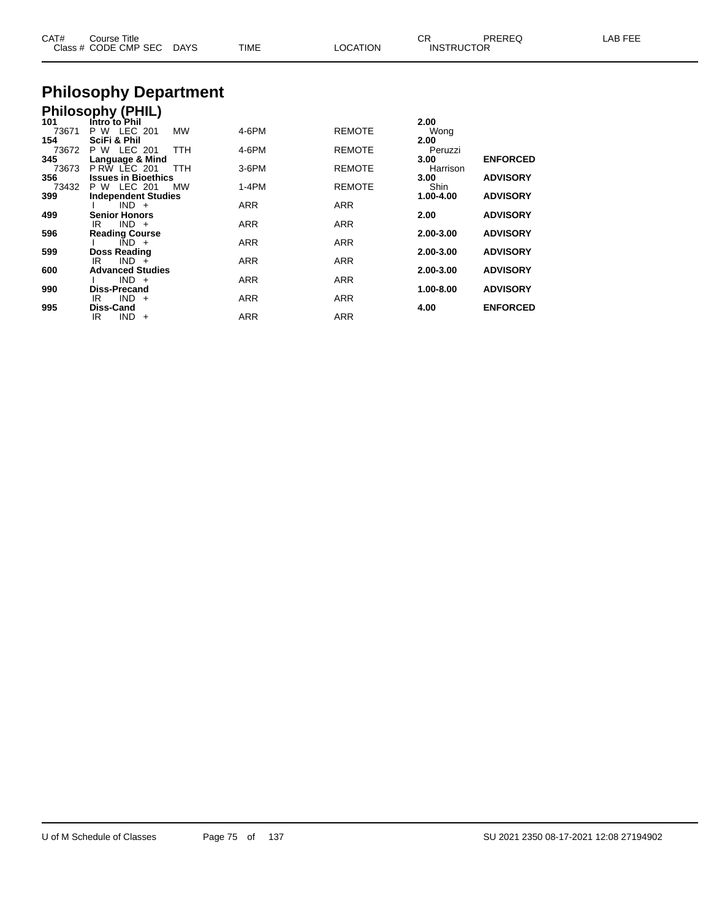| CAT#         | Course Title<br>Class # CODE CMP SEC | DAYS       | <b>TIME</b> | <b>LOCATION</b> | CR.<br><b>INSTRUCTOR</b> | <b>PREREQ</b>   | LAB FEE |
|--------------|--------------------------------------|------------|-------------|-----------------|--------------------------|-----------------|---------|
|              | <b>Philosophy Department</b>         |            |             |                 |                          |                 |         |
|              | <b>Philosophy (PHIL)</b>             |            |             |                 |                          |                 |         |
| 101<br>73671 | Intro to Phil<br>P W LEC 201         | MW         | 4-6PM       | <b>REMOTE</b>   | 2.00<br>Wong             |                 |         |
| 154          | <b>SciFi &amp; Phil</b>              |            |             |                 | 2.00                     |                 |         |
| 73672        | P W LEC 201                          | TTH        | 4-6PM       | <b>REMOTE</b>   | Peruzzi                  |                 |         |
| 345          | Language & Mind                      |            |             |                 | 3.00                     | <b>ENFORCED</b> |         |
| 73673        | PRW LEC 201                          | <b>TTH</b> | $3-6$ PM    | <b>REMOTE</b>   | Harrison                 |                 |         |
| 356          | <b>Issues in Bioethics</b>           |            |             |                 | 3.00                     | <b>ADVISORY</b> |         |
| 73432        | P W LEC 201                          | <b>MW</b>  | $1-4PM$     | <b>REMOTE</b>   | Shin                     |                 |         |
| 399          | <b>Independent Studies</b>           |            |             |                 | 1.00-4.00                | <b>ADVISORY</b> |         |
|              | $IND +$                              |            | <b>ARR</b>  | <b>ARR</b>      |                          |                 |         |
| 499          | <b>Senior Honors</b>                 |            |             |                 | 2.00                     | <b>ADVISORY</b> |         |
| 596          | $IND +$<br>IR                        |            | <b>ARR</b>  | <b>ARR</b>      |                          |                 |         |
|              | <b>Reading Course</b>                |            |             |                 | 2.00-3.00                | <b>ADVISORY</b> |         |

I IND + ARR ARR ARR

IR IND + ARR ARR ARR

I IND + ARR ARR ARR

IR IND + ARR ARR ARR

IR IND + ARR ARR ARR

**599 Doss Reading 2.00-3.00 ADVISORY**

**600 Advanced Studies 2.00-3.00 ADVISORY**

**990 Diss-Precand 1.00-8.00 ADVISORY**

**995 Diss-Cand 4.00 ENFORCED**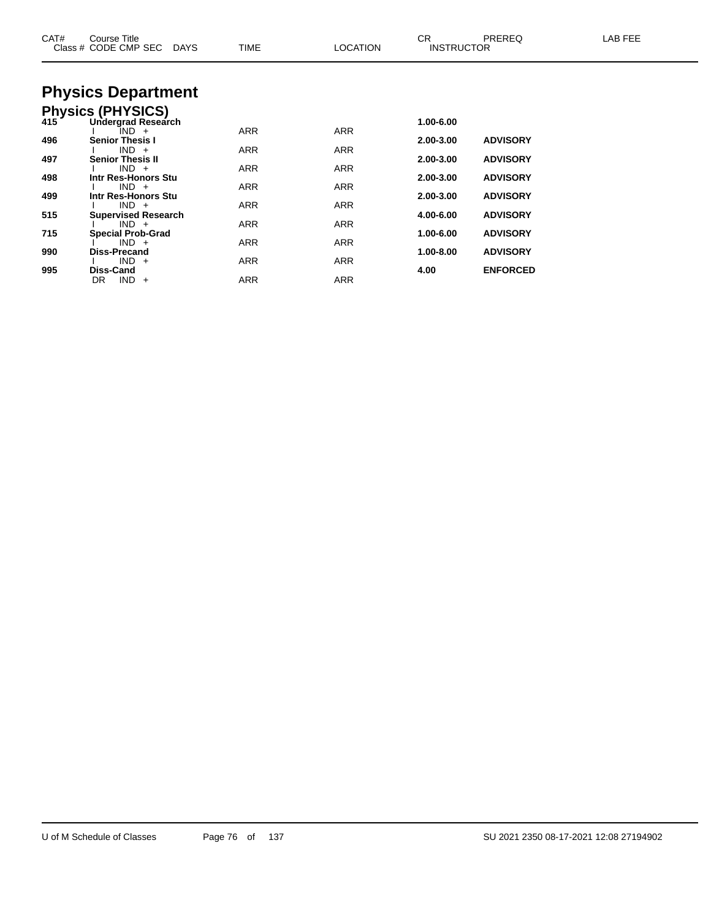| CAT# | Course Title<br>Class # CODE CMP SEC<br>DAYS | <b>TIME</b> | <b>LOCATION</b> | CR<br><b>INSTRUCTOR</b> | <b>PREREQ</b>   | LAB FEE |
|------|----------------------------------------------|-------------|-----------------|-------------------------|-----------------|---------|
|      | <b>Physics Department</b>                    |             |                 |                         |                 |         |
|      | Physics (PHYSICS)<br>415 Undergrad Researd   |             |                 |                         |                 |         |
|      | Undergrad Research                           |             |                 | 1.00-6.00               |                 |         |
| 496  | IND +<br><b>Senior Thesis I</b>              | <b>ARR</b>  | <b>ARR</b>      | 2.00-3.00               | <b>ADVISORY</b> |         |
|      | $IND +$                                      | ARR         | ARR             |                         |                 |         |
| 497  | <b>Senior Thesis II</b><br>$IND +$           | ARR         | ARR             | 2.00-3.00               | <b>ADVISORY</b> |         |
| 498  | Intr Res-Honors Stu                          |             |                 | 2.00-3.00               | <b>ADVISORY</b> |         |
| 499  | $IND +$<br>Intr Res-Honors Stu               | <b>ARR</b>  | <b>ARR</b>      | 2.00-3.00               | <b>ADVISORY</b> |         |
|      | $IND +$                                      | <b>ARR</b>  | <b>ARR</b>      |                         |                 |         |
| 515  | <b>Supervised Research</b><br>$IND +$        | ARR         | ARR             | 4.00-6.00               | <b>ADVISORY</b> |         |
| 715  | <b>Special Prob-Grad</b>                     |             |                 | 1.00-6.00               | <b>ADVISORY</b> |         |
| 990  | $IND +$<br><b>Diss-Precand</b>               | ARR         | ARR             | 1.00-8.00               | <b>ADVISORY</b> |         |
|      | $IND +$                                      | ARR         | ARR             |                         |                 |         |
| 995  | <b>Diss-Cand</b>                             |             |                 | 4.00                    | <b>ENFORCED</b> |         |
|      | $IND +$<br>DR                                | ARR         | <b>ARR</b>      |                         |                 |         |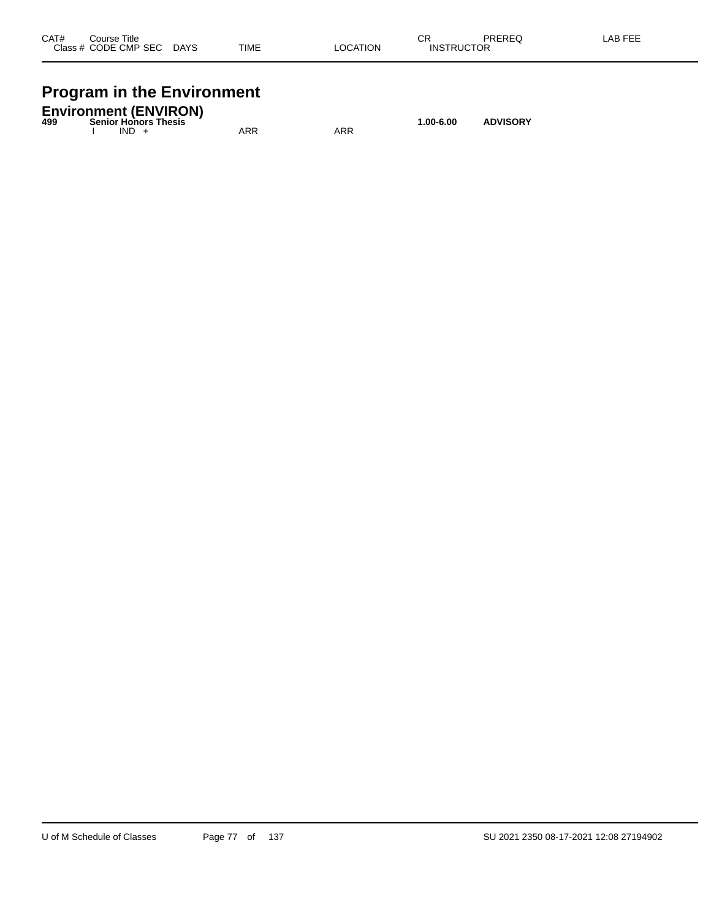| CAT#    | Course Title |             |             |          | ∼⊏<br><b>UN</b>   | PREREQ | AB FFF |
|---------|--------------|-------------|-------------|----------|-------------------|--------|--------|
| Class # | CODE CMP SEC | <b>DAYS</b> | <b>TIME</b> | LOCATION | <b>INSTRUCTOR</b> |        |        |
|         |              |             |             |          |                   |        |        |

# **Program in the Environment**

| 499 |         | <b>Environment (ENVIRON)</b><br><b>Senior Honors Thesis</b> |     |     | $1.00 - 6.00$ | <b>ADVISORY</b> |
|-----|---------|-------------------------------------------------------------|-----|-----|---------------|-----------------|
|     | $IND +$ |                                                             | ARR | ARR |               |                 |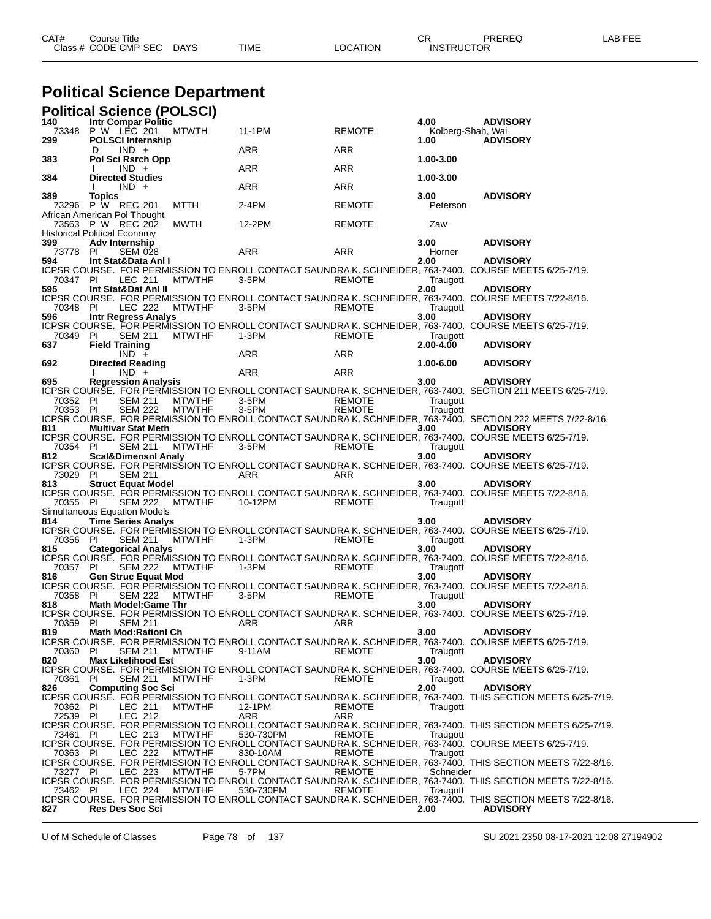| CAT# | Title<br>Course⊺     |             |      |          | ◠г<br>- UN        | PREREQ | _AB FEF |
|------|----------------------|-------------|------|----------|-------------------|--------|---------|
|      | Class # CODE CMP SEC | <b>DAYS</b> | TIME | LOCATION | <b>INSTRUCTOR</b> |        |         |

# **Political Science Department**

|                      | <b>Political Science (POLSCI)</b>                              |               |               |                      |                       |                                                                                                                                 |
|----------------------|----------------------------------------------------------------|---------------|---------------|----------------------|-----------------------|---------------------------------------------------------------------------------------------------------------------------------|
| 140<br>73348<br>299  | Intr Compar Politic<br>P W LEC 201<br><b>POLSCI Internship</b> | <b>MTWTH</b>  | 11-1PM        | <b>REMOTE</b>        | 4.00<br>1.00          | <b>ADVISORY</b><br>Kolberg-Shah, Wai<br><b>ADVISORY</b>                                                                         |
|                      | $IND +$<br>D                                                   |               | ARR           | ARR                  |                       |                                                                                                                                 |
| 383                  | Pol Sci Rsrch Opp<br>$IND +$                                   |               | ARR           | ARR                  | 1.00-3.00             |                                                                                                                                 |
| 384                  | <b>Directed Studies</b><br>$IND +$                             |               | ARR           | ARR                  | 1.00-3.00             |                                                                                                                                 |
| 389<br>73296         | <b>Topics</b><br>P W REC 201<br>African American Pol Thought   | MTTH          | 2-4PM         | <b>REMOTE</b>        | 3.00<br>Peterson      | <b>ADVISORY</b>                                                                                                                 |
| 73563                | P W REC 202<br><b>Historical Political Economy</b>             | MWTH          | 12-2PM        | <b>REMOTE</b>        | Zaw                   |                                                                                                                                 |
| 399<br>73778         | <b>Adv Internship</b><br><b>SEM 028</b><br>-PI                 |               | ARR           | ARR                  | 3.00<br>Horner        | <b>ADVISORY</b>                                                                                                                 |
| 594<br>70347 PI      | Int Stat&Data Anl I<br>LEC 211                                 | <b>MTWTHF</b> | $3-5$ PM      | <b>REMOTE</b>        | 2.00<br>Traugott      | <b>ADVISORY</b><br>ICPSR COURSE. FOR PERMISSION TO ENROLL CONTACT SAUNDRA K. SCHNEIDER, 763-7400.  COURSE MEETS 6/25-7/19.      |
| 595                  | Int Stat&Dat AnI II                                            |               |               |                      | 2.00                  | <b>ADVISORY</b><br>ICPSR COURSE. FOR PERMISSION TO ENROLL CONTACT SAUNDRA K. SCHNEIDER, 763-7400. COURSE MEETS 7/22-8/16.       |
| 70348 PI<br>596      | LEC 222<br><b>Intr Regress Analys</b>                          | <b>MTWTHF</b> | $3-5PM$       | <b>REMOTE</b>        | Traugott<br>3.00      | <b>ADVISORY</b><br>ICPSR COURSE. FOR PERMISSION TO ENROLL CONTACT SAUNDRA K. SCHNEIDER, 763-7400. COURSE MEETS 6/25-7/19.       |
| 70349<br>637         | -PI<br><b>SEM 211</b><br><b>Field Training</b>                 | <b>MTWTHF</b> | 1-3PM         | <b>REMOTE</b>        | Traugott<br>2.00-4.00 | <b>ADVISORY</b>                                                                                                                 |
| 692                  | $IND +$<br><b>Directed Reading</b>                             |               | ARR           | ARR                  | 1.00-6.00             | <b>ADVISORY</b>                                                                                                                 |
| 695                  | $IND +$                                                        |               | ARR           | ARR                  |                       | <b>ADVISORY</b>                                                                                                                 |
| 70352 PI             | <b>Regression Analysis</b><br><b>SEM 211</b>                   | <b>MTWTHF</b> | 3-5PM         | <b>REMOTE</b>        | 3.00<br>Traugott      | ICPSR COURSE. FOR PERMISSION TO ENROLL CONTACT SAUNDRA K. SCHNEIDER, 763-7400.  SECTION 211 MEETS 6/25-7/19.                    |
| 70353 PI<br>811      | <b>SEM 222</b><br><b>Multivar Stat Meth</b>                    | <b>MTWTHF</b> | 3-5PM         | <b>REMOTE</b>        | Traugott<br>3.00      | ICPSR COURSE. FOR PERMISSION TO ENROLL CONTACT SAUNDRA K. SCHNEIDER, 763-7400. SECTION 222 MEETS 7/22-8/16.<br><b>ADVISORY</b>  |
| 70354 PI             | <b>SEM 211</b>                                                 | <b>MTWTHF</b> | 3-5PM         | REMOTE               | Traugott              | ICPSR COURSE. FOR PERMISSION TO ENROLL CONTACT SAUNDRA K. SCHNEIDER, 763-7400. COURSE MEETS 6/25-7/19.                          |
| 812<br>73029 PI      | <b>Scal&amp;Dimensnl Analy</b><br><b>SEM 211</b>               |               | ARR           | ARR                  | 3.00                  | <b>ADVISORY</b><br>ICPSR COURSE. FOR PERMISSION TO ENROLL CONTACT SAUNDRA K. SCHNEIDER, 763-7400. COURSE MEETS 6/25-7/19.       |
| 813                  | <b>Struct Equat Model</b>                                      |               |               |                      | 3.00                  | <b>ADVISORY</b><br>ICPSR COURSE. FOR PERMISSION TO ENROLL CONTACT SAUNDRA K. SCHNEIDER, 763-7400. COURSE MEETS 7/22-8/16.       |
| 70355 PI             | <b>SEM 222</b><br>Simultaneous Equation Models                 | <b>MTWTHF</b> | 10-12PM       | <b>REMOTE</b>        | Traugott              |                                                                                                                                 |
| 814                  | <b>Time Series Analys</b>                                      |               |               |                      | 3.00                  | <b>ADVISORY</b>                                                                                                                 |
| 70356 PI<br>815      | <b>SEM 211</b><br><b>Categorical Analys</b>                    | <b>MTWTHF</b> | 1-3PM         | <b>REMOTE</b>        | Traugott<br>3.00      | ICPSR COURSE. FOR PERMISSION TO ENROLL CONTACT SAUNDRA K. SCHNEIDER, 763-7400.  COURSE MEETS 6/25-7/19.<br><b>ADVISORY</b>      |
| 70357 PI             | SEM 222                                                        | <b>MTWTHF</b> | $1-3PM$       | <b>REMOTE</b>        | Traugott              | ICPSR COURSE.  FOR PERMISSION TO ENROLL CONTACT SAUNDRA K. SCHNEIDER, 763-7400.  COURSE MEETS 7/22-8/16.                        |
| 816<br>70358 PI      | <b>Gen Struc Equat Mod</b><br><b>SEM 222</b>                   | <b>MTWTHF</b> | 3-5PM         | <b>REMOTE</b>        | 3.00<br>Traugott      | <b>ADVISORY</b><br>ICPSR COURSE.  FOR PERMISSION TO ENROLL CONTACT SAUNDRA K. SCHNEIDER, 763-7400.  COURSE MEETS 7/22-8/16.     |
| 818                  | <b>Math Model:Game Thr</b>                                     |               |               |                      | 3.00                  | <b>ADVISORY</b><br>ICPSR COURSE. FOR PERMISSION TO ENROLL CONTACT SAUNDRA K. SCHNEIDER, 763-7400. COURSE MEETS 6/25-7/19.       |
| 70359 PI<br>819      | SEM 211<br><b>Math Mod:Rationl Ch</b>                          |               | ARR           | ARR                  | 3.00                  | <b>ADVISORY</b>                                                                                                                 |
| 70360 PI             | <b>SEM 211</b>                                                 | <b>MTWTHF</b> | 9-11AM        | <b>REMOTE</b>        | Traugott              | ICPSR COURSE. FOR PERMISSION TO ENROLL CONTACT SAUNDRA K. SCHNEIDER, 763-7400. COURSE MEETS 6/25-7/19.                          |
| 820<br>70361 PI      | <b>Max Likelihood Est</b><br><b>SEM 211</b>                    | <b>MTWTHF</b> | 1-3PM         | <b>REMOTE</b>        | 3.00<br>Traugott      | <b>ADVISORY</b><br>ICPSR COURSE. FOR PERMISSION TO ENROLL CONTACT SAUNDRA K. SCHNEIDER, 763-7400. COURSE MEETS 6/25-7/19.       |
| 826                  | <b>Computing Soc Sci</b>                                       |               |               |                      | 2.00                  | <b>ADVISORY</b><br>ICPSR COURSE. FOR PERMISSION TO ENROLL CONTACT SAUNDRA K. SCHNEIDER, 763-7400. THIS SECTION MEETS 6/25-7/19. |
| 70362 PI<br>72539 PI | LEC 211<br><b>LEC 212</b>                                      | <b>MTWTHF</b> | 12-1PM<br>ARR | <b>REMOTE</b><br>ARR | Traugott              |                                                                                                                                 |
| 73461 PI             | LEC 213                                                        | <b>MTWTHF</b> | 530-730PM     | <b>REMOTE</b>        | Traugott              | ICPSR COURSE. FOR PERMISSION TO ENROLL CONTACT SAUNDRA K. SCHNEIDER, 763-7400. THIS SECTION MEETS 6/25-7/19.                    |
| 70363 PI             | LEC 222                                                        | <b>MTWTHF</b> | 830-10AM      | <b>REMOTE</b>        | Traugott              | ICPSR COURSE. FOR PERMISSION TO ENROLL CONTACT SAUNDRA K. SCHNEIDER, 763-7400. COURSE MEETS 6/25-7/19.                          |
| 73277 PI             | LEC 223                                                        | <b>MTWTHF</b> | 5-7PM         | REMOTE               | Schneider             | ICPSR COURSE. FOR PERMISSION TO ENROLL CONTACT SAUNDRA K. SCHNEIDER, 763-7400. THIS SECTION MEETS 7/22-8/16.                    |
| 73462 PI             | LEC 224                                                        | <b>MTWTHF</b> | 530-730PM     | <b>REMOTE</b>        | Traugott              | ICPSR COURSE. FOR PERMISSION TO ENROLL CONTACT SAUNDRA K. SCHNEIDER, 763-7400. THIS SECTION MEETS 7/22-8/16.                    |
| 827                  | <b>Res Des Soc Sci</b>                                         |               |               |                      | 2.00                  | ICPSR COURSE. FOR PERMISSION TO ENROLL CONTACT SAUNDRA K. SCHNEIDER, 763-7400. THIS SECTION MEETS 7/22-8/16.<br><b>ADVISORY</b> |

U of M Schedule of Classes Page 78 of 137 SU 2021 2350 08-17-2021 12:08 27194902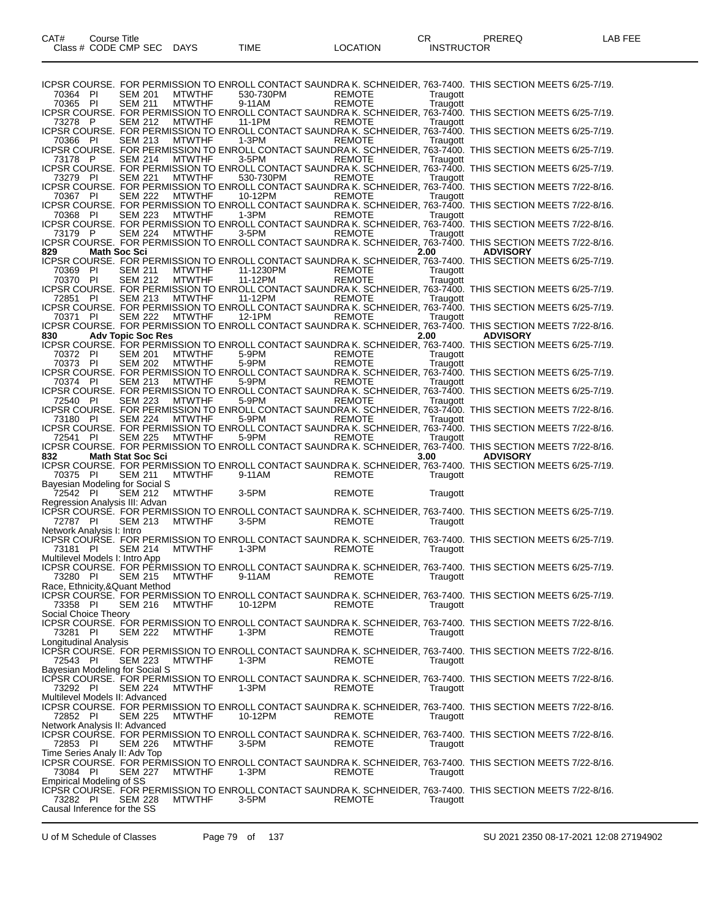ICPSR COURSE. FOR PERMISSION TO ENROLL CONTACT SAUNDRA K. SCHNEIDER, 763-7400. THIS SECTION MEETS 6/25-7/19.<br>70364 PI SEM 201 MTWTHF 530-730PM REMOTE Traugott 70364 PI SEM 201 MTWTHF 530-730PM REMOTE Traugott 70365 PI SEM 211 MTWTHF 9-11AM REMOTE Traugott ICPSR COURSE. FOR PERMISSION TO ENROLL CONTACT SAUNDRA K. SCHNEIDER, 763-7400. THIS SECTION MEETS 6/25-7/19. 73278 P SEM 212 MTWTHF 11-1PM REMOTE Traugott ICPSR COURSE. FOR PERMISSION TO ENROLL CONTACT SAUNDRA K. SCHNEIDER, 763-7400. THIS SECTION MEETS 6/25-7/19. 70366 PI SEM 213 MTWTHF 1-3PM REMOTE Traugott ICPSR COURSE. FOR PERMISSION TO ENROLL CONTACT SAUNDRA K. SCHNEIDER, 763-7400. THIS SECTION MEETS 6/25-7/19. 73178 P SEM 214 MTWTHF 3-5PM REMOTE Traugott ICPSR COURSE. FOR PERMISSION TO ENROLL CONTACT SAUNDRA K. SCHNEIDER, 763-7400. THIS SECTION MEETS 6/25-7/19. 73279 PI SEM 221 MTWTHF 530-730PM REMOTE Traugott ICPSR COURSE. FOR PERMISSION TO ENROLL CONTACT SAUNDRA K. SCHNEIDER, 763-7400. THIS SECTION MEETS 7/22-8/16. 70367 PI SEM 222 MTWTHF 10-12PM REMOTE Traugott ICPSR COURSE. FOR PERMISSION TO ENROLL CONTACT SAUNDRA K. SCHNEIDER, 763-7400. THIS SECTION MEETS 7/22-8/16. 70368 PI SEM 223 MTWTHF 1-3PM REMOTE Traugott ICPSR COURSE. FOR PERMISSION TO ENROLL CONTACT SAUNDRA K. SCHNEIDER, 763-7400. THIS SECTION MEETS 7/22-8/16. 73179 P SEM 224 MTWTHF 3-5PM REMOTE Traugott ICPSR COURSE. FOR PERMISSION TO ENROLL CONTACT SAUNDRA K. SCHNEIDER, 763-7400. THIS SECTION MEETS 7/22-8/16. **829 Math Soc Sci 2.00 ADVISORY** ICPSR COURSE. FOR PERMISSION TO ENROLL CONTACT SAUNDRA K. SCHNEIDER, 763-7400. THIS SECTION MEETS 6/25-7/19. 70369 PI SEM 211 MTWTHF 11-1230PM REMOTE Traugott 70370 PI SEM 212 MTWTHF 11-12PM REMOTE Traugott ICPSR COURSE. FOR PERMISSION TO ENROLL CONTACT SAUNDRA K. SCHNEIDER, 763-7400. THIS SECTION MEETS 6/25-7/19. 72851 PI SEM 213 MTWTHF 11-12PM REMOTE Traugott ICPSR COURSE. FOR PERMISSION TO ENROLL CONTACT SAUNDRA K. SCHNEIDER, 763-7400. THIS SECTION MEETS 6/25-7/19. 70371 PI SEM 222 MTWTHF 12-1PM REMOTE Traugott ICPSR COURSE. FOR PERMISSION TO ENROLL CONTACT SAUNDRA K. SCHNEIDER, 763-7400. THIS SECTION MEETS 7/22-8/16. **830 Adv Topic Soc Res 2.00 ADVISORY** ICPSR COURSE. FOR PERMISSION TO ENROLL CONTACT SAUNDRA K. SCHNEIDER, 763-7400. THIS SECTION MEETS 6/25-7/19. 70372 PI SEM 201 MTWTHF 5-9PM REMOTE Traugott 70373 PI SEM 202 MTWTHF 5-9PM REMOTE Traugott ICPSR COURSE. FOR PERMISSION TO ENROLL CONTACT SAUNDRA K. SCHNEIDER, 763-7400. THIS SECTION MEETS 6/25-7/19. 70374 PI SEM 213 MTWTHF 5-9PM REMOTE Traugott ICPSR COURSE. FOR PERMISSION TO ENROLL CONTACT SAUNDRA K. SCHNEIDER, 763-7400. THIS SECTION MEETS 6/25-7/19. 72540 PI SEM 223 MTWTHF 5-9PM REMOTE Traugott ICPSR COURSE. FOR PERMISSION TO ENROLL CONTACT SAUNDRA K. SCHNEIDER, 763-7400. THIS SECTION MEETS 7/22-8/16. 73180 PI SEM 224 MTWTHF 5-9PM REMOTE Traugott ICPSR COURSE. FOR PERMISSION TO ENROLL CONTACT SAUNDRA K. SCHNEIDER, 763-7400. THIS SECTION MEETS 7/22-8/16. 72541 PI SEM 225 MTWTHF 5-9PM REMOTE Traugott ICPSR COURSE. FOR PERMISSION TO ENROLL CONTACT SAUNDRA K. SCHNEIDER, 763-7400. THIS SECTION MEETS 7/22-8/16. **832 Math Stat Soc Sci 3.00 ADVISORY** ICPSR COURSE. FOR PERMISSION TO ENROLL CONTACT SAUNDRA K. SCHNEIDER, 763-7400. THIS SECTION MEETS 6/25-7/19. 70375 PI SEM 211 MTWTHF 9-11AM REMOTE Traugott Bayesian Modeling for Social S<br>
72542 PI SEM 212 MTWTHF 72542 PI SEM 212 MTWTHF 3-5PM REMOTE Traugott Regression Analysis III: Advan ICPSR COURSE. FOR PERMISSION TO ENROLL CONTACT SAUNDRA K. SCHNEIDER, 763-7400. THIS SECTION MEETS 6/25-7/19.<br>72787 PI SEM 213 MTWTHF 3-5PM REMOTE Traugott Traugott 72787 PI SEM 213 MTWTHF 3-5PM REMOTE Traugott Network Analysis I: Intro ICPSR COURSE. FOR PERMISSION TO ENROLL CONTACT SAUNDRA K. SCHNEIDER, 763-7400. THIS SECTION MEETS 6/25-7/19.<br>73181 PI SEM 214 MTWTHF 1-3PM REMOTE Traugott 73181 PI SEM 214 MTWTHF 1-3PM REMOTE Traugott Multilevel Models I: Intro App ICPSR COURSE. FOR PERMISSION TO ENROLL CONTACT SAUNDRA K. SCHNEIDER, 763-7400. THIS SECTION MEETS 6/25-7/19. 73280 PI SEM 215 MTWTHF 9-11AM REMOTE 7 Traugott Race, Ethnicity,&Quant Method ICPSR COURSE. FOR PERMISSION TO ENROLL CONTACT SAUNDRA K. SCHNEIDER, 763-7400. THIS SECTION MEETS 6/25-7/19.<br>73358 PI SEM 216 MTWTHF 10-12PM REMOTE Traugott 73358 PI SEM 216 MTWTHF 10-12PM REMOTE Traugott Social Choice Theory ICPSR COURSE. FOR PERMISSION TO ENROLL CONTACT SAUNDRA K. SCHNEIDER, 763-7400. THIS SECTION MEETS 7/22-8/16. 73281 PI SEM 222 MTWTHF 1-3PM REMOTE Traugott Longitudinal Analysis ICPSR COURSE. FOR PERMISSION TO ENROLL CONTACT SAUNDRA K. SCHNEIDER, 763-7400. THIS SECTION MEETS 7/22-8/16.<br>72543 PI SEM 223 MTWTHF 1-3PM REMOTE Traugott 72543 PI SEM 223 MTWTHF 1-3PM REMOTE Traugott Bayesian Modeling for Social S ICPSR COURSE. FOR PERMISSION TO ENROLL CONTACT SAUNDRA K. SCHNEIDER, 763-7400. THIS SECTION MEETS 7/22-8/16.<br>73292 PI SEM 224 MTWTHF 1-3PM REMOTE Traugott Traugott 73292 PI Multilevel Models II: Advanced ICPSR COURSE. FOR PERMISSION TO ENROLL CONTACT SAUNDRA K. SCHNEIDER, 763-7400. THIS SECTION MEETS 7/22-8/16.<br>72852 PI SEM 225 MTWTHF 10-12PM REMOTE Traugott 72852 PI Network Analysis II: Advanced ICPSR COURSE. FOR PERMISSION TO ENROLL CONTACT SAUNDRA K. SCHNEIDER, 763-7400. THIS SECTION MEETS 7/22-8/16.<br>72853 PI SEM 226 MTWTHF 3-5PM REMOTE Traugott 72853 PI SEM 226 MTWTHF 3-5PM REMOTE Traugott Time Series Analy II: Adv Top ICPSR COURSE. FOR PERMISSION TO ENROLL CONTACT SAUNDRA K. SCHNEIDER, 763-7400. THIS SECTION MEETS 7/22-8/16.<br>73084 PI SEM 227 MTWTHF 1-3PM REMOTE Traugott Traugott 73084 PI SEM 227 MTWTHF 1-3PM REMOTE Traugott Empirical Modeling of SS ICPSR COURSE. FOR PERMISSION TO ENROLL CONTACT SAUNDRA K. SCHNEIDER, 763-7400. THIS SECTION MEETS 7/22-8/16.<br>73282 PI SEM 228 MTWTHF 3-5PM REMOTE Traugott 73282 PI SEM 228 MTWTHF 3-5PM REMOTE Traugott Causal Inference for the SS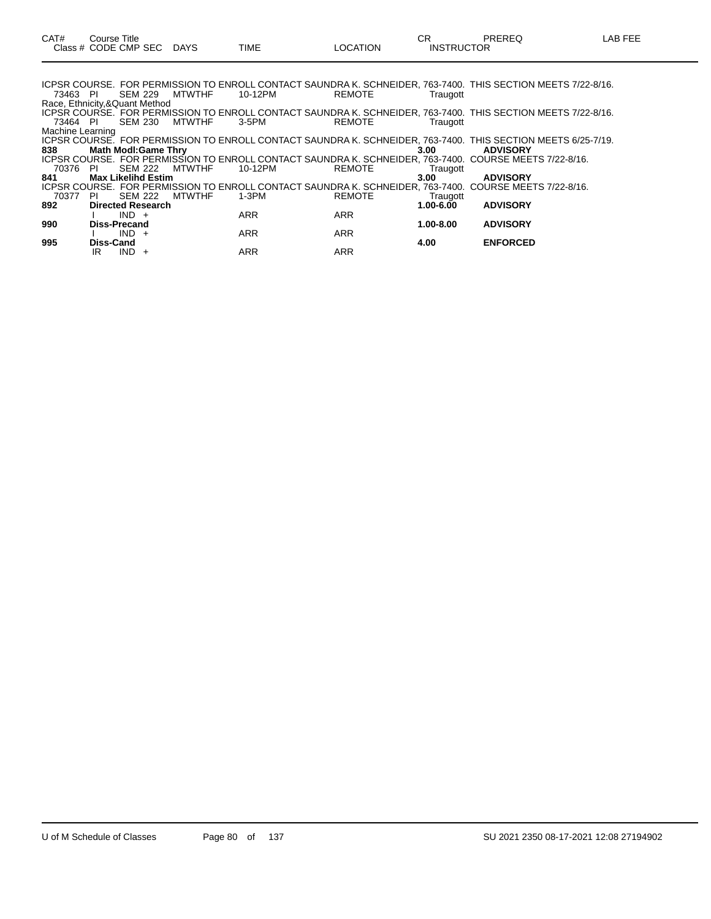| 73463 PI                      |                            | SEM 229        |                      | MTWTHF         | 10-12PM    | <b>REMOTE</b> | Traugott      | ICPSR COURSE. FOR PERMISSION TO ENROLL CONTACT SAUNDRA K. SCHNEIDER, 763-7400. THIS SECTION MEETS 7/22-8/16. |  |
|-------------------------------|----------------------------|----------------|----------------------|----------------|------------|---------------|---------------|--------------------------------------------------------------------------------------------------------------|--|
| Race, Ethnicity,&Quant Method |                            |                |                      |                |            |               |               |                                                                                                              |  |
|                               |                            |                |                      |                |            |               |               | ICPSR COURSE. FOR PERMISSION TO ENROLL CONTACT SAUNDRA K. SCHNEIDER, 763-7400. THIS SECTION MEETS 7/22-8/16. |  |
| 73464 PI                      |                            |                |                      | SEM 230 MTWTHF | 3-5PM      | <b>REMOTE</b> | Traugott      |                                                                                                              |  |
| Machine Learning              |                            |                |                      |                |            |               |               |                                                                                                              |  |
|                               |                            |                |                      |                |            |               |               | ICPSR COURSE. FOR PERMISSION TO ENROLL CONTACT SAUNDRA K. SCHNEIDER, 763-7400. THIS SECTION MEETS 6/25-7/19. |  |
| 838                           | <b>Math Modl:Game Thry</b> |                |                      |                |            |               | 3.00          | <b>ADVISORY</b>                                                                                              |  |
|                               |                            |                |                      |                |            |               |               | ICPSR COURSE.  FOR PERMISSION TO ENROLL CONTACT SAUNDRA K. SCHNEIDER, 763-7400.  COURSE MEETS 7/22-8/16.     |  |
| 70376                         | - PI                       | <b>SEM 222</b> |                      | <b>MTWTHF</b>  | 10-12PM    | <b>REMOTE</b> | Traugott      |                                                                                                              |  |
| 841                           | <b>Max Likelihd Estim</b>  |                |                      |                |            |               | 3.00          | <b>ADVISORY</b>                                                                                              |  |
|                               |                            |                |                      |                |            |               |               | ICPSR COURSE. FOR PERMISSION TO ENROLL CONTACT SAUNDRA K. SCHNEIDER, 763-7400. COURSE MEETS 7/22-8/16.       |  |
| 70377                         | - PI                       | SEM 222        |                      | <b>MTWTHF</b>  | $1-3PM$    | <b>REMOTE</b> | Traugott      |                                                                                                              |  |
| 892                           | <b>Directed Research</b>   |                |                      |                |            |               | $1.00 - 6.00$ | <b>ADVISORY</b>                                                                                              |  |
|                               |                            | $IND +$        |                      |                | ARR        | <b>ARR</b>    |               |                                                                                                              |  |
| 990                           | <b>Diss-Precand</b>        |                |                      |                |            |               | $1.00 - 8.00$ | <b>ADVISORY</b>                                                                                              |  |
|                               |                            | $IND +$        |                      |                | <b>ARR</b> | <b>ARR</b>    |               |                                                                                                              |  |
| 995                           | <b>Diss-Cand</b>           |                |                      |                |            |               | 4.00          | <b>ENFORCED</b>                                                                                              |  |
|                               | IR                         | <b>IND</b>     | $\ddot{\phantom{1}}$ |                | <b>ARR</b> | <b>ARR</b>    |               |                                                                                                              |  |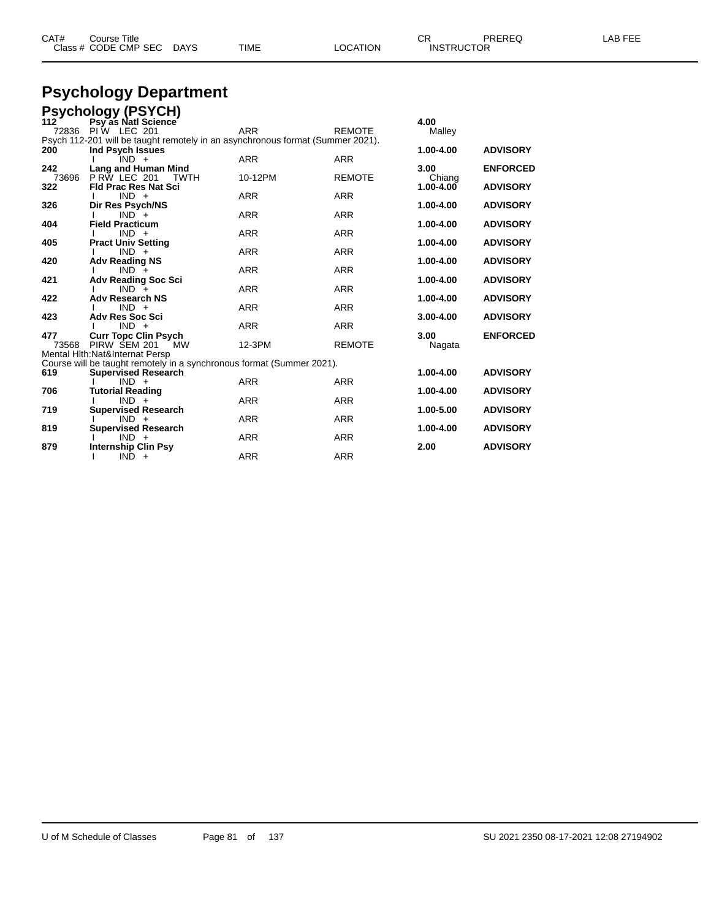| CAT#         | Course Title<br>Class # CODE CMP SEC                                                               | <b>DAYS</b> | <b>TIME</b> | <b>LOCATION</b> | CR.<br><b>INSTRUCTOR</b> | PREREQ          | <b>LAB FEE</b> |
|--------------|----------------------------------------------------------------------------------------------------|-------------|-------------|-----------------|--------------------------|-----------------|----------------|
|              | <b>Psychology Department</b>                                                                       |             |             |                 |                          |                 |                |
|              | <b>Psychology (PSYCH)</b>                                                                          |             |             |                 |                          |                 |                |
| 112<br>72836 | Psy as Natl Science<br>PIW LEC 201                                                                 |             | <b>ARR</b>  | <b>REMOTE</b>   | 4.00<br>Malley           |                 |                |
| 200          | Psych 112-201 will be taught remotely in an asynchronous format (Summer 2021).<br>Ind Psych Issues |             |             |                 | 1.00-4.00                | <b>ADVISORY</b> |                |
| 242          | $IND +$<br>Lang and Human Mind                                                                     |             | <b>ARR</b>  | <b>ARR</b>      | 3.00                     | <b>ENFORCED</b> |                |
| 73696<br>322 | <b>P RW LEC 201</b><br><b>Fld Prac Res Nat Sci</b>                                                 | <b>TWTH</b> | 10-12PM     | <b>REMOTE</b>   | Chiang<br>1.00-4.00      | <b>ADVISORY</b> |                |
| 326          | $IND +$<br>Dir Res Psych/NS                                                                        |             | <b>ARR</b>  | <b>ARR</b>      | 1.00-4.00                | <b>ADVISORY</b> |                |
| 404          | $IND +$<br><b>Field Practicum</b>                                                                  |             | <b>ARR</b>  | <b>ARR</b>      | 1.00-4.00                | <b>ADVISORY</b> |                |
| 405          | $IND +$<br><b>Pract Univ Setting</b>                                                               |             | <b>ARR</b>  | ARR             | 1.00-4.00                | <b>ADVISORY</b> |                |
| 420          | $IND +$<br><b>Adv Reading NS</b>                                                                   |             | <b>ARR</b>  | <b>ARR</b>      | 1.00-4.00                | <b>ADVISORY</b> |                |
| 421          | $IND +$<br><b>Adv Reading Soc Sci</b>                                                              |             | <b>ARR</b>  | <b>ARR</b>      | 1.00-4.00                | <b>ADVISORY</b> |                |
| 422          | $IND +$<br><b>Adv Research NS</b>                                                                  |             | <b>ARR</b>  | <b>ARR</b>      | 1.00-4.00                | <b>ADVISORY</b> |                |
| 423          | $IND +$<br><b>Adv Res Soc Sci</b>                                                                  |             | <b>ARR</b>  | <b>ARR</b>      | 3.00-4.00                | <b>ADVISORY</b> |                |
| 477          | $IND +$<br><b>Curr Topc Clin Psych</b>                                                             |             | <b>ARR</b>  | <b>ARR</b>      | 3.00                     | <b>ENFORCED</b> |                |
| 73568        | PIRW SEM 201                                                                                       | MW          | 12-3PM      | <b>REMOTE</b>   | Nagata                   |                 |                |

**619 Supervised Research 1.00-4.00 ADVISORY**

**706 Tutorial Reading 1.00-4.00 ADVISORY**

**719 Supervised Research 1.00-5.00 ADVISORY**

**819 Supervised Research 1.00-4.00 ADVISORY**

**879 Internship Clin Psy 2.00 ADVISORY**

Mental Hlth:Nat&Internat Persp

Course will be taught remotely in a synchronous format (Summer 2021).

I IND + ARR ARR ARR

I IND + ARR ARR ARR

I IND + ARR ARR ARR

I IND + ARR ARR ARR

I IND + ARR ARR ARR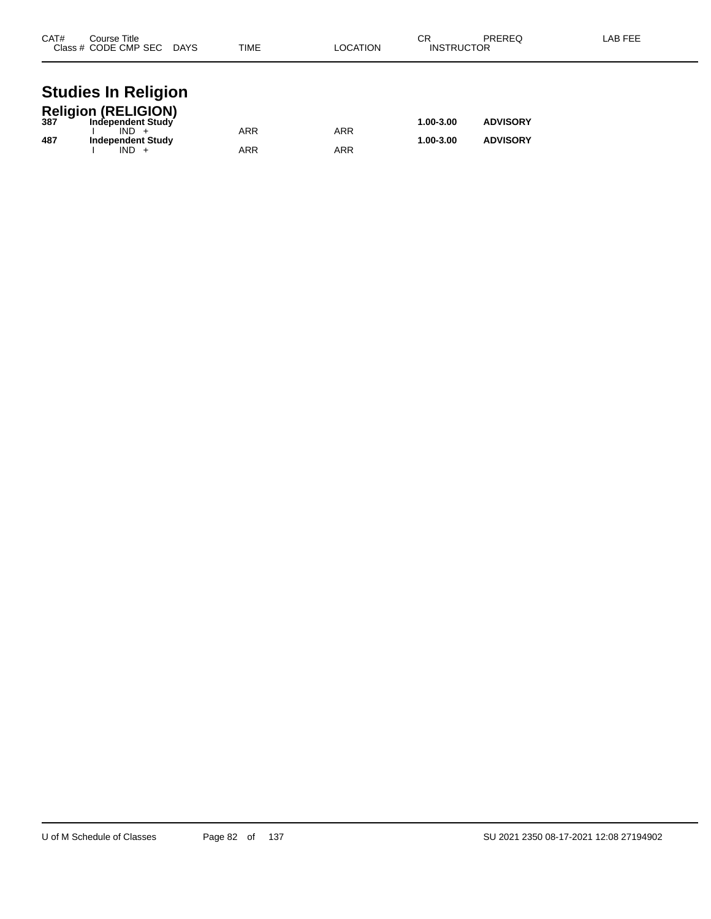| CAT# | Course Title<br>Class # CODE CMP SEC DAYS    | TIME       | LOCATION   | СR<br><b>INSTRUCTOR</b> | PREREQ          | LAB FEE |
|------|----------------------------------------------|------------|------------|-------------------------|-----------------|---------|
|      | <b>Studies In Religion</b>                   |            |            |                         |                 |         |
|      | Religion (RELIGION)<br>387 Independent Study |            |            | 1.00-3.00               | <b>ADVISORY</b> |         |
| 487  | $IND +$<br><b>Independent Study</b>          | <b>ARR</b> | <b>ARR</b> | 1.00-3.00               | <b>ADVISORY</b> |         |
|      | $IND +$                                      | ARR        | ARR        |                         |                 |         |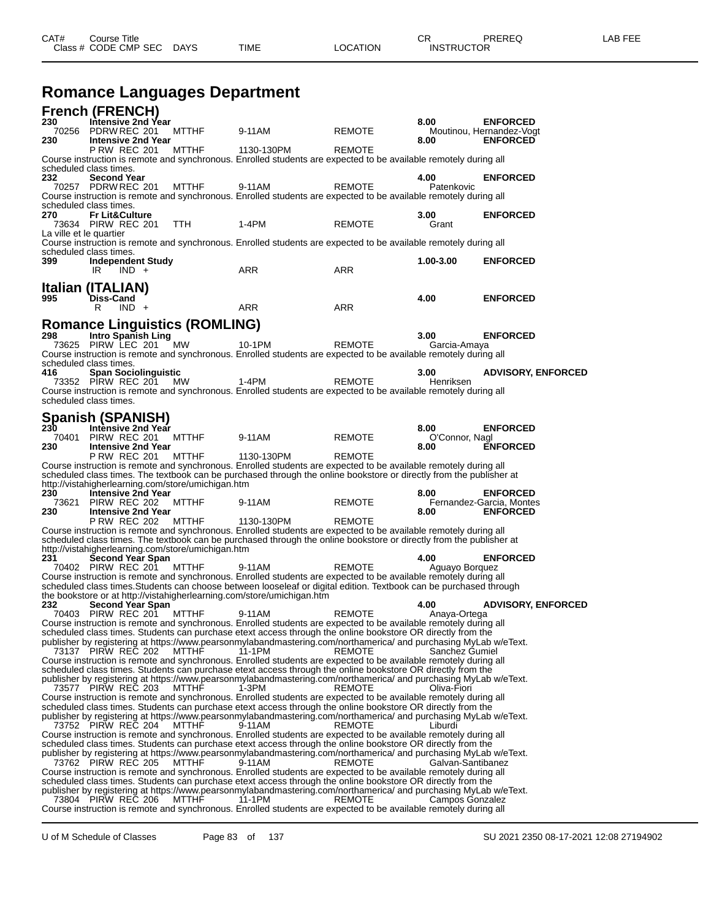**Romance Languages Department**

| <b>French (FRENCH)</b>        |                                               |         |                                                    |                                                                                                                                                                                                                                         |               |                        |                                             |
|-------------------------------|-----------------------------------------------|---------|----------------------------------------------------|-----------------------------------------------------------------------------------------------------------------------------------------------------------------------------------------------------------------------------------------|---------------|------------------------|---------------------------------------------|
| 230<br>70256                  | Intensive 2nd Year<br>PDRW REC 201            |         | <b>MTTHF</b>                                       | 9-11AM                                                                                                                                                                                                                                  | <b>REMOTE</b> | 8.00                   | <b>ENFORCED</b><br>Moutinou, Hernandez-Vogt |
| 230                           | <b>Intensive 2nd Year</b><br>P RW REC 201     |         | <b>MTTHF</b>                                       | 1130-130PM                                                                                                                                                                                                                              | <b>REMOTE</b> | 8.00                   | <b>ENFORCED</b>                             |
|                               |                                               |         |                                                    | Course instruction is remote and synchronous. Enrolled students are expected to be available remotely during all                                                                                                                        |               |                        |                                             |
| scheduled class times.<br>232 | <b>Second Year</b>                            |         |                                                    |                                                                                                                                                                                                                                         |               | 4.00                   | <b>ENFORCED</b>                             |
|                               | 70257 PDRW REC 201                            |         | <b>MTTHF</b>                                       | 9-11AM                                                                                                                                                                                                                                  | <b>REMOTE</b> | Patenkovic             |                                             |
|                               |                                               |         |                                                    | Course instruction is remote and synchronous. Enrolled students are expected to be available remotely during all                                                                                                                        |               |                        |                                             |
| scheduled class times.<br>270 | <b>Fr Lit&amp;Culture</b>                     |         |                                                    |                                                                                                                                                                                                                                         |               | 3.00                   | <b>ENFORCED</b>                             |
|                               | 73634 PIRW REC 201                            |         | TTH                                                | 1-4PM                                                                                                                                                                                                                                   | <b>REMOTE</b> | Grant                  |                                             |
| La ville et le quartier       |                                               |         |                                                    | Course instruction is remote and synchronous. Enrolled students are expected to be available remotely during all                                                                                                                        |               |                        |                                             |
| scheduled class times.        |                                               |         |                                                    |                                                                                                                                                                                                                                         |               |                        |                                             |
| 399                           | <b>Independent Study</b>                      |         |                                                    | <b>ARR</b>                                                                                                                                                                                                                              |               | 1.00-3.00              | <b>ENFORCED</b>                             |
|                               | IR                                            | $IND +$ |                                                    |                                                                                                                                                                                                                                         | <b>ARR</b>    |                        |                                             |
| Italian (ITALIAN)             |                                               |         |                                                    |                                                                                                                                                                                                                                         |               |                        |                                             |
| 995                           | <b>Diss-Cand</b><br>R                         | $IND +$ |                                                    | ARR                                                                                                                                                                                                                                     | ARR           | 4.00                   | <b>ENFORCED</b>                             |
|                               |                                               |         |                                                    |                                                                                                                                                                                                                                         |               |                        |                                             |
| 298                           | <b>Intro Spanish Ling</b>                     |         | <b>Romance Linguistics (ROMLING)</b>               |                                                                                                                                                                                                                                         |               | 3.00                   | <b>ENFORCED</b>                             |
|                               | 73625 PIRW LEC 201                            |         | <b>MW</b>                                          | 10-1PM                                                                                                                                                                                                                                  | <b>REMOTE</b> | Garcia-Amaya           |                                             |
|                               |                                               |         |                                                    | Course instruction is remote and synchronous. Enrolled students are expected to be available remotely during all                                                                                                                        |               |                        |                                             |
| scheduled class times.<br>416 | <b>Span Sociolinguistic</b>                   |         |                                                    |                                                                                                                                                                                                                                         |               | 3.00                   | <b>ADVISORY, ENFORCED</b>                   |
|                               | 73352 PIRW REC 201                            |         | МW                                                 | $1-4PM$                                                                                                                                                                                                                                 | <b>REMOTE</b> | Henriksen              |                                             |
|                               |                                               |         |                                                    | Course instruction is remote and synchronous. Enrolled students are expected to be available remotely during all                                                                                                                        |               |                        |                                             |
| scheduled class times.        |                                               |         |                                                    |                                                                                                                                                                                                                                         |               |                        |                                             |
| <b>Spanish (SPANISH)</b>      |                                               |         |                                                    |                                                                                                                                                                                                                                         |               |                        |                                             |
| 230<br>70401                  | Intensive 2nd Year<br>PIRW REC 201            |         | <b>MTTHF</b>                                       | 9-11AM                                                                                                                                                                                                                                  | <b>REMOTE</b> | 8.00<br>O'Connor, Nagl | <b>ENFORCED</b>                             |
| 230                           | <b>Intensive 2nd Year</b>                     |         |                                                    |                                                                                                                                                                                                                                         |               | 8.00                   | <b>ENFORCED</b>                             |
|                               | P RW REC 201                                  |         | <b>MTTHF</b>                                       | 1130-130PM<br>Course instruction is remote and synchronous. Enrolled students are expected to be available remotely during all                                                                                                          | <b>REMOTE</b> |                        |                                             |
|                               |                                               |         |                                                    | scheduled class times. The textbook can be purchased through the online bookstore or directly from the publisher at                                                                                                                     |               |                        |                                             |
|                               |                                               |         | http://vistahigherlearning.com/store/umichigan.htm |                                                                                                                                                                                                                                         |               |                        |                                             |
| 230<br>73621                  | <b>Intensive 2nd Year</b><br>PIRW REC 202     |         | <b>MTTHF</b>                                       | 9-11AM                                                                                                                                                                                                                                  | <b>REMOTE</b> | 8.00                   | <b>ENFORCED</b><br>Fernandez-Garcia, Montes |
| 230                           | <b>Intensive 2nd Year</b>                     |         |                                                    |                                                                                                                                                                                                                                         |               | 8.00                   | <b>ENFORCED</b>                             |
|                               | <b>P RW REC 202</b>                           |         | <b>MTTHF</b>                                       | 1130-130PM                                                                                                                                                                                                                              | <b>REMOTE</b> |                        |                                             |
|                               |                                               |         |                                                    | Course instruction is remote and synchronous. Enrolled students are expected to be available remotely during all<br>scheduled class times. The textbook can be purchased through the online bookstore or directly from the publisher at |               |                        |                                             |
|                               |                                               |         | http://vistahigherlearning.com/store/umichigan.htm |                                                                                                                                                                                                                                         |               |                        |                                             |
| 231                           | <b>Second Year Span</b><br>70402 PIRW REC 201 |         | <b>MTTHF</b>                                       | 9-11AM                                                                                                                                                                                                                                  | <b>REMOTE</b> | 4.00<br>Aguayo Borguez | <b>ENFORCED</b>                             |
|                               |                                               |         |                                                    | Course instruction is remote and synchronous. Enrolled students are expected to be available remotely during all                                                                                                                        |               |                        |                                             |
|                               |                                               |         |                                                    | scheduled class times. Students can choose between looseleaf or digital edition. Textbook can be purchased through<br>the bookstore or at http://vistahigherlearning.com/store/umichigan.htm                                            |               |                        |                                             |
| 232                           | <b>Second Year Span</b>                       |         |                                                    |                                                                                                                                                                                                                                         |               | 4.00                   | <b>ADVISORY, ENFORCED</b>                   |
|                               | 70403 PIRW REC 201                            |         | MTTHF                                              | 9-11AM                                                                                                                                                                                                                                  | <b>REMOTE</b> | Anaya-Ortega           |                                             |
|                               |                                               |         |                                                    | Course instruction is remote and synchronous. Enrolled students are expected to be available remotely during all<br>scheduled class times. Students can purchase etext access through the online bookstore OR directly from the         |               |                        |                                             |
|                               |                                               |         |                                                    | publisher by registering at https://www.pearsonmylabandmastering.com/northamerica/ and purchasing MyLab w/eText.                                                                                                                        |               |                        |                                             |
|                               | 73137 PIRW REC 202                            |         | <b>MTTHF</b>                                       | 11-1PM<br>Course instruction is remote and synchronous. Enrolled students are expected to be available remotely during all                                                                                                              | REMOTE        | Sanchez Gumiel         |                                             |
|                               |                                               |         |                                                    | scheduled class times. Students can purchase etext access through the online bookstore OR directly from the                                                                                                                             |               |                        |                                             |
|                               |                                               |         | MTTHF                                              | publisher by registering at https://www.pearsonmylabandmastering.com/northamerica/ and purchasing MyLab w/eText.<br>1-3PM                                                                                                               |               | Oliva-Fiori            |                                             |
| 73577 PIRW REC 203            |                                               |         |                                                    | Course instruction is remote and synchronous. Enrolled students are expected to be available remotely during all                                                                                                                        | REMOTE        |                        |                                             |
|                               |                                               |         |                                                    | scheduled class times. Students can purchase etext access through the online bookstore OR directly from the                                                                                                                             |               |                        |                                             |
|                               | 73752 PIRW REC 204                            |         | <b>MTTHF</b>                                       | publisher by registering at https://www.pearsonmylabandmastering.com/northamerica/ and purchasing MyLab w/eText.<br>9-11AM                                                                                                              | <b>REMOTE</b> | Liburdi                |                                             |
|                               |                                               |         |                                                    | Course instruction is remote and synchronous. Enrolled students are expected to be available remotely during all                                                                                                                        |               |                        |                                             |
|                               |                                               |         |                                                    | scheduled class times. Students can purchase etext access through the online bookstore OR directly from the                                                                                                                             |               |                        |                                             |
|                               | 73762 PIRW REC 205                            |         | <b>MTTHF</b>                                       | publisher by registering at https://www.pearsonmylabandmastering.com/northamerica/ and purchasing MyLab w/eText.<br>9-11AM                                                                                                              | REMOTE        | Galvan-Santibanez      |                                             |
|                               |                                               |         |                                                    | Course instruction is remote and synchronous. Enrolled students are expected to be available remotely during all                                                                                                                        |               |                        |                                             |
|                               |                                               |         |                                                    | scheduled class times. Students can purchase etext access through the online bookstore OR directly from the<br>publisher by registering at https://www.pearsonmylabandmastering.com/northamerica/ and purchasing MyLab w/eText.         |               |                        |                                             |
|                               | 73804 PIRW REC 206                            |         | MTTHF                                              | 11-1PM                                                                                                                                                                                                                                  | <b>REMOTE</b> | Campos Gonzalez        |                                             |
|                               |                                               |         |                                                    | Course instruction is remote and synchronous. Enrolled students are expected to be available remotely during all                                                                                                                        |               |                        |                                             |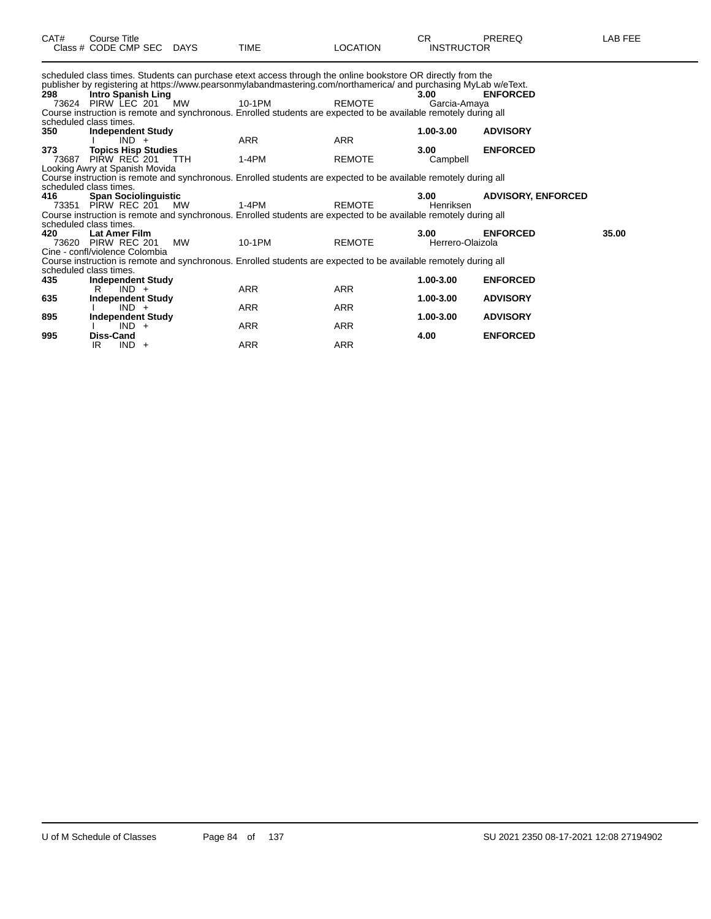| CAT#  | <b>Course Title</b><br>Class # CODE CMP SEC DAYS |            | <b>TIME</b>                                                                                                                                                                                                                     | LOCATION      | CR.<br><b>INSTRUCTOR</b> | <b>PREREQ</b>             | LAB FEE |
|-------|--------------------------------------------------|------------|---------------------------------------------------------------------------------------------------------------------------------------------------------------------------------------------------------------------------------|---------------|--------------------------|---------------------------|---------|
|       |                                                  |            | scheduled class times. Students can purchase etext access through the online bookstore OR directly from the<br>publisher by registering at https://www.pearsonmylabandmastering.com/northamerica/ and purchasing MyLab w/eText. |               |                          |                           |         |
| 298   | Intro Spanish Ling                               |            |                                                                                                                                                                                                                                 |               | 3.00                     | <b>ENFORCED</b>           |         |
|       | 73624 PIRW LEC 201 MW                            |            | 10-1PM                                                                                                                                                                                                                          | <b>REMOTE</b> | Garcia-Amaya             |                           |         |
|       |                                                  |            | Course instruction is remote and synchronous. Enrolled students are expected to be available remotely during all                                                                                                                |               |                          |                           |         |
|       | scheduled class times.                           |            |                                                                                                                                                                                                                                 |               |                          |                           |         |
| 350   | <b>Independent Study</b>                         |            |                                                                                                                                                                                                                                 |               | 1.00-3.00                | <b>ADVISORY</b>           |         |
|       | $IND +$                                          |            | <b>ARR</b>                                                                                                                                                                                                                      | <b>ARR</b>    |                          |                           |         |
| 373   | <b>Topics Hisp Studies</b>                       |            |                                                                                                                                                                                                                                 |               | 3.00                     | <b>ENFORCED</b>           |         |
| 73687 | PIRW REC 201                                     | <b>TTH</b> | $1-4PM$                                                                                                                                                                                                                         | <b>REMOTE</b> | Campbell                 |                           |         |
|       | Looking Awry at Spanish Movida                   |            |                                                                                                                                                                                                                                 |               |                          |                           |         |
|       |                                                  |            | Course instruction is remote and synchronous. Enrolled students are expected to be available remotely during all                                                                                                                |               |                          |                           |         |
|       | scheduled class times.                           |            |                                                                                                                                                                                                                                 |               |                          |                           |         |
| 416   | <b>Span Sociolinguistic</b>                      |            |                                                                                                                                                                                                                                 |               | 3.00                     | <b>ADVISORY, ENFORCED</b> |         |
|       | 73351 PIRW REC 201 MW                            |            | $1-4PM$                                                                                                                                                                                                                         | <b>REMOTE</b> | Henriksen                |                           |         |
|       |                                                  |            | Course instruction is remote and synchronous. Enrolled students are expected to be available remotely during all                                                                                                                |               |                          |                           |         |
|       | scheduled class times.                           |            |                                                                                                                                                                                                                                 |               |                          |                           |         |
| 420   | <b>Lat Amer Film</b>                             |            |                                                                                                                                                                                                                                 |               | 3.00                     | <b>ENFORCED</b>           | 35.00   |
| 73620 | PIRW REC 201                                     | MW         | 10-1PM                                                                                                                                                                                                                          | <b>REMOTE</b> | Herrero-Olaizola         |                           |         |
|       | Cine - confl/violence Colombia                   |            |                                                                                                                                                                                                                                 |               |                          |                           |         |
|       |                                                  |            | Course instruction is remote and synchronous. Enrolled students are expected to be available remotely during all                                                                                                                |               |                          |                           |         |
|       | scheduled class times.                           |            |                                                                                                                                                                                                                                 |               |                          |                           |         |
| 435   | <b>Independent Study</b>                         |            |                                                                                                                                                                                                                                 |               | 1.00-3.00                | <b>ENFORCED</b>           |         |
|       | $IND +$<br>R                                     |            | ARR                                                                                                                                                                                                                             | <b>ARR</b>    |                          |                           |         |
| 635   | <b>Independent Study</b>                         |            |                                                                                                                                                                                                                                 |               | 1.00-3.00                | <b>ADVISORY</b>           |         |
|       | $IND +$                                          |            | <b>ARR</b>                                                                                                                                                                                                                      | <b>ARR</b>    |                          |                           |         |
| 895   | <b>Independent Study</b>                         |            |                                                                                                                                                                                                                                 |               | 1.00-3.00                | <b>ADVISORY</b>           |         |
|       | $IND +$                                          |            | ARR                                                                                                                                                                                                                             | ARR           |                          |                           |         |
| 995   | <b>Diss-Cand</b>                                 |            |                                                                                                                                                                                                                                 |               | 4.00                     | <b>ENFORCED</b>           |         |
|       | $IND +$<br>IR                                    |            | <b>ARR</b>                                                                                                                                                                                                                      | <b>ARR</b>    |                          |                           |         |
|       |                                                  |            |                                                                                                                                                                                                                                 |               |                          |                           |         |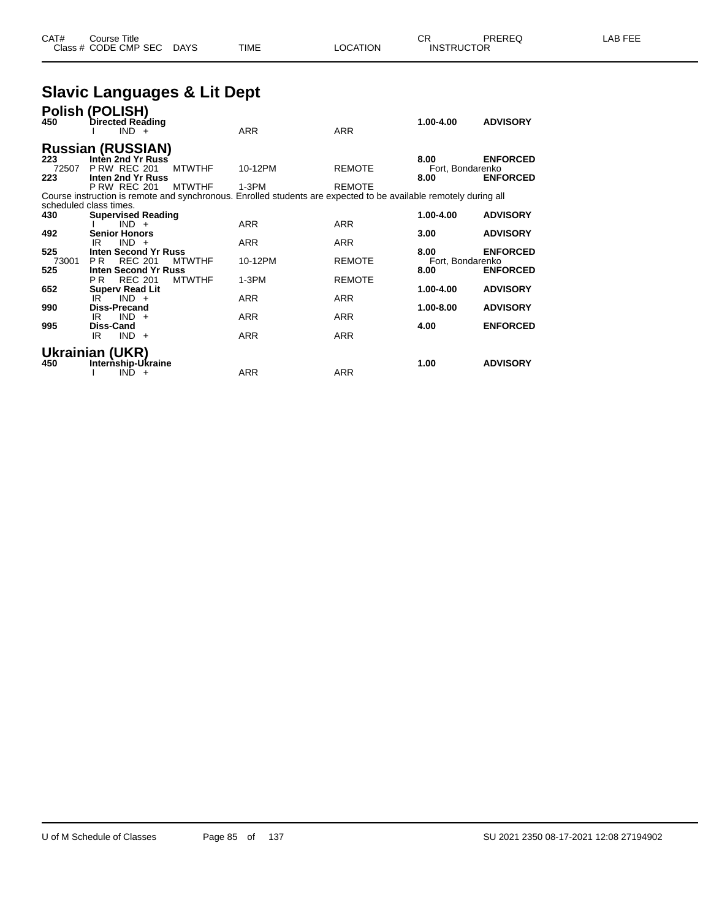### **Slavic Languages & Lit Dept**

| 450          | Polish (POLISH)<br>Directed Reading<br>$IND +$                  |               | <b>ARR</b>                                                                                                       | <b>ARR</b>    | 1.00-4.00                | <b>ADVISORY</b> |
|--------------|-----------------------------------------------------------------|---------------|------------------------------------------------------------------------------------------------------------------|---------------|--------------------------|-----------------|
|              | <b>Russian (RUSSIAN)</b>                                        |               |                                                                                                                  |               |                          |                 |
| 223<br>72507 | Inten 2nd Yr Russ<br><b>P RW REC 201</b>                        | <b>MTWTHF</b> | 10-12PM                                                                                                          | <b>REMOTE</b> | 8.00<br>Fort, Bondarenko | <b>ENFORCED</b> |
| 223          | Inten 2nd Yr Russ<br><b>P RW REC 201</b>                        | <b>MTWTHF</b> | $1-3PM$                                                                                                          | <b>REMOTE</b> | 8.00                     | <b>ENFORCED</b> |
|              | scheduled class times.                                          |               | Course instruction is remote and synchronous. Enrolled students are expected to be available remotely during all |               |                          |                 |
| 430          | <b>Supervised Reading</b><br>$IND +$                            |               | <b>ARR</b>                                                                                                       | <b>ARR</b>    | 1.00-4.00                | <b>ADVISORY</b> |
| 492          | <b>Senior Honors</b><br>IR<br>$IND +$                           |               | <b>ARR</b>                                                                                                       | <b>ARR</b>    | 3.00                     | <b>ADVISORY</b> |
| 525          | <b>Inten Second Yr Russ</b>                                     |               |                                                                                                                  |               | 8.00                     | <b>ENFORCED</b> |
| 73001<br>525 | <b>REC 201</b><br>P <sub>R</sub><br><b>Inten Second Yr Russ</b> | <b>MTWTHF</b> | 10-12PM                                                                                                          | <b>REMOTE</b> | Fort, Bondarenko<br>8.00 | <b>ENFORCED</b> |
| 652          | <b>REC 201</b><br>PR.<br><b>Superv Read Lit</b>                 | <b>MTWTHF</b> | $1-3PM$                                                                                                          | <b>REMOTE</b> | 1.00-4.00                | <b>ADVISORY</b> |
| 990          | IR<br>$IND +$<br>Diss-Precand                                   |               | <b>ARR</b>                                                                                                       | <b>ARR</b>    | 1.00-8.00                | <b>ADVISORY</b> |
| 995          | $IND +$<br>IR<br><b>Diss-Cand</b>                               |               | <b>ARR</b>                                                                                                       | <b>ARR</b>    | 4.00                     | <b>ENFORCED</b> |
|              | $IND +$<br>IR                                                   |               | <b>ARR</b>                                                                                                       | <b>ARR</b>    |                          |                 |
|              | Ukrainian (UKR)                                                 |               |                                                                                                                  |               |                          |                 |
| 450          | Internship-Ukraine<br>IND.<br>$+$                               |               | <b>ARR</b>                                                                                                       | <b>ARR</b>    | 1.00                     | <b>ADVISORY</b> |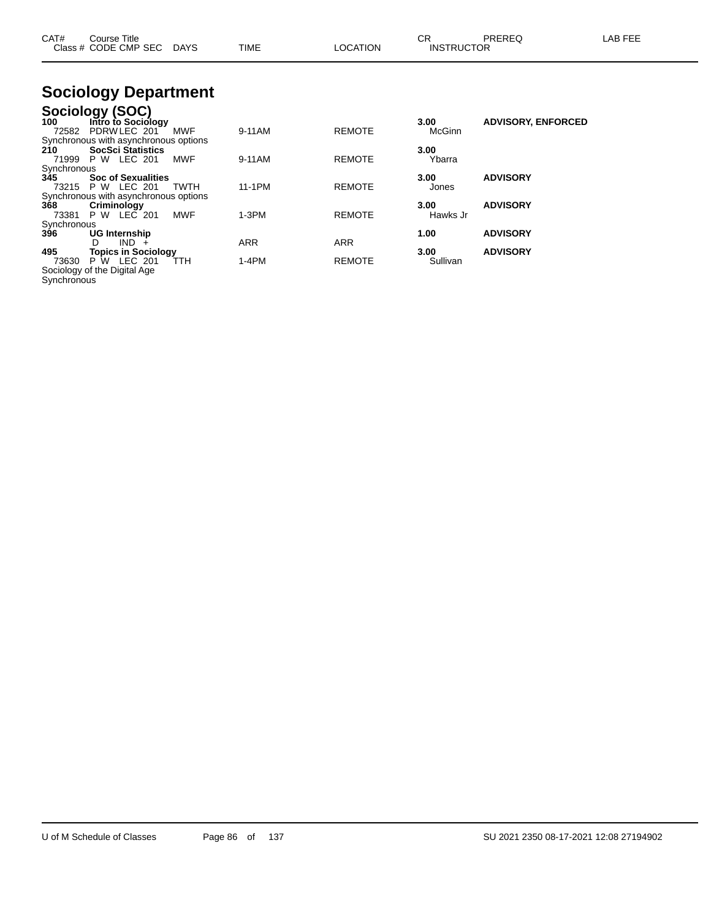| CAT#               | Course Title<br>Class # CODE CMP SEC                                                   | DAYS        | <b>TIME</b> | LOCATION      | CR.<br><b>INSTRUCTOR</b> | PREREQ                    | LAB FEE |
|--------------------|----------------------------------------------------------------------------------------|-------------|-------------|---------------|--------------------------|---------------------------|---------|
|                    | <b>Sociology Department</b>                                                            |             |             |               |                          |                           |         |
| 100<br>72582       | Sociology (SOC)<br>Intro to Sociology<br>PDRW LEC 201                                  | MWF         | 9-11AM      | <b>REMOTE</b> | 3.00<br>McGinn           | <b>ADVISORY, ENFORCED</b> |         |
| 210                | Synchronous with asynchronous options<br><b>SocSci Statistics</b><br>71999 P W LEC 201 | <b>MWF</b>  | 9-11AM      | <b>REMOTE</b> | 3.00<br>Ybarra           |                           |         |
| Synchronous<br>345 | <b>Soc of Sexualities</b><br>73215 P W LEC 201                                         | <b>TWTH</b> | 11-1PM      | <b>REMOTE</b> | 3.00<br>Jones            | <b>ADVISORY</b>           |         |
| 368<br>73381       | Synchronous with asynchronous options<br>Criminology<br>P W LEC 201                    | MWF         | $1-3PM$     | <b>REMOTE</b> | 3.00<br>Hawks Jr         | <b>ADVISORY</b>           |         |
| Synchronous<br>396 | UG Internship<br>$IND +$<br>D                                                          |             | <b>ARR</b>  | ARR           | 1.00                     | <b>ADVISORY</b>           |         |
| 495<br>73630       | <b>Topics in Sociology</b><br>P W LEC 201<br>Sociology of the Digital Age              | TTH         | 1-4PM       | <b>REMOTE</b> | 3.00<br>Sullivan         | <b>ADVISORY</b>           |         |

Synchronous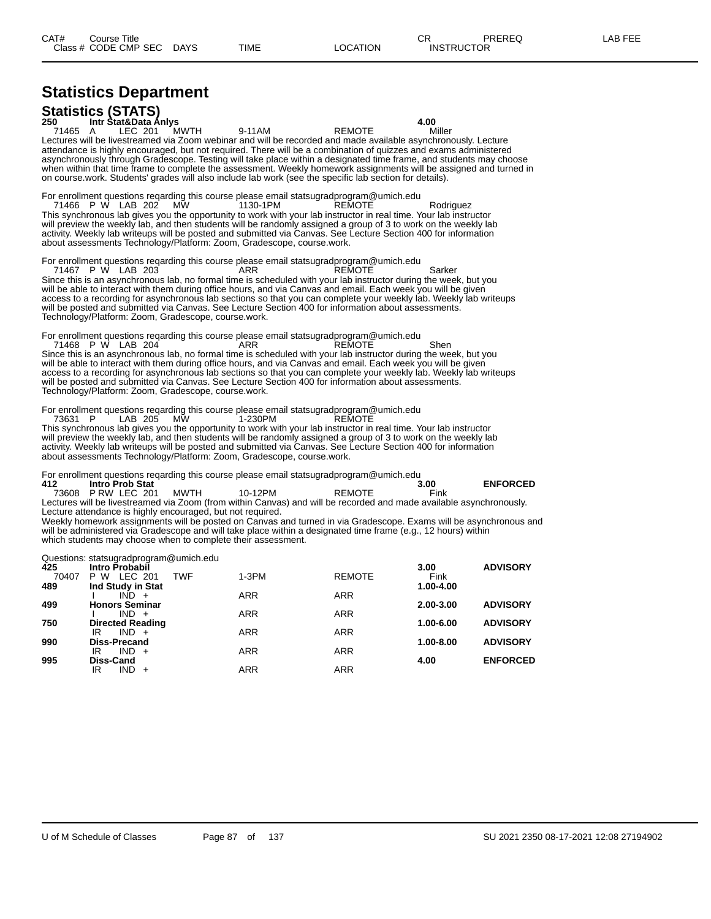# **Statistics Department**

| <b>Statistics (STATS)</b><br>250 Intr Stat&Data Anivs                                                                                                                                                                                                                                                                                                                                                                                                                                                                                              |              |          |        | 4.00                                                                                                                                                                                                                                     |
|----------------------------------------------------------------------------------------------------------------------------------------------------------------------------------------------------------------------------------------------------------------------------------------------------------------------------------------------------------------------------------------------------------------------------------------------------------------------------------------------------------------------------------------------------|--------------|----------|--------|------------------------------------------------------------------------------------------------------------------------------------------------------------------------------------------------------------------------------------------|
| 71465 A                                                                                                                                                                                                                                                                                                                                                                                                                                                                                                                                            | LEC 201 MWTH | 9-11 AM  | REMOTE | Miller                                                                                                                                                                                                                                   |
| Lectures will be livestreamed via Zoom webinar and will be recorded and made available asynchronously. Lecture<br>attendance is highly encouraged, but not required. There will be a combination of quizzes and exams administered<br>on course work. Students' grades will also include lab work (see the specific lab section for details).                                                                                                                                                                                                      |              |          |        | asynchronously through Gradescope. Testing will take place within a designated time frame, and students may choose<br>when within that time frame to complete the assessment. Weekly homework assignments will be assigned and turned in |
| For enrollment questions regarding this course please email statsugradprogram@umich.edu<br>71466 P W LAB 202 MW<br>This synchronous lab gives you the opportunity to work with your lab instructor in real time. Your lab instructor<br>will preview the weekly lab, and then students will be randomly assigned a group of 3 to work on the weekly lab<br>activity. Weekly lab writeups will be posted and submitted via Canvas. See Lecture Section 400 for information<br>about assessments Technology/Platform: Zoom, Gradescope, course work. |              | 1130-1PM | REMOTE | Rodriguez                                                                                                                                                                                                                                |
| For enrollment questions regarding this course please email statsugradprogram@umich.edu<br>71467 P W LAB 203<br>Since this is an asynchronous lab, no formal time is scheduled with your lab instructor during the week, but you<br>will be able to interact with them during office hours, and via Canvas and email. Each week you will be given<br>access to a recording for asynchronous lab sections so that you can complete your weekly lab. Weekly lab writeups                                                                             |              | ARR      | REMOTE | Sarker                                                                                                                                                                                                                                   |

will be posted and submitted via Canvas. See Lecture Section 400 for information about assessments. Technology/Platform: Zoom, Gradescope, course.work.

For enrollment questions reqarding this course please email statsugradprogram@umich.edu<br>71468 P W LAB 204 ARR 204 71468 P W LAB 204 C ARR C REMOTE Shen Since this is an asynchronous lab, no formal time is scheduled with your lab instructor during the week, but you will be able to interact with them during office hours, and via Canvas and email. Each week you will be given access to a recording for asynchronous lab sections so that you can complete your weekly lab. Weekly lab writeups will be posted and submitted via Canvas. See Lecture Section 400 for information about assessments. Technology/Platform: Zoom, Gradescope, course.work.

For enrollment questions reqarding this course please email statsugradprogram@umich.edu

73631 P LAB 205 MW 1-230PM REMOTE This synchronous lab gives you the opportunity to work with your lab instructor in real time. Your lab instructor will preview the weekly lab, and then students will be randomly assigned a group of 3 to work on the weekly lab activity. Weekly lab writeups will be posted and submitted via Canvas. See Lecture Section 400 for information about assessments Technology/Platform: Zoom, Gradescope, course.work.

For enrollment questions reqarding this course please email statsugradprogram@umich.edu

| 412 | Intro Prob Stat         |         |                                                                                                                  | 3.00 | <b>ENFORCED</b> |
|-----|-------------------------|---------|------------------------------------------------------------------------------------------------------------------|------|-----------------|
|     | 73608 P RW LEC 201 MWTH | 10-12PM | <b>REMOTE</b>                                                                                                    | Fink |                 |
|     |                         |         | t consecuent has Become and also च consecuently ∧ous consecuent has accepted and so the constant of consecuent o |      |                 |

Lectures will be livestreamed via Zoom (from within Canvas) and will be recorded and made available asynchronously. Lecture attendance is highly encouraged, but not required.

Weekly homework assignments will be posted on Canvas and turned in via Gradescope. Exams will be asynchronous and will be administered via Gradescope and will take place within a designated time frame (e.g., 12 hours) within which students may choose when to complete their assessment.

Questions: statsugradprogram@umich.edu

| 1.00-4.00<br>Ind Study in Stat<br>489<br><b>ARR</b><br><b>ARR</b><br>IND<br>499<br><b>Honors Seminar</b><br>2.00-3.00<br><b>ARR</b><br><b>ARR</b><br>$IND +$ | <b>ADVISORY</b> |
|--------------------------------------------------------------------------------------------------------------------------------------------------------------|-----------------|
|                                                                                                                                                              |                 |
|                                                                                                                                                              | <b>ADVISORY</b> |
| 750<br><b>Directed Reading</b><br>1.00-6.00                                                                                                                  | <b>ADVISORY</b> |
| <b>ARR</b><br><b>ARR</b><br>$IND +$<br>IR<br>990<br><b>Diss-Precand</b><br>1.00-8.00                                                                         | <b>ADVISORY</b> |
| <b>ARR</b><br><b>ARR</b><br>$IND +$<br>ΙR<br>995<br>4.00<br>Diss-Cand                                                                                        | <b>ENFORCED</b> |
| ARR<br><b>ARR</b><br>$IND +$<br>ΙR                                                                                                                           |                 |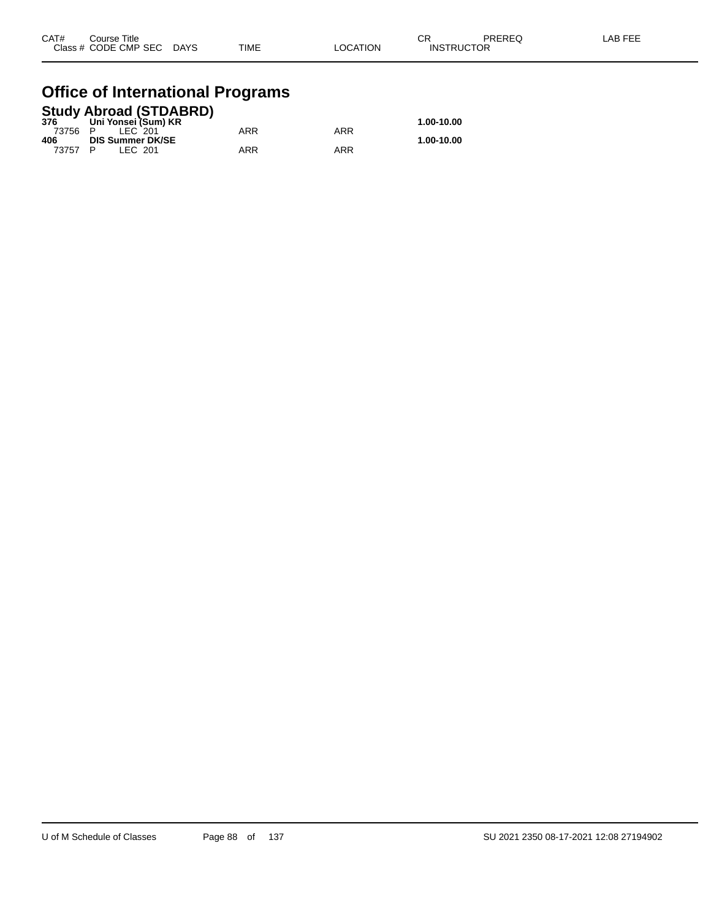| CAT# | Course Title              |             |          | ⌒冖<br>◡Ⴡ          | PREREQ | LAB FEE |
|------|---------------------------|-------------|----------|-------------------|--------|---------|
|      | Class # CODE CMP SEC DAYS | <b>TIME</b> | LOCATION | <b>INSTRUCTOR</b> |        |         |

#### **Office of International Programs**

|         |                         | <b>Study Abroad (STDABRD)</b> |     |     |            |
|---------|-------------------------|-------------------------------|-----|-----|------------|
| 376     | Uni Yonsei (Sum) KR     |                               |     |     | 1.00-10.00 |
| 73756 P | <b>IFC 201</b>          |                               | ARR | ARR |            |
| 406     | <b>DIS Summer DK/SE</b> |                               |     |     | 1.00-10.00 |
| 73757 P | IFC 201                 |                               | ARR | ARR |            |
|         |                         |                               |     |     |            |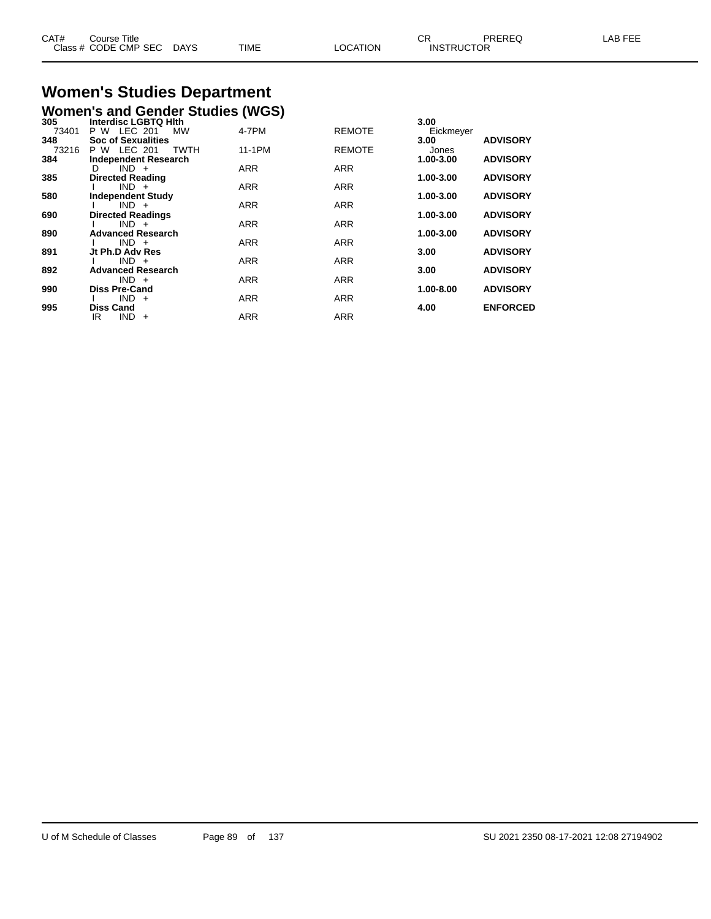| CAT# | Course Title              |             |                 |                   | PREREQ | LAB FEE |
|------|---------------------------|-------------|-----------------|-------------------|--------|---------|
|      | Class # CODE CMP SEC DAYS | <b>TIME</b> | <b>LOCATION</b> | <b>INSTRUCTOR</b> |        |         |
|      |                           |             |                 |                   |        |         |

# **Women's Studies Department**

|              | <b>Women's and Gender Studies (WGS)</b>                    |            |               |                   |                 |
|--------------|------------------------------------------------------------|------------|---------------|-------------------|-----------------|
| 305<br>73401 | <b>Interdisc LGBTQ Hith</b><br>LEC 201<br>P W<br><b>MW</b> | 4-7PM      | <b>REMOTE</b> | 3.00<br>Eickmeyer |                 |
| 348<br>73216 | <b>Soc of Sexualities</b><br>LEC 201<br>TWTH<br>P W        | 11-1PM     | <b>REMOTE</b> | 3.00<br>Jones     | <b>ADVISORY</b> |
| 384          | <b>Independent Research</b>                                |            |               | 1.00-3.00         | <b>ADVISORY</b> |
| 385          | $IND +$<br>D<br><b>Directed Reading</b>                    | <b>ARR</b> | <b>ARR</b>    | 1.00-3.00         | <b>ADVISORY</b> |
|              | $IND +$                                                    | <b>ARR</b> | <b>ARR</b>    |                   |                 |
| 580          | <b>Independent Study</b><br>$IND +$                        | <b>ARR</b> | <b>ARR</b>    | 1.00-3.00         | <b>ADVISORY</b> |
| 690          | <b>Directed Readings</b>                                   |            |               | 1.00-3.00         | <b>ADVISORY</b> |
| 890          | $IND +$<br><b>Advanced Research</b>                        | <b>ARR</b> | <b>ARR</b>    | 1.00-3.00         | <b>ADVISORY</b> |
| 891          | $IND +$<br>Jt Ph.D Adv Res                                 | <b>ARR</b> | <b>ARR</b>    | 3.00              | <b>ADVISORY</b> |
|              | $IND +$                                                    | <b>ARR</b> | <b>ARR</b>    |                   |                 |
| 892          | <b>Advanced Research</b><br>$IND +$                        | <b>ARR</b> | <b>ARR</b>    | 3.00              | <b>ADVISORY</b> |
| 990          | <b>Diss Pre-Cand</b>                                       |            |               | $1.00 - 8.00$     | <b>ADVISORY</b> |
| 995          | $IND +$<br><b>Diss Cand</b>                                | <b>ARR</b> | <b>ARR</b>    | 4.00              | <b>ENFORCED</b> |
|              | <b>IND</b><br>IR<br>$+$                                    | <b>ARR</b> | <b>ARR</b>    |                   |                 |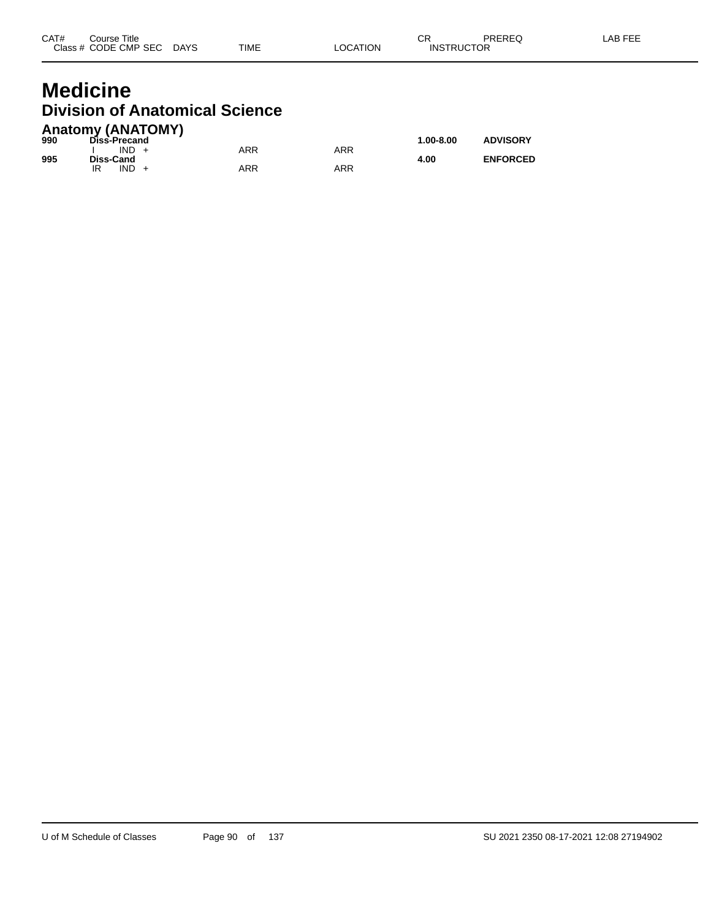#### **Medicine Division of Anatomical Science Anatomy (ANATOMY)**

| 990 | AIRWIII) (ANAIVIII)<br>Diss-Precand |            |     | $1.00 - 8.00$ | <b>ADVISORY</b> |
|-----|-------------------------------------|------------|-----|---------------|-----------------|
| 995 | $IND +$<br>Diss-Cand                | ARR        | ARR | 4.00          | <b>ENFORCED</b> |
|     | $IND +$<br>IR                       | <b>ARR</b> | ARR |               |                 |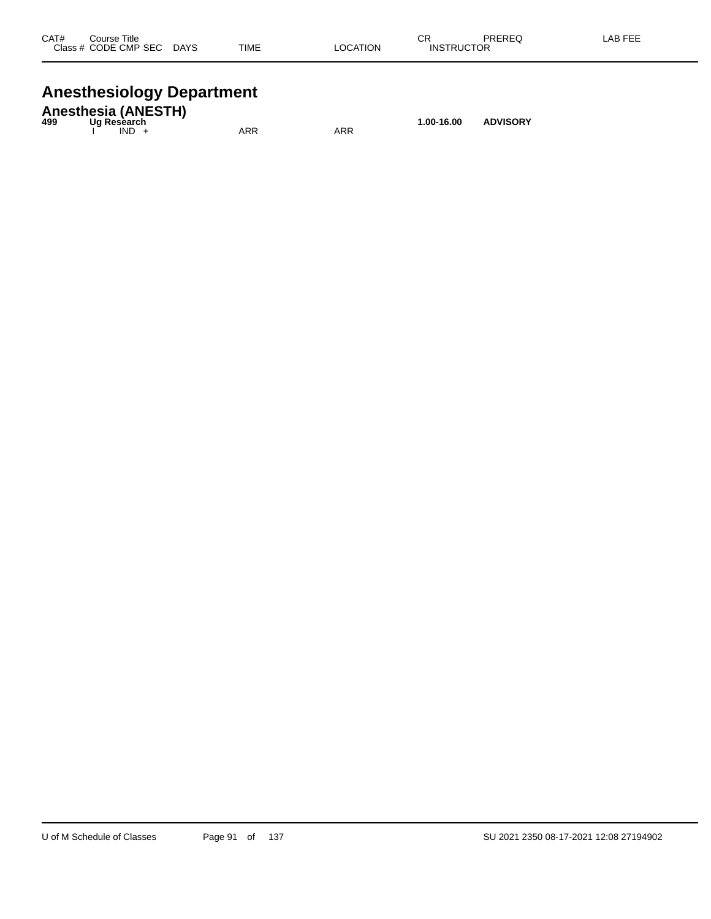| CAT#<br>Class # | Course Title<br>CODE CMP SEC | <b>DAYS</b> | <b>TIME</b> | <b>LOCATION</b> | СR<br><b>INSTRUCTOR</b> | PREREQ | _AB FEF |
|-----------------|------------------------------|-------------|-------------|-----------------|-------------------------|--------|---------|
|                 |                              |             |             |                 |                         |        |         |

# **Anesthesiology Department**

| 499 | <b>Anesthesia (ANESTH)</b><br>Ua Resèarch |     |     | 1.00-16.00 | <b>ADVISORY</b> |
|-----|-------------------------------------------|-----|-----|------------|-----------------|
|     | $IND +$                                   | ARR | ARR |            |                 |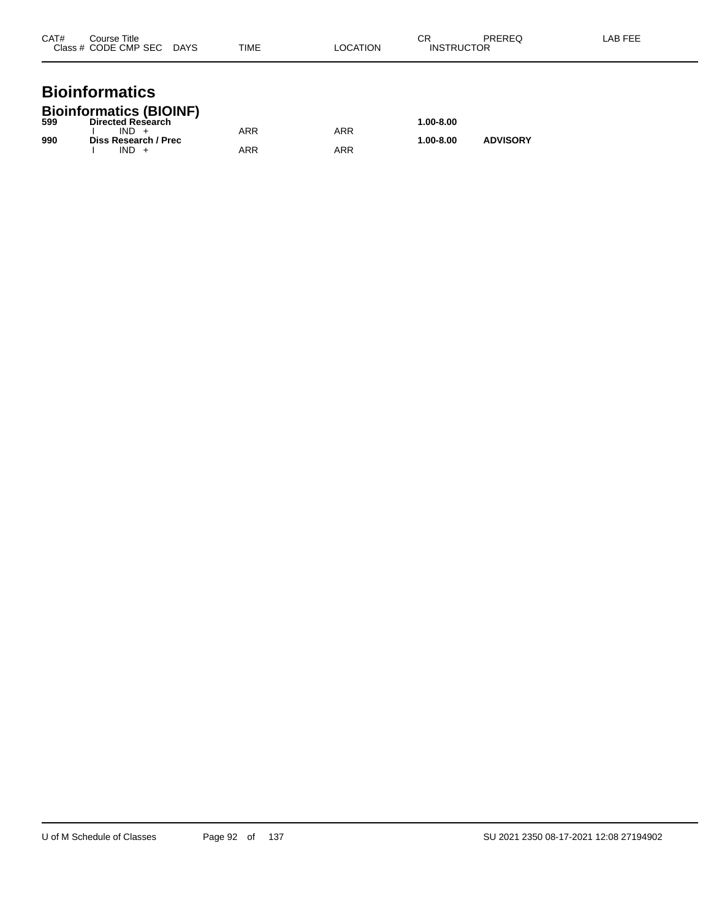| CAT# | Course Title<br>Class # CODE CMP SEC | <b>DAYS</b> | TIME | LOCATION | СR<br><b>INSTRUCTOR</b> | PREREQ | LAB FEE |
|------|--------------------------------------|-------------|------|----------|-------------------------|--------|---------|
|      |                                      |             |      |          |                         |        |         |

#### **Bioinformatics Bioinformatics (BIOINF)**

| 599 | <b>Directed Research</b> |     |     | 1.00-8.00 |                 |
|-----|--------------------------|-----|-----|-----------|-----------------|
|     | $IND +$                  | ARR | ARR |           |                 |
| 990 | Diss Research / Prec     |     |     | 1.00-8.00 | <b>ADVISORY</b> |
|     | IND                      | ARR | ARR |           |                 |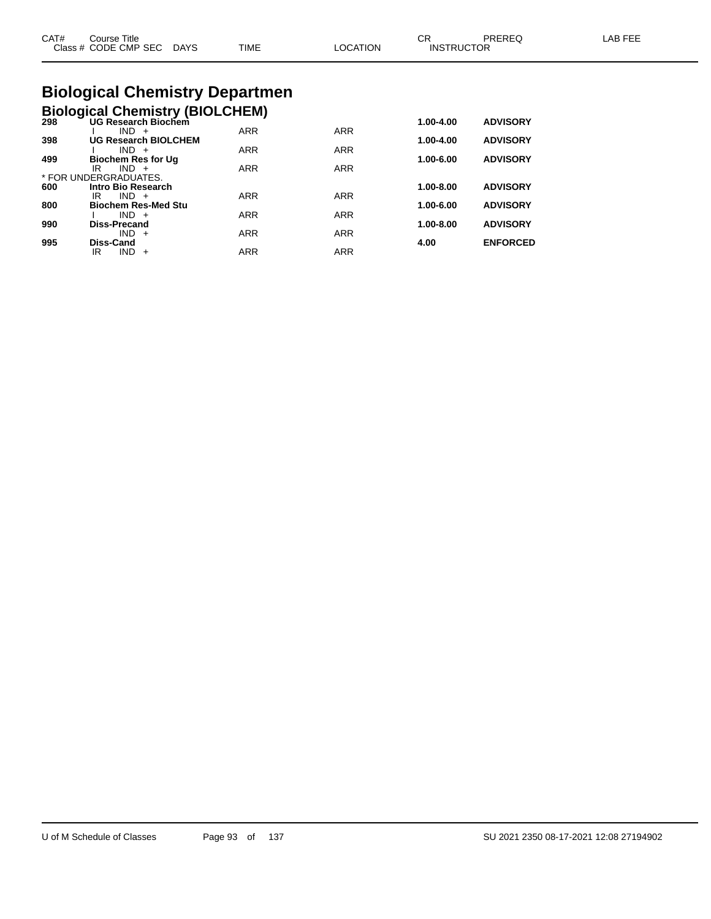| CAT#<br>Course Title<br>Class # CODE CMP SEC DAYS | TIME | LOCATION | СR<br>PRERFO<br><b>INSTRUCTOR</b> | I AB FFF |
|---------------------------------------------------|------|----------|-----------------------------------|----------|
| <b>Biological Chemistry Departmen</b>             |      |          |                                   |          |

**Biological Chemistry (BIOLCHEM)**

| 298 | UG Research Biochem         |            |            | 1.00-4.00     | <b>ADVISORY</b> |
|-----|-----------------------------|------------|------------|---------------|-----------------|
|     | $IND +$                     | <b>ARR</b> | <b>ARR</b> |               |                 |
| 398 | <b>UG Research BIOLCHEM</b> |            |            | 1.00-4.00     | <b>ADVISORY</b> |
|     | $IND +$                     | <b>ARR</b> | <b>ARR</b> |               |                 |
| 499 | <b>Biochem Res for Ug</b>   |            |            | 1.00-6.00     | <b>ADVISORY</b> |
|     | $IND +$<br>IR               | <b>ARR</b> | <b>ARR</b> |               |                 |
|     | * FOR UNDERGRADUATES.       |            |            |               |                 |
| 600 | <b>Intro Bio Research</b>   |            |            | $1.00 - 8.00$ | <b>ADVISORY</b> |
|     | $IND +$<br>IR               | <b>ARR</b> | <b>ARR</b> |               |                 |
| 800 | <b>Biochem Res-Med Stu</b>  |            |            | 1.00-6.00     | <b>ADVISORY</b> |
|     | $IND +$                     | <b>ARR</b> | <b>ARR</b> |               |                 |
| 990 | <b>Diss-Precand</b>         |            |            | 1.00-8.00     | <b>ADVISORY</b> |
|     | $IND +$                     | <b>ARR</b> | <b>ARR</b> |               |                 |
| 995 | Diss-Cand                   |            |            | 4.00          | <b>ENFORCED</b> |
|     | IR<br>$IND +$               | <b>ARR</b> | <b>ARR</b> |               |                 |
|     |                             |            |            |               |                 |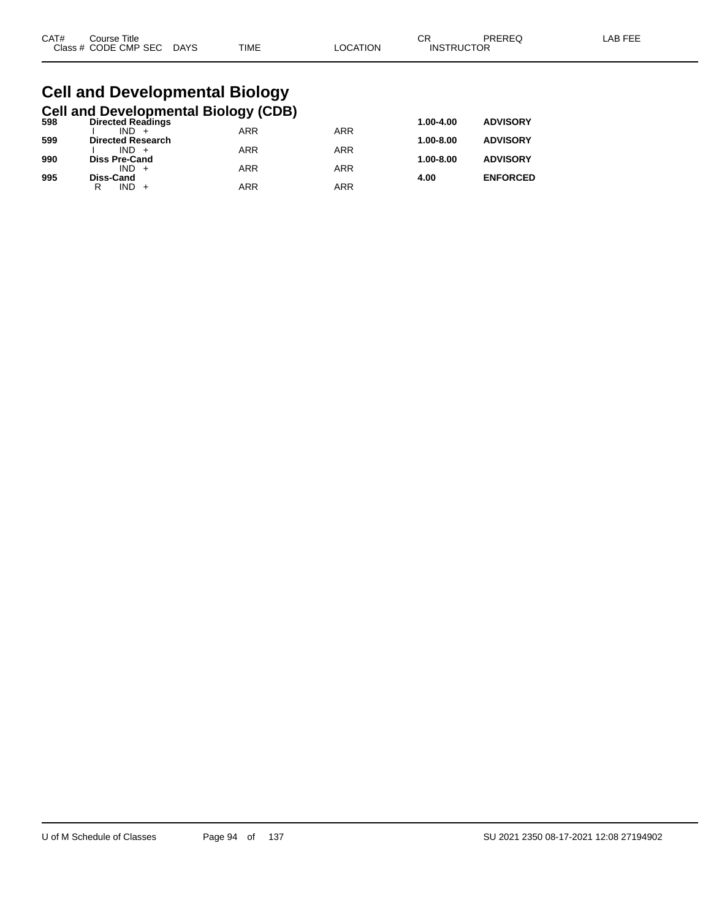| CAT# | Title<br>Course      |             |      |         | ~~<br>◡⊓          | PREREQ | AR FF'<br><b>AL</b> |
|------|----------------------|-------------|------|---------|-------------------|--------|---------------------|
|      | Class # CODE CMP SEC | <b>DAYS</b> | TIME | OCATION | <b>INSTRUCTOR</b> |        |                     |

#### **Cell and Developmental Biology Cell and Developmental Biology (CDB)**

| 598 | <b>Directed Readings</b> |            |            |               | <b>ADVISORY</b> |
|-----|--------------------------|------------|------------|---------------|-----------------|
|     | $IND +$                  | <b>ARR</b> | <b>ARR</b> |               |                 |
| 599 | <b>Directed Research</b> |            |            | $1.00 - 8.00$ | <b>ADVISORY</b> |
|     | $IND +$                  | <b>ARR</b> | <b>ARR</b> |               |                 |
| 990 | <b>Diss Pre-Cand</b>     |            |            | $1.00 - 8.00$ | <b>ADVISORY</b> |
|     | $IND +$                  | <b>ARR</b> | ARR        |               |                 |
| 995 | Diss-Cand                |            |            | 4.00          | <b>ENFORCED</b> |
|     | $IND +$<br>R             | <b>ARR</b> | ARR        |               |                 |
|     |                          |            |            |               |                 |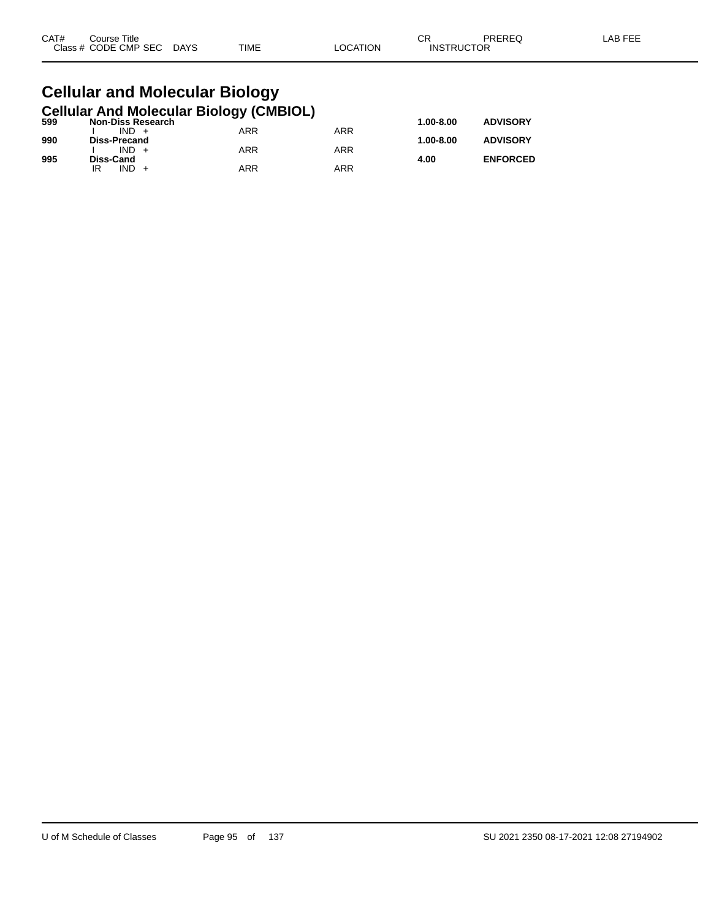| CAT# | Title<br>Course      |                       |             |          | СR                | PREREQ | LAB FEF |
|------|----------------------|-----------------------|-------------|----------|-------------------|--------|---------|
|      | Class # CODE CMP SEC | <b>DAYS</b><br>$\sim$ | <b>TIME</b> | _OCATION | <b>INSTRUCTOR</b> |        |         |

#### **Cellular and Molecular Biology Cellular And Molecular Biology (CMBIOL)**

| 599 | <b>Non-Diss Research</b> | . . |            | $1.00 - 8.00$ | <b>ADVISORY</b> |
|-----|--------------------------|-----|------------|---------------|-----------------|
|     | $IND +$                  | ARR | ARR        |               |                 |
| 990 | Diss-Precand             |     |            | $1.00 - 8.00$ | <b>ADVISORY</b> |
|     | $IND +$                  | ARR | <b>ARR</b> |               |                 |
| 995 | Diss-Cand                |     |            | 4.00          | <b>ENFORCED</b> |
|     | IND.<br>IR               | ARR | ARR        |               |                 |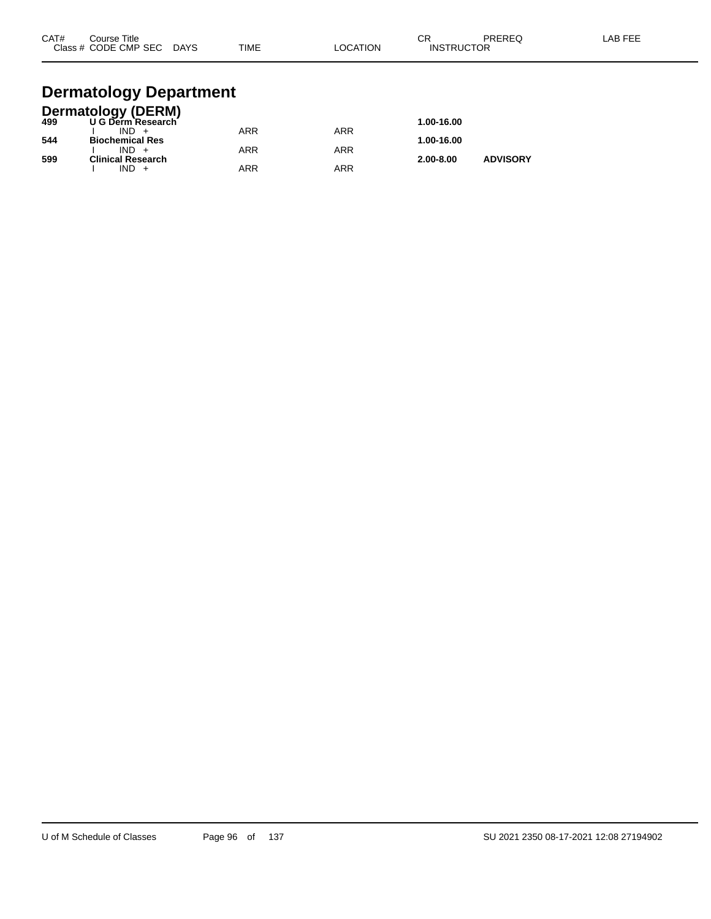| CAT# | Course Title<br>Class # CODE CMP SEC | <b>DAYS</b> | <b>TIME</b> | LOCATION | СR<br><b>INSTRUCTOR</b> | PREREQ | LAB FEE |
|------|--------------------------------------|-------------|-------------|----------|-------------------------|--------|---------|
|      |                                      |             |             |          |                         |        |         |

#### **Dermatology Department**

|     | <b>Dermatology (DERM)</b> |            |            |               |                 |
|-----|---------------------------|------------|------------|---------------|-----------------|
| 499 | U G Derm Research         |            |            | 1.00-16.00    |                 |
|     | $IND +$                   | <b>ARR</b> | ARR        |               |                 |
| 544 | <b>Biochemical Res</b>    |            |            | 1.00-16.00    |                 |
|     | $IND +$                   | <b>ARR</b> | ARR        |               |                 |
| 599 | <b>Clinical Research</b>  |            |            | $2.00 - 8.00$ | <b>ADVISORY</b> |
|     | $IND +$                   | <b>ARR</b> | <b>ARR</b> |               |                 |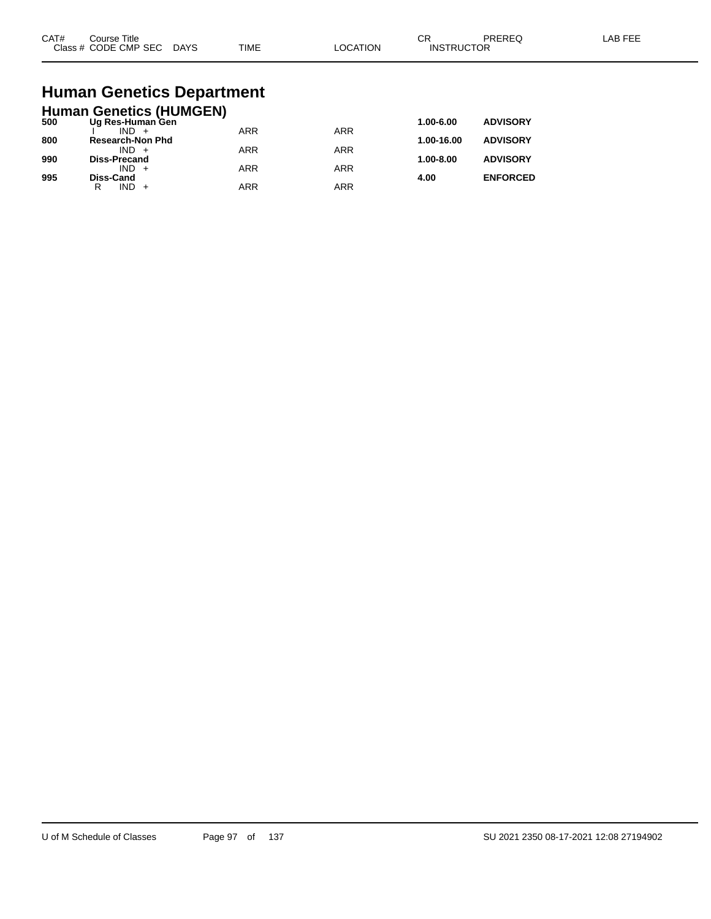| CAT#<br>$C$ lace $\overline{A}$ | Title<br>∵ourse<br><b>CODE CMP SEC</b><br>__ | DAYS<br>_______ | <b>TIME</b> | ٦ι<br>ורו<br>____ | $\sim$<br>◡┍<br>⊣NS <sup>⊤</sup><br>∙ ⊏،<br>$  -$ | TOR |  |
|---------------------------------|----------------------------------------------|-----------------|-------------|-------------------|---------------------------------------------------|-----|--|
|                                 |                                              |                 |             |                   |                                                   |     |  |

# **Human Genetics Department**

|     | <b>Human Genetics (HUMGEN)</b> |            |            |            |                 |
|-----|--------------------------------|------------|------------|------------|-----------------|
| 500 | Ug Res-Human Gen               |            |            | 1.00-6.00  | <b>ADVISORY</b> |
|     | $IND +$                        | <b>ARR</b> | <b>ARR</b> |            |                 |
| 800 | <b>Research-Non Phd</b>        |            |            | 1.00-16.00 | <b>ADVISORY</b> |
| 990 | $IND +$<br><b>Diss-Precand</b> | <b>ARR</b> | <b>ARR</b> | 1.00-8.00  | <b>ADVISORY</b> |
|     | $IND +$                        | <b>ARR</b> | <b>ARR</b> |            |                 |
| 995 | <b>Diss-Cand</b>               |            |            | 4.00       | <b>ENFORCED</b> |
|     | IND.<br>R                      | <b>ARR</b> | <b>ARR</b> |            |                 |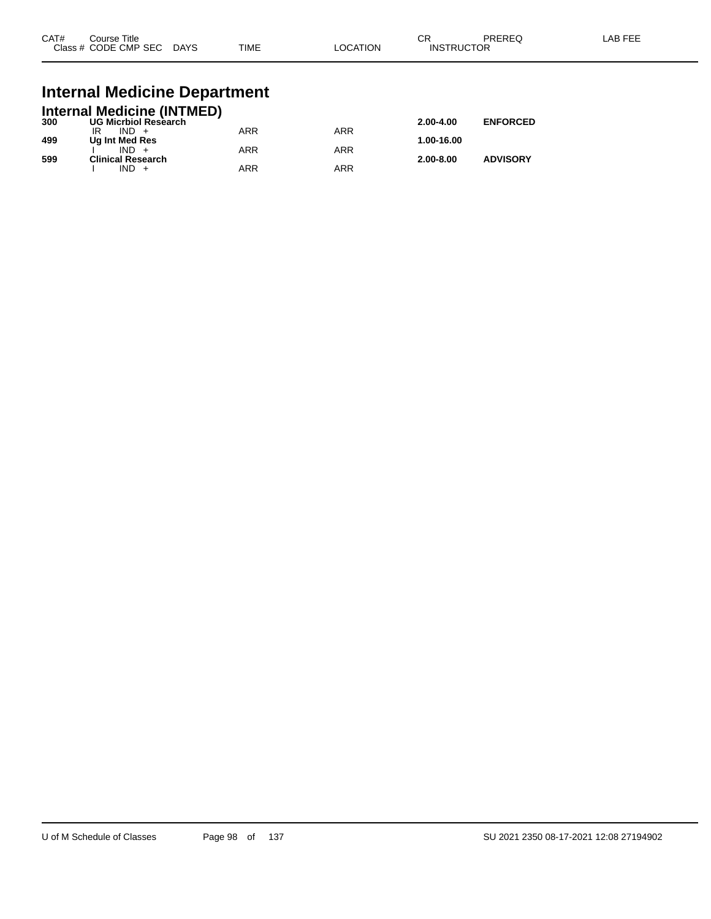| CAT# | Course Title<br>Class # CODE CMP SEC | <b>DAYS</b> | <b>TIME</b> | _OCATION | ∩n<br>- UN<br><b>INSTRUCTOR</b> | PREREQ | _AB FEF |
|------|--------------------------------------|-------------|-------------|----------|---------------------------------|--------|---------|
|      |                                      |             |             |          |                                 |        |         |

# **Internal Medicine Department**

|     | <b>Internal Medicine (INTMED)</b> |     |     |               |                 |
|-----|-----------------------------------|-----|-----|---------------|-----------------|
| 300 | <b>UG Micrbiol Research</b>       |     |     | $2.00 - 4.00$ | <b>ENFORCED</b> |
|     | $IND +$                           | ARR | ARR |               |                 |
| 499 | Ug Int Med Res                    |     |     | 1.00-16.00    |                 |
|     | $IND +$                           | ARR | ARR |               |                 |
| 599 | <b>Clinical Research</b>          |     |     | $2.00 - 8.00$ | <b>ADVISORY</b> |
|     | $IND +$                           | ARR | ARR |               |                 |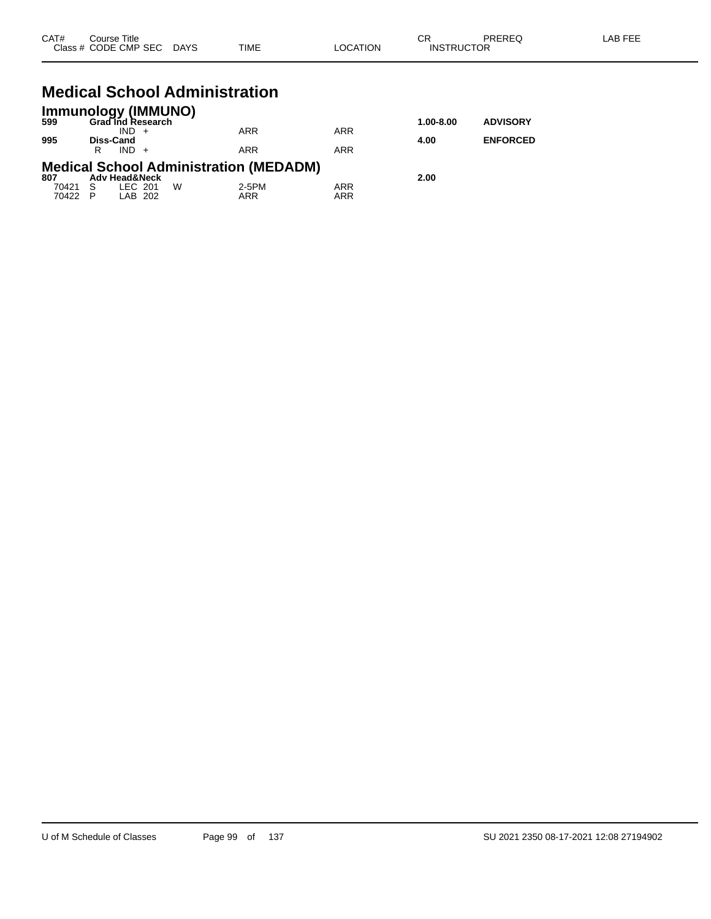| CAT#                    | Course Title<br>Class # CODE CMP SEC DAYS                                                                                              |   | TIME                     | <b>LOCATION</b>          | <b>CR</b><br><b>INSTRUCTOR</b> | PREREQ                             | <b>LAB FEE</b> |
|-------------------------|----------------------------------------------------------------------------------------------------------------------------------------|---|--------------------------|--------------------------|--------------------------------|------------------------------------|----------------|
| 599<br>995              | <b>Medical School Administration</b><br>Immunology (IMMUNO)<br><b>Grad Ind Research</b><br>$IND +$<br><b>Diss-Cand</b><br>$IND +$<br>R |   | <b>ARR</b><br><b>ARR</b> | <b>ARR</b><br><b>ARR</b> | $1.00 - 8.00$<br>4.00          | <b>ADVISORY</b><br><b>ENFORCED</b> |                |
| 807<br>70421<br>70422 P | <b>Medical School Administration (MEDADM)</b><br><b>Adv Head&amp;Neck</b><br>LEC 201<br>-S<br>LAB 202                                  | W | 2-5PM<br><b>ARR</b>      | <b>ARR</b><br><b>ARR</b> | 2.00                           |                                    |                |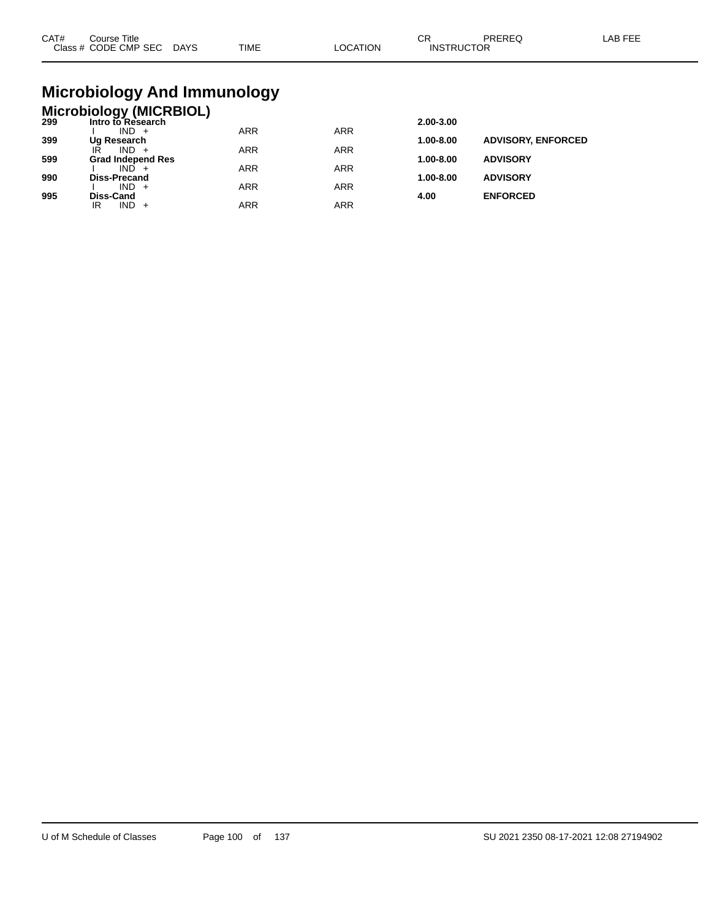| CAT# | ourse Titleٽ<br>Class # CODE CMP SEC DAYS | TIME | LOCATION | ∩⊓<br>◡┍<br><b>INSTRUCTOR</b> | PREREC | LAB FEE |
|------|-------------------------------------------|------|----------|-------------------------------|--------|---------|
|      |                                           |      |          |                               |        |         |

## **Microbiology And Immunology**

## **Microbiology (MICRBIOL) 299 Intro to Research 2.00-3.00**

| -33 | IIIUUUIVIV0560UIII       |     |     | 2.00-J.00     |                           |
|-----|--------------------------|-----|-----|---------------|---------------------------|
|     | $IND +$                  | ARR | ARR |               |                           |
| 399 | Ug Research              |     |     | 1.00-8.00     | <b>ADVISORY, ENFORCED</b> |
|     | IR<br>$IND +$            | ARR | ARR |               |                           |
| 599 | <b>Grad Independ Res</b> |     |     | $1.00 - 8.00$ | <b>ADVISORY</b>           |
|     | $IND +$                  | ARR | ARR |               |                           |
| 990 | <b>Diss-Precand</b>      |     |     | $1.00 - 8.00$ | <b>ADVISORY</b>           |
|     | $IND +$                  | ARR | ARR |               |                           |
| 995 | Diss-Cand                |     |     | 4.00          | <b>ENFORCED</b>           |
|     | $IND +$<br>IR            | ARR | ARR |               |                           |
|     |                          |     |     |               |                           |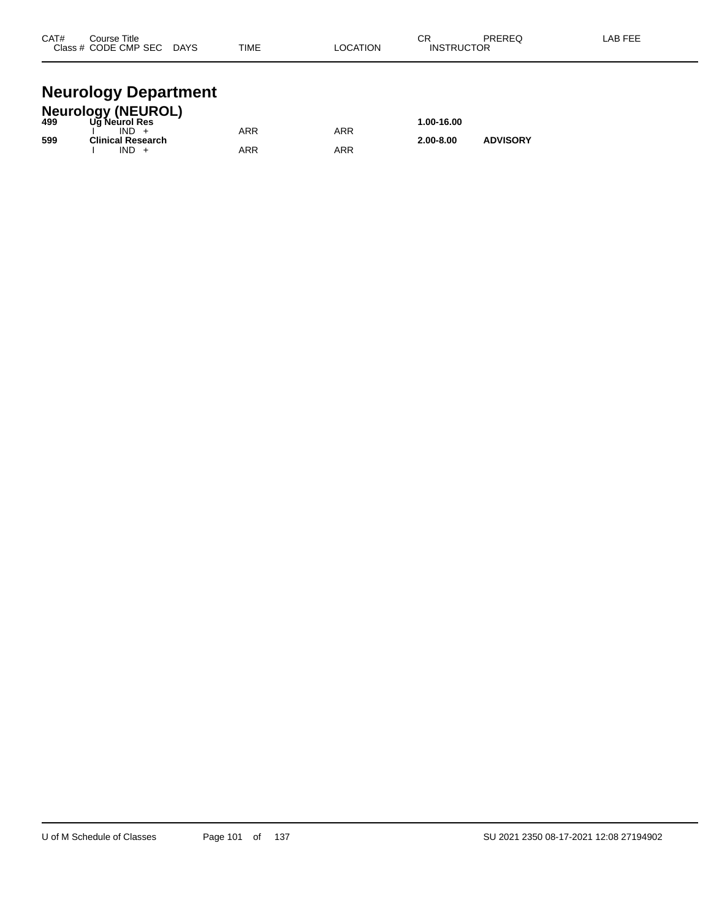| CAT#  | Course Title |             |             | ~-<br>v۱۱           | <b>DDEDEC</b> | . |
|-------|--------------|-------------|-------------|---------------------|---------------|---|
| Class | CODE CMP SEC | <b>DAYS</b> | <b>TIME</b> | <b>UCTOR</b><br>INS | ____          |   |
|       |              |             |             |                     |               |   |

#### **Neurology Department**

|     | <b>Neurology (NEUROL)</b> |     |     |               |                 |  |  |  |  |
|-----|---------------------------|-----|-----|---------------|-----------------|--|--|--|--|
| 499 | Ug Neurol Res             |     |     | 1.00-16.00    |                 |  |  |  |  |
|     | $IND +$                   | ARR | ARR |               |                 |  |  |  |  |
| 599 | Clinical Research         |     |     | $2.00 - 8.00$ | <b>ADVISORY</b> |  |  |  |  |
|     | $IND +$                   | ARR | ARR |               |                 |  |  |  |  |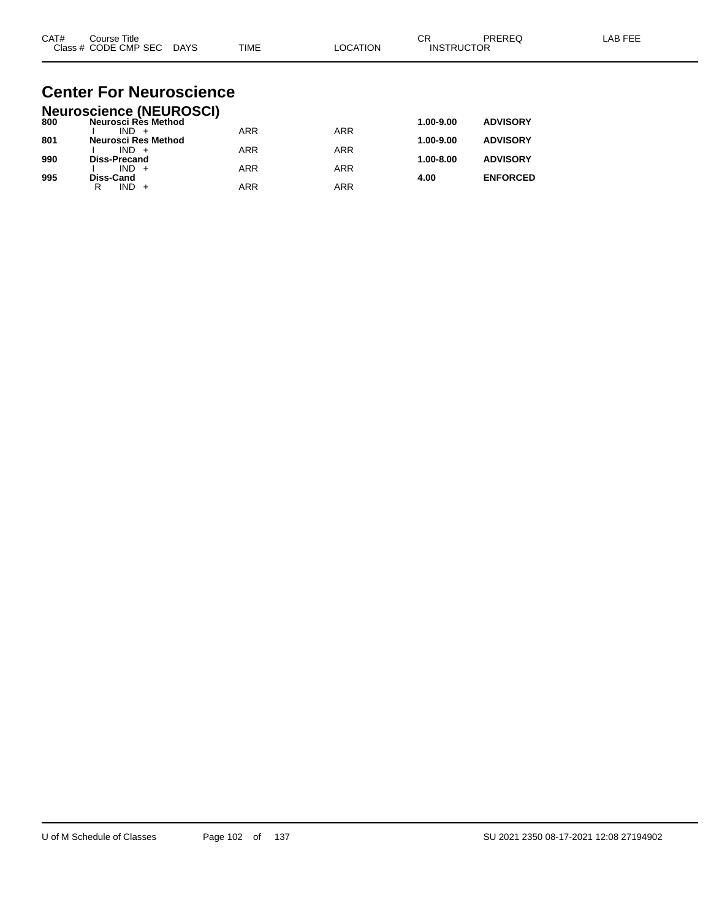| CAT# | Course Title         |             |             |          | ⌒г<br>◡           | PREREC | LAB FEF |
|------|----------------------|-------------|-------------|----------|-------------------|--------|---------|
|      | Class # CODE CMP SEC | <b>DAYS</b> | <b>TIME</b> | LOCATION | <b>INSTRUCTOR</b> |        |         |

#### **Center For Neuroscience Neuroscience (NEUROSCI)**

|     | Neuroscience (NEUROSCI) |            |            |               |                 |
|-----|-------------------------|------------|------------|---------------|-----------------|
| 800 | Neurosci Rès Method     |            |            | 1.00-9.00     | <b>ADVISORY</b> |
|     | $IND +$                 | <b>ARR</b> | <b>ARR</b> |               |                 |
| 801 | Neurosci Res Method     |            |            | 1.00-9.00     | <b>ADVISORY</b> |
|     | $IND +$                 | ARR        | ARR        |               |                 |
| 990 | <b>Diss-Precand</b>     |            |            | $1.00 - 8.00$ | <b>ADVISORY</b> |
|     | $IND +$                 | <b>ARR</b> | ARR        |               |                 |
| 995 | <b>Diss-Cand</b>        |            |            | 4.00          | <b>ENFORCED</b> |
|     | IND.<br>R               | ARR        | ARR        |               |                 |
|     |                         |            |            |               |                 |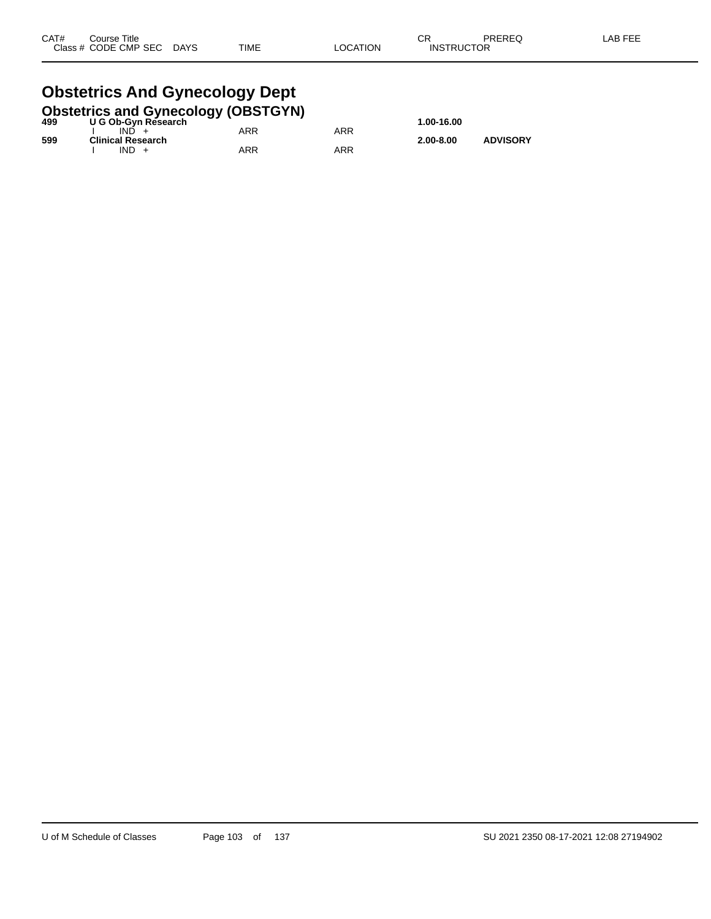#### **Obstetrics And Gynecology Dept**<br>Obstetrics and Gynecology (OBSTGYN **Obstetrics and Gynecology (OBSTGYN)**

| 499 | <b>ODSIGITIES AND OVERCOIOGY (ODSTOTIV)</b><br>U G Ob-Gyn Research |     |     | 1.00-16.00    |                 |
|-----|--------------------------------------------------------------------|-----|-----|---------------|-----------------|
|     | IND.                                                               | ARR | ARR |               |                 |
| 599 | <b>Clinical Research</b><br>$IND +$                                | ARR | ARR | $2.00 - 8.00$ | <b>ADVISORY</b> |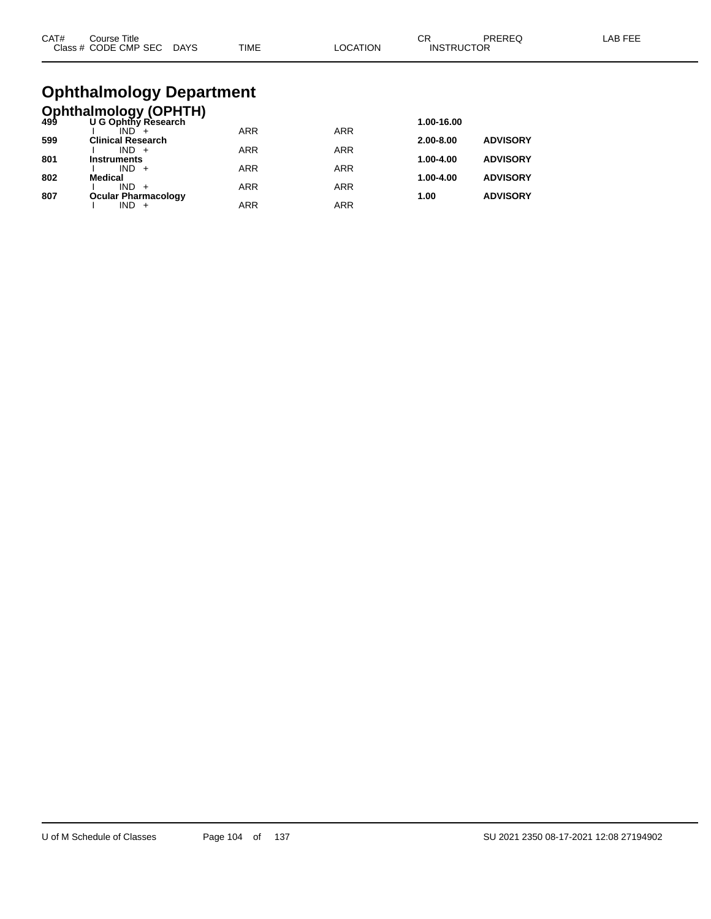| CAT# | Course Title.        |             |             |          | <b>^^</b><br>◡Ⴡ   | PREREC | _AB FEF |
|------|----------------------|-------------|-------------|----------|-------------------|--------|---------|
|      | Class # CODE CMP SEC | <b>DAYS</b> | <b>TIME</b> | LOCATION | <b>INSTRUCTOR</b> |        |         |

# **Ophthalmology Department**

|     | <b>Ophthalmology (OPHTH)</b><br>499 U G Ophthy Research |            |            |               |                 |
|-----|---------------------------------------------------------|------------|------------|---------------|-----------------|
|     |                                                         |            |            | 1.00-16.00    |                 |
|     |                                                         | <b>ARR</b> | <b>ARR</b> |               |                 |
| 599 | <b>Clinical Research</b>                                |            |            | $2.00 - 8.00$ | <b>ADVISORY</b> |
| 801 | $IND +$<br><b>Instruments</b>                           | <b>ARR</b> | <b>ARR</b> | 1.00-4.00     | <b>ADVISORY</b> |
|     | $IND +$                                                 | ARR        | <b>ARR</b> |               |                 |
| 802 | <b>Medical</b>                                          |            |            | 1.00-4.00     | <b>ADVISORY</b> |
|     | $IND +$                                                 | <b>ARR</b> | <b>ARR</b> |               |                 |
| 807 | <b>Ocular Pharmacology</b>                              |            |            | 1.00          | <b>ADVISORY</b> |
|     |                                                         | ARR        | ARR        |               |                 |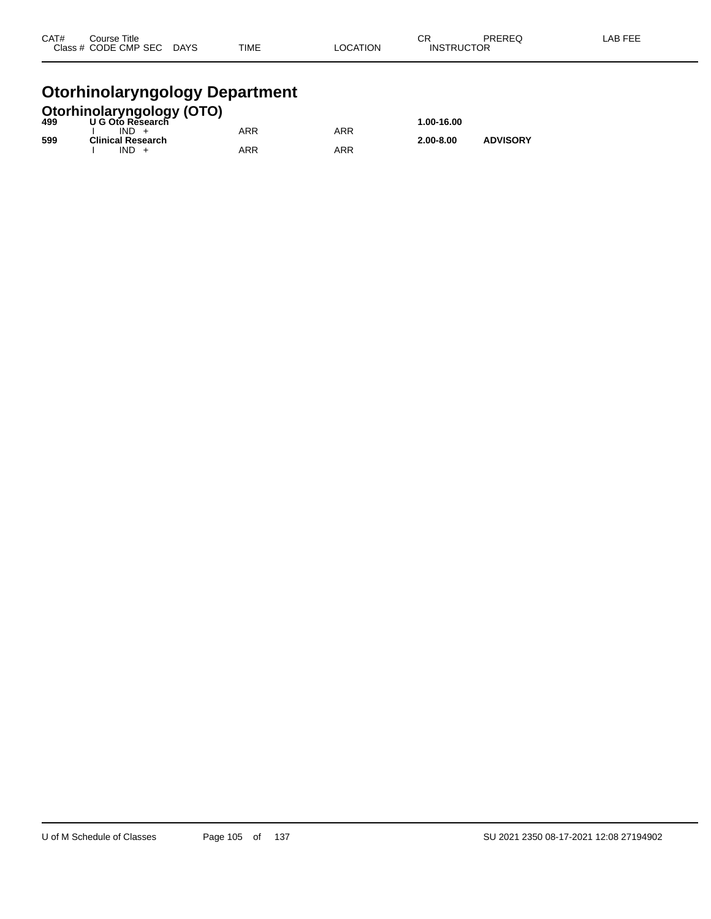| CAT# | Course Title              |             |          | ⌒冖                | PREREQ | LAB FEE |
|------|---------------------------|-------------|----------|-------------------|--------|---------|
|      | Class # CODE CMP SEC DAYS | <b>TIME</b> | LOCATION | <b>INSTRUCTOR</b> |        |         |
|      |                           |             |          |                   |        |         |

#### **Otorhinolaryngology Department**

|     | <b>Otorhinolaryngology (OTO)</b><br>499 U G Oto Research |            |     |               |                 |
|-----|----------------------------------------------------------|------------|-----|---------------|-----------------|
|     |                                                          |            |     | 1.00-16.00    |                 |
|     | $IND +$                                                  | <b>ARR</b> | ARR |               |                 |
| 599 | <b>Clinical Research</b>                                 |            |     | $2.00 - 8.00$ | <b>ADVISORY</b> |
|     | $IND +$                                                  | ARR        | ARR |               |                 |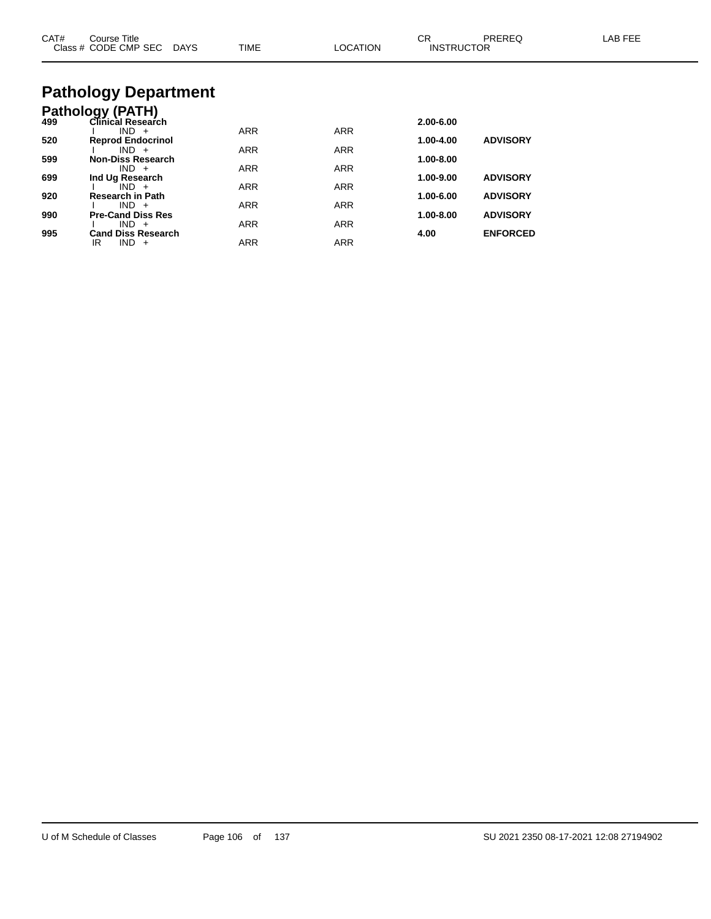| CAT# | Course Title<br>Class # CODE CMP SEC DAYS    | <b>TIME</b> | <b>LOCATION</b> | CR.<br><b>INSTRUCTOR</b> | PREREQ          | LAB FEE |
|------|----------------------------------------------|-------------|-----------------|--------------------------|-----------------|---------|
|      | <b>Pathology Department</b>                  |             |                 |                          |                 |         |
| 499  | <b>Pathology (PATH)</b><br>Clinical Research |             |                 | 2.00-6.00                |                 |         |
| 520  | $IND +$<br><b>Reprod Endocrinol</b>          | <b>ARR</b>  | <b>ARR</b>      | 1.00-4.00                | <b>ADVISORY</b> |         |
|      | $IND +$                                      | <b>ARR</b>  | <b>ARR</b>      |                          |                 |         |
| 599  | <b>Non-Diss Research</b><br>$IND +$          | <b>ARR</b>  | <b>ARR</b>      | 1.00-8.00                |                 |         |
| 699  | Ind Ug Research                              |             |                 | 1.00-9.00                | <b>ADVISORY</b> |         |
|      | $IND +$                                      | ARR         | ARR             |                          |                 |         |
| 920  | <b>Research in Path</b><br>$IND +$           | <b>ARR</b>  | <b>ARR</b>      | 1.00-6.00                | <b>ADVISORY</b> |         |
| 990  | <b>Pre-Cand Diss Res</b>                     |             |                 | 1.00-8.00                | <b>ADVISORY</b> |         |
| 995  | $IND +$                                      | <b>ARR</b>  | <b>ARR</b>      |                          | <b>ENFORCED</b> |         |
|      | <b>Cand Diss Research</b><br>IR<br>$IND +$   | <b>ARR</b>  | <b>ARR</b>      | 4.00                     |                 |         |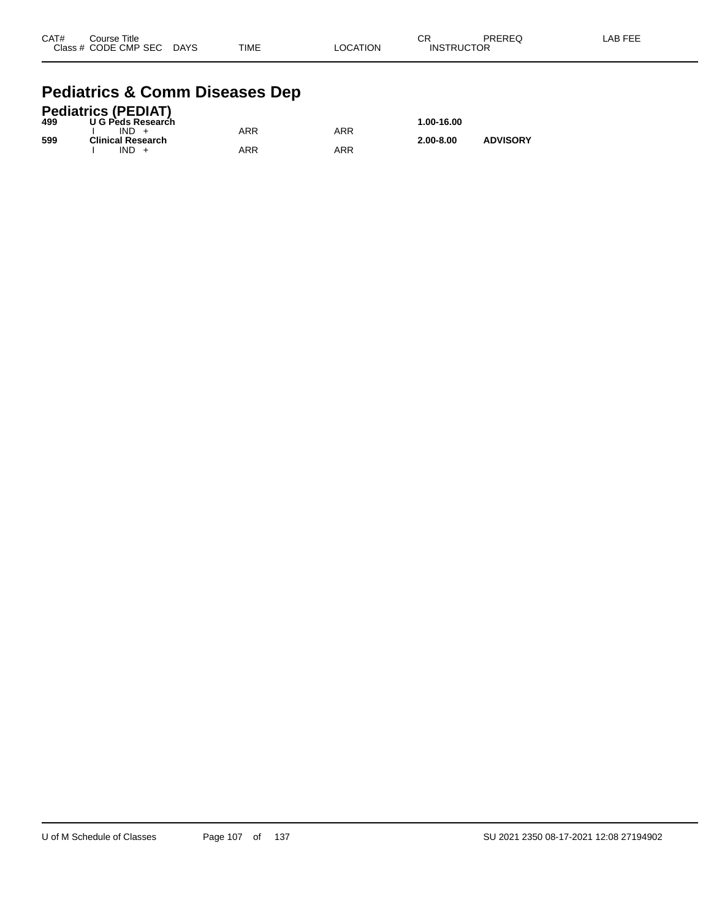| CAT# | Course Title              |             |          | CR                | PREREQ | -AB FEE |
|------|---------------------------|-------------|----------|-------------------|--------|---------|
|      | Class # CODE CMP SEC DAYS | <b>TIME</b> | LOCATION | <b>INSTRUCTOR</b> |        |         |

#### **Pediatrics & Comm Diseases Dep**

|     | <b>Pediatrics (PEDIAT)</b> |     |     |               |                 |
|-----|----------------------------|-----|-----|---------------|-----------------|
| 499 | U G Peds Research          |     |     | 1.00-16.00    |                 |
|     | $IND +$                    | ARR | ARR |               |                 |
| 599 | <b>Clinical Research</b>   |     |     | $2.00 - 8.00$ | <b>ADVISORY</b> |
|     | $IND +$                    | ARR | ARR |               |                 |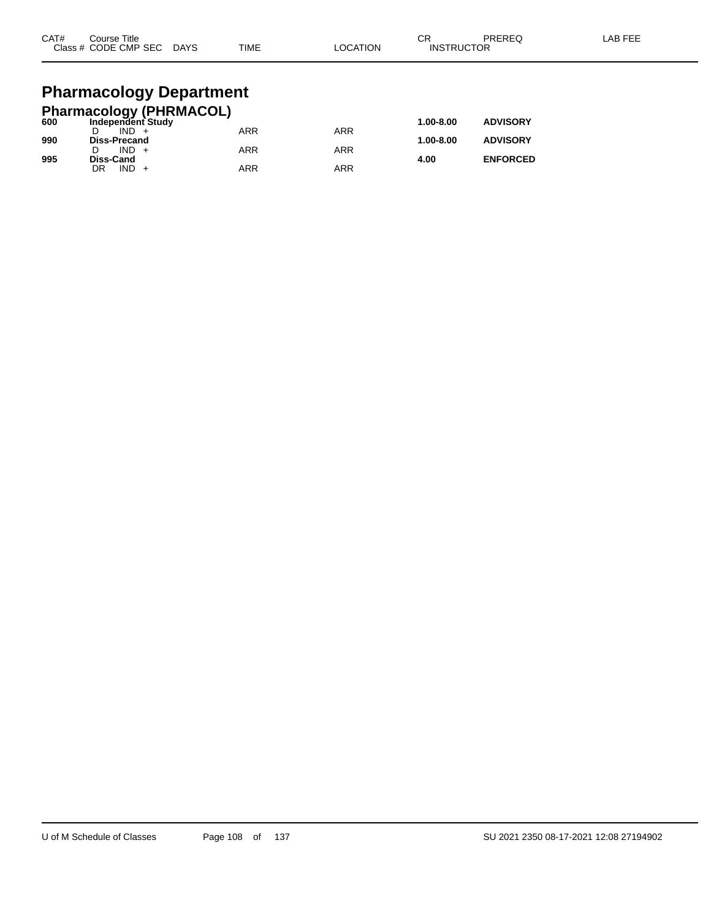| CAT#<br>Class # | Course Title<br>CODE CMP SEC | <b>DAYS</b> | <b>TIME</b> | OCATION | ◠⊏<br>◡⊓<br>'CTOR<br>⊣N <sup>c−</sup><br>п к | <b>DDEDEC</b><br>ntnty | <b>AB FEF</b> |
|-----------------|------------------------------|-------------|-------------|---------|----------------------------------------------|------------------------|---------------|
|                 |                              |             |             |         |                                              |                        |               |

# **Pharmacology Department**

|     | <b>Pharmacology (PHRMACOL)</b> |            |     |               |                 |
|-----|--------------------------------|------------|-----|---------------|-----------------|
| 600 | Independent Study              |            |     | 1.00-8.00     | <b>ADVISORY</b> |
|     | $IND +$                        | ARR        | ARR |               |                 |
| 990 | <b>Diss-Precand</b>            |            |     | $1.00 - 8.00$ | <b>ADVISORY</b> |
|     | $IND +$                        | <b>ARR</b> | ARR |               |                 |
| 995 | Diss-Cand                      |            |     | 4.00          | <b>ENFORCED</b> |
|     | $IND +$<br>DR                  | ARR        | ARR |               |                 |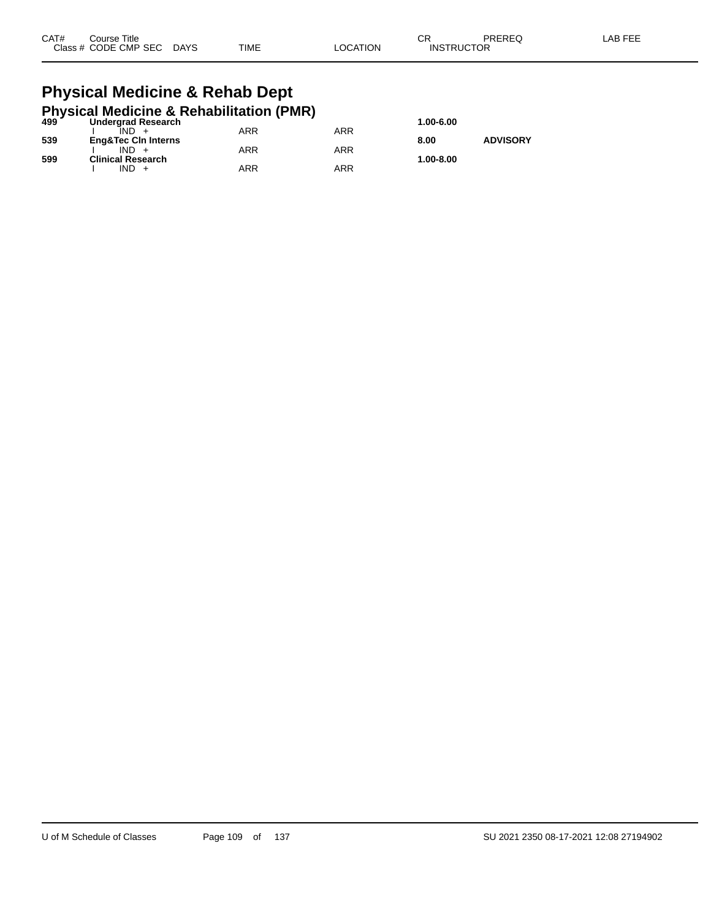| CAT# | Title<br>Course:     |             |             |          | ៱.<br>◡           | PREREQ | _AB FEE |
|------|----------------------|-------------|-------------|----------|-------------------|--------|---------|
|      | Class # CODE CMP SEC | <b>DAYS</b> | <b>TIME</b> | _OCATION | <b>INSTRUCTOR</b> |        |         |

#### **Physical Medicine & Rehab Dept Physical Medicine & Rehabilitation (PMR)**

|     | 499 Undergrad Research<br><b>Undergrad Research</b> |     |     | 1.00-6.00 |                 |
|-----|-----------------------------------------------------|-----|-----|-----------|-----------------|
|     | IND +                                               | ARR | ARR |           |                 |
| 539 | <b>Eng&amp;Tec CIn Interns</b>                      |     |     | 8.00      | <b>ADVISORY</b> |
|     | $IND +$                                             | ARR | ARR |           |                 |
| 599 | <b>Clinical Research</b>                            |     |     | 1.00-8.00 |                 |
|     | IND.                                                | ARR | ARR |           |                 |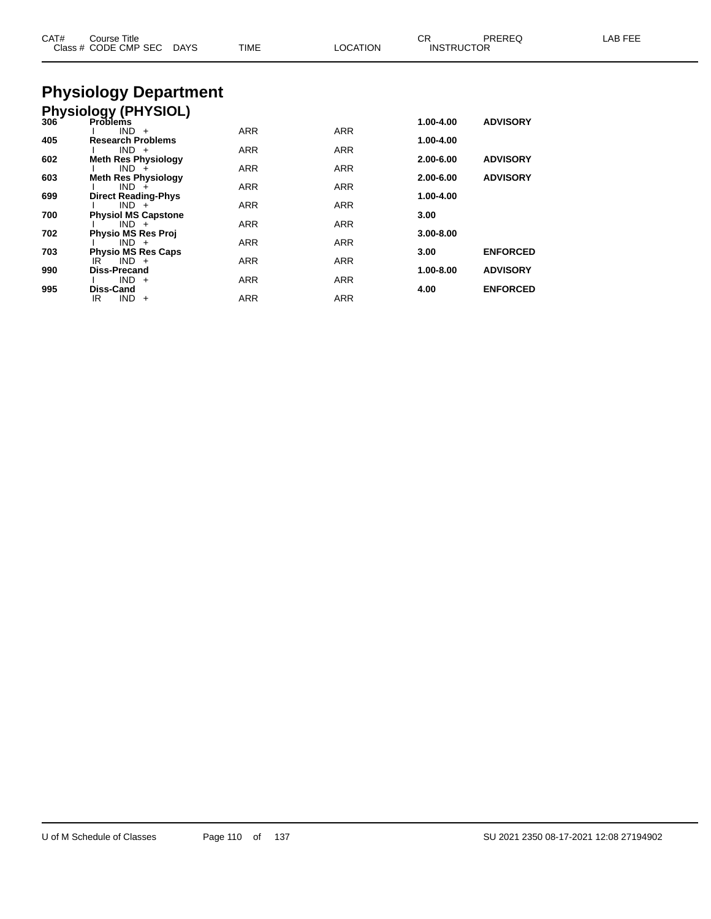| CAT# | Course Title<br>Class # CODE CMP SEC DAYS  | TIME       | <b>LOCATION</b> | CR.<br><b>INSTRUCTOR</b> | PREREQ          | LAB FEE |
|------|--------------------------------------------|------------|-----------------|--------------------------|-----------------|---------|
|      | <b>Physiology Department</b>               |            |                 |                          |                 |         |
|      | <b>Physiology (PHYSIOL)</b>                |            |                 |                          |                 |         |
| 306  | <b>Problems</b>                            |            |                 | 1.00-4.00                | <b>ADVISORY</b> |         |
| 405  | $IND +$<br><b>Research Problems</b>        | <b>ARR</b> | <b>ARR</b>      | 1.00-4.00                |                 |         |
|      | $IND +$                                    | ARR        | ARR             |                          |                 |         |
| 602  | <b>Meth Res Physiology</b><br>$IND +$      | ARR        | ARR             | 2.00-6.00                | <b>ADVISORY</b> |         |
| 603  | <b>Meth Res Physiology</b>                 |            |                 | 2.00-6.00                | <b>ADVISORY</b> |         |
| 699  | $IND +$                                    | ARR        | ARR             | 1.00-4.00                |                 |         |
|      | <b>Direct Reading-Phys</b><br>$IND +$      | ARR        | ARR             |                          |                 |         |
| 700  | <b>Physiol MS Capstone</b>                 |            |                 | 3.00                     |                 |         |
| 702  | $IND +$<br><b>Physio MS Res Proj</b>       | ARR        | ARR             | $3.00 - 8.00$            |                 |         |
|      | $IND +$                                    | <b>ARR</b> | <b>ARR</b>      |                          |                 |         |
| 703  | <b>Physio MS Res Caps</b><br>$IND +$<br>IR | <b>ARR</b> | ARR             | 3.00                     | <b>ENFORCED</b> |         |
| 990  | <b>Diss-Precand</b>                        |            |                 | 1.00-8.00                | <b>ADVISORY</b> |         |
| 995  | $IND +$<br><b>Diss-Cand</b>                | <b>ARR</b> | <b>ARR</b>      | 4.00                     | <b>ENFORCED</b> |         |
|      | $IND +$<br>IR.                             | ARR        | ARR             |                          |                 |         |
|      |                                            |            |                 |                          |                 |         |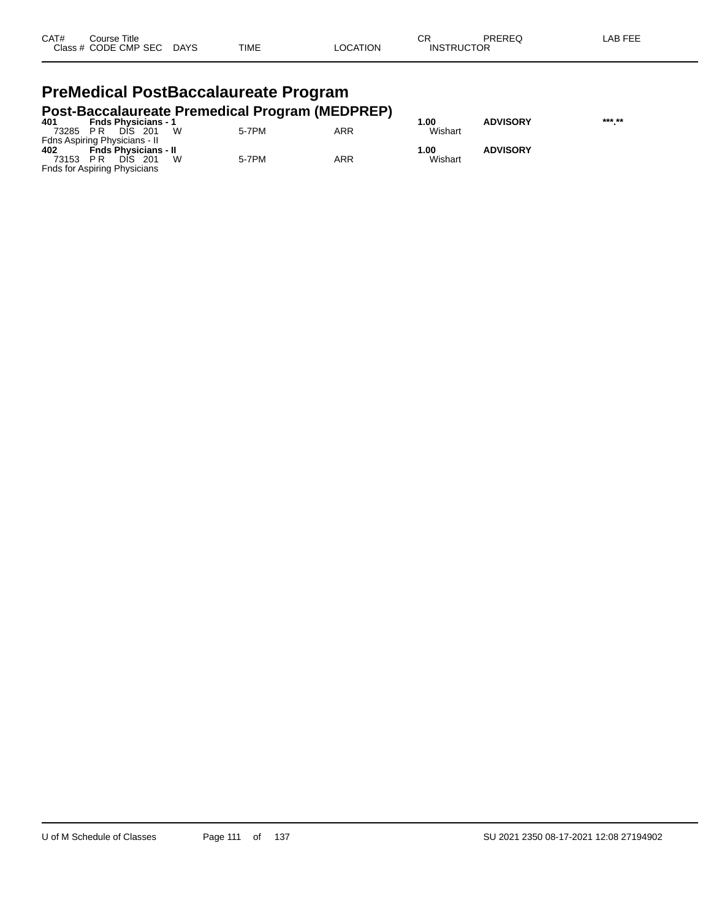| CAT# | Course Title         |             |             |          | СR                | PREREQ | LAB FEE |
|------|----------------------|-------------|-------------|----------|-------------------|--------|---------|
|      | Class # CODE CMP SEC | <b>DAYS</b> | <b>TIME</b> | _OCATION | <b>INSTRUCTOR</b> |        |         |

#### **PreMedical PostBaccalaureate Program Post-Baccalaureate Premedical Program (MEDPREP)**

| 401      | <b>Fnds Physicians - 1</b>    |            |     | .00     | <b>ADVISORY</b> | *** ** |
|----------|-------------------------------|------------|-----|---------|-----------------|--------|
| 73285 PR | DIS 201                       | W<br>5-7PM | ARR | Wishart |                 |        |
|          | Fdns Aspiring Physicians - II |            |     |         |                 |        |
| 402      | <b>Fnds Physicians - II</b>   |            |     | 1.00    | <b>ADVISORY</b> |        |
| 73153 PR | DIS 201                       | 5-7PM<br>W | ARR | Wishart |                 |        |
|          | Fnds for Aspiring Physicians  |            |     |         |                 |        |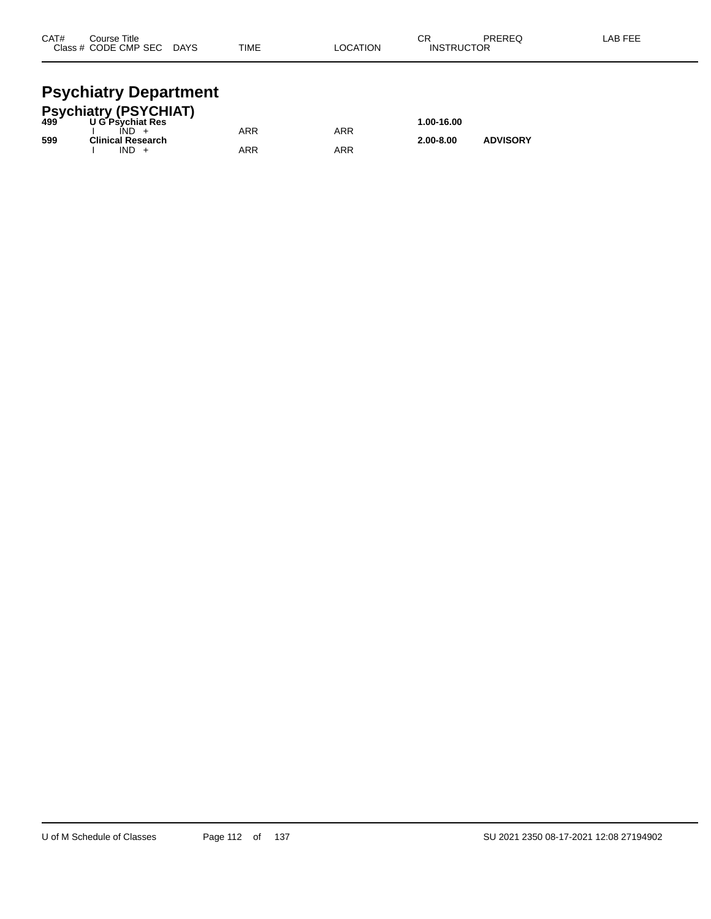| CAT# | Course Title         |             |             |                 | ⌒г<br>- UN        | PREREQ | -AB FEE |
|------|----------------------|-------------|-------------|-----------------|-------------------|--------|---------|
|      | Class # CODE CMP SEC | <b>DAYS</b> | <b>TIME</b> | <b>LOCATION</b> | <b>INSTRUCTOR</b> |        |         |
|      |                      |             |             |                 |                   |        |         |

#### **Psychiatry Department**

|     | Psychiatry (PSYCHIAT)<br>499          ∪G Psychiat Res |     |     |               |                 |  |
|-----|-------------------------------------------------------|-----|-----|---------------|-----------------|--|
|     | <b>U G Psychiat Res</b>                               |     |     | 1.00-16.00    |                 |  |
|     | $IND +$                                               | ARR | ARR |               |                 |  |
| 599 | <b>Clinical Research</b>                              |     |     | $2.00 - 8.00$ | <b>ADVISORY</b> |  |
|     | $IND +$                                               | ARR | ARR |               |                 |  |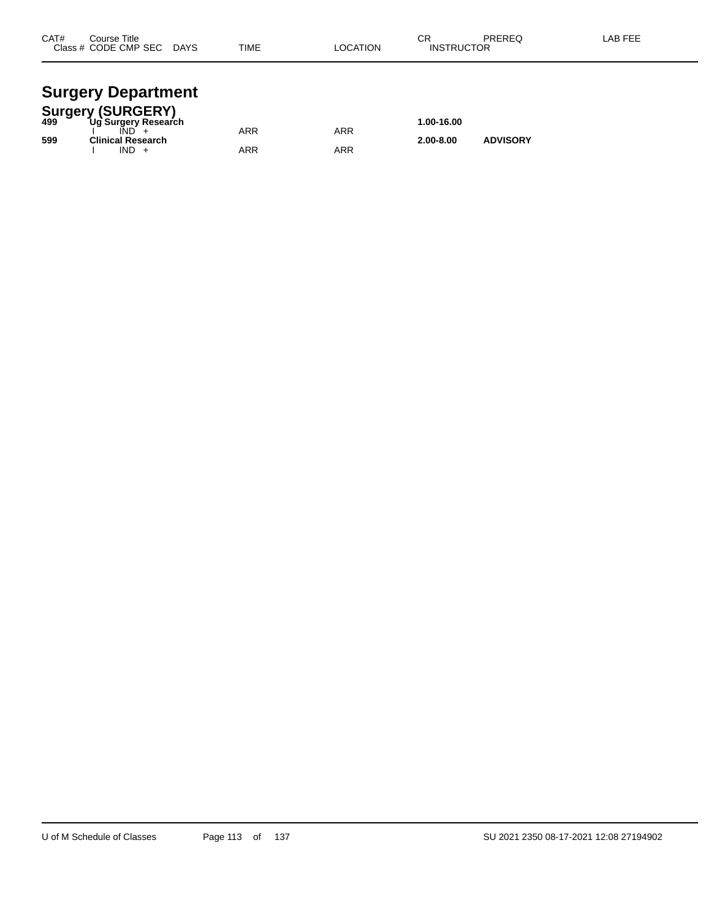| CAT# | Course Title<br>Class # CODE CMP SEC | <b>DAYS</b> | <b>TIME</b> | <b>LOCATION</b> | ◠◻<br>۱۷۱۰ -<br><b>INSTRUCTOR</b> | PREREQ | <b>AB FEF</b> |
|------|--------------------------------------|-------------|-------------|-----------------|-----------------------------------|--------|---------------|
|      |                                      |             |             |                 |                                   |        |               |

#### **Surgery Department**

|     | <b>Surgery (SURGERY)</b> |     |     |               |                 |  |
|-----|--------------------------|-----|-----|---------------|-----------------|--|
| 499 | Ug Surgery Research      |     |     | 1.00-16.00    |                 |  |
|     |                          | ARR | ARR |               |                 |  |
| 599 | <b>Clinical Research</b> |     |     | $2.00 - 8.00$ | <b>ADVISORY</b> |  |
|     | $IND +$                  | ARR | ARR |               |                 |  |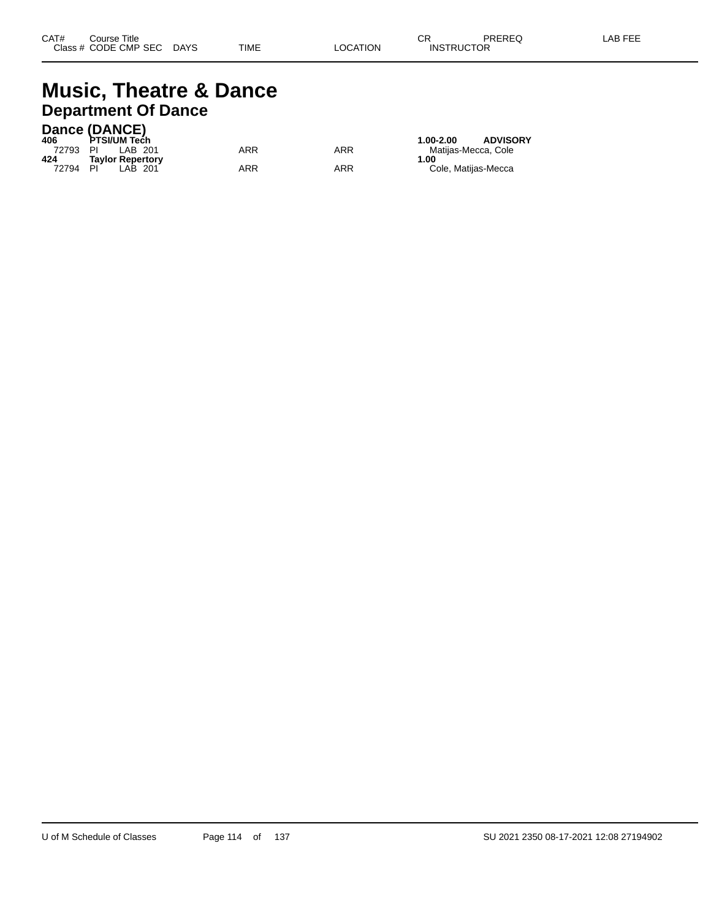#### **Music, Theatre & Dance Department Of Dance**

#### **Dance (DANCE)**

| 406      | PTSI/UM Tech            |     |     | <b>ADVISORY</b><br>1.00-2.00 |
|----------|-------------------------|-----|-----|------------------------------|
| 72793 PI | LAB 201                 | ARR | ARR | Matiias-Mecca. Cole          |
| 424      | <b>Tavlor Repertory</b> |     |     | 1.00                         |
| 72794    | PI<br>LAB 201           | ARR | ARR | Cole, Matijas-Mecca          |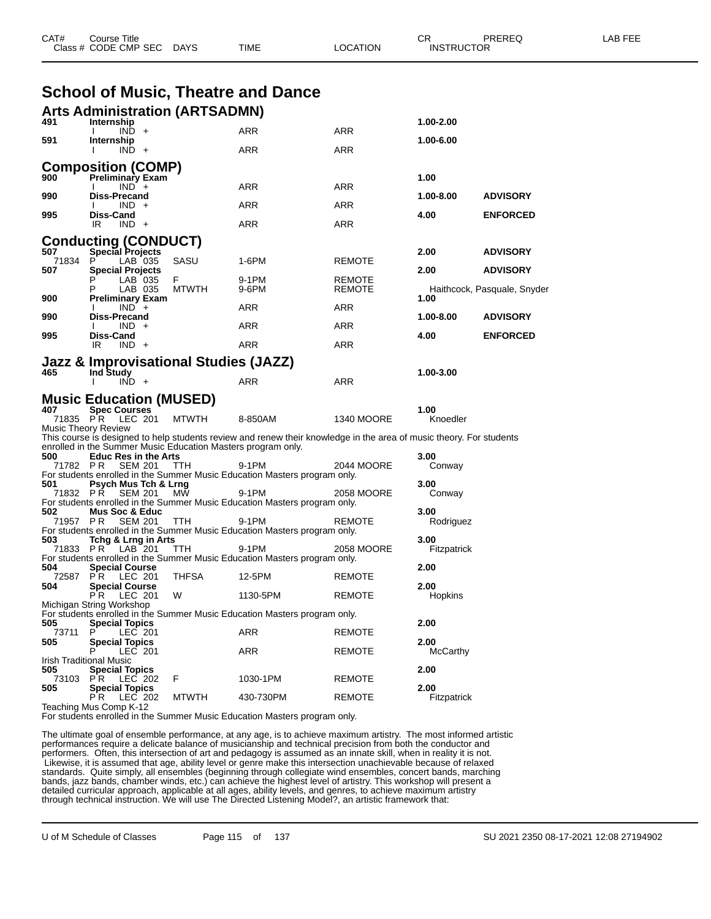|              | Class # CODE CMP SEC                                                                                    | DAYS               | TIME       | LOCATION                                                                                                            | <b>INSTRUCTOR</b> |                             |  |
|--------------|---------------------------------------------------------------------------------------------------------|--------------------|------------|---------------------------------------------------------------------------------------------------------------------|-------------------|-----------------------------|--|
|              | <b>School of Music, Theatre and Dance</b>                                                               |                    |            |                                                                                                                     |                   |                             |  |
|              |                                                                                                         |                    |            |                                                                                                                     |                   |                             |  |
| 491          | <b>Arts Administration (ARTSADMN)</b><br>Internship                                                     |                    |            |                                                                                                                     | 1.00-2.00         |                             |  |
| 591          | $IND +$<br>Internship                                                                                   |                    | ARR        | ARR                                                                                                                 | 1.00-6.00         |                             |  |
|              | $IND +$                                                                                                 |                    | ARR        | <b>ARR</b>                                                                                                          |                   |                             |  |
|              | <b>Composition (COMP)</b>                                                                               |                    |            |                                                                                                                     |                   |                             |  |
| 900          | <b>Preliminary Exam</b><br>$IND +$                                                                      |                    | ARR        | <b>ARR</b>                                                                                                          | 1.00              |                             |  |
| 990          | <b>Diss-Precand</b><br>$IND +$                                                                          |                    | <b>ARR</b> | ARR                                                                                                                 | 1.00-8.00         | <b>ADVISORY</b>             |  |
| 995          | Diss-Cand<br>$IND +$                                                                                    |                    | ARR        | ARR                                                                                                                 | 4.00              | <b>ENFORCED</b>             |  |
|              | IR                                                                                                      |                    |            |                                                                                                                     |                   |                             |  |
| 507          | <b>Conducting (CONDUCT)</b><br>Special Projects                                                         |                    |            |                                                                                                                     | 2.00              | <b>ADVISORY</b>             |  |
| 71834<br>507 | P<br>LAB 035<br><b>Special Projects</b>                                                                 | SASU               | 1-6PM      | <b>REMOTE</b>                                                                                                       | 2.00              | <b>ADVISORY</b>             |  |
|              | LAB 035                                                                                                 | F.<br><b>MTWTH</b> | 9-1PM      | REMOTE<br><b>REMOTE</b>                                                                                             |                   |                             |  |
| 900          | LAB 035<br><b>Preliminary Exam</b>                                                                      |                    | 9-6PM      |                                                                                                                     | 1.00              | Haithcock, Pasquale, Snyder |  |
| 990          | $IND +$<br><b>Diss-Precand</b>                                                                          |                    | ARR        | ARR                                                                                                                 | 1.00-8.00         | <b>ADVISORY</b>             |  |
| 995          | IND +<br>Diss-Cand                                                                                      |                    | ARR        | <b>ARR</b>                                                                                                          | 4.00              | <b>ENFORCED</b>             |  |
|              | IR<br>$IND +$                                                                                           |                    | <b>ARR</b> | <b>ARR</b>                                                                                                          |                   |                             |  |
|              | Jazz & Improvisational Studies (JAZZ)                                                                   |                    |            |                                                                                                                     |                   |                             |  |
| 465          | Ind Study<br>$IND +$                                                                                    |                    | ARR        | ARR                                                                                                                 | 1.00-3.00         |                             |  |
|              | <b>Music Education (MUSED)</b>                                                                          |                    |            |                                                                                                                     |                   |                             |  |
| 407          | <b>Spec Courses</b>                                                                                     |                    |            |                                                                                                                     | 1.00              |                             |  |
|              | 71835 PR LEC 201<br><b>Music Theory Review</b>                                                          | <b>MTWTH</b>       | 8-850AM    | <b>1340 MOORE</b>                                                                                                   | Knoedler          |                             |  |
|              | enrolled in the Summer Music Education Masters program only.                                            |                    |            | This course is designed to help students review and renew their knowledge in the area of music theory. For students |                   |                             |  |
| 500          | <b>Educ Res in the Arts</b><br>71782 PR<br><b>SEM 201</b>                                               | <b>TTH</b>         | 9-1PM      | 2044 MOORE                                                                                                          | 3.00<br>Conway    |                             |  |
|              | For students enrolled in the Summer Music Education Masters program only.                               |                    |            |                                                                                                                     |                   |                             |  |
| 501          | Psych Mus Tch & Lrng<br><b>SEM 201</b><br>71832 PR                                                      | MW                 | 9-1PM      | 2058 MOORE                                                                                                          | 3.00<br>Conway    |                             |  |
| 502          | For students enrolled in the Summer Music Education Masters program only.<br><b>Mus Soc &amp; Educ</b>  |                    |            |                                                                                                                     | 3.00              |                             |  |
|              | 71957 PR<br><b>SEM 201</b><br>For students enrolled in the Summer Music Education Masters program only. | <b>TTH</b>         | 9-1PM      | REMOTE                                                                                                              | Rodriguez         |                             |  |
| 503          | Tchg & Lrng in Arts                                                                                     |                    |            |                                                                                                                     | 3.00              |                             |  |
|              | 71833 PR<br>LAB 201<br>For students enrolled in the Summer Music Education Masters program only.        | <b>TTH</b>         | 9-1PM      | 2058 MOORE                                                                                                          | Fitzpatrick       |                             |  |
| 504<br>72587 | <b>Special Course</b><br>PR.<br>LEC 201                                                                 | <b>THFSA</b>       | 12-5PM     | <b>REMOTE</b>                                                                                                       | 2.00              |                             |  |
| 504          | <b>Special Course</b><br>LEC 201<br>P R                                                                 | W                  | 1130-5PM   | <b>REMOTE</b>                                                                                                       | 2.00<br>Hopkins   |                             |  |
|              | Michigan String Workshop                                                                                |                    |            |                                                                                                                     |                   |                             |  |
| 505          | For students enrolled in the Summer Music Education Masters program only.<br><b>Special Topics</b>      |                    |            |                                                                                                                     | 2.00              |                             |  |
| 73711<br>505 | P<br>LEC 201<br><b>Special Topics</b>                                                                   |                    | ARR        | <b>REMOTE</b>                                                                                                       | 2.00              |                             |  |
|              | LEC 201<br>Irish Traditional Music                                                                      |                    | ARR        | <b>REMOTE</b>                                                                                                       | McCarthy          |                             |  |
| 505          | <b>Special Topics</b>                                                                                   |                    |            |                                                                                                                     | 2.00              |                             |  |
| 505          | LEC 202<br>73103 PR<br><b>Special Topics</b>                                                            | F                  | 1030-1PM   | <b>REMOTE</b>                                                                                                       | 2.00              |                             |  |
|              | PR.<br>LEC 202<br>Teaching Mus Comp K-12                                                                | <b>MTWTH</b>       | 430-730PM  | <b>REMOTE</b>                                                                                                       | Fitzpatrick       |                             |  |
|              | For students enrolled in the Summer Music Education Masters program only.                               |                    |            |                                                                                                                     |                   |                             |  |

CAT# Course Title Case CR PREREQ LAB FEE

The ultimate goal of ensemble performance, at any age, is to achieve maximum artistry. The most informed artistic performances require a delicate balance of musicianship and technical precision from both the conductor and performers. Often, this intersection of art and pedagogy is assumed as an innate skill, when in reality it is not. Likewise, it is assumed that age, ability level or genre make this intersection unachievable because of relaxed standards. Quite simply, all ensembles (beginning through collegiate wind ensembles, concert bands, marching bands, jazz bands, chamber winds, etc.) can achieve the highest level of artistry. This workshop will present a detailed curricular approach, applicable at all ages, ability levels, and genres, to achieve maximum artistry through technical instruction. We will use The Directed Listening Model?, an artistic framework that: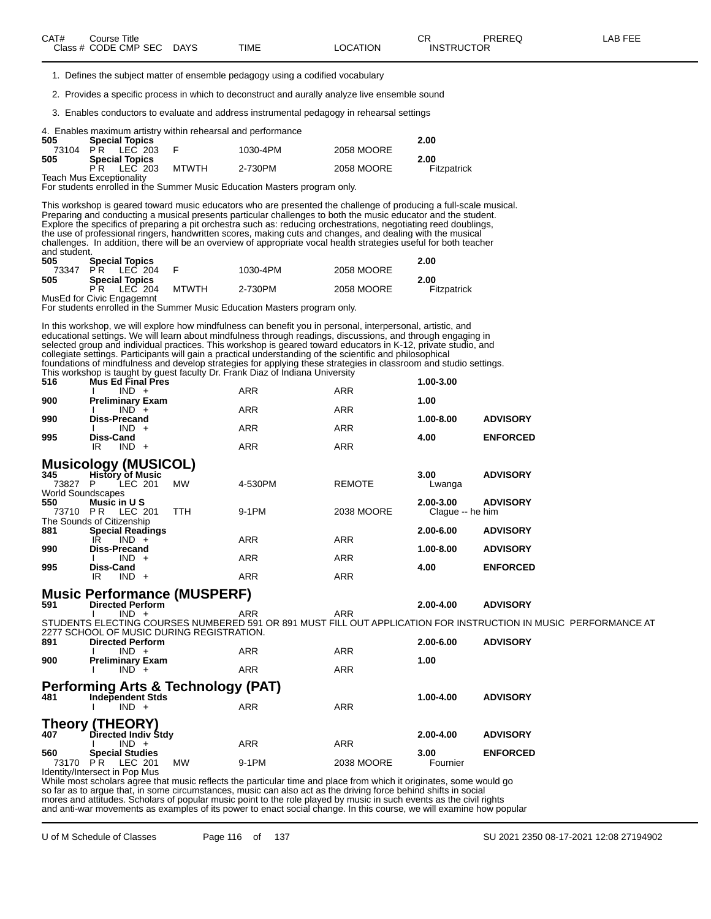1. Defines the subject matter of ensemble pedagogy using a codified vocabulary

2. Provides a specific process in which to deconstruct and aurally analyze live ensemble sound

3. Enables conductors to evaluate and address instrumental pedagogy in rehearsal settings

|  |  |  |  |  |  |  | 4. Enables maximum artistry within rehearsal and performance |
|--|--|--|--|--|--|--|--------------------------------------------------------------|
|--|--|--|--|--|--|--|--------------------------------------------------------------|

| 505      | <b>Special Topics</b> |              |          |            | 2.00        |
|----------|-----------------------|--------------|----------|------------|-------------|
| 73104 PR | LEC 203               |              | 1030-4PM | 2058 MOORE |             |
| 505      | <b>Special Topics</b> |              |          |            | 2.00        |
|          | LEC 203<br>РR         | <b>MTWTH</b> | 2-730PM  | 2058 MOORE | Fitzpatrick |

Teach Mus Exceptionality For students enrolled in the Summer Music Education Masters program only.

This workshop is geared toward music educators who are presented the challenge of producing a full-scale musical. Preparing and conducting a musical presents particular challenges to both the music educator and the student. Explore the specifics of preparing a pit orchestra such as: reducing orchestrations, negotiating reed doublings, the use of professional ringers, handwritten scores, making cuts and changes, and dealing with the musical challenges. In addition, there will be an overview of appropriate vocal health strategies useful for both teacher and student.

| 505 | <b>Special Topics</b>     |              |          |            | 2.00        |
|-----|---------------------------|--------------|----------|------------|-------------|
|     | 73347 PR LEC 204          |              | 1030-4PM | 2058 MOORE |             |
| 505 | <b>Special Topics</b>     |              |          |            | 2.00        |
|     | PR IFC 204                | <b>MTWTH</b> | 2-730PM  | 2058 MOORE | Fitzpatrick |
|     | MusEd for Civic Engagemnt |              |          |            |             |

For students enrolled in the Summer Music Education Masters program only.

In this workshop, we will explore how mindfulness can benefit you in personal, interpersonal, artistic, and educational settings. We will learn about mindfulness through readings, discussions, and through engaging in selected group and individual practices. This workshop is geared toward educators in K-12, private studio, and collegiate settings. Participants will gain a practical understanding of the scientific and philosophical foundations of mindfulness and develop strategies for applying these strategies in classroom and studio settings. This workshop is taught by guest faculty Dr. Frank Diaz of Indiana University

| 516 | <b>Mus Ed Final Pres</b> |            |            | 1.00-3.00 |                 |
|-----|--------------------------|------------|------------|-----------|-----------------|
|     | $IND +$                  | <b>ARR</b> | <b>ARR</b> |           |                 |
| 900 | <b>Preliminary Exam</b>  |            |            | 1.00      |                 |
|     | $IND +$                  | <b>ARR</b> | <b>ARR</b> |           |                 |
| 990 | <b>Diss-Precand</b>      |            |            | 1.00-8.00 | <b>ADVISORY</b> |
|     | $IND +$                  | <b>ARR</b> | ARR        |           |                 |
| 995 | <b>Diss-Cand</b>         |            |            | 4.00      | <b>ENFORCED</b> |
|     | $IND +$<br>IR            | <b>ARR</b> | <b>ARR</b> |           |                 |
|     | Musicology (MUSICOL)     |            |            |           |                 |

|       | musicology (moolooc)      |           |            |               |                  |                 |
|-------|---------------------------|-----------|------------|---------------|------------------|-----------------|
| 345   | <b>History of Music</b>   |           |            |               | 3.00             | <b>ADVISORY</b> |
| 73827 | LEC 201<br>P              | <b>MW</b> | 4-530PM    | <b>REMOTE</b> | Lwanga           |                 |
|       | <b>World Soundscapes</b>  |           |            |               |                  |                 |
| 550   | Music in U S              |           |            |               | 2.00-3.00        | <b>ADVISORY</b> |
| 73710 | LEC 201<br>PR.            | TTH       | 9-1PM      | 2038 MOORE    | Claque -- he him |                 |
|       | The Sounds of Citizenship |           |            |               |                  |                 |
| 881   | <b>Special Readings</b>   |           |            |               | 2.00-6.00        | <b>ADVISORY</b> |
|       | $IND +$<br>ΙR             |           | <b>ARR</b> | <b>ARR</b>    |                  |                 |
| 990   | <b>Diss-Precand</b>       |           |            |               | $1.00 - 8.00$    | <b>ADVISORY</b> |
|       | $IND +$                   |           | <b>ARR</b> | <b>ARR</b>    |                  |                 |
| 995   | Diss-Cand                 |           |            |               | 4.00             | <b>ENFORCED</b> |
|       | IND.<br>IR<br>$+$         |           | ARR        | ARR           |                  |                 |
|       |                           |           |            |               |                  |                 |

### **Music Performance (MUSPERF) 591 Directed Perform 2.00-4.00 ADVISORY**

I IND + ARR ARR ARR

STUDENTS ELECTING COURSES NUMBERED 591 OR 891 MUST FILL OUT APPLICATION FOR INSTRUCTION IN MUSIC PERFORMANCE AT 2277 SCHOOL OF MUSIC DURING REGISTRATION.<br>891 Directed Perform **891 Directed Perform 2.00-6.00 ADVISORY** I IND + ARR ARR ARR **900 Preliminary Exam 1.00**

#### **Performing Arts & Technology (PAT)**

I IND + ARR ARR ARR

| 481   | <b>Independent Stds</b>     |       |            | 1.00-4.00     | <b>ADVISORY</b> |
|-------|-----------------------------|-------|------------|---------------|-----------------|
|       | $IND +$                     | ARR   | ARR        |               |                 |
|       | <b>Theory (THEORY)</b>      |       |            |               |                 |
| 407   | Directed Indiv Stdy         |       |            | $2.00 - 4.00$ | <b>ADVISORY</b> |
|       | $IND +$                     | ARR   | ARR        |               |                 |
| 560   | <b>Special Studies</b>      |       |            | 3.00          | <b>ENFORCED</b> |
| 73170 | <b>MW</b><br>LEC 201<br>P R | 9-1PM | 2038 MOORE | Fournier      |                 |
| .     | .                           |       |            |               |                 |

Identity/Intersect in Pop Mus

While most scholars agree that music reflects the particular time and place from which it originates, some would go so far as to argue that, in some circumstances, music can also act as the driving force behind shifts in social mores and attitudes. Scholars of popular music point to the role played by music in such events as the civil rights and anti-war movements as examples of its power to enact social change. In this course, we will examine how popular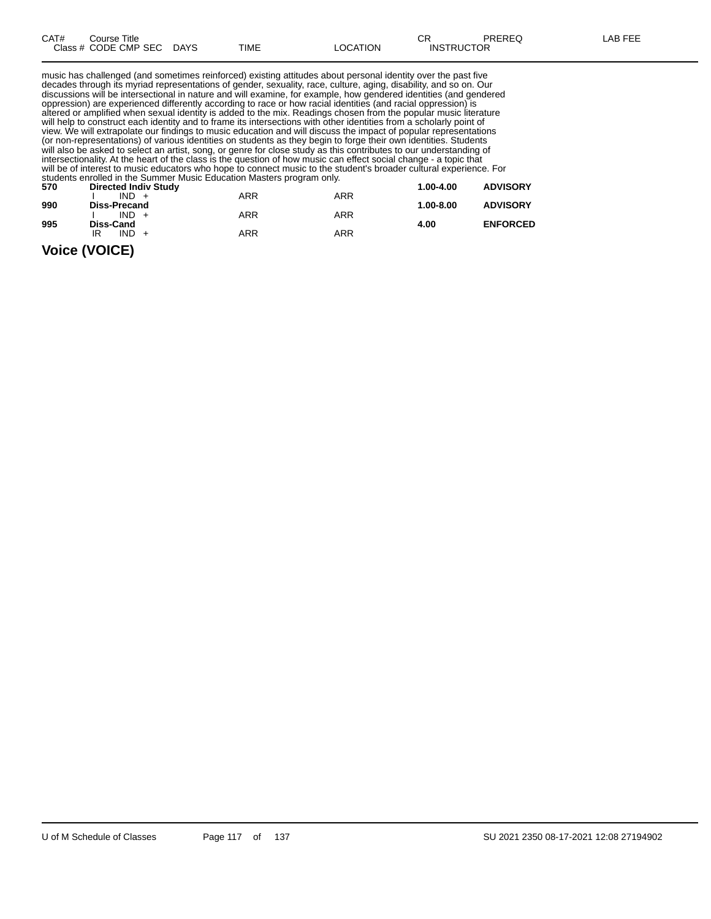| CAT# | Title<br>Course      |             |      |                 | ⌒冖<br>◡           | <b>PREREQ</b> | AR FFF |
|------|----------------------|-------------|------|-----------------|-------------------|---------------|--------|
|      | Class # CODE CMP SEC | <b>DAYS</b> | TIME | <b>LOCATION</b> | <b>INSTRUCTOR</b> |               |        |

music has challenged (and sometimes reinforced) existing attitudes about personal identity over the past five decades through its myriad representations of gender, sexuality, race, culture, aging, disability, and so on. Our discussions will be intersectional in nature and will examine, for example, how gendered identities (and gendered oppression) are experienced differently according to race or how racial identities (and racial oppression) is altered or amplified when sexual identity is added to the mix. Readings chosen from the popular music literature will help to construct each identity and to frame its intersections with other identities from a scholarly point of view. We will extrapolate our findings to music education and will discuss the impact of popular representations (or non-representations) of various identities on students as they begin to forge their own identities. Students will also be asked to select an artist, song, or genre for close study as this contributes to our understanding of intersectionality. At the heart of the class is the question of how music can effect social change - a topic that will be of interest to music educators who hope to connect music to the student's broader cultural experience. For students enrolled in the Summer Music Education Masters program only.

| 570 | <b>Directed Indiv Study</b> |            |            | 1.00-4.00     | <b>ADVISORY</b> |
|-----|-----------------------------|------------|------------|---------------|-----------------|
|     | $IND +$                     | <b>ARR</b> | ARR        |               |                 |
| 990 | <b>Diss-Precand</b>         |            |            | $1.00 - 8.00$ | <b>ADVISORY</b> |
|     | $IND +$                     | <b>ARR</b> | ARR        |               |                 |
| 995 | Diss-Cand                   |            |            | 4.00          | <b>ENFORCED</b> |
|     | $IND +$                     | ARR        | <b>ARR</b> |               |                 |
|     |                             |            |            |               |                 |

#### **Voice (VOICE)**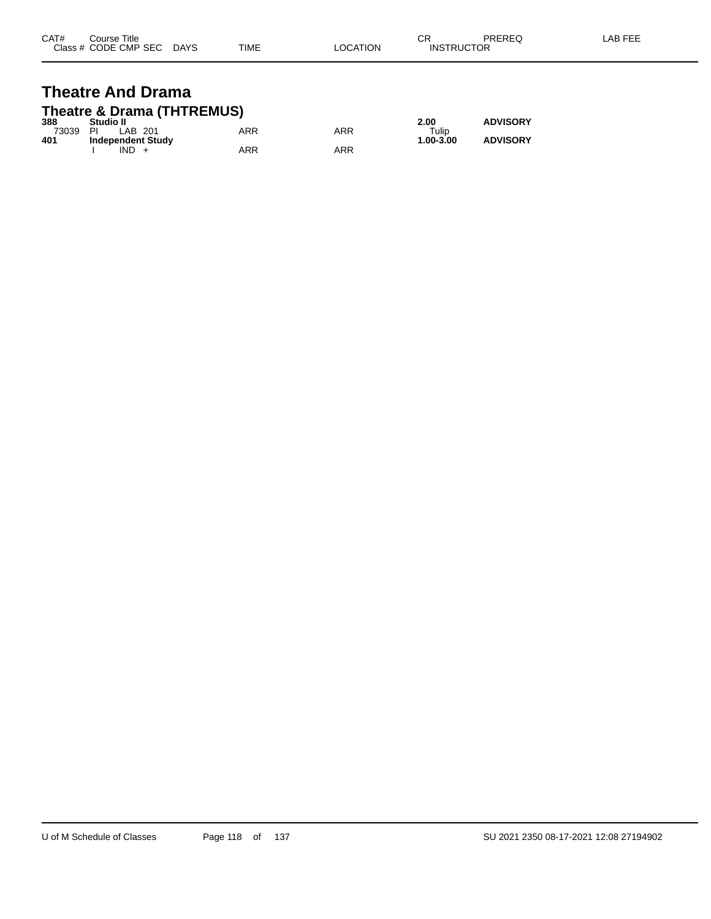| CAT# | Course Title         |             |             |                | ⌒冖<br>◡           | <b>PREREQ</b> | AB FEI |
|------|----------------------|-------------|-------------|----------------|-------------------|---------------|--------|
|      | Class # CODE CMP SEC | <b>DAYS</b> | <b>TIME</b> | <b>OCATION</b> | <b>INSTRUCTOR</b> |               |        |

#### **Theatre And Drama Theatre & Drama (THTREMUS)**

| 388   | Studio II         |     |            | 2.00      | <b>ADVISORY</b> |
|-------|-------------------|-----|------------|-----------|-----------------|
| 73039 | ΡI<br>LAB 201     | ARR | <b>ARR</b> | Tulip     |                 |
| 401   | Independent Study |     |            | 1.00-3.00 | <b>ADVISORY</b> |
|       | IND               | ARR | ARR        |           |                 |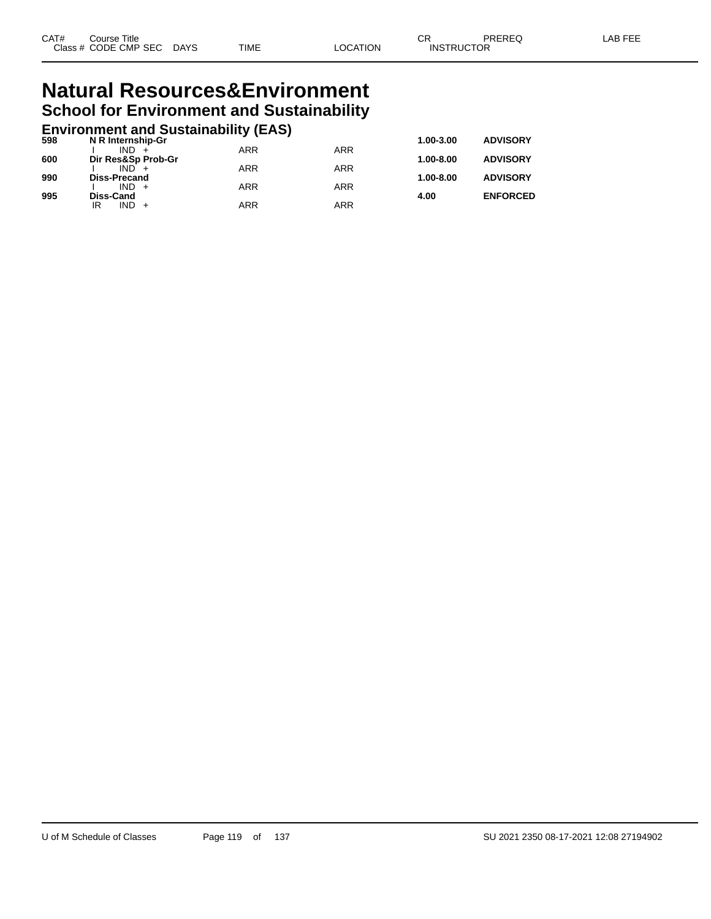#### **Natural Resources&Environment School for Environment and Sustainability**

## **Environment and Sustainability (EAS) 598 N R Internship-Gr 1.00-3.00 ADVISORY**

| 598 | N R Internsnip-Gr             |            |            | 1.00-3.00     | <b>ADVISORY</b> |
|-----|-------------------------------|------------|------------|---------------|-----------------|
| 600 | $IND +$<br>Dir Res&Sp Prob-Gr | <b>ARR</b> | <b>ARR</b> | $1.00 - 8.00$ | <b>ADVISORY</b> |
|     | $IND +$                       | <b>ARR</b> | <b>ARR</b> |               |                 |
| 990 | Diss-Precand<br>$IND +$       | <b>ARR</b> | <b>ARR</b> | $1.00 - 8.00$ | <b>ADVISORY</b> |
| 995 | Diss-Cand                     |            |            | 4.00          | <b>ENFORCED</b> |
|     | $IND +$<br>IR                 | <b>ARR</b> | ARR        |               |                 |
|     |                               |            |            |               |                 |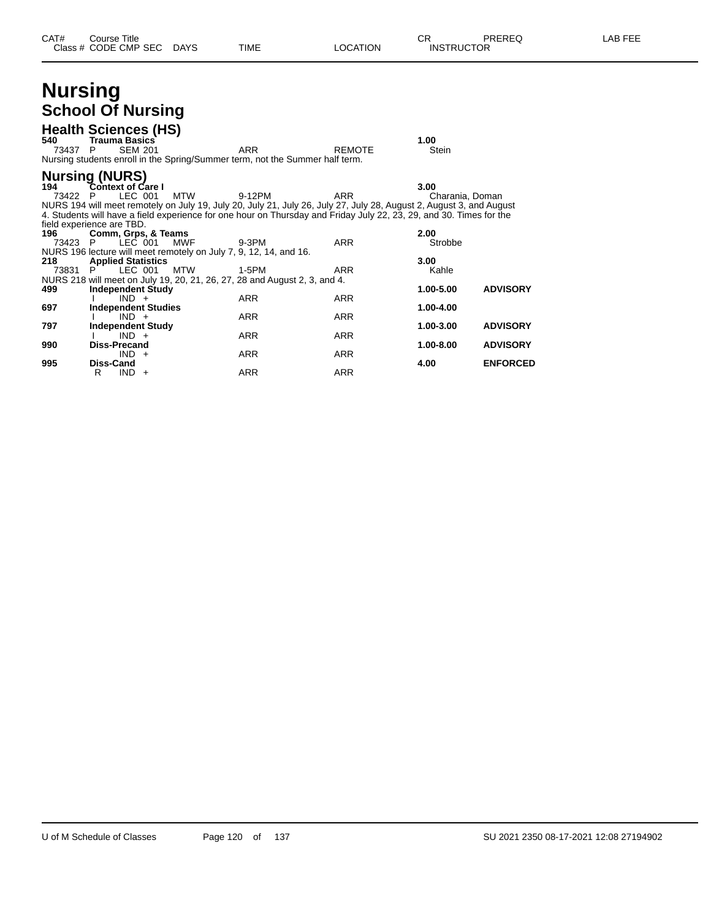#### **Nursing School Of Nursing**

|                     | <b>OUIUUI UI IYUI SIIIY</b>                                            |         |            |                                                                                                                                                                                                                                                      |                          |                            |                                    |
|---------------------|------------------------------------------------------------------------|---------|------------|------------------------------------------------------------------------------------------------------------------------------------------------------------------------------------------------------------------------------------------------------|--------------------------|----------------------------|------------------------------------|
| 540<br>73437 P      | <b>Health Sciences (HS)</b><br><b>Trauma Basics</b><br><b>SEM 201</b>  |         |            | <b>ARR</b><br>Nursing students enroll in the Spring/Summer term, not the Summer half term.                                                                                                                                                           | <b>REMOTE</b>            | 1.00<br><b>Stein</b>       |                                    |
| 194<br>73422 P      | <b>Nursing (NURS)</b><br><b>Context of Care I</b><br>LEC 001           |         | <b>MTW</b> | 9-12PM<br>NURS 194 will meet remotely on July 19, July 20, July 21, July 26, July 27, July 28, August 2, August 3, and August<br>4. Students will have a field experience for one hour on Thursday and Friday July 22, 23, 29, and 30. Times for the | <b>ARR</b>               | 3.00<br>Charania, Doman    |                                    |
| 196<br>73423 P      | field experience are TBD.<br>Comm, Grps, & Teams                       | LEC 001 | <b>MWF</b> | 9-3PM<br>NURS 196 lecture will meet remotely on July 7, 9, 12, 14, and 16.                                                                                                                                                                           | <b>ARR</b>               | 2.00<br>Strobbe            |                                    |
| 218<br>73831<br>499 | <b>Applied Statistics</b><br>LEC 001<br>P.<br><b>Independent Study</b> |         | <b>MTW</b> | 1-5PM<br>NURS 218 will meet on July 19, 20, 21, 26, 27, 28 and August 2, 3, and 4.                                                                                                                                                                   | <b>ARR</b>               | 3.00<br>Kahle<br>1.00-5.00 | <b>ADVISORY</b>                    |
| 697                 | $IND +$<br><b>Independent Studies</b><br>$IND +$                       |         |            | <b>ARR</b><br><b>ARR</b>                                                                                                                                                                                                                             | <b>ARR</b><br><b>ARR</b> | 1.00-4.00                  |                                    |
| 797<br>990          | <b>Independent Study</b><br>$IND +$<br><b>Diss-Precand</b>             |         |            | <b>ARR</b>                                                                                                                                                                                                                                           | <b>ARR</b>               | 1.00-3.00<br>1.00-8.00     | <b>ADVISORY</b><br><b>ADVISORY</b> |
| 995                 | $IND +$<br><b>Diss-Cand</b><br>$IND +$<br>R                            |         |            | <b>ARR</b><br>ARR                                                                                                                                                                                                                                    | <b>ARR</b><br>ARR        | 4.00                       | <b>ENFORCED</b>                    |
|                     |                                                                        |         |            |                                                                                                                                                                                                                                                      |                          |                            |                                    |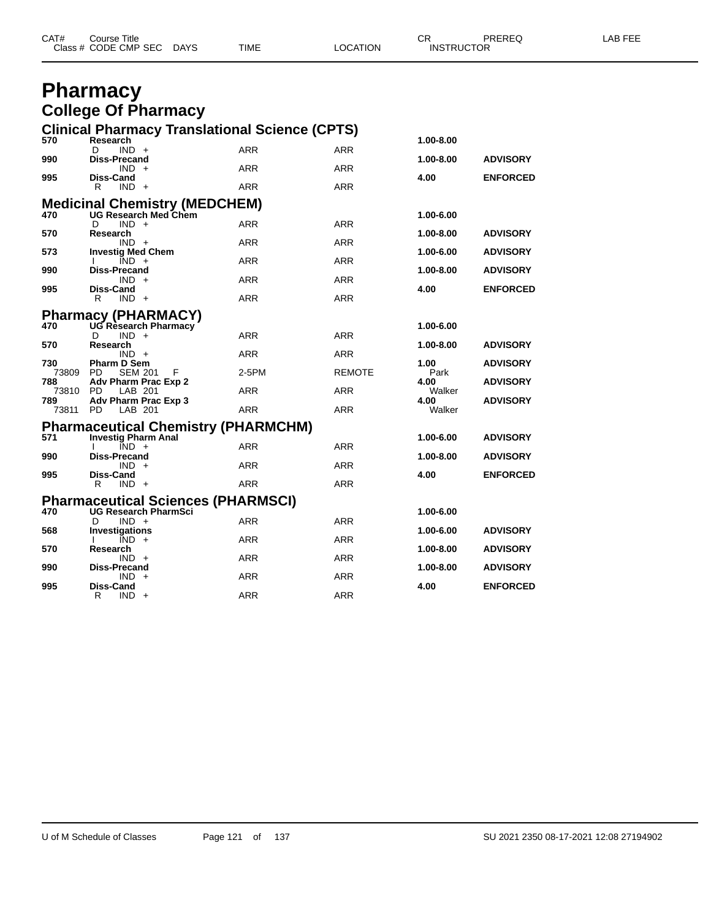| Class # CODE CMP SEC | CAT#         |
|----------------------|--------------|
| <b>DAYS</b>          | PREREQ       |
| <b>LOCATION</b>      | CR           |
| <b>INSTRUCTOR</b>    | Course Title |
| <b>TIME</b>          | _AB          |

#### **Pharmacy College Of Pharmacy**

|                 |                                                        |                                                                       | <b>Clinical Pharmacy Translational Science (CPTS)</b> |               |                |                 |
|-----------------|--------------------------------------------------------|-----------------------------------------------------------------------|-------------------------------------------------------|---------------|----------------|-----------------|
| 570             | Research                                               |                                                                       |                                                       |               | 1.00-8.00      |                 |
| 990             | $IND +$<br>D<br><b>Diss-Precand</b>                    |                                                                       | <b>ARR</b>                                            | ARR           | 1.00-8.00      | <b>ADVISORY</b> |
|                 | $IND +$                                                |                                                                       | <b>ARR</b>                                            | <b>ARR</b>    |                |                 |
| 995             | <b>Diss-Cand</b><br>R<br>$IND +$                       |                                                                       | <b>ARR</b>                                            | <b>ARR</b>    | 4.00           | <b>ENFORCED</b> |
|                 |                                                        |                                                                       |                                                       |               |                |                 |
|                 |                                                        | <b>Medicinal Chemistry (MEDCHEM)</b><br>470 UG Research Med Chem      |                                                       |               | 1.00-6.00      |                 |
|                 | D<br>$IND +$                                           |                                                                       | ARR                                                   | <b>ARR</b>    |                |                 |
| 570             | Research<br>$IND +$                                    |                                                                       | <b>ARR</b>                                            | <b>ARR</b>    | 1.00-8.00      | <b>ADVISORY</b> |
| 573             | <b>Investig Med Chem</b>                               |                                                                       |                                                       |               | 1.00-6.00      | <b>ADVISORY</b> |
|                 | $\overline{IND}$ +<br><b>Diss-Precand</b>              |                                                                       | <b>ARR</b>                                            | <b>ARR</b>    |                |                 |
| 990             | $IND +$                                                |                                                                       | <b>ARR</b>                                            | <b>ARR</b>    | 1.00-8.00      | <b>ADVISORY</b> |
| 995             | <b>Diss-Cand</b>                                       |                                                                       |                                                       |               | 4.00           | <b>ENFORCED</b> |
|                 | R<br>$IND +$                                           |                                                                       | <b>ARR</b>                                            | <b>ARR</b>    |                |                 |
|                 | <b>Pharmacy (PHARMACY)</b><br>470 UG Research Pharmacy |                                                                       |                                                       |               |                |                 |
|                 | $IND +$<br>D                                           |                                                                       | <b>ARR</b>                                            | <b>ARR</b>    | 1.00-6.00      |                 |
| 570             | Research                                               |                                                                       |                                                       |               | 1.00-8.00      | <b>ADVISORY</b> |
| 730             | $IND +$<br><b>Pharm D Sem</b>                          |                                                                       | <b>ARR</b>                                            | <b>ARR</b>    | 1.00           | <b>ADVISORY</b> |
| 73809 PD        | <b>SEM 201</b>                                         | F                                                                     | 2-5PM                                                 | <b>REMOTE</b> | Park           |                 |
| 788             | Adv Pharm Prac Exp 2                                   |                                                                       |                                                       |               | 4.00           | <b>ADVISORY</b> |
| 73810 PD<br>789 | LAB 201<br>Adv Pharm Prac Exp 3                        |                                                                       | <b>ARR</b>                                            | <b>ARR</b>    | Walker<br>4.00 | <b>ADVISORY</b> |
| 73811           | <b>PD</b><br>LAB 201                                   |                                                                       | <b>ARR</b>                                            | <b>ARR</b>    | Walker         |                 |
|                 |                                                        |                                                                       |                                                       |               |                |                 |
|                 |                                                        |                                                                       |                                                       |               |                |                 |
|                 |                                                        | Pharmaceutical Chemistry (PHARMCHM)<br>571 Investig Pharm Anal        |                                                       |               | 1.00-6.00      | <b>ADVISORY</b> |
|                 | $IND +$                                                |                                                                       | <b>ARR</b>                                            | <b>ARR</b>    |                |                 |
| 990             | <b>Diss-Precand</b><br>$IND +$                         |                                                                       | <b>ARR</b>                                            | <b>ARR</b>    | 1.00-8.00      | <b>ADVISORY</b> |
| 995             | <b>Diss-Cand</b>                                       |                                                                       |                                                       |               | 4.00           | <b>ENFORCED</b> |
|                 | $IND +$<br>R                                           |                                                                       | <b>ARR</b>                                            | <b>ARR</b>    |                |                 |
|                 |                                                        |                                                                       |                                                       |               |                |                 |
|                 | D                                                      | <b>Pharmaceutical Sciences (PHARMSCI)</b><br>470 UG Research PharmSci |                                                       |               | 1.00-6.00      |                 |
| 568             | $IND +$<br><b>Investigations</b>                       |                                                                       | <b>ARR</b>                                            | <b>ARR</b>    | 1.00-6.00      | <b>ADVISORY</b> |
|                 | $IND +$                                                |                                                                       | <b>ARR</b>                                            | <b>ARR</b>    |                |                 |
| 570             | Research<br>$IND +$                                    |                                                                       | <b>ARR</b>                                            | ARR           | 1.00-8.00      | <b>ADVISORY</b> |
| 990             | <b>Diss-Precand</b>                                    |                                                                       |                                                       |               | 1.00-8.00      | <b>ADVISORY</b> |
| 995             | $IND +$<br><b>Diss-Cand</b>                            |                                                                       | <b>ARR</b>                                            | <b>ARR</b>    | 4.00           | <b>ENFORCED</b> |
|                 | R<br>$IND +$                                           |                                                                       | <b>ARR</b>                                            | <b>ARR</b>    |                |                 |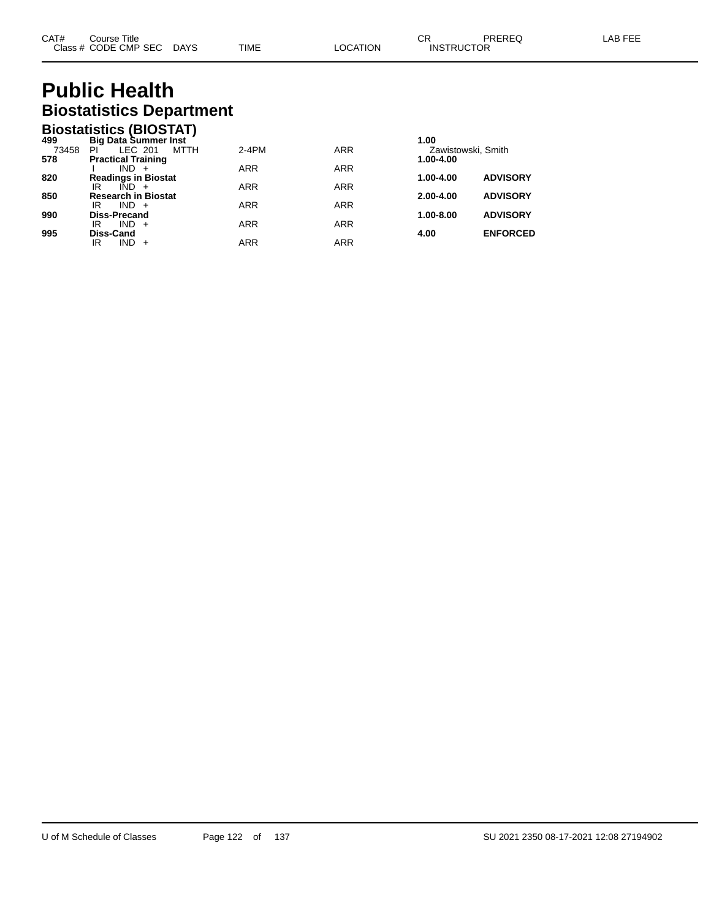# **Public Health Biostatistics Department**

|       | <b>Biostatistics (BIOSTAT)</b> |            |            |                    |                 |
|-------|--------------------------------|------------|------------|--------------------|-----------------|
| 499   | <b>Big Data Summer Inst</b>    |            |            | 1.00               |                 |
| 73458 | LEC 201<br>ΡI<br>MTTH          | $2-4PM$    | <b>ARR</b> | Zawistowski, Smith |                 |
| 578   | <b>Practical Training</b>      |            |            | 1.00-4.00          |                 |
|       | $IND +$                        | <b>ARR</b> | <b>ARR</b> |                    |                 |
| 820   | <b>Readings in Biostat</b>     |            |            | 1.00-4.00          | <b>ADVISORY</b> |
|       | ΙR<br>$IND +$                  | <b>ARR</b> | <b>ARR</b> |                    |                 |
| 850   | <b>Research in Biostat</b>     |            |            | $2.00 - 4.00$      | <b>ADVISORY</b> |
|       | $IND +$<br>IR                  | <b>ARR</b> | <b>ARR</b> |                    |                 |
| 990   | <b>Diss-Precand</b>            |            |            | 1.00-8.00          | <b>ADVISORY</b> |
|       | $IND +$<br>IR                  | <b>ARR</b> | <b>ARR</b> |                    |                 |
| 995   | Diss-Cand                      |            |            | 4.00               | <b>ENFORCED</b> |
|       | $IND +$<br>IR                  | ARR        | <b>ARR</b> |                    |                 |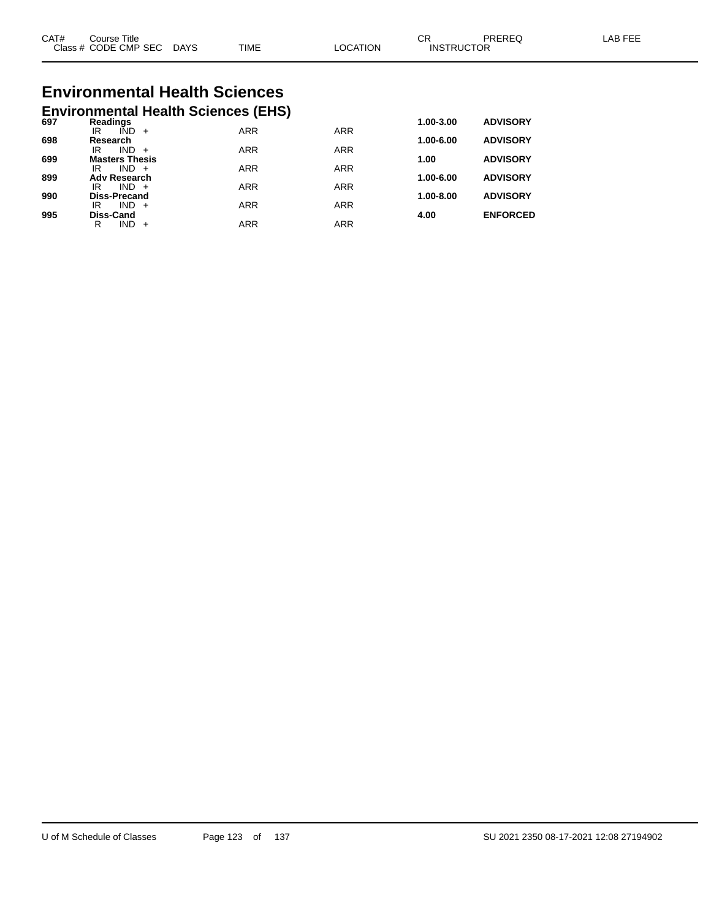| CAT#<br>$\bigcap$ acc $\bigcup$<br>טוט | Title<br>Course<br><b>CODE CMP SEC</b> | <b>DAYS</b> | <b>TIME</b> | <b>TION</b><br>C. | ⌒冖<br>◡<br>ICTOR<br><b>INSTRL</b> | ODEDE <sup>r</sup> | AP |
|----------------------------------------|----------------------------------------|-------------|-------------|-------------------|-----------------------------------|--------------------|----|
|                                        |                                        |             |             |                   |                                   |                    |    |

# **Environmental Health Sciences**

|     | <b>Environmental Health Sciences (EHS)</b> |            |            |               |                 |
|-----|--------------------------------------------|------------|------------|---------------|-----------------|
| 697 | Readings                                   |            |            | 1.00-3.00     | <b>ADVISORY</b> |
|     | IÑD<br>IR<br>$+$                           | <b>ARR</b> | <b>ARR</b> |               |                 |
| 698 | Research<br><b>IND</b><br>IR<br>$+$        | <b>ARR</b> | <b>ARR</b> | 1.00-6.00     | <b>ADVISORY</b> |
| 699 | <b>Masters Thesis</b>                      |            |            | 1.00          | <b>ADVISORY</b> |
|     | $IND +$<br>IR                              | <b>ARR</b> | <b>ARR</b> |               |                 |
| 899 | <b>Adv Research</b>                        |            |            | 1.00-6.00     | <b>ADVISORY</b> |
|     | $IND +$<br>IR                              | <b>ARR</b> | <b>ARR</b> |               |                 |
| 990 | <b>Diss-Precand</b><br>IND.<br>IR<br>$+$   | <b>ARR</b> | <b>ARR</b> | $1.00 - 8.00$ | <b>ADVISORY</b> |
| 995 | <b>Diss-Cand</b>                           |            |            | 4.00          | <b>ENFORCED</b> |
|     | IND<br>R                                   | ARR        | <b>ARR</b> |               |                 |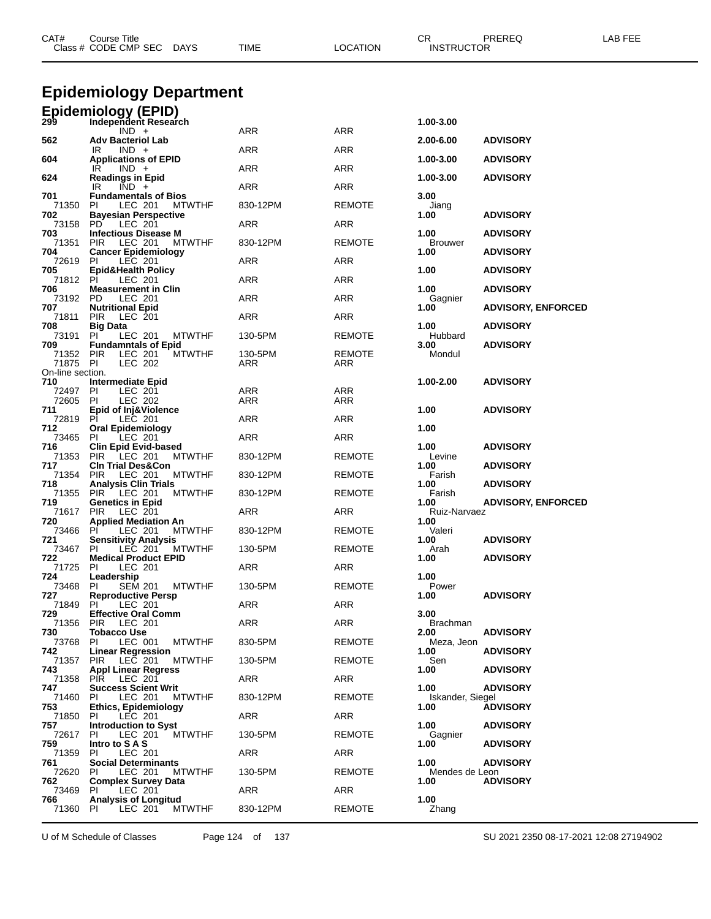| CAT#                         | Course Title<br>Class # CODE CMP SEC DAYS                              | TIME       | <b>LOCATION</b> | CR<br>PREREQ<br><b>INSTRUCTOR</b>                 | LAB FEE |
|------------------------------|------------------------------------------------------------------------|------------|-----------------|---------------------------------------------------|---------|
|                              | Epidemiology Department                                                |            |                 |                                                   |         |
|                              | Epidemiology (EPID)<br>299 Independent Resear                          |            |                 |                                                   |         |
|                              | Independent Research<br>$IND +$                                        | ARR        | ARR             | 1.00-3.00                                         |         |
| 562                          | <b>Adv Bacteriol Lab</b><br>$IND +$<br>IR                              | ARR        | ARR             | <b>ADVISORY</b><br>2.00-6.00                      |         |
| 604                          | <b>Applications of EPID</b>                                            |            | <b>ARR</b>      | 1.00-3.00<br><b>ADVISORY</b>                      |         |
| 624                          | IR<br>$IND +$<br><b>Readings in Epid</b>                               | ARR        |                 | <b>ADVISORY</b><br>1.00-3.00                      |         |
| 701                          | IR.<br>$IND +$<br><b>Fundamentals of Bios</b>                          | ARR        | ARR             | 3.00                                              |         |
| 71350<br>702                 | LEC 201<br><b>PI</b><br>MTWTHF<br><b>Bayesian Perspective</b>          | 830-12PM   | REMOTE          | Jiang<br><b>ADVISORY</b><br>1.00                  |         |
| 73158<br>703                 | PD.<br>LEC 201<br><b>Infectious Disease M</b>                          | ARR        | ARR             | 1.00<br><b>ADVISORY</b>                           |         |
| 71351<br>704                 | PIR.<br>LEC 201<br>MTWTHF<br><b>Cancer Epidemiology</b>                | 830-12PM   | REMOTE          | Brouwer<br><b>ADVISORY</b><br>1.00                |         |
| 72619<br>705                 | LEC 201<br>PI<br><b>Epid&amp;Health Policy</b>                         | ARR        | ARR             | 1.00<br><b>ADVISORY</b>                           |         |
| 71812<br>706                 | PI<br>LEC 201<br><b>Measurement in Clin</b>                            | ARR        | ARR             | 1.00<br><b>ADVISORY</b>                           |         |
| 73192<br>707                 | PD.<br>LEC 201<br><b>Nutritional Epid</b>                              | ARR        | ARR             | Gagnier                                           |         |
| 71811                        | <b>PIR</b><br>LEC 201                                                  | ARR        | ARR             | <b>ADVISORY, ENFORCED</b><br>1.00                 |         |
| 708<br>73191                 | <b>Big Data</b><br>PI<br>LEC 201<br><b>MTWTHF</b>                      | 130-5PM    | REMOTE          | 1.00<br><b>ADVISORY</b><br>Hubbard                |         |
| 709<br>71352 PIR             | <b>Fundamntals of Epid</b><br>LEC 201<br><b>MTWTHF</b>                 | 130-5PM    | REMOTE          | 3.00<br><b>ADVISORY</b><br>Mondul                 |         |
| 71875 PI<br>On-line section. | LEC 202                                                                | ARR        | ARR             |                                                   |         |
| 710<br>72497                 | Intermediate Epid<br>LEC 201<br><b>PI</b>                              | ARR        | ARR             | 1.00-2.00<br><b>ADVISORY</b>                      |         |
| 72605<br>711                 | <b>LEC 202</b><br>PI<br>Epid of Inj&Violence                           | ARR        | ARR             | 1.00<br><b>ADVISORY</b>                           |         |
| 72819<br>712                 | PI<br>LEC 201<br><b>Oral Epidemiology</b>                              | <b>ARR</b> | ARR             | 1.00                                              |         |
| 73465<br>716                 | PI<br>LEC 201                                                          | <b>ARR</b> | ARR             |                                                   |         |
| 71353                        | <b>Clin Epid Evid-based</b><br><b>PIR</b><br>LEC 201<br><b>MTWTHF</b>  | 830-12PM   | REMOTE          | 1.00<br><b>ADVISORY</b><br>Levine                 |         |
| 717<br>71354                 | <b>CIn Trial Des&amp;Con</b><br><b>PIR</b><br>LEC 201<br><b>MTWTHF</b> | 830-12PM   | REMOTE          | <b>ADVISORY</b><br>1.00<br>Farish                 |         |
| 718<br>71355                 | <b>Analysis Clin Trials</b><br>PIR<br>LEC 201<br><b>MTWTHF</b>         | 830-12PM   | REMOTE          | <b>ADVISORY</b><br>1.00<br>Farish                 |         |
| 719<br>71617                 | <b>Genetics in Epid</b><br>LEC 201<br>PIR.                             | ARR        | ARR             | <b>ADVISORY, ENFORCED</b><br>1.00<br>Ruiz-Narvaez |         |
| 720<br>73466                 | <b>Applied Mediation An</b><br><b>MTWTHF</b><br>ΡI<br>LEC 201          | 830-12PM   | <b>REMOTE</b>   | 1.00<br>Valeri                                    |         |
| 721<br>73467                 | <b>Sensitivity Analysis</b><br>PI.<br>LEC 201<br><b>MTWTHF</b>         | 130-5PM    | REMOTE          | <b>ADVISORY</b><br>1.00<br>Arah                   |         |
| 722<br>71725                 | <b>Medical Product EPID</b><br>LEC 201<br>PI.                          | ARR        | ARR             | 1.00<br><b>ADVISORY</b>                           |         |
| 724                          | Leadership                                                             | 130-5PM    |                 | 1.00<br>Power                                     |         |
| 73468<br>727                 | PI.<br>SEM 201<br>MTWTHF<br><b>Reproductive Persp</b>                  |            | REMOTE          | <b>ADVISORY</b><br>1.00                           |         |
| 71849<br>729                 | PL<br>LEC 201<br><b>Effective Oral Comm</b>                            | ARR        | ARR             | 3.00                                              |         |
| 71356<br>730                 | PIR LEC 201<br><b>Tobacco Use</b>                                      | ARR        | ARR             | <b>Brachman</b><br>2.00<br><b>ADVISORY</b>        |         |
| 73768<br>742                 | PI<br>LEC 001<br><b>MTWTHF</b><br><b>Linear Regression</b>             | 830-5PM    | REMOTE          | Meza, Jeon<br>1.00<br><b>ADVISORY</b>             |         |
| 71357<br>743                 | PIR LEC 201<br>MTWTHF<br><b>Appl Linear Regress</b>                    | 130-5PM    | REMOTE          | Sen<br>1.00<br><b>ADVISORY</b>                    |         |
| 71358<br>747                 | PIR LEC 201<br><b>Success Scient Writ</b>                              | ARR        | ARR             | <b>ADVISORY</b><br>1.00                           |         |
| 71460<br>753                 | LEC 201<br><b>MTWTHF</b><br>PI.<br><b>Ethics, Epidemiology</b>         | 830-12PM   | REMOTE          | Iskander, Siegel<br><b>ADVISORY</b><br>1.00       |         |
| 71850                        | PL<br>LEC 201                                                          | ARR        | ARR             |                                                   |         |
| 757<br>72617                 | <b>Introduction to Syst</b><br>PI.<br>LEC 201<br><b>MTWTHF</b>         | 130-5PM    | REMOTE          | 1.00<br><b>ADVISORY</b><br>Gagnier                |         |
| 759<br>71359                 | Intro to SAS<br>PI.<br>LEC 201                                         | ARR        | ARR             | 1.00<br><b>ADVISORY</b>                           |         |
| 761<br>72620                 | <b>Social Determinants</b><br>PL<br>LEC 201<br>MTWTHF                  | 130-5PM    | <b>REMOTE</b>   | 1.00<br><b>ADVISORY</b><br>Mendes de Leon         |         |
| 762<br>73469                 | <b>Complex Survey Data</b><br>PI.<br>LEC 201                           | ARR        | ARR             | <b>ADVISORY</b><br>1.00                           |         |
| 766<br>71360 PI              | <b>Analysis of Longitud</b><br>LEC 201<br><b>MTWTHF</b>                | 830-12PM   | REMOTE          | 1.00<br>Zhang                                     |         |

U of M Schedule of Classes Page 124 of 137 SU 2021 2350 08-17-2021 12:08 27194902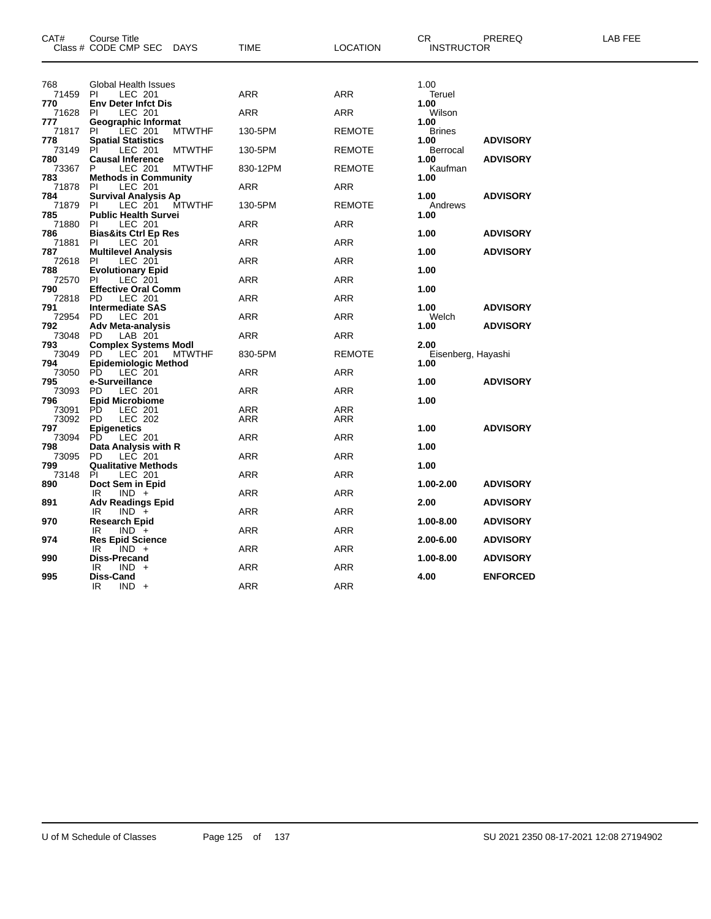| CAT#           | Course Title<br>Class # CODE CMP SEC DAYS                             | TIME       | <b>LOCATION</b> | CR.<br><b>INSTRUCTOR</b>   | PREREQ          | LAB FEE |
|----------------|-----------------------------------------------------------------------|------------|-----------------|----------------------------|-----------------|---------|
| 768            | Global Health Issues                                                  |            |                 | 1.00                       |                 |         |
| 71459<br>770   | LEC 201<br>PI.<br><b>Env Deter Infct Dis</b>                          | ARR        | <b>ARR</b>      | Teruel<br>1.00             |                 |         |
| 71628          | <b>LEC 201</b><br>PI                                                  | ARR        | <b>ARR</b>      | Wilson                     |                 |         |
| 777            | Geographic Informat                                                   |            |                 | 1.00                       |                 |         |
| 71817          | LEC 201<br>PI.<br><b>MTWTHF</b>                                       | 130-5PM    | <b>REMOTE</b>   | <b>Brines</b>              |                 |         |
| 778            | <b>Spatial Statistics</b>                                             |            |                 | 1.00                       | <b>ADVISORY</b> |         |
| 73149<br>780   | LEC 201<br>PI<br><b>MTWTHF</b><br><b>Causal Inference</b>             | 130-5PM    | <b>REMOTE</b>   | Berrocal<br>1.00           | <b>ADVISORY</b> |         |
| 73367          | P<br>LEC 201<br><b>MTWTHF</b>                                         | 830-12PM   | <b>REMOTE</b>   | Kaufman                    |                 |         |
| 783            | <b>Methods in Community</b>                                           |            |                 | 1.00                       |                 |         |
| 71878          | LEC 201<br>PI                                                         | ARR        | <b>ARR</b>      |                            |                 |         |
| 784            | <b>Survival Analysis Ap</b>                                           |            |                 | 1.00                       | <b>ADVISORY</b> |         |
| 71879          | LEC 201<br>PI.<br>MTWTHF                                              | 130-5PM    | <b>REMOTE</b>   | Andrews                    |                 |         |
| 785<br>71880   | <b>Public Health Survei</b><br>LEC 201<br><b>PI</b>                   | ARR        | ARR             | 1.00                       |                 |         |
| 786            | <b>Bias&amp;its Ctrl Ep Res</b>                                       |            |                 | 1.00                       | <b>ADVISORY</b> |         |
| 71881          | LEC 201<br>PI                                                         | ARR        | <b>ARR</b>      |                            |                 |         |
| 787            | <b>Multilevel Analysis</b>                                            |            |                 | 1.00                       | <b>ADVISORY</b> |         |
| 72618 PI       | LEC 201                                                               | ARR        | <b>ARR</b>      |                            |                 |         |
| 788            | <b>Evolutionary Epid</b>                                              |            |                 | 1.00                       |                 |         |
| 72570<br>790   | PI.<br>LEC 201<br><b>Effective Oral Comm</b>                          | ARR        | ARR             | 1.00                       |                 |         |
| 72818 PD       | <b>LEC 201</b>                                                        | ARR        | <b>ARR</b>      |                            |                 |         |
| 791            | <b>Intermediate SAS</b>                                               |            |                 | 1.00                       | <b>ADVISORY</b> |         |
| 72954          | LEC 201<br>PD.                                                        | ARR        | <b>ARR</b>      | Welch                      |                 |         |
| 792            | <b>Adv Meta-analysis</b>                                              |            |                 | 1.00                       | <b>ADVISORY</b> |         |
| 73048          | LAB 201<br>PD.                                                        | ARR        | ARR             |                            |                 |         |
| 793<br>73049   | <b>Complex Systems Modl</b><br>PD LEC 201 MTW<br>PD.<br><b>MTWTHF</b> | 830-5PM    | <b>REMOTE</b>   | 2.00<br>Eisenberg, Hayashi |                 |         |
| 794            | <b>Epidemiologic Method</b>                                           |            |                 | 1.00                       |                 |         |
| 73050          | PD.<br>LEC 201                                                        | ARR        | <b>ARR</b>      |                            |                 |         |
| 795            | e-Surveillance                                                        |            |                 | 1.00                       | <b>ADVISORY</b> |         |
| 73093          | LEC 201<br>PD.                                                        | ARR        | <b>ARR</b>      |                            |                 |         |
| 796            | <b>Epid Microbiome</b>                                                |            |                 | 1.00                       |                 |         |
| 73091<br>73092 | <b>PD</b><br>LEC 201<br><b>LEC 202</b><br>PD.                         | ARR<br>ARR | ARR<br>ARR      |                            |                 |         |
| 797            | <b>Epigenetics</b>                                                    |            |                 | 1.00                       | <b>ADVISORY</b> |         |
| 73094          | PD.<br>LEC 201                                                        | ARR        | <b>ARR</b>      |                            |                 |         |
| 798            | Data Analysis with R                                                  |            |                 | 1.00                       |                 |         |
| 73095          | LEC 201<br>PD.                                                        | ARR        | <b>ARR</b>      |                            |                 |         |
| 799            | <b>Qualitative Methods</b>                                            |            |                 | 1.00                       |                 |         |
| 73148<br>890   | ΡI<br>LEC 201<br>Doct Sem in Epid                                     | ARR        | <b>ARR</b>      | 1.00-2.00                  | <b>ADVISORY</b> |         |
|                | IR<br>$IND +$                                                         | ARR        | ARR             |                            |                 |         |
| 891            | <b>Adv Readings Epid</b>                                              |            |                 | 2.00                       | <b>ADVISORY</b> |         |
|                | IR.<br>$IND +$                                                        | ARR        | <b>ARR</b>      |                            |                 |         |
| 970            | <b>Research Epid</b>                                                  |            |                 | 1.00-8.00                  | <b>ADVISORY</b> |         |
|                | $IND +$<br>IR                                                         | ARR        | <b>ARR</b>      |                            |                 |         |
| 974            | <b>Res Epid Science</b><br>IR<br>$IND +$                              | ARR        | ARR             | 2.00-6.00                  | <b>ADVISORY</b> |         |
| 990            | <b>Diss-Precand</b>                                                   |            |                 | 1.00-8.00                  | <b>ADVISORY</b> |         |
|                | IR<br>IND -                                                           | ARR        | ARR             |                            |                 |         |
| 995            | Diss-Cand                                                             |            |                 | 4.00                       | <b>ENFORCED</b> |         |
|                | IR<br>$IND +$                                                         | <b>ARR</b> | <b>ARR</b>      |                            |                 |         |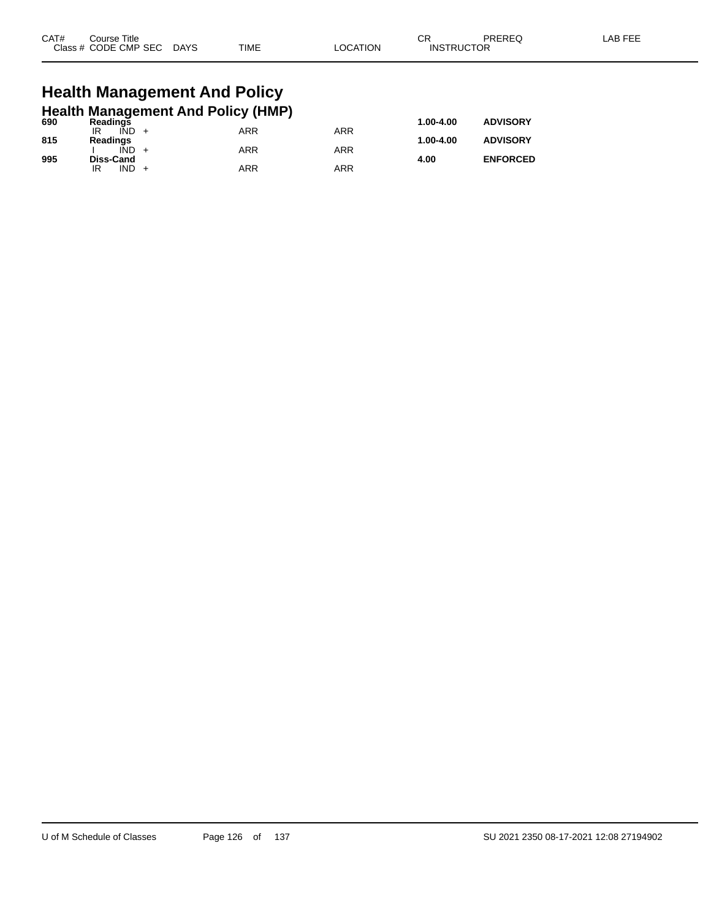| CAT# | Course Title              |      |          | ⌒冖                | PREREQ | LAB FEE |
|------|---------------------------|------|----------|-------------------|--------|---------|
|      | Class # CODE CMP SEC DAYS | TIME | LOCATION | <b>INSTRUCTOR</b> |        |         |
|      |                           |      |          |                   |        |         |

#### **Health Management And Policy Health Management And Policy (HMP)**

| 690 | <b>Readings</b>  | . . |     | 1.00-4.00 | <b>ADVISORY</b> |
|-----|------------------|-----|-----|-----------|-----------------|
|     | IÑD<br>IR        | ARR | ARR |           |                 |
| 815 | Readings         |     |     | 1.00-4.00 | <b>ADVISORY</b> |
|     | IÑD              | ARR | ARR |           |                 |
| 995 | <b>Diss-Cand</b> |     |     | 4.00      | <b>ENFORCED</b> |
|     | <b>IND</b><br>IR | ARR | ARR |           |                 |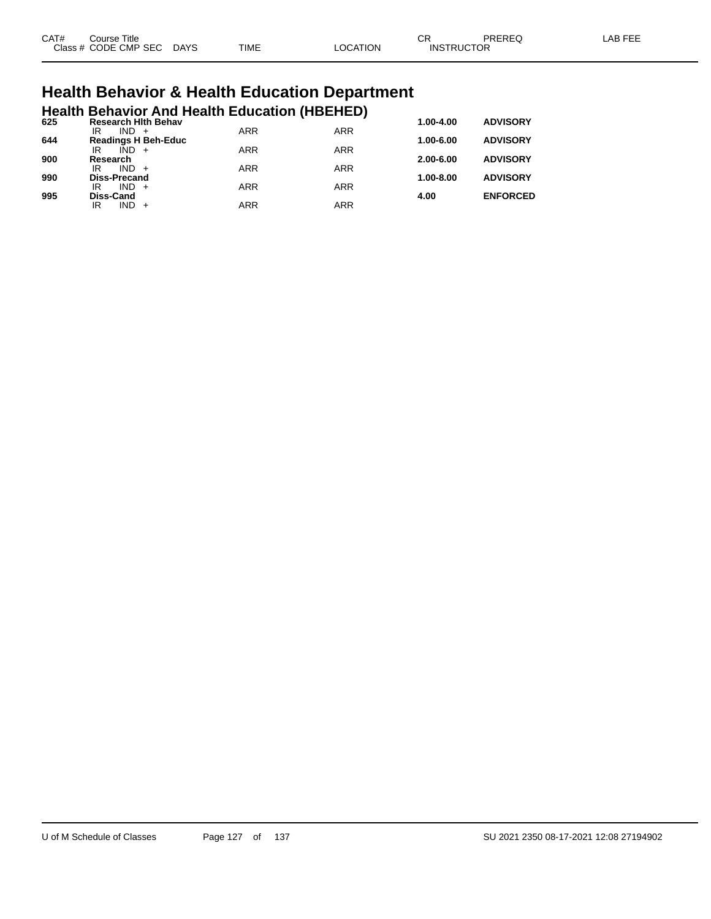| CAT# | Title<br>Course      |             |             |                | $\cap$<br>◡       | PREREQ | AR EEI |
|------|----------------------|-------------|-------------|----------------|-------------------|--------|--------|
|      | Class # CODE CMP SEC | <b>DAYS</b> | <b>TIME</b> | <b>OCATION</b> | <b>INSTRUCTOR</b> |        |        |

# **Health Behavior & Health Education Department**

|     |                           |         | <b>Health Behavior And Health Education (HBEHED)</b> |            |            |               |                 |
|-----|---------------------------|---------|------------------------------------------------------|------------|------------|---------------|-----------------|
| 625 | IR                        | $IND +$ | <b>Research Hith Behav</b>                           | <b>ARR</b> | <b>ARR</b> | $1.00 - 4.00$ | <b>ADVISORY</b> |
| 644 |                           |         | <b>Readings H Beh-Educ</b>                           |            |            | $1.00 - 6.00$ | <b>ADVISORY</b> |
| 900 | IR<br>Research            | $IND +$ |                                                      | <b>ARR</b> | <b>ARR</b> | $2.00 - 6.00$ | <b>ADVISORY</b> |
|     | IR                        | $IND +$ |                                                      | <b>ARR</b> | <b>ARR</b> |               |                 |
| 990 | <b>Diss-Precand</b><br>IR | $IND +$ |                                                      | <b>ARR</b> | <b>ARR</b> | $1.00 - 8.00$ | <b>ADVISORY</b> |
| 995 | <b>Diss-Cand</b>          |         |                                                      |            |            | 4.00          | <b>ENFORCED</b> |
|     | ΙR                        | $IND +$ |                                                      | <b>ARR</b> | <b>ARR</b> |               |                 |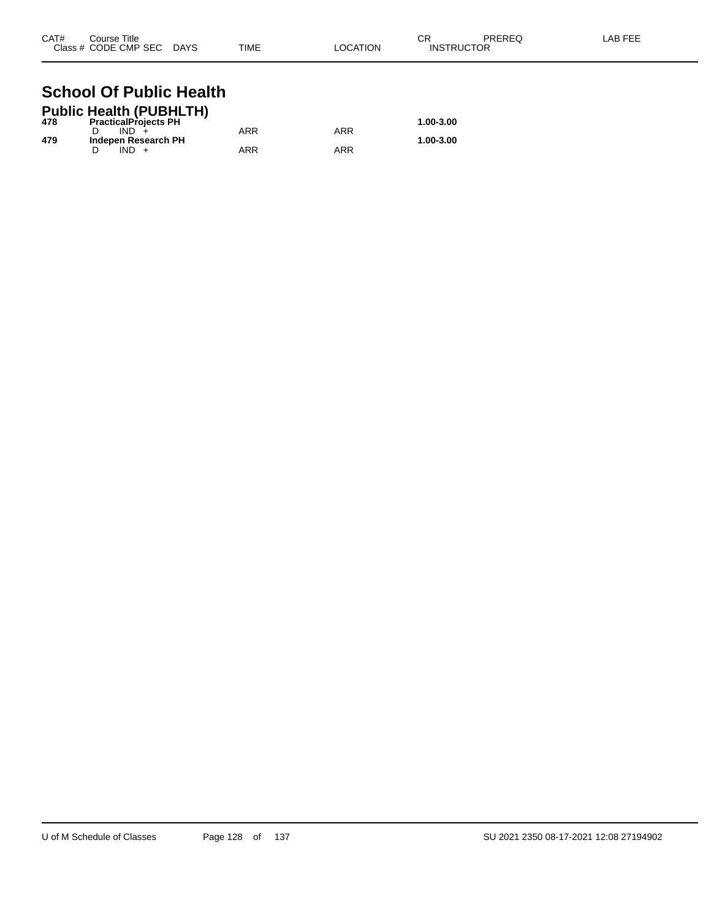| CAT# | Course Title              |      |          | СR                | PREREQ | LAB FEE |
|------|---------------------------|------|----------|-------------------|--------|---------|
|      | Class # CODE CMP SEC DAYS | TIME | LOCATION | <b>INSTRUCTOR</b> |        |         |

#### **School Of Public Health Public Health (PUBHLTH)**

|     | Public Health (PUBHLTH)     |     |     |           |
|-----|-----------------------------|-----|-----|-----------|
| 478 | <b>PracticalProjects PH</b> |     |     | 1.00-3.00 |
|     | IND.                        | ARR | ARR |           |
| 479 | Indepen Research PH         |     |     | 1.00-3.00 |
|     |                             | ARR | ARR |           |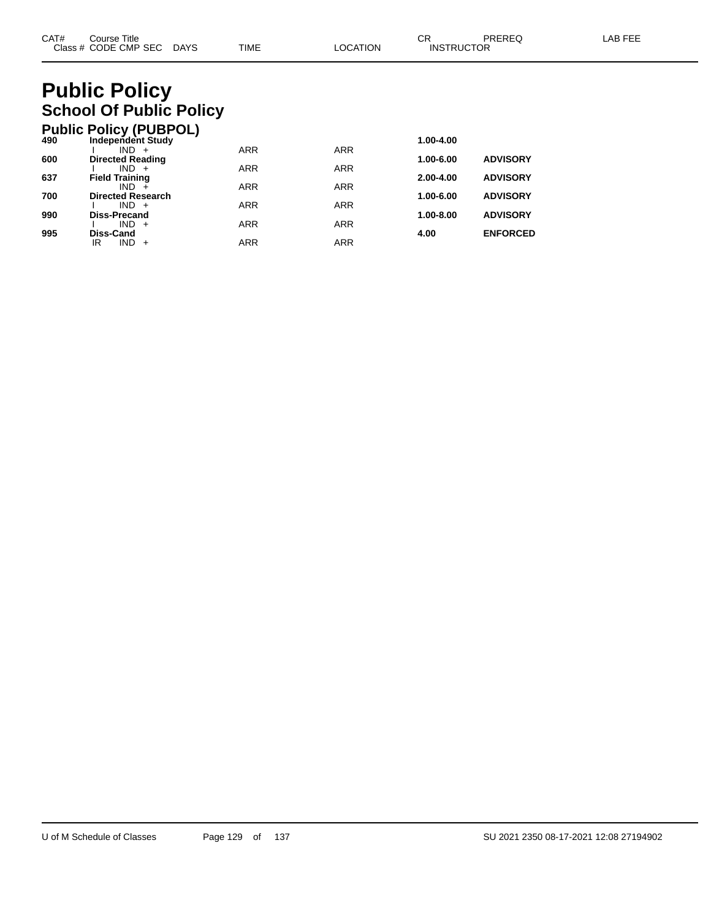# **Public Policy School Of Public Policy**

|     | <b>Public Policy (PUBPOL)</b>    |            |            |               |                 |
|-----|----------------------------------|------------|------------|---------------|-----------------|
| 490 | <b>Independent Study</b>         |            |            | 1.00-4.00     |                 |
|     | $IND +$                          | <b>ARR</b> | <b>ARR</b> |               |                 |
| 600 | <b>Directed Reading</b>          |            |            | 1.00-6.00     | <b>ADVISORY</b> |
| 637 | $IND +$<br><b>Field Training</b> | <b>ARR</b> | <b>ARR</b> | $2.00 - 4.00$ | <b>ADVISORY</b> |
|     | $IND +$                          | <b>ARR</b> | <b>ARR</b> |               |                 |
| 700 | <b>Directed Research</b>         |            |            | 1.00-6.00     | <b>ADVISORY</b> |
|     | $IND +$                          | <b>ARR</b> | <b>ARR</b> |               |                 |
| 990 | Diss-Precand                     |            |            | 1.00-8.00     | <b>ADVISORY</b> |
|     | $IND +$                          | <b>ARR</b> | <b>ARR</b> |               |                 |
| 995 | Diss-Cand                        |            |            | 4.00          | <b>ENFORCED</b> |
|     | <b>IND</b><br>ΙR<br>$+$          | <b>ARR</b> | <b>ARR</b> |               |                 |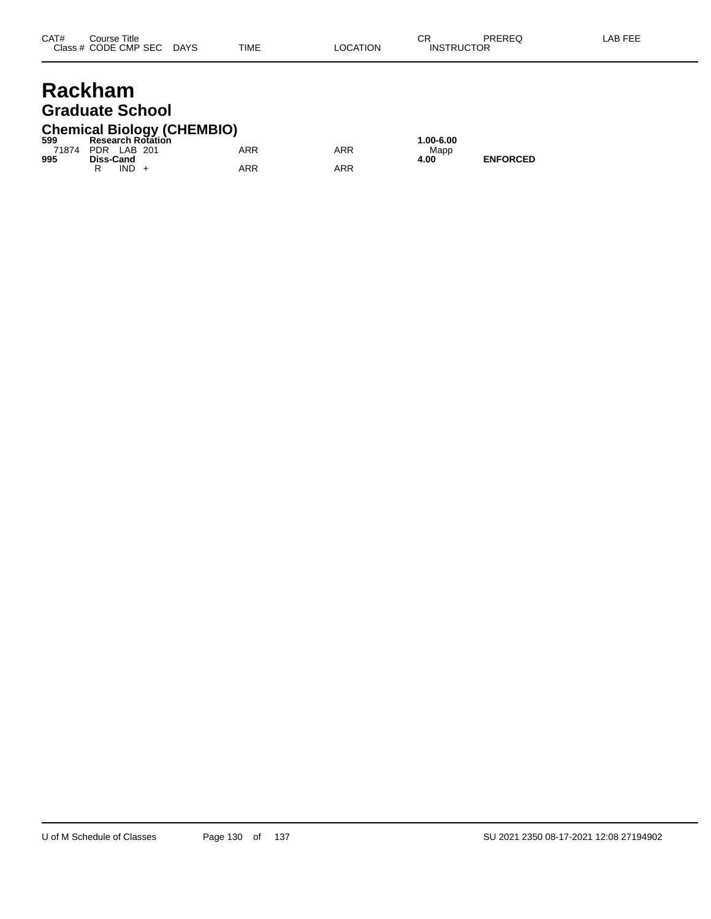#### **Rackham Graduate School**

## **Chemical Biology (CHEMBIO) 599 Research Rotation 1.00-6.00**

| -999              |           | Research Rotation |     |     | 1.UU-0.U |
|-------------------|-----------|-------------------|-----|-----|----------|
| 71874 PDR LAB 201 |           |                   | ARR | ARR | Mapp     |
| 995               | Diss-Cand |                   |     |     | 4.00     |
|                   | $IND +$   |                   | ARR | ARR |          |

**995 Diss-Cand 4.00 ENFORCED**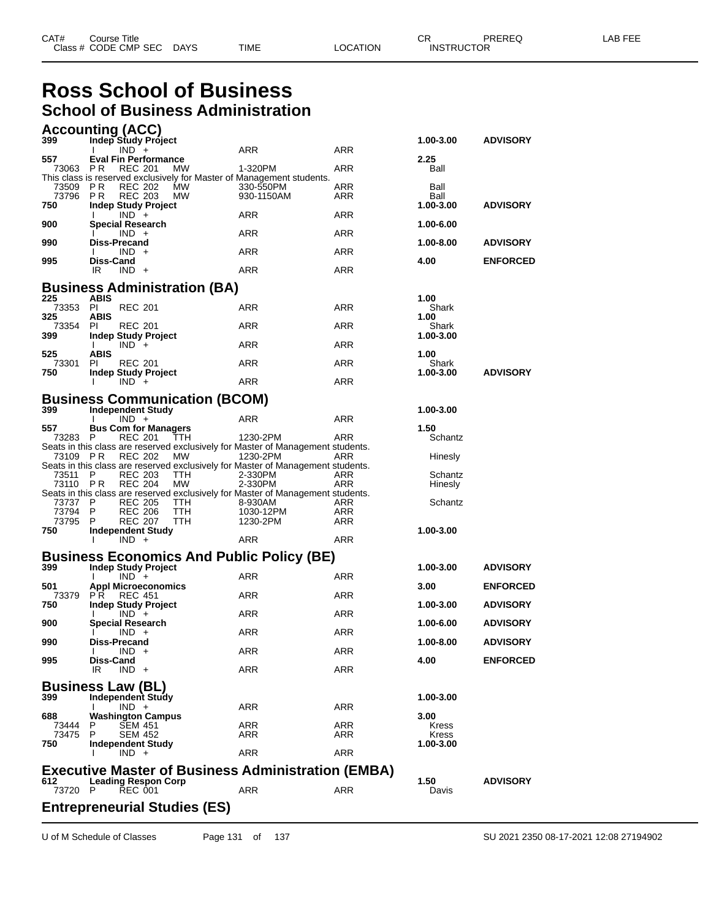#### **Ross School of Business School of Business Administration**

|                   | <b>Accounting (ACC)</b>                                                                                   |            |     |                    |                 |
|-------------------|-----------------------------------------------------------------------------------------------------------|------------|-----|--------------------|-----------------|
| 399               | Indep Study Project                                                                                       |            |     | 1.00-3.00          | <b>ADVISORY</b> |
| 557               | $IND +$<br><b>Eval Fin Performance</b>                                                                    | ARR        | ARR | 2.25               |                 |
| 73063 PR          | <b>REC 201</b><br><b>MW</b><br>This class is reserved exclusively for Master of Management students.      | 1-320PM    | ARR | Ball               |                 |
| 73509 PR          | <b>REC 202</b><br>MW                                                                                      | 330-550PM  | ARR | Ball               |                 |
| 73796 PR          | <b>REC 203</b><br><b>MW</b>                                                                               | 930-1150AM | ARR | Ball               |                 |
| 750               | <b>Indep Study Project</b><br>$IND +$                                                                     | ARR        | ARR | 1.00-3.00          | <b>ADVISORY</b> |
| 900               | Special Research                                                                                          |            |     | 1.00-6.00          |                 |
|                   | $IND +$                                                                                                   | ARR        | ARR |                    |                 |
| 990               | <b>Diss-Precand</b>                                                                                       |            |     | 1.00-8.00          | <b>ADVISORY</b> |
| 995               | $IND +$<br>л.<br>Diss-Cand                                                                                | ARR        | ARR | 4.00               | <b>ENFORCED</b> |
|                   | IR<br>$IND +$                                                                                             | ARR        | ARR |                    |                 |
|                   |                                                                                                           |            |     |                    |                 |
| 225               | <b>Business Administration (BA)</b><br>ABIS                                                               |            |     | 1.00               |                 |
| 73353 PI          | <b>REC 201</b>                                                                                            | ARR        | ARR | Shark              |                 |
| 325               | ABIS                                                                                                      |            |     | 1.00               |                 |
| 73354<br>399      | <b>REC 201</b><br>PI.<br>Indep Study Project                                                              | ARR        | ARR | Shark<br>1.00-3.00 |                 |
|                   | $IND +$<br>Ι.                                                                                             | ARR        | ARR |                    |                 |
| 525               | ABIS                                                                                                      |            |     | 1.00               |                 |
| 73301<br>750      | <b>REC 201</b><br>-PI                                                                                     | ARR        | ARR | Shark<br>1.00-3.00 | <b>ADVISORY</b> |
|                   | Indep Study Project<br>$IND +$                                                                            | ARR        | ARR |                    |                 |
|                   |                                                                                                           |            |     |                    |                 |
| 399.              | <b>Business Communication (BCOM)</b><br><b>Independent Study</b>                                          |            |     | 1.00-3.00          |                 |
|                   | $IND +$<br>I.                                                                                             | ARR        | ARR |                    |                 |
| 557               | <b>Bus Com for Managers</b>                                                                               |            |     | 1.50               |                 |
| 73283             | - P<br>REC 201<br>TTH.<br>Seats in this class are reserved exclusively for Master of Management students. | 1230-2PM   | ARR | Schantz            |                 |
| 73109 PR          | REC 202<br>MW                                                                                             | 1230-2PM   | ARR | Hinesly            |                 |
|                   | Seats in this class are reserved exclusively for Master of Management students.                           |            |     |                    |                 |
| 73511<br>73110 PR | P.<br><b>REC 203</b><br>TTH                                                                               | 2-330PM    | ARR | Schantz            |                 |
|                   | <b>REC 204</b><br>MW<br>Seats in this class are reserved exclusively for Master of Management students.   | 2-330PM    | ARR | Hinesly            |                 |
| 73737             | - P<br><b>REC 205</b><br><b>TTH</b>                                                                       | 8-930AM    | ARR | Schantz            |                 |
| 73794             | - P<br><b>REC 206</b><br>TTH.                                                                             | 1030-12PM  | ARR |                    |                 |
| 73795<br>750      | P<br>REC 207<br>TTH<br><b>Independent Study</b>                                                           | 1230-2PM   | ARR | 1.00-3.00          |                 |
|                   | T<br>$IND +$                                                                                              | ARR        | ARR |                    |                 |
|                   | <b>Business Economics And Public Policy (BE)</b>                                                          |            |     |                    |                 |
| 399               | <b>Indep Study Project</b>                                                                                |            |     | 1.00-3.00          | <b>ADVISORY</b> |
|                   | $IND +$                                                                                                   | ARR        | ARR |                    |                 |
| 501               | <b>Appl Microeconomics</b>                                                                                |            |     | 3.00               | <b>ENFORCED</b> |
| 73379 PR<br>750   | <b>REC 451</b><br><b>Indep Study Project</b>                                                              | ARR        | ARR | 1.00-3.00          | <b>ADVISORY</b> |
|                   | $IND +$                                                                                                   | ARR        | ARR |                    |                 |
| 900               | <b>Special Research</b>                                                                                   | ARR        | ARR | 1.00-6.00          | <b>ADVISORY</b> |
| 990               | $IND +$<br>Diss-Precand                                                                                   |            |     | 1.00-8.00          | <b>ADVISORY</b> |
|                   | $IND +$<br>I.                                                                                             | ARR        | ARR |                    |                 |
| 995               | Diss-Cand<br>IR<br>$IND +$                                                                                | ARR        | ARR | 4.00               | <b>ENFORCED</b> |
|                   |                                                                                                           |            |     |                    |                 |
|                   | <b>Business Law (BL)</b>                                                                                  |            |     |                    |                 |
| 399               | Independent Study<br>$IND +$                                                                              | ARR        | ARR | 1.00-3.00          |                 |
| 688               | <b>Washington Campus</b>                                                                                  |            |     | 3.00               |                 |
| 73444             | SEM 451<br>P                                                                                              | ARR        | ARR | Kress              |                 |
| 73475 P<br>750    | <b>SEM 452</b><br>Independent Study                                                                       | ARR        | ARR | Kress<br>1.00-3.00 |                 |
|                   | $IND +$                                                                                                   | ARR        | ARR |                    |                 |
|                   | <b>Executive Master of Business Administration (EMBA)</b>                                                 |            |     |                    |                 |
| 612               | <b>Leading Respon Corp</b>                                                                                |            |     | 1.50               | <b>ADVISORY</b> |
| 73720 P           | <b>REC 001</b>                                                                                            | ARR        | ARR | Davis              |                 |
|                   | <b>Entrepreneurial Studies (ES)</b>                                                                       |            |     |                    |                 |
|                   |                                                                                                           |            |     |                    |                 |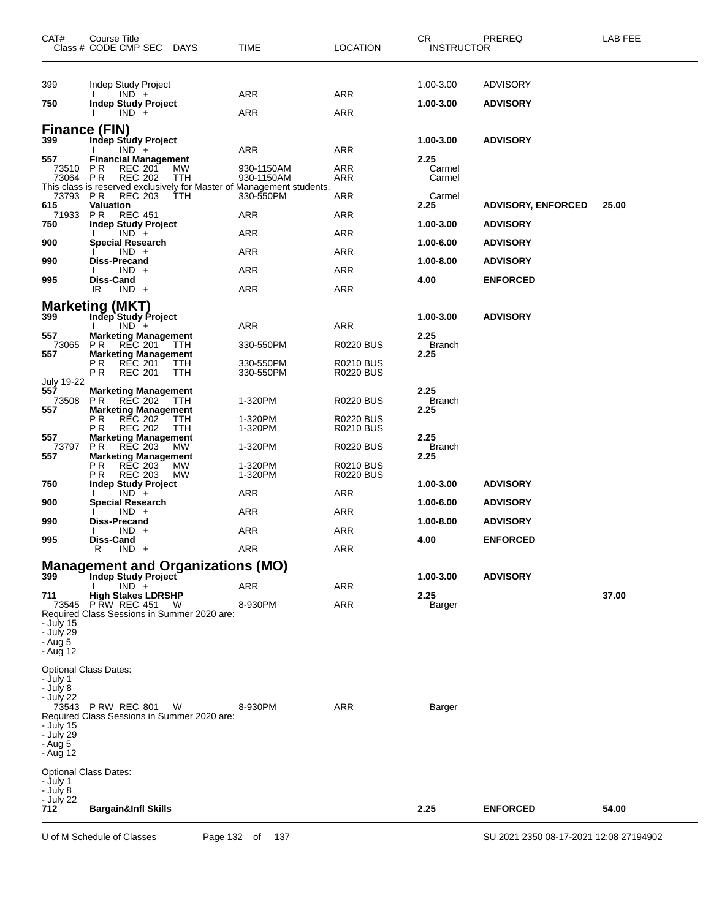| CAT#                                                                               | Course Title<br>Class # CODE CMP SEC DAYS                                                                                                       |                   | TIME                                                                                                           | <b>LOCATION</b>                                          | CR<br><b>INSTRUCTOR</b>                    | PREREQ                                                    | LAB FEE |
|------------------------------------------------------------------------------------|-------------------------------------------------------------------------------------------------------------------------------------------------|-------------------|----------------------------------------------------------------------------------------------------------------|----------------------------------------------------------|--------------------------------------------|-----------------------------------------------------------|---------|
| 399<br>750                                                                         | Indep Study Project<br>$IND +$<br><b>Indep Study Project</b><br>$IND +$                                                                         |                   | ARR<br>ARR                                                                                                     | <b>ARR</b><br>ARR                                        | 1.00-3.00<br>1.00-3.00                     | <b>ADVISORY</b><br><b>ADVISORY</b>                        |         |
| <b>Finance (FIN)</b><br>399<br>557                                                 | Indep Study Project<br>$IND +$<br><b>Financial Management</b>                                                                                   |                   | ARR                                                                                                            | ARR                                                      | 1.00-3.00<br>2.25                          | <b>ADVISORY</b>                                           |         |
| 73510<br>73064 PR<br>73793                                                         | P R<br><b>REC 201</b><br><b>REC 202</b><br><b>REC 203</b><br>P R                                                                                | MW<br>TTH<br>TTH  | 930-1150AM<br>930-1150AM<br>This class is reserved exclusively for Master of Management students.<br>330-550PM | ARR<br>ARR<br>ARR                                        | Carmel<br>Carmel<br>Carmel                 |                                                           |         |
| 615<br>71933<br>750                                                                | Valuation<br><b>REC 451</b><br>PR.<br><b>Indep Study Project</b>                                                                                |                   | ARR                                                                                                            | <b>ARR</b>                                               | 2.25<br>1.00-3.00                          | <b>ADVISORY, ENFORCED</b><br><b>ADVISORY</b>              | 25.00   |
| 900<br>990                                                                         | $IND +$<br><b>Special Research</b><br>$IND +$<br><b>Diss-Precand</b>                                                                            |                   | ARR<br>ARR                                                                                                     | <b>ARR</b><br><b>ARR</b>                                 | 1.00-6.00<br>1.00-8.00                     | <b>ADVISORY</b><br><b>ADVISORY</b>                        |         |
| 995                                                                                | $IND +$<br>Diss-Cand<br>IR<br>$IND +$                                                                                                           |                   | ARR<br><b>ARR</b>                                                                                              | <b>ARR</b><br><b>ARR</b>                                 | 4.00                                       | <b>ENFORCED</b>                                           |         |
| 399<br>557<br>73065<br>557                                                         | <b>Marketing (MKT)</b><br>Indep Study Project<br>$IND +$<br><b>Marketing Management</b><br>P R<br><b>REC 201</b><br><b>Marketing Management</b> | <b>TTH</b>        | <b>ARR</b><br>330-550PM                                                                                        | <b>ARR</b><br><b>R0220 BUS</b>                           | 1.00-3.00<br>2.25<br><b>Branch</b><br>2.25 | <b>ADVISORY</b>                                           |         |
| <b>July 19-22</b><br>557                                                           | ΡR<br><b>REC 201</b><br>P R<br><b>REC 201</b><br><b>Marketing Management</b>                                                                    | ттн<br>TTH        | 330-550PM<br>330-550PM                                                                                         | R0210 BUS<br><b>R0220 BUS</b>                            | 2.25                                       |                                                           |         |
| 73508<br>557<br>557                                                                | P R<br><b>REC 202</b><br><b>Marketing Management</b><br>РR<br><b>REC 202</b><br><b>REC 202</b><br>ΡR<br><b>Marketing Management</b>             | TTH<br>ттн<br>TTH | 1-320PM<br>1-320PM<br>1-320PM                                                                                  | <b>R0220 BUS</b><br><b>R0220 BUS</b><br><b>R0210 BUS</b> | <b>Branch</b><br>2.25<br>2.25              |                                                           |         |
| 73797<br>557                                                                       | P R<br><b>REC 203</b><br><b>Marketing Management</b><br>PR.<br>REC 203<br><b>REC 203</b><br>РR                                                  | МW<br>MW<br>МW    | 1-320PM<br>1-320PM<br>1-320PM                                                                                  | <b>R0220 BUS</b><br><b>R0210 BUS</b><br><b>R0220 BUS</b> | <b>Branch</b><br>2.25                      |                                                           |         |
| 750<br>900                                                                         | <b>Indep Study Project</b><br>$IND +$<br><b>Special Research</b><br>$IND +$                                                                     |                   | ARR<br>ARR                                                                                                     | <b>ARR</b><br>ARR                                        | 1.00-3.00<br>1.00-6.00                     | <b>ADVISORY</b><br><b>ADVISORY</b>                        |         |
| 990<br>995                                                                         | Diss-Precand<br>$IND +$<br>Diss-Cand<br>R<br>- IND +                                                                                            |                   | ARR<br><b>ARR</b>                                                                                              | <b>ARR</b><br><b>ARR</b>                                 | 1.00-8.00<br>4.00                          | <b>ADVISORY</b><br><b>ENFORCED</b>                        |         |
| 399                                                                                | <b>Management and Organizations (MO)</b><br>Indep Study Project<br>$IND +$                                                                      |                   | ARR                                                                                                            | ARR                                                      | 1.00-3.00                                  | <b>ADVISORY</b>                                           |         |
| 711<br>- July 15<br>- July 29<br>- Aug 5<br>- Aug 12                               | <b>High Stakes LDRSHP</b><br>73545 P RW REC 451 W<br>Required Class Sessions in Summer 2020 are:                                                |                   | 8-930PM                                                                                                        | <b>ARR</b>                                               | 2.25<br>Barger                             |                                                           | 37.00   |
| - July 1<br>- July 8<br>- July 22<br>- July 15<br>- July 29<br>- Aug 5<br>- Aug 12 | <b>Optional Class Dates:</b><br>73543 P RW REC 801<br>Required Class Sessions in Summer 2020 are:                                               | <b>W</b>          | 8-930PM                                                                                                        | ARR                                                      | Barger                                     |                                                           |         |
| - July 1<br>- July 8<br>- July 22                                                  | <b>Optional Class Dates:</b>                                                                                                                    |                   |                                                                                                                |                                                          |                                            |                                                           |         |
| 712                                                                                | <b>Bargain&amp;Infl Skills</b><br>U of M Schedule of Classes                                                                                    | Page 132 of       | 137                                                                                                            |                                                          | 2.25                                       | <b>ENFORCED</b><br>SU 2021 2350 08-17-2021 12:08 27194902 | 54.00   |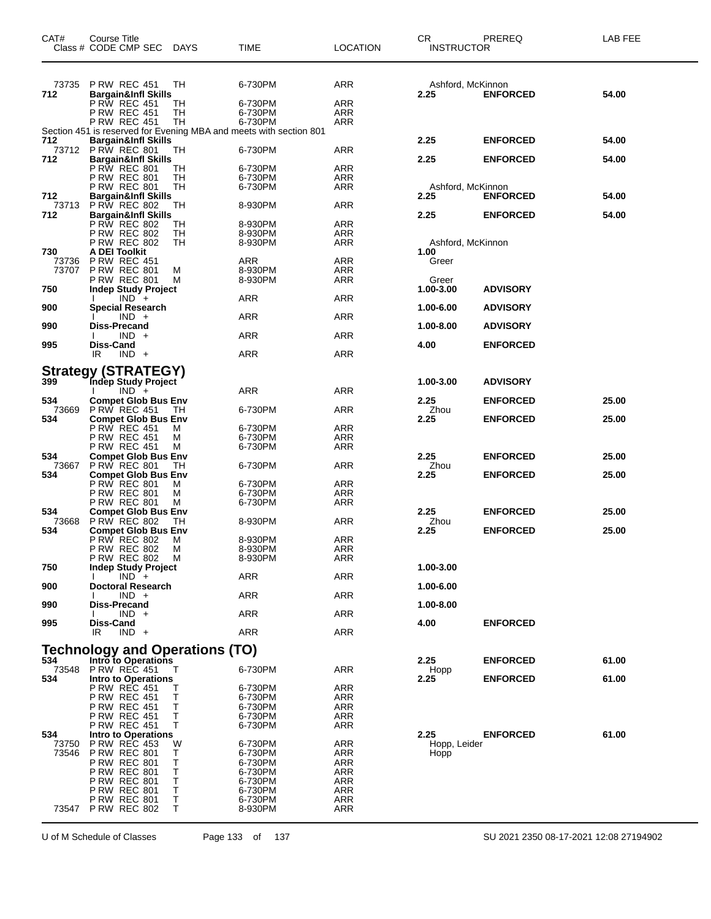| CAT#         | Course Title<br>Class # CODE CMP SEC                  | DAYS     | TIME                                                               | <b>LOCATION</b> | CR<br><b>INSTRUCTOR</b>   | <b>PREREQ</b>   | LAB FEE |
|--------------|-------------------------------------------------------|----------|--------------------------------------------------------------------|-----------------|---------------------------|-----------------|---------|
| 73735        | <b>P RW REC 451</b>                                   | TН       | 6-730PM                                                            | <b>ARR</b>      | Ashford, McKinnon         |                 |         |
| 712          | <b>Bargain&amp;Infl Skills</b>                        |          |                                                                    |                 | 2.25                      | <b>ENFORCED</b> | 54.00   |
|              | <b>P RW REC 451</b>                                   | TH       | 6-730PM                                                            | ARR             |                           |                 |         |
|              | <b>P RW REC 451</b><br><b>P RW REC 451</b>            | TН<br>TН | 6-730PM<br>6-730PM                                                 | ARR<br>ARR      |                           |                 |         |
|              |                                                       |          | Section 451 is reserved for Evening MBA and meets with section 801 |                 |                           |                 |         |
| 712          | <b>Bargain&amp;Infl Skills</b>                        |          |                                                                    |                 | 2.25                      | <b>ENFORCED</b> | 54.00   |
| 712          | 73712 PRW REC 801<br><b>Bargain&amp;Infl Skills</b>   | TH       | 6-730PM                                                            | <b>ARR</b>      | 2.25                      | <b>ENFORCED</b> | 54.00   |
|              | P RW REC 801                                          | TН       | 6-730PM                                                            | ARR             |                           |                 |         |
|              | <b>P RW REC 801</b>                                   | TН       | 6-730PM                                                            | ARR             |                           |                 |         |
| 712          | <b>P RW REC 801</b><br><b>Bargain&amp;Infl Skills</b> | TН       | 6-730PM                                                            | ARR             | Ashford, McKinnon<br>2.25 |                 | 54.00   |
| 73713        | <b>PRW REC 802</b>                                    | TН       | 8-930PM                                                            | ARR             |                           | <b>ENFORCED</b> |         |
| 712          | <b>Bargain&amp;Infl Skills</b>                        |          |                                                                    |                 | 2.25                      | <b>ENFORCED</b> | 54.00   |
|              | <b>P RW REC 802</b>                                   | TН       | 8-930PM                                                            | ARR             |                           |                 |         |
|              | <b>P RW REC 802</b><br><b>P RW REC 802</b>            | TН<br>TН | 8-930PM<br>8-930PM                                                 | ARR<br>ARR      | Ashford, McKinnon         |                 |         |
| 730          | A DEI Toolkit                                         |          |                                                                    |                 | 1.00                      |                 |         |
| 73736        | <b>P RW REC 451</b>                                   |          | ARR                                                                | ARR             | Greer                     |                 |         |
| 73707        | <b>P RW REC 801</b><br><b>P RW REC 801</b>            | М<br>м   | 8-930PM<br>8-930PM                                                 | ARR<br>ARR      | Greer                     |                 |         |
| 750          | <b>Indep Study Project</b>                            |          |                                                                    |                 | 1.00-3.00                 | <b>ADVISORY</b> |         |
|              | $IND +$                                               |          | ARR                                                                | ARR             |                           |                 |         |
| 900          | Special Research<br>$IND +$                           |          | ARR                                                                | ARR             | 1.00-6.00                 | <b>ADVISORY</b> |         |
| 990          | <b>Diss-Precand</b>                                   |          |                                                                    |                 | 1.00-8.00                 | <b>ADVISORY</b> |         |
|              | $IND +$                                               |          | <b>ARR</b>                                                         | ARR             |                           |                 |         |
| 995          | Diss-Cand                                             |          |                                                                    |                 | 4.00                      | <b>ENFORCED</b> |         |
|              | IR<br>$IND +$                                         |          | ARR                                                                | <b>ARR</b>      |                           |                 |         |
|              | Strategy (STRATEGY)<br>399 Indep Study Project        |          |                                                                    |                 |                           |                 |         |
|              |                                                       |          |                                                                    |                 | 1.00-3.00                 | <b>ADVISORY</b> |         |
| 534          | $IND +$<br><b>Compet Glob Bus Env</b>                 |          | <b>ARR</b>                                                         | <b>ARR</b>      | 2.25                      | <b>ENFORCED</b> | 25.00   |
| 73669        | <b>P RW REC 451</b>                                   | TH.      | 6-730PM                                                            | ARR             | Zhou                      |                 |         |
| 534          | <b>Compet Glob Bus Env</b>                            |          |                                                                    |                 | 2.25                      | <b>ENFORCED</b> | 25.00   |
|              | <b>P RW REC 451</b>                                   | м        | 6-730PM<br>6-730PM                                                 | ARR<br>ARR      |                           |                 |         |
|              | <b>P RW REC 451</b><br>P RW REC 451                   | м<br>М   | 6-730PM                                                            | ARR             |                           |                 |         |
| 534          | <b>Compet Glob Bus Env</b>                            |          |                                                                    |                 | 2.25                      | <b>ENFORCED</b> | 25.00   |
| 73667        | <b>P RW REC 801</b>                                   | TH       | 6-730PM                                                            | ARR             | Zhou                      |                 |         |
| 534          | <b>Compet Glob Bus Env</b><br><b>P RW REC 801</b>     | м        | 6-730PM                                                            | ARR             | 2.25                      | <b>ENFORCED</b> | 25.00   |
|              | <b>P RW REC 801</b>                                   | м        | 6-730PM                                                            | ARR             |                           |                 |         |
|              | P RW REC 801                                          | М        | 6-730PM                                                            | ARR             |                           |                 |         |
| 534<br>73668 | <b>Compet Glob Bus Env</b><br><b>P RW REC 802</b>     | TH       | 8-930PM                                                            | ARR             | 2.25<br>Zhou              | <b>ENFORCED</b> | 25.00   |
| 534          | <b>Compet Glob Bus Env</b>                            |          |                                                                    |                 | 2.25                      | <b>ENFORCED</b> | 25.00   |
|              | P RW REC 802                                          | М        | 8-930PM                                                            | ARR             |                           |                 |         |
|              | <b>P RW REC 802</b>                                   | м        | 8-930PM                                                            | ARR             |                           |                 |         |
| 750          | PRW REC 802 M<br><b>Indep Study Project</b>           |          | 8-930PM                                                            | ARR             | 1.00-3.00                 |                 |         |
|              | $IND +$                                               |          | ARR                                                                | <b>ARR</b>      |                           |                 |         |
| 900          | <b>Doctoral Research</b><br>$IND +$                   |          | <b>ARR</b>                                                         | <b>ARR</b>      | 1.00-6.00                 |                 |         |
| 990          | <b>Diss-Precand</b>                                   |          |                                                                    |                 | 1.00-8.00                 |                 |         |
|              | $IND +$                                               |          | <b>ARR</b>                                                         | <b>ARR</b>      |                           |                 |         |
| 995          | Diss-Cand                                             |          |                                                                    |                 | 4.00                      | <b>ENFORCED</b> |         |
|              | $IND +$<br>IR.                                        |          | <b>ARR</b>                                                         | <b>ARR</b>      |                           |                 |         |
|              | <b>Technology and Operations (TO)</b>                 |          |                                                                    |                 |                           |                 |         |
| 534          | Intro to Operations                                   |          |                                                                    |                 | 2.25                      | <b>ENFORCED</b> | 61.00   |
| 73548<br>534 | <b>P RW REC 451</b><br><b>Intro to Operations</b>     | т        | 6-730PM                                                            | <b>ARR</b>      | Hopp<br>2.25              | <b>ENFORCED</b> | 61.00   |
|              | P RW REC 451                                          | Т        | 6-730PM                                                            | ARR             |                           |                 |         |
|              | <b>P RW REC 451</b>                                   | Т        | 6-730PM                                                            | ARR             |                           |                 |         |
|              | <b>P RW REC 451</b>                                   | т        | 6-730PM                                                            | ARR             |                           |                 |         |
|              | <b>P RW REC 451</b><br><b>P RW REC 451</b>            | Τ<br>Т   | 6-730PM<br>6-730PM                                                 | ARR<br>ARR      |                           |                 |         |
| 534          | <b>Intro to Operations</b>                            |          |                                                                    |                 | 2.25                      | <b>ENFORCED</b> | 61.00   |
| 73750        | <b>P RW REC 453</b>                                   | W        | 6-730PM                                                            | ARR             | Hopp, Leider              |                 |         |
| 73546        | <b>P RW REC 801</b><br><b>P RW REC 801</b>            | Т<br>Τ   | 6-730PM<br>6-730PM                                                 | ARR<br>ARR      | Hopp                      |                 |         |
|              | <b>P RW REC 801</b>                                   | Τ        | 6-730PM                                                            | ARR             |                           |                 |         |
|              | P RW REC 801                                          | Т        | 6-730PM                                                            | ARR             |                           |                 |         |
|              | <b>P RW REC 801</b>                                   | Т<br>Τ   | 6-730PM                                                            | ARR             |                           |                 |         |
|              | <b>P RW REC 801</b><br>73547 PRW REC 802              | т        | 6-730PM<br>8-930PM                                                 | ARR<br>ARR      |                           |                 |         |
|              |                                                       |          |                                                                    |                 |                           |                 |         |

U of M Schedule of Classes Page 133 of 137 SU 2021 2350 08-17-2021 12:08 27194902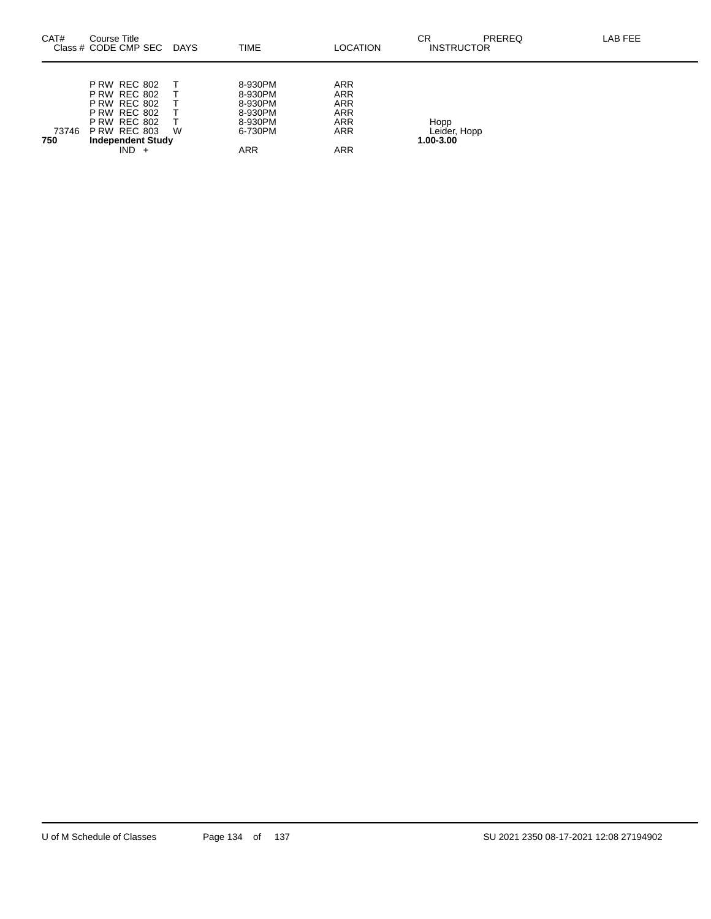| CAT#         | Course Title<br>Class # CODE CMP SEC                                                                                                                                          | DAYS | <b>TIME</b>                                                                  | <b>LOCATION</b>                                                                                | CR<br><b>INSTRUCTOR</b>           | <b>PREREQ</b> | LAB FEE |
|--------------|-------------------------------------------------------------------------------------------------------------------------------------------------------------------------------|------|------------------------------------------------------------------------------|------------------------------------------------------------------------------------------------|-----------------------------------|---------------|---------|
| 73746<br>750 | <b>P RW REC 802</b><br><b>P RW REC 802</b><br><b>P RW REC 802</b><br><b>P RW REC 802</b><br><b>P RW REC 802</b><br><b>P RW REC 803</b><br><b>Independent Study</b><br>$IND +$ | W    | 8-930PM<br>8-930PM<br>8-930PM<br>8-930PM<br>8-930PM<br>6-730PM<br><b>ARR</b> | <b>ARR</b><br><b>ARR</b><br><b>ARR</b><br><b>ARR</b><br><b>ARR</b><br><b>ARR</b><br><b>ARR</b> | Hopp<br>Leider, Hopp<br>1.00-3.00 |               |         |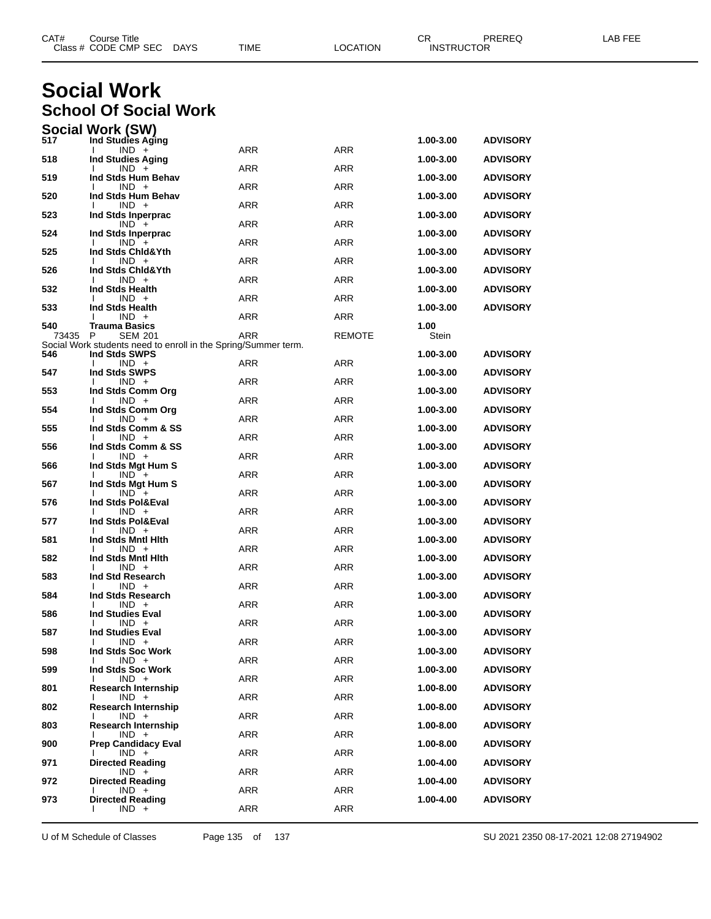|       | Class # CODE CMP SEC<br><b>DAYS</b>                                                   | TIME       | LOCATION      | <b>INSTRUCTOR</b> |                 |  |
|-------|---------------------------------------------------------------------------------------|------------|---------------|-------------------|-----------------|--|
|       |                                                                                       |            |               |                   |                 |  |
|       | <b>Social Work</b>                                                                    |            |               |                   |                 |  |
|       | <b>School Of Social Work</b>                                                          |            |               |                   |                 |  |
| 517   | <b>Social Work (SW)</b><br>Ind Studies Aging                                          |            |               | 1.00-3.00         | <b>ADVISORY</b> |  |
|       | $IND +$                                                                               | ARR        | ARR           |                   |                 |  |
| 518   | <b>Ind Studies Aging</b><br>$IND +$                                                   | ARR        | <b>ARR</b>    | 1.00-3.00         | <b>ADVISORY</b> |  |
| 519   | Ind Stds Hum Behav<br>$IND +$                                                         | ARR        | <b>ARR</b>    | 1.00-3.00         | <b>ADVISORY</b> |  |
| 520   | Ind Stds Hum Behav<br>$IND +$                                                         | ARR        | <b>ARR</b>    | 1.00-3.00         | <b>ADVISORY</b> |  |
| 523   | Ind Stds Inperprac<br>$IND +$                                                         | ARR        | ARR           | 1.00-3.00         | <b>ADVISORY</b> |  |
| 524   | Ind Stds Inperprac<br>$IND +$                                                         | ARR        | <b>ARR</b>    | 1.00-3.00         | <b>ADVISORY</b> |  |
| 525   | Ind Stds Chid&Yth<br>$IND +$                                                          | ARR        | <b>ARR</b>    | 1.00-3.00         | <b>ADVISORY</b> |  |
| 526   | Ind Stds Chid&Yth<br>$IND +$                                                          | ARR        | ARR           | 1.00-3.00         | <b>ADVISORY</b> |  |
| 532   | Ind Stds Health<br>$IND +$                                                            | ARR        | <b>ARR</b>    | 1.00-3.00         | <b>ADVISORY</b> |  |
| 533   | Ind Stds Health                                                                       |            |               | 1.00-3.00         | <b>ADVISORY</b> |  |
| 540   | $IND +$<br><b>Trauma Basics</b>                                                       | <b>ARR</b> | <b>ARR</b>    | 1.00              |                 |  |
| 73435 | P<br><b>SEM 201</b><br>Social Work students need to enroll in the Spring/Summer term. | <b>ARR</b> | <b>REMOTE</b> | Stein             |                 |  |
| 546   | Ind Stds SWPS<br>$IND +$                                                              | ARR        | ARR           | 1.00-3.00         | <b>ADVISORY</b> |  |
| 547   | Ind Stds SWPS<br>$IND +$                                                              | ARR        | <b>ARR</b>    | 1.00-3.00         | <b>ADVISORY</b> |  |
| 553   | Ind Stds Comm Org<br>$IND +$                                                          | ARR        | <b>ARR</b>    | 1.00-3.00         | <b>ADVISORY</b> |  |
| 554   | Ind Stds Comm Org<br>$IND +$                                                          | <b>ARR</b> | ARR           | 1.00-3.00         | <b>ADVISORY</b> |  |
| 555   | Ind Stds Comm & SS<br>$IND +$                                                         | ARR        | <b>ARR</b>    | 1.00-3.00         | <b>ADVISORY</b> |  |
| 556   | Ind Stds Comm & SS<br>$IND +$                                                         | ARR        | <b>ARR</b>    | 1.00-3.00         | <b>ADVISORY</b> |  |
| 566   | Ind Stds Mgt Hum S                                                                    |            |               | 1.00-3.00         | <b>ADVISORY</b> |  |
| 567   | $IND +$<br>Ind Stds Mgt Hum S                                                         | ARR        | ARR           | 1.00-3.00         | <b>ADVISORY</b> |  |
| 576   | $IND +$<br>Ind Stds Pol&Eval                                                          | ARR        | <b>ARR</b>    | 1.00-3.00         | <b>ADVISORY</b> |  |
| 577   | $IND +$<br>Ind Stds Pol&Eval                                                          | <b>ARR</b> | <b>ARR</b>    | 1.00-3.00         | <b>ADVISORY</b> |  |
| 581   | $IND +$<br>Ind Stds Mntl Hith                                                         | ARR        | ARR           | 1.00-3.00         | <b>ADVISORY</b> |  |
| 582   | $IND +$<br>Ind Stds Mntl Hith                                                         | ARR        | ARR           | 1.00-3.00         | <b>ADVISORY</b> |  |
| 583   | IND +<br>Ind Std Research                                                             | ARR        | ARR           | 1.00-3.00         | <b>ADVISORY</b> |  |
| 584   | $IND +$<br>Ind Stds Research                                                          | ARR        | ARR           | 1.00-3.00         | <b>ADVISORY</b> |  |
| 586   | $IND +$<br><b>Ind Studies Eval</b>                                                    | ARR        | ARR           | 1.00-3.00         | <b>ADVISORY</b> |  |
| 587   | $IND +$<br><b>Ind Studies Eval</b>                                                    | ARR        | ARR           | 1.00-3.00         |                 |  |
|       | $IND +$                                                                               | ARR        | ARR           |                   | <b>ADVISORY</b> |  |
| 598   | Ind Stds Soc Work<br>$IND +$                                                          | ARR        | ARR           | 1.00-3.00         | <b>ADVISORY</b> |  |
| 599   | Ind Stds Soc Work<br>$IND +$                                                          | ARR        | ARR           | 1.00-3.00         | <b>ADVISORY</b> |  |
| 801   | <b>Research Internship</b><br>$IND +$                                                 | ARR        | ARR           | 1.00-8.00         | <b>ADVISORY</b> |  |
| 802   | <b>Research Internship</b><br>$IND +$                                                 | ARR        | ARR           | 1.00-8.00         | <b>ADVISORY</b> |  |
| 803   | <b>Research Internship</b><br>$IND +$                                                 | ARR        | ARR           | 1.00-8.00         | <b>ADVISORY</b> |  |
| 900   | <b>Prep Candidacy Eval</b><br>$IND +$                                                 | ARR        | ARR           | 1.00-8.00         | <b>ADVISORY</b> |  |
| 971   | <b>Directed Reading</b>                                                               |            |               | 1.00-4.00         | <b>ADVISORY</b> |  |
| 972   | $IND +$<br><b>Directed Reading</b>                                                    | ARR        | ARR           | 1.00-4.00         | <b>ADVISORY</b> |  |
| 973   | $IND +$<br><b>Directed Reading</b>                                                    | ARR        | ARR           | 1.00-4.00         | <b>ADVISORY</b> |  |
|       | $IND +$                                                                               | ARR        | ARR           |                   |                 |  |

U of M Schedule of Classes Page 135 of 137 SU 2021 2350 08-17-2021 12:08 27194902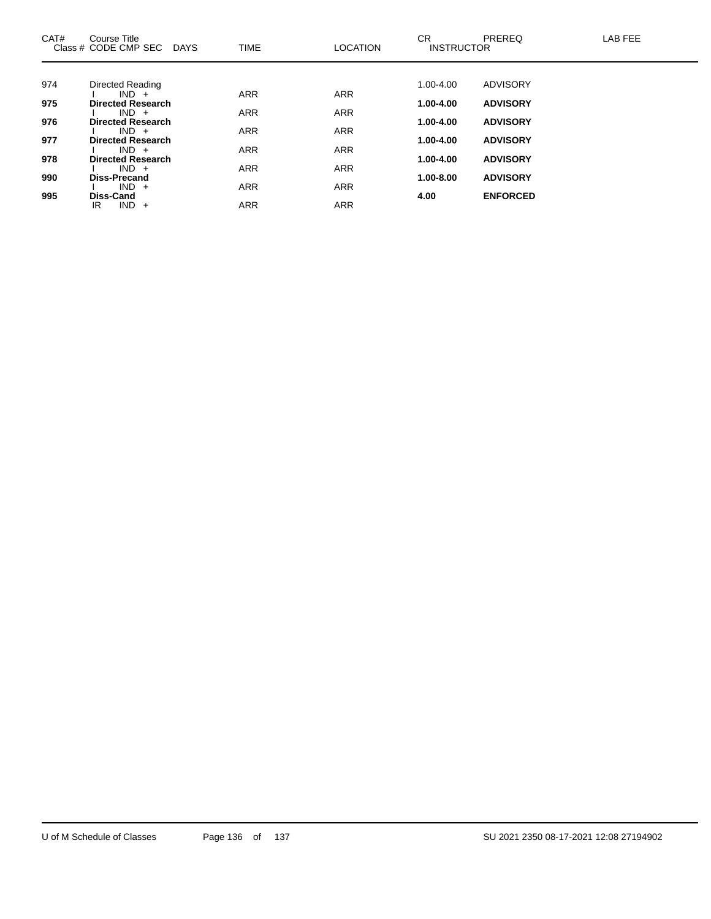| CAT# | Course Title<br>Class # CODE CMP SEC DAYS | <b>TIME</b> | <b>LOCATION</b> | <b>CR</b><br><b>INSTRUCTOR</b> | <b>PREREQ</b>   | <b>LAB FEE</b> |
|------|-------------------------------------------|-------------|-----------------|--------------------------------|-----------------|----------------|
|      |                                           |             |                 |                                |                 |                |
| 974  | Directed Reading                          |             |                 | 1.00-4.00                      | <b>ADVISORY</b> |                |
|      | $IND +$                                   | <b>ARR</b>  | <b>ARR</b>      |                                |                 |                |
| 975  | <b>Directed Research</b><br>$IND +$       | <b>ARR</b>  | <b>ARR</b>      | $1.00 - 4.00$                  | <b>ADVISORY</b> |                |
| 976  | <b>Directed Research</b>                  |             |                 | 1.00-4.00                      | <b>ADVISORY</b> |                |
|      | $IND +$                                   | <b>ARR</b>  | <b>ARR</b>      |                                |                 |                |
| 977  | <b>Directed Research</b>                  |             |                 | 1.00-4.00                      | <b>ADVISORY</b> |                |
| 978  | $IND +$<br><b>Directed Research</b>       | <b>ARR</b>  | <b>ARR</b>      | 1.00-4.00                      | <b>ADVISORY</b> |                |
|      | $IND +$                                   | <b>ARR</b>  | <b>ARR</b>      |                                |                 |                |
| 990  | <b>Diss-Precand</b>                       |             |                 | 1.00-8.00                      | <b>ADVISORY</b> |                |
|      | $IND +$                                   | <b>ARR</b>  | <b>ARR</b>      |                                |                 |                |
| 995  | <b>Diss-Cand</b><br>$IND +$<br>IR.        | <b>ARR</b>  | <b>ARR</b>      | 4.00                           | <b>ENFORCED</b> |                |
|      |                                           |             |                 |                                |                 |                |